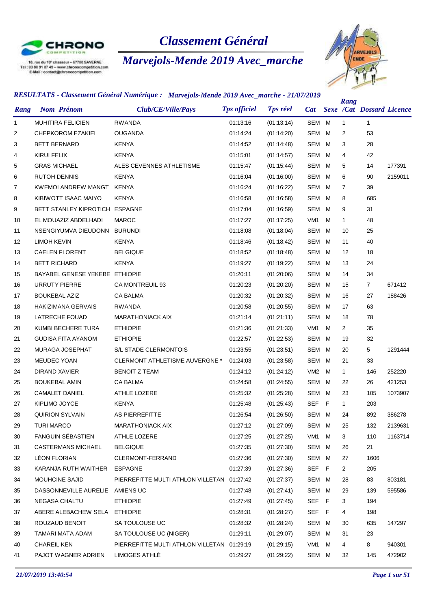

10, rue du 10° chasseur - 67700 SAVERNE<br>Tel : 03 88 91 87 49 - www.chronocompetition.com<br>E-Mail : contact@chronocompetition.com

# *Classement Général*

# *Marvejols-Mende 2019 Avec\_marche*



| Rang         | <b>Nom Prénom</b>               | Club/CE/Ville/Pays                         | <b>Tps officiel</b> | <b>Tps réel</b> | <b>Cat</b>      |     | Rang           | <b>Sexe /Cat Dossard Licence</b> |         |
|--------------|---------------------------------|--------------------------------------------|---------------------|-----------------|-----------------|-----|----------------|----------------------------------|---------|
| $\mathbf{1}$ | MUHITIRA FELICIEN               | <b>RWANDA</b>                              | 01:13:16            | (01:13:14)      | SEM M           |     | $\mathbf{1}$   | $\mathbf{1}$                     |         |
| 2            | <b>CHEPKOROM EZAKIEL</b>        | <b>OUGANDA</b>                             | 01:14:24            | (01:14:20)      | SEM             | M   | 2              | 53                               |         |
| 3            | <b>BETT BERNARD</b>             | <b>KENYA</b>                               | 01:14:52            | (01:14:48)      | SEM             | M   | 3              | 28                               |         |
| 4            | KIRUI FELIX                     | <b>KENYA</b>                               | 01:15:01            | (01:14:57)      | <b>SEM</b>      | M   | 4              | 42                               |         |
| 5            | <b>GRAS MICHAEL</b>             | ALES CEVENNES ATHLETISME                   | 01:15:47            | (01:15:44)      | <b>SEM</b>      | M   | 5              | 14                               | 177391  |
| 6            | <b>RUTOH DENNIS</b>             | <b>KENYA</b>                               | 01:16:04            | (01:16:00)      | SEM             | M   | 6              | 90                               | 2159011 |
| 7            | KWEMOI ANDREW MANGT             | <b>KENYA</b>                               | 01:16:24            | (01:16:22)      | <b>SEM</b>      | M   | $\overline{7}$ | 39                               |         |
| 8            | KIBIWOTT ISAAC MAIYO            | <b>KENYA</b>                               | 01:16:58            | (01:16:58)      | <b>SEM</b>      | M   | 8              | 685                              |         |
| 9            | BETT STANLEY KIPROTICH ESPAGNE  |                                            | 01:17:04            | (01:16:59)      | <b>SEM</b>      | M   | 9              | 31                               |         |
| 10           | EL MOUAZIZ ABDELHADI            | <b>MAROC</b>                               | 01:17:27            | (01:17:25)      | VM <sub>1</sub> | M   | $\mathbf{1}$   | 48                               |         |
| 11           | NSENGIYUMVA DIEUDONN            | <b>BURUNDI</b>                             | 01:18:08            | (01:18:04)      | <b>SEM</b>      | M   | 10             | 25                               |         |
| 12           | <b>LIMOH KEVIN</b>              | <b>KENYA</b>                               | 01:18:46            | (01:18:42)      | <b>SEM</b>      | M   | 11             | 40                               |         |
| 13           | <b>CAELEN FLORENT</b>           | <b>BELGIQUE</b>                            | 01:18:52            | (01:18:48)      | <b>SEM</b>      | M   | 12             | 18                               |         |
| 14           | <b>BETT RICHARD</b>             | <b>KENYA</b>                               | 01:19:27            | (01:19:22)      | <b>SEM</b>      | M   | 13             | 24                               |         |
| 15           | BAYABEL GENESE YEKEBE ETHIOPIE  |                                            | 01:20:11            | (01:20:06)      | <b>SEM</b>      | M   | 14             | 34                               |         |
| 16           | <b>URRUTY PIERRE</b>            | <b>CA MONTREUIL 93</b>                     | 01:20:23            | (01:20:20)      | <b>SEM</b>      | M   | 15             | $\overline{7}$                   | 671412  |
| 17           | <b>BOUKEBAL AZIZ</b>            | <b>CA BALMA</b>                            | 01:20:32            | (01:20:32)      | <b>SEM</b>      | M   | 16             | 27                               | 188426  |
| 18           | <b>HAKIZIMANA GERVAIS</b>       | <b>RWANDA</b>                              | 01:20:58            | (01:20:55)      | <b>SEM</b>      | M   | 17             | 63                               |         |
| 19           | LATRECHE FOUAD                  | <b>MARATHONIACK AIX</b>                    | 01:21:14            | (01:21:11)      | <b>SEM</b>      | M   | 18             | 78                               |         |
| 20           | KUMBI BECHERE TURA              | <b>ETHIOPIE</b>                            | 01:21:36            | (01:21:33)      | VM <sub>1</sub> | M   | $\overline{2}$ | 35                               |         |
| 21           | <b>GUDISA FITA AYANOM</b>       | <b>ETHIOPIE</b>                            | 01:22:57            | (01:22:53)      | <b>SEM</b>      | M   | 19             | 32                               |         |
| 22           | MURAGA JOSEPHAT                 | S/L STADE CLERMONTOIS                      | 01:23:55            | (01:23:51)      | <b>SEM</b>      | M   | 20             | 5                                | 1291444 |
| 23           | MEUDEC YOAN                     | <b>CLERMONT ATHLETISME AUVERGNE *</b>      | 01:24:03            | (01:23:58)      | <b>SEM</b>      | M   | 21             | 33                               |         |
| 24           | DIRAND XAVIER                   | <b>BENOIT Z TEAM</b>                       | 01:24:12            | (01:24:12)      | VM <sub>2</sub> | M   | $\mathbf{1}$   | 146                              | 252220  |
| 25           | <b>BOUKEBAL AMIN</b>            | <b>CA BALMA</b>                            | 01:24:58            | (01:24:55)      | <b>SEM</b>      | M   | 22             | 26                               | 421253  |
| 26           | <b>CAMALET DANIEL</b>           | ATHLE LOZERE                               | 01:25:32            | (01:25:28)      | <b>SEM</b>      | M   | 23             | 105                              | 1073907 |
| 27           | KIPLIMO JOYCE                   | <b>KENYA</b>                               | 01:25:48            | (01:25:43)      | <b>SEF</b>      | F   | $\mathbf{1}$   | 203                              |         |
| 28           | <b>QUIRION SYLVAIN</b>          | <b>AS PIERREFITTE</b>                      | 01:26:54            | (01:26:50)      | SEM M           |     | 24             | 892                              | 386278  |
| 29           | <b>TURI MARCO</b>               | <b>MARATHONIACK AIX</b>                    | 01:27:12            | (01:27:09)      | <b>SEM</b>      | M   | 25             | 132                              | 2139631 |
| 30           | <b>FANGUIN SÉBASTIEN</b>        | ATHLE LOZERE                               | 01:27:25            | (01:27:25)      | VM <sub>1</sub> | м   | 3              | 110                              | 1163714 |
| 31           | <b>CASTERMANS MICHAEL</b>       | <b>BELGIQUE</b>                            | 01:27:35            | (01:27:30)      | SEM             | м   | 26             | 21                               |         |
| 32           | LÉON FLORIAN                    | CLERMONT-FERRAND                           | 01:27:36            | (01:27:30)      | SEM             | M   | 27             | 1606                             |         |
| 33           | KARANJA RUTH WAITHER            | <b>ESPAGNE</b>                             | 01:27:39            | (01:27:36)      | <b>SEF</b>      | - F | $\overline{2}$ | 205                              |         |
| 34           | <b>MOUHCINE SAJID</b>           | PIERREFITTE MULTI ATHLON VILLETAN          | 01:27:42            | (01:27:37)      | SEM             | M   | 28             | 83                               | 803181  |
| 35           | DASSONNEVILLE AURELIE AMIENS UC |                                            | 01:27:48            | (01:27:41)      | SEM             | M   | 29             | 139                              | 595586  |
| 36           | NEGASA CHALTU                   | <b>ETHIOPIE</b>                            | 01:27:49            | (01:27:45)      | SEF             | - F | 3              | 194                              |         |
| 37           | ABERE ALEBACHEW SELA            | <b>ETHIOPIE</b>                            | 01:28:31            | (01:28:27)      | <b>SEF</b>      | F   | 4              | 198                              |         |
| 38           | ROUZAUD BENOIT                  | SA TOULOUSE UC                             | 01:28:32            | (01:28:24)      | <b>SEM</b>      | M   | 30             | 635                              | 147297  |
| 39           | TAMARI MATA ADAM                | SA TOULOUSE UC (NIGER)                     | 01:29:11            | (01:29:07)      | SEM             | м   | 31             | 23                               |         |
| 40           | <b>CHAREIL KEN</b>              | PIERREFITTE MULTI ATHLON VILLETAN 01:29:19 |                     | (01:29:15)      | VM1             | м   | 4              | 8                                | 940301  |
| 41           | PAJOT WAGNER ADRIEN             | LIMOGES ATHLÉ                              | 01:29:27            | (01:29:22)      | SEM M           |     | 32             | 145                              | 472902  |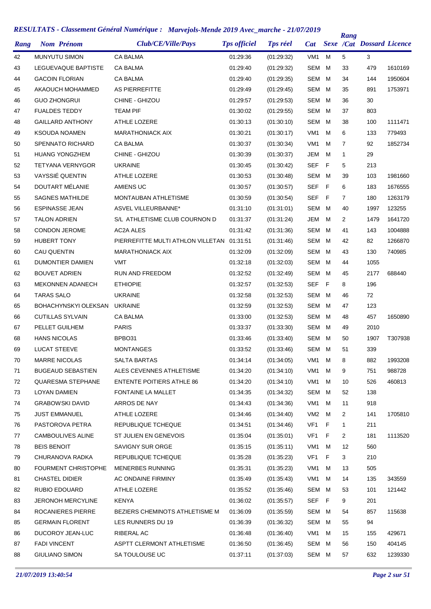| Rang | <b>Nom Prénom</b>          | Club/CE/Ville/Pays                    | <b>Tps officiel</b> | <b>Tps réel</b> | <b>Cat</b>      |   | Rang           | <b>Sexe /Cat Dossard Licence</b> |         |
|------|----------------------------|---------------------------------------|---------------------|-----------------|-----------------|---|----------------|----------------------------------|---------|
| 42   | <b>MUNYUTU SIMON</b>       | <b>CA BALMA</b>                       | 01:29:36            | (01:29:32)      | VM <sub>1</sub> | M | 5              | 3                                |         |
| 43   | LEGUEVAQUE BAPTISTE        | <b>CA BALMA</b>                       | 01:29:40            | (01:29:32)      | SEM             | м | 33             | 479                              | 1610169 |
| 44   | <b>GACOIN FLORIAN</b>      | CA BALMA                              | 01:29:40            | (01:29:35)      | SEM             | м | 34             | 144                              | 1950604 |
| 45   | AKAOUCH MOHAMMED           | AS PIERREFITTE                        | 01:29:49            | (01:29:45)      | SEM             | м | 35             | 891                              | 1753971 |
| 46   | <b>GUO ZHONGRUI</b>        | CHINE - GHIZOU                        | 01:29:57            | (01:29:53)      | SEM             | м | 36             | 30                               |         |
| 47   | <b>FUALDES TEDDY</b>       | <b>TEAM PIF</b>                       | 01:30:02            | (01:29:55)      | SEM             | м | 37             | 803                              |         |
| 48   | <b>GAILLARD ANTHONY</b>    | <b>ATHLE LOZERE</b>                   | 01:30:13            | (01:30:10)      | SEM             | м | 38             | 100                              | 1111471 |
| 49   | <b>KSOUDA NOAMEN</b>       | <b>MARATHONIACK AIX</b>               | 01:30:21            | (01:30:17)      | VM <sub>1</sub> | м | 6              | 133                              | 779493  |
| 50   | <b>SPENNATO RICHARD</b>    | CA BALMA                              | 01:30:37            | (01:30:34)      | VM <sub>1</sub> | м | $\overline{7}$ | 92                               | 1852734 |
| 51   | <b>HUANG YONGZHEM</b>      | CHINE - GHIZOU                        | 01:30:39            | (01:30:37)      | JEM             | м | 1              | 29                               |         |
| 52   | TETYANA VERNYGOR           | <b>UKRAINE</b>                        | 01:30:45            | (01:30:42)      | <b>SEF</b>      | F | 5              | 213                              |         |
| 53   | VAYSSIÉ QUENTIN            | ATHLE LOZERE                          | 01:30:53            | (01:30:48)      | SEM             | M | 39             | 103                              | 1981660 |
| 54   | DOUTART MÉLANIE            | AMIENS UC                             | 01:30:57            | (01:30:57)      | <b>SEF</b>      | F | 6              | 183                              | 1676555 |
| 55   | <b>SAGNES MATHILDE</b>     | MONTAUBAN ATHLETISME                  | 01:30:59            | (01:30:54)      | <b>SEF</b>      | F | $\overline{7}$ | 180                              | 1263179 |
| 56   | <b>ESPINASSE JEAN</b>      | <b>ASVEL VILLEURBANNE*</b>            | 01:31:10            | (01:31:01)      | SEM             | м | 40             | 1997                             | 123255  |
| 57   | <b>TALON ADRIEN</b>        | S/L ATHLETISME CLUB COURNON D         | 01:31:37            | (01:31:24)      | JEM             | м | 2              | 1479                             | 1641720 |
| 58   | <b>CONDON JEROME</b>       | <b>AC2A ALES</b>                      | 01:31:42            | (01:31:36)      | SEM             | м | 41             | 143                              | 1004888 |
| 59   | <b>HUBERT TONY</b>         | PIERREFITTE MULTI ATHLON VILLETAN     | 01:31:51            | (01:31:46)      | SEM             | м | 42             | 82                               | 1266870 |
| 60   | <b>CAU QUENTIN</b>         | <b>MARATHONIACK AIX</b>               | 01:32:09            | (01:32:09)      | SEM             | м | 43             | 130                              | 740985  |
| 61   | DUMONTIER DAMIEN           | <b>VMT</b>                            | 01:32:18            | (01:32:03)      | SEM             | м | 44             | 1055                             |         |
| 62   | <b>BOUVET ADRIEN</b>       | <b>RUN AND FREEDOM</b>                | 01:32:52            | (01:32:49)      | SEM             | м | 45             | 2177                             | 688440  |
| 63   | <b>MEKONNEN ADANECH</b>    | <b>ETHIOPIE</b>                       | 01:32:57            | (01:32:53)      | <b>SEF</b>      | F | 8              | 196                              |         |
| 64   | <b>TARAS SALO</b>          | <b>UKRAINE</b>                        | 01:32:58            | (01:32:53)      | SEM             | M | 46             | 72                               |         |
| 65   | BOHACHYNSKYI OLEKSAN       | <b>UKRAINE</b>                        | 01:32:59            | (01:32:53)      | SEM             | м | 47             | 123                              |         |
| 66   | <b>CUTILLAS SYLVAIN</b>    | CA BALMA                              | 01:33:00            | (01:32:53)      | SEM             | м | 48             | 457                              | 1650890 |
| 67   | PELLET GUILHEM             | <b>PARIS</b>                          | 01:33:37            | (01:33:30)      | SEM             | м | 49             | 2010                             |         |
| 68   | <b>HANS NICOLAS</b>        | BPBO31                                | 01:33:46            | (01:33:40)      | SEM             | м | 50             | 1907                             | T307938 |
| 69   | LUCAT STEEVE               | <b>MONTANGES</b>                      | 01:33:52            | (01:33:46)      | SEM             | M | 51             | 339                              |         |
| 70   | <b>MARRE NICOLAS</b>       | SALTA BARTAS                          | 01:34:14            | (01:34:05)      | VM1             | M | 8              | 882                              | 1993208 |
| 71   | <b>BUGEAUD SEBASTIEN</b>   | ALES CEVENNES ATHLETISME              | 01:34:20            | (01.34.10)      | VM <sub>1</sub> | м | 9              | 751                              | 988728  |
| 72   | <b>QUARESMA STEPHANE</b>   | <b>ENTENTE POITIERS ATHLE 86</b>      | 01:34:20            | (01:34:10)      | VM1             | м | 10             | 526                              | 460813  |
| 73   | LOYAN DAMIEN               | FONTAINE LA MALLET                    | 01:34:35            | (01:34:32)      | SEM             | м | 52             | 138                              |         |
| 74   | <b>GRABOWSKI DAVID</b>     | ARROS DE NAY                          | 01:34:43            | (01:34:36)      | VM1             | м | 11             | 918                              |         |
| 75   | <b>JUST EMMANUEL</b>       | ATHLE LOZERE                          | 01:34:46            | (01:34:40)      | VM2             | м | 2              | 141                              | 1705810 |
| 76   | PASTOROVA PETRA            | REPUBLIQUE TCHEQUE                    | 01:34:51            | (01:34:46)      | VF1             | F | $\mathbf{1}$   | 211                              |         |
| 77   | <b>CAMBOULIVES ALINE</b>   | ST JULIEN EN GENEVOIS                 | 01:35:04            | (01:35:01)      | VF1             | F | 2              | 181                              | 1113520 |
| 78   | <b>BEIS BENOIT</b>         | SAVIGNY SUR ORGE                      | 01:35:15            | (01.35.11)      | VM <sub>1</sub> | м | 12             | 560                              |         |
| 79   | CHURANOVA RADKA            | REPUBLIQUE TCHEQUE                    | 01:35:28            | (01:35:23)      | VF1             | F | 3              | 210                              |         |
| 80   | <b>FOURMENT CHRISTOPHE</b> | MENERBES RUNNING                      | 01:35:31            | (01:35:23)      | VM <sub>1</sub> | м | 13             | 505                              |         |
| 81   | <b>CHASTEL DIDIER</b>      | AC ONDAINE FIRMINY                    | 01:35:49            | (01:35:43)      | VM1             | м | 14             | 135                              | 343559  |
| 82   | RUBIO EDOUARD              | ATHLE LOZERE                          | 01:35:52            | (01:35:46)      | SEM             | м | 53             | 101                              | 121442  |
| 83   | <b>JERONOH MERCYLINE</b>   | <b>KENYA</b>                          | 01:36:02            | (01:35:57)      | <b>SEF</b>      | F | 9              | 201                              |         |
| 84   | ROCANIERES PIERRE          | <b>BEZIERS CHEMINOTS ATHLETISME M</b> | 01:36:09            | (01:35:59)      | SEM M           |   | 54             | 857                              | 115638  |
| 85   | <b>GERMAIN FLORENT</b>     | LES RUNNERS DU 19                     | 01:36:39            | (01:36:32)      | SEM             | м | 55             | 94                               |         |
| 86   | DUCOROY JEAN-LUC           | RIBERAL AC                            | 01:36:48            | (01:36:40)      | VM1             | м | 15             | 155                              | 429671  |
| 87   | <b>FADI VINCENT</b>        | ASPTT CLERMONT ATHLETISME             | 01:36:50            | (01:36:45)      | SEM             | м | 56             | 150                              | 404145  |
| 88   | <b>GIULIANO SIMON</b>      | SA TOULOUSE UC                        | 01:37:11            | (01:37:03)      | SEM M           |   | 57             | 632                              | 1239330 |
|      |                            |                                       |                     |                 |                 |   |                |                                  |         |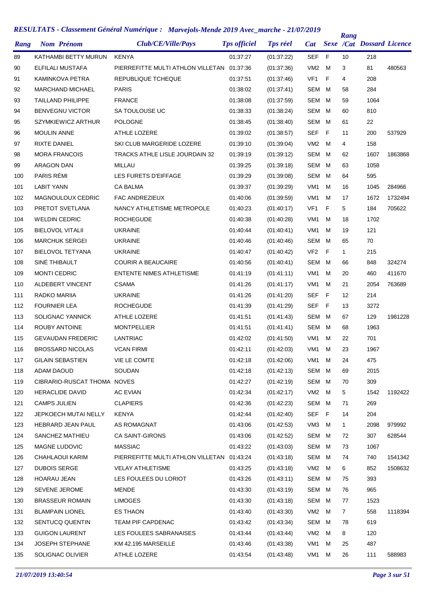| Rang | <b>Nom Prénom</b>           | Club/CE/Ville/Pays                         | <b>Tps officiel</b> | <b>Tps réel</b> | Cat             |   | Rang | <b>Sexe /Cat Dossard Licence</b> |         |
|------|-----------------------------|--------------------------------------------|---------------------|-----------------|-----------------|---|------|----------------------------------|---------|
| 89   | KATHAMBI BETTY MURUN        | <b>KENYA</b>                               | 01:37:27            | (01:37:22)      | <b>SEF</b>      | F | 10   | 218                              |         |
| 90   | ELFILALI MUSTAFA            | PIERREFITTE MULTI ATHLON VILLETAN 01:37:36 |                     | (01:37:36)      | VM <sub>2</sub> | M | 3    | 81                               | 480563  |
| 91   | KAMINKOVA PETRA             | REPUBLIQUE TCHEQUE                         | 01:37:51            | (01:37:46)      | VF <sub>1</sub> | F | 4    | 208                              |         |
| 92   | <b>MARCHAND MICHAEL</b>     | <b>PARIS</b>                               | 01:38:02            | (01:37:41)      | SEM             | м | 58   | 284                              |         |
| 93   | <b>TAILLAND PHILIPPE</b>    | <b>FRANCE</b>                              | 01:38:08            | (01:37:59)      | SEM             | м | 59   | 1064                             |         |
| 94   | <b>BENVEGNU VICTOR</b>      | SA TOULOUSE UC                             | 01:38:33            | (01:38:24)      | <b>SEM</b>      | M | 60   | 810                              |         |
| 95   | SZYMKIEWICZ ARTHUR          | <b>POLOGNE</b>                             | 01:38:45            | (01:38:40)      | SEM             | м | 61   | 22                               |         |
| 96   | <b>MOULIN ANNE</b>          | <b>ATHLE LOZERE</b>                        | 01:39:02            | (01:38:57)      | SEF             | F | 11   | 200                              | 537929  |
| 97   | <b>RIXTE DANIEL</b>         | SKI CLUB MARGERIDE LOZERE                  | 01:39:10            | (01:39:04)      | VM <sub>2</sub> | м | 4    | 158                              |         |
| 98   | <b>MORA FRANCOIS</b>        | TRACKS ATHLE LISLE JOURDAIN 32             | 01:39:19            | (01:39:12)      | <b>SEM</b>      | M | 62   | 1607                             | 1863868 |
| 99   | <b>ARAGON DAN</b>           | MILLAU                                     | 01:39:25            | (01:39:18)      | <b>SEM</b>      | M | 63   | 1058                             |         |
| 100  | PARIS RÉMI                  | LES FURETS D'EIFFAGE                       | 01:39:29            | (01:39:08)      | <b>SEM</b>      | м | 64   | 595                              |         |
| 101  | <b>LABIT YANN</b>           | CA BALMA                                   | 01:39:37            | (01:39:29)      | VM <sub>1</sub> | м | 16   | 1045                             | 284966  |
| 102  | MAGNOULOUX CEDRIC           | <b>FAC ANDREZIEUX</b>                      | 01:40:06            | (01:39:59)      | VM <sub>1</sub> | м | 17   | 1672                             | 1732494 |
| 103  | PRETOT SVETLANA             | NANCY ATHLETISME METROPOLE                 | 01:40:23            | (01.40.17)      | VF <sub>1</sub> | F | 5    | 184                              | 705622  |
| 104  | <b>WELDIN CEDRIC</b>        | <b>ROCHEGUDE</b>                           | 01:40:38            | (01:40:28)      | VM <sub>1</sub> | м | 18   | 1702                             |         |
| 105  | <b>BIELOVOL VITALII</b>     | <b>UKRAINE</b>                             | 01:40:44            | (01:40:41)      | VM <sub>1</sub> | м | 19   | 121                              |         |
| 106  | <b>MARCHUK SERGEI</b>       | <b>UKRAINE</b>                             | 01:40:46            | (01:40:46)      | SEM             | м | 65   | 70                               |         |
| 107  | <b>BIELOVOL TETYANA</b>     | <b>UKRAINE</b>                             | 01:40:47            | (01:40:42)      | VF <sub>2</sub> | F | 1    | 215                              |         |
| 108  | SINÉ THIBAULT               | <b>COURIR A BEAUCAIRE</b>                  | 01:40:56            | (01:40:41)      | SEM             | м | 66   | 848                              | 324274  |
| 109  | <b>MONTI CEDRIC</b>         | <b>ENTENTE NIMES ATHLETISME</b>            | 01:41:19            | (01:41:11)      | VM <sub>1</sub> | м | 20   | 460                              | 411670  |
| 110  | ALDEBERT VINCENT            | <b>CSAMA</b>                               | 01:41:26            | (01:41:17)      | VM <sub>1</sub> | м | 21   | 2054                             | 763689  |
| 111  | RADKO MARIIA                | <b>UKRAINE</b>                             | 01:41:26            | (01:41:20)      | <b>SEF</b>      | F | 12   | 214                              |         |
| 112  | <b>FOURNIER LEA</b>         | <b>ROCHEGUDE</b>                           | 01:41:39            | (01:41:29)      | SEF             | F | 13   | 3272                             |         |
| 113  | SOLIGNAC YANNICK            | ATHLE LOZERE                               | 01:41:51            | (01.41.43)      | SEM             | м | 67   | 129                              | 1981228 |
| 114  | ROUBY ANTOINE               | <b>MONTPELLIER</b>                         | 01:41:51            | (01:41:41)      | SEM             | м | 68   | 1963                             |         |
| 115  | <b>GEVAUDAN FREDERIC</b>    | LANTRIAC                                   | 01:42:02            |                 | VM <sub>1</sub> | м | 22   | 701                              |         |
| 116  | <b>BROSSARD NICOLAS</b>     | <b>VCAN FIRMI</b>                          | 01:42:11            | (01:41:50)      | VM1             | м | 23   | 1967                             |         |
|      |                             |                                            |                     | (01:42:03)      |                 |   |      |                                  |         |
| 117  | GILAIN SEBASTIEN            | VIE LE COMTE<br><b>SOUDAN</b>              | 01:42:18            | (01:42:06)      | VM1             | M | 24   | 475                              |         |
| 118  | ADAM DAOUD                  |                                            | 01:42:18            | (01:42:13)      | SEM             | м | 69   | 2015                             |         |
| 119  | CIBRARIO-RUSCAT THOMA NOVES |                                            | 01:42:27            | (01:42:19)      | SEM             | м | 70   | 309                              |         |
| 120  | <b>HERACLIDE DAVID</b>      | AC EVIAN                                   | 01:42:34            | (01.42:17)      | VM <sub>2</sub> | м | 5    | 1542                             | 1192422 |
| 121  | <b>CAMPS JULIEN</b>         | <b>CLAPIERS</b>                            | 01:42:36            | (01:42:23)      | SEM             | м | 71   | 269                              |         |
| 122  | <b>JEPKOECH MUTAI NELLY</b> | <b>KENYA</b>                               | 01:42:44            | (01:42:40)      | <b>SEF</b>      | F | 14   | 204                              |         |
| 123  | <b>HEBRARD JEAN PAUL</b>    | AS ROMAGNAT                                | 01:43:06            | (01.42.53)      | VM <sub>3</sub> | м | 1    | 2098                             | 979992  |
| 124  | SANCHEZ MATHIEU             | CA SAINT-GIRONS                            | 01:43:06            | (01:42:52)      | SEM             | м | 72   | 307                              | 628544  |
| 125  | MAGNE LUDOVIC               | <b>MASSIAC</b>                             | 01:43:22            | (01.43.03)      | SEM             | M | 73   | 1067                             |         |
| 126  | CHAHLAOUI KARIM             | PIERREFITTE MULTI ATHLON VILLETAN          | 01:43:24            | (01:43:18)      | SEM             | м | 74   | 740                              | 1541342 |
| 127  | <b>DUBOIS SERGE</b>         | <b>VELAY ATHLETISME</b>                    | 01:43:25            | (01:43:18)      | VM <sub>2</sub> | м | 6    | 852                              | 1508632 |
| 128  | <b>HOARAU JEAN</b>          | LES FOULEES DU LORIOT                      | 01:43:26            | (01:43:11)      | SEM             | м | 75   | 393                              |         |
| 129  | SEVENE JEROME               | MENDE                                      | 01:43:30            | (01:43:19)      | SEM             | M | 76   | 965                              |         |
| 130  | <b>BRASSEUR ROMAIN</b>      | <b>LIMOGES</b>                             | 01:43:30            | (01:43:18)      | SEM             | м | 77   | 1523                             |         |
| 131  | <b>BLAMPAIN LIONEL</b>      | <b>ES THAON</b>                            | 01:43:40            | (01:43:30)      | VM <sub>2</sub> | M | 7    | 558                              | 1118394 |
| 132  | SENTUCQ QUENTIN             | TEAM PIF CAPDENAC                          | 01:43:42            | (01:43:34)      | SEM             | м | 78   | 619                              |         |
| 133  | <b>GUIGON LAURENT</b>       | LES FOULEES SABRANAISES                    | 01:43:44            | (01:43:44)      | VM <sub>2</sub> | м | 8    | 120                              |         |
| 134  | JOSEPH STEPHANE             | KM 42.195 MARSEILLE                        | 01:43:46            | (01:43:38)      | VM <sub>1</sub> | м | 25   | 487                              |         |
| 135  | SOLIGNAC OLIVIER            | ATHLE LOZERE                               | 01:43:54            | (01:43:48)      | VM <sub>1</sub> | м | 26   | 111                              | 588983  |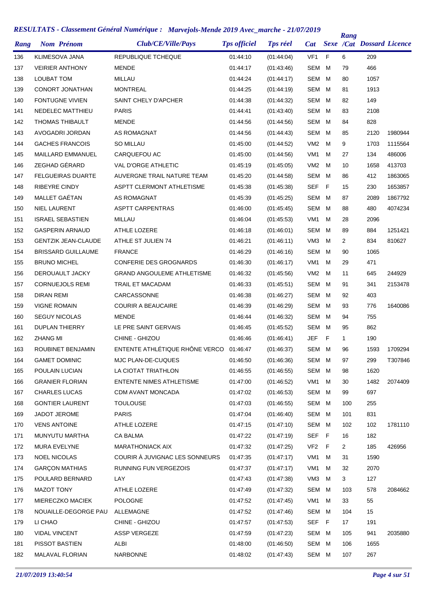| Rang | <b>Nom Prénom</b>          | Club/CE/Ville/Pays                | <b>Tps officiel</b> | <b>Tps réel</b> | <b>Cat</b>      |     | Rang         | <b>Sexe /Cat Dossard Licence</b> |         |
|------|----------------------------|-----------------------------------|---------------------|-----------------|-----------------|-----|--------------|----------------------------------|---------|
| 136  | <b>KLIMESOVA JANA</b>      | REPUBLIQUE TCHEQUE                | 01:44:10            | (01:44:04)      | VF <sub>1</sub> | F   | 6            | 209                              |         |
| 137  | <b>VEIRIER ANTHONY</b>     | <b>MENDE</b>                      | 01:44:17            | (01:43:46)      | <b>SEM</b>      | м   | 79           | 466                              |         |
| 138  | LOUBAT TOM                 | <b>MILLAU</b>                     | 01:44:24            | (01:44:17)      | <b>SEM</b>      | M   | 80           | 1057                             |         |
| 139  | CONORT JONATHAN            | <b>MONTREAL</b>                   | 01:44:25            | (01:44:19)      | <b>SEM</b>      | м   | 81           | 1913                             |         |
| 140  | FONTUGNE VIVIEN            | SAINT CHELY D'APCHER              | 01:44:38            | (01:44:32)      | <b>SEM</b>      | M   | 82           | 149                              |         |
| 141  | NEDELEC MATTHIEU           | <b>PARIS</b>                      | 01:44:41            | (01:43:40)      | <b>SEM</b>      | м   | 83           | 2108                             |         |
| 142  | <b>THOMAS THIBAULT</b>     | <b>MENDE</b>                      | 01:44:56            | (01:44:56)      | <b>SEM</b>      | M   | 84           | 828                              |         |
| 143  | AVOGADRI JORDAN            | AS ROMAGNAT                       | 01:44:56            | (01:44:43)      | <b>SEM</b>      | м   | 85           | 2120                             | 1980944 |
| 144  | <b>GACHES FRANCOIS</b>     | SO MILLAU                         | 01:45:00            | (01:44:52)      | VM <sub>2</sub> | м   | 9            | 1703                             | 1115564 |
| 145  | <b>MAILLARD EMMANUEL</b>   | CARQUEFOU AC                      | 01:45:00            | (01:44:56)      | VM <sub>1</sub> | M   | 27           | 134                              | 486006  |
| 146  | ZEGHAD GÉRARD              | <b>VAL D'ORGE ATHLETIC</b>        | 01:45:19            | (01:45:05)      | VM <sub>2</sub> | м   | 10           | 1658                             | 413703  |
| 147  | <b>FELGUEIRAS DUARTE</b>   | AUVERGNE TRAIL NATURE TEAM        | 01:45:20            | (01:44:58)      | <b>SEM</b>      | M   | 86           | 412                              | 1863065 |
| 148  | RIBEYRE CINDY              | <b>ASPTT CLERMONT ATHLETISME</b>  | 01:45:38            | (01:45:38)      | <b>SEF</b>      | E   | 15           | 230                              | 1653857 |
| 149  | MALLET GAÉTAN              | AS ROMAGNAT                       | 01:45:39            | (01:45:25)      | <b>SEM</b>      | M   | 87           | 2089                             | 1867792 |
| 150  | <b>NIEL LAURENT</b>        | <b>ASPTT CARPENTRAS</b>           | 01:46:00            | (01:45:45)      | SEM             | M   | 88           | 480                              | 4074234 |
| 151  | <b>ISRAEL SEBASTIEN</b>    | <b>MILLAU</b>                     | 01:46:04            | (01:45:53)      | VM <sub>1</sub> | M   | 28           | 2096                             |         |
| 152  | <b>GASPERIN ARNAUD</b>     | <b>ATHLE LOZERE</b>               | 01:46:18            | (01:46:01)      | SEM             | M   | 89           | 884                              | 1251421 |
| 153  | <b>GENTZIK JEAN-CLAUDE</b> | ATHLE ST JULIEN 74                | 01:46:21            | (01:46:11)      | VM <sub>3</sub> | M   | 2            | 834                              | 810627  |
| 154  | <b>BRISSARD GUILLAUME</b>  | <b>FRANCE</b>                     | 01:46:29            | (01:46:16)      | SEM             | M   | 90           | 1065                             |         |
| 155  | <b>BRUNO MICHEL</b>        | <b>CONFERIE DES GROGNARDS</b>     | 01:46:30            | (01:46:17)      | VM <sub>1</sub> | м   | 29           | 471                              |         |
| 156  | DEROUAULT JACKY            | <b>GRAND ANGOULEME ATHLETISME</b> | 01:46:32            | (01:45:56)      | VM <sub>2</sub> | м   | 11           | 645                              | 244929  |
| 157  | <b>CORNUEJOLS REMI</b>     | TRAIL ET MACADAM                  | 01:46:33            | (01:45:51)      | <b>SEM</b>      | м   | 91           | 341                              | 2153478 |
| 158  | DIRAN REMI                 | CARCASSONNE                       | 01:46:38            | (01:46:27)      | SEM             | M   | 92           | 403                              |         |
| 159  | <b>VIGNE ROMAIN</b>        | <b>COURIR A BEAUCAIRE</b>         | 01:46:39            | (01:46:29)      | SEM             | м   | 93           | 776                              | 1640086 |
| 160  | <b>SEGUY NICOLAS</b>       | <b>MENDE</b>                      | 01:46:44            | (01:46:32)      | SEM             | M   | 94           | 755                              |         |
| 161  | <b>DUPLAN THIERRY</b>      | LE PRE SAINT GERVAIS              | 01:46:45            | (01:45:52)      | SEM             | м   | 95           | 862                              |         |
| 162  | <b>ZHANG MI</b>            | CHINE - GHIZOU                    | 01:46:46            | (01:46:41)      | JEF             | F   | $\mathbf{1}$ | 190                              |         |
| 163  | ROUBINET BENJAMIN          | ENTENTE ATHLÉTIQUE RHÔNE VERCO    | 01:46:47            | (01:46:37)      | SEM M           |     | 96           | 1593                             | 1709294 |
| 164  | <b>GAMET DOMINIC</b>       | MJC PLAN-DE-CUQUES                | 01:46:50            | (01:46:36)      | SEM M           |     | 97           | 299                              | T307846 |
| 165  | POULAIN LUCIAN             | LA CIOTAT TRIATHLON               | 01:46:55            | (01:46:55)      | SEM             | M   | 98           | 1620                             |         |
| 166  | <b>GRANIER FLORIAN</b>     | ENTENTE NIMES ATHLETISME          | 01:47:00            | (01:46:52)      | VM1             | м   | 30           | 1482                             | 2074409 |
| 167  | <b>CHARLES LUCAS</b>       | CDM AVANT MONCADA                 | 01:47:02            | (01.46.53)      | SEM             | M   | 99           | 697                              |         |
| 168  | <b>GONTIER LAURENT</b>     | <b>TOULOUSE</b>                   | 01:47:03            | (01:46:55)      | SEM M           |     | 100          | 255                              |         |
| 169  | JADOT JEROME               | <b>PARIS</b>                      | 01:47:04            | (01:46:40)      | SEM             | M   | 101          | 831                              |         |
| 170  | <b>VENS ANTOINE</b>        | ATHLE LOZERE                      | 01:47:15            | (01:47:10)      | SEM M           |     | 102          | 102                              | 1781110 |
| 171  | MUNYUTU MARTHA             | CA BALMA                          | 01:47:22            | (01:47:19)      | <b>SEF</b>      | F   | 16           | 182                              |         |
| 172  | MURA EVELYNE               | <b>MARATHONIACK AIX</b>           | 01:47:32            | (01:47:25)      | VF <sub>2</sub> | - F | 2            | 185                              | 426956  |
| 173  | <b>NOEL NICOLAS</b>        | COURIR À JUVIGNAC LES SONNEURS    | 01:47:35            | (01:47:17)      | VM <sub>1</sub> | м   | 31           | 1590                             |         |
| 174  | <b>GARCON MATHIAS</b>      | RUNNING FUN VERGEZOIS             | 01:47:37            | (01:47:17)      | VM1             | м   | 32           | 2070                             |         |
| 175  | POULARD BERNARD            | LAY                               | 01:47:43            | (01:47:38)      | VM3             | м   | 3            | 127                              |         |
| 176  | MAZOT TONY                 | ATHLE LOZERE                      | 01:47:49            | (01:47:32)      | SEM             | M   | 103          | 578                              | 2084662 |
| 177  | MIERECZKO MACIEK           | <b>POLOGNE</b>                    | 01:47:52            | (01:47:45)      | VM <sub>1</sub> | м   | 33           | 55                               |         |
| 178  | NOUAILLE-DEGORGE PAU       | ALLEMAGNE                         | 01:47:52            | (01:47:46)      | SEM             | M   | 104          | 15                               |         |
| 179  | LI CHAO                    | CHINE - GHIZOU                    | 01:47:57            | (01:47:53)      | SEF             | F   | 17           | 191                              |         |
| 180  | VIDAL VINCENT              | <b>ASSP VERGEZE</b>               | 01:47:59            | (01:47:23)      | SEM M           |     | 105          | 941                              | 2035880 |
| 181  | PISSOT BASTIEN             | ALBI                              | 01:48:00            | (01:46:50)      | SEM             | M   | 106          | 1655                             |         |
| 182  | MALAVAL FLORIAN            | NARBONNE                          | 01:48:02            | (01:47:43)      | SEM M           |     | 107          | 267                              |         |
|      |                            |                                   |                     |                 |                 |     |              |                                  |         |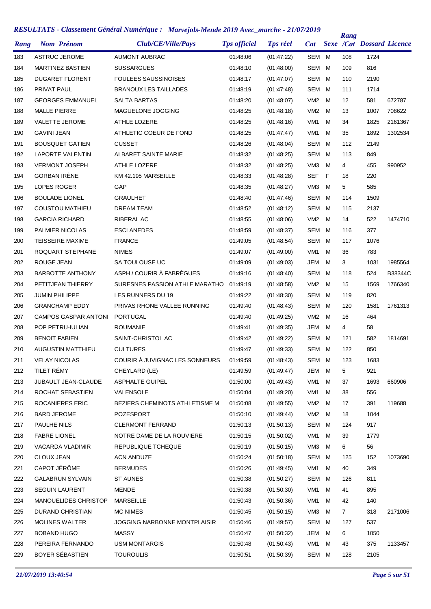| Rang | <b>Nom Prénom</b>           | Club/CE/Ville/Pays             | <b>Tps officiel</b> | <b>Tps réel</b> | Cat             |   | Rang | <b>Sexe /Cat Dossard Licence</b> |         |
|------|-----------------------------|--------------------------------|---------------------|-----------------|-----------------|---|------|----------------------------------|---------|
| 183  | <b>ASTRUC JEROME</b>        | <b>AUMONT AUBRAC</b>           | 01:48:06            | (01:47:22)      | SEM M           |   | 108  | 1724                             |         |
| 184  | <b>MARTINEZ BASTIEN</b>     | <b>SUSSARGUES</b>              | 01:48:10            | (01:48:00)      | <b>SEM</b>      | м | 109  | 816                              |         |
| 185  | <b>DUGARET FLORENT</b>      | <b>FOULEES SAUSSINOISES</b>    | 01:48:17            | (01:47:07)      | SEM             | M | 110  | 2190                             |         |
| 186  | PRIVAT PAUL                 | <b>BRANOUX LES TAILLADES</b>   | 01:48:19            | (01:47:48)      | <b>SEM</b>      | M | 111  | 1714                             |         |
| 187  | <b>GEORGES EMMANUEL</b>     | <b>SALTA BARTAS</b>            | 01:48:20            | (01:48:07)      | VM <sub>2</sub> | M | 12   | 581                              | 672787  |
| 188  | <b>MALLE PIERRE</b>         | MAGUELONE JOGGING              | 01:48:25            | (01.48.18)      | VM <sub>2</sub> | M | 13   | 1007                             | 708622  |
| 189  | <b>VALETTE JEROME</b>       | <b>ATHLE LOZERE</b>            | 01:48:25            | (01:48:16)      | VM <sub>1</sub> | м | 34   | 1825                             | 2161367 |
| 190  | <b>GAVINI JEAN</b>          | ATHLETIC COEUR DE FOND         | 01:48:25            | (01:47:47)      | VM1             | M | 35   | 1892                             | 1302534 |
| 191  | <b>BOUSQUET GATIEN</b>      | <b>CUSSET</b>                  | 01:48:26            | (01:48:04)      | <b>SEM</b>      | M | 112  | 2149                             |         |
| 192  | <b>LAPORTE VALENTIN</b>     | ALBARET SAINTE MARIE           | 01:48:32            | (01:48:25)      | <b>SEM</b>      | M | 113  | 849                              |         |
| 193  | <b>VERMONT JOSEPH</b>       | <b>ATHLE LOZERE</b>            | 01:48:32            | (01:48:25)      | VM <sub>3</sub> | M | 4    | 455                              | 990952  |
| 194  | <b>GORBAN IRÈNE</b>         | KM 42.195 MARSEILLE            | 01:48:33            | (01:48:28)      | SEF             | F | 18   | 220                              |         |
| 195  | LOPES ROGER                 | GAP                            | 01:48:35            | (01:48:27)      | VM <sub>3</sub> | M | 5    | 585                              |         |
| 196  | <b>BOULADE LIONEL</b>       | <b>GRAULHET</b>                | 01:48:40            | (01:47:46)      | <b>SEM</b>      | M | 114  | 1509                             |         |
| 197  | COUSTOU MATHIEU             | <b>DREAM TEAM</b>              | 01:48:52            | (01:48:12)      | SEM             | M | 115  | 2137                             |         |
| 198  | <b>GARCIA RICHARD</b>       | RIBERAL AC                     | 01:48:55            | (01:48:06)      | VM <sub>2</sub> | M | 14   | 522                              | 1474710 |
| 199  | <b>PALMIER NICOLAS</b>      | <b>ESCLANEDES</b>              | 01:48:59            | (01:48:37)      | <b>SEM</b>      | M | 116  | 377                              |         |
| 200  | <b>TEISSEIRE MAXIME</b>     | <b>FRANCE</b>                  | 01:49:05            | (01:48:54)      | <b>SEM</b>      | M | 117  | 1076                             |         |
| 201  | ROQUART STEPHANE            | <b>NIMES</b>                   | 01:49:07            | (01:49:00)      | VM <sub>1</sub> | M | 36   | 783                              |         |
| 202  | ROUGE JEAN                  | SA TOULOUSE UC                 | 01:49:09            | (01:49:03)      | JEM             | м | 3    | 1031                             | 1985564 |
| 203  | <b>BARBOTTE ANTHONY</b>     | ASPH / COURIR À FABRÈGUES      | 01:49:16            | (01:48:40)      | SEM             | M | 118  | 524                              | B38344C |
| 204  | PETITJEAN THIERRY           | SURESNES PASSION ATHLE MARATHO | 01:49:19            | (01:48:58)      | VM <sub>2</sub> | м | 15   | 1569                             | 1766340 |
| 205  | <b>JUMIN PHILIPPE</b>       | LES RUNNERS DU 19              | 01:49:22            | (01:48:30)      | SEM             | M | 119  | 820                              |         |
| 206  | <b>GRANCHAMP EDDY</b>       | PRIVAS RHONE VALLEE RUNNING    | 01:49:40            | (01:48:43)      | SEM             | M | 120  | 1581                             | 1761313 |
| 207  | <b>CAMPOS GASPAR ANTONI</b> | <b>PORTUGAL</b>                | 01:49:40            | (01:49:25)      | VM2             | M | 16   | 464                              |         |
| 208  | POP PETRU-IULIAN            | <b>ROUMANIE</b>                | 01:49:41            | (01:49:35)      | JEM             | м | 4    | 58                               |         |
| 209  | <b>BENOIT FABIEN</b>        | SAINT-CHRISTOL AC              | 01:49:42            | (01:49:22)      | SEM             | M | 121  | 582                              | 1814691 |
| 210  | AUGUSTIN MATTHIEU           | <b>CULTURES</b>                | 01:49:47            | (01.49.33)      | SEM M           |   | 122  | 850                              |         |
| 211  | <b>VELAY NICOLAS</b>        | COURIR À JUVIGNAC LES SONNEURS | 01:49:59            | (01:48:43)      | SEM M           |   | 123  | 1683                             |         |
| 212  | TILET RÉMY                  | CHEYLARD (LE)                  | 01:49:59            | (01:49:47)      | JEM             | м | 5    | 921                              |         |
| 213  | JUBAULT JEAN-CLAUDE         | <b>ASPHALTE GUIPEL</b>         | 01:50:00            | (01:49:43)      | VM1             | м | 37   | 1693                             | 660906  |
| 214  | ROCHAT SEBASTIEN            | VALENSOLE                      | 01:50:04            | (01:49:20)      | VM1             | м | 38   | 556                              |         |
| 215  | <b>ROCANIERES ERIC</b>      | BEZIERS CHEMINOTS ATHLETISME M | 01:50:08            | (01:49:55)      | VM2             | M | 17   | 391                              | 119688  |
| 216  | <b>BARD JEROME</b>          | POZESPORT                      | 01:50:10            | (01:49:44)      | VM2             | M | 18   | 1044                             |         |
| 217  | PAULHE NILS                 | <b>CLERMONT FERRAND</b>        | 01:50:13            | (01:50:13)      | SEM             | M | 124  | 917                              |         |
| 218  | <b>FABRE LIONEL</b>         | NOTRE DAME DE LA ROUVIERE      | 01:50:15            | (01:50:02)      | VM1             | м | 39   | 1779                             |         |
| 219  | VACARDA VLADIMIR            | REPUBLIQUE TCHEQUE             | 01:50:19            | (01.50.15)      | VM3             | м | 6    | 56                               |         |
| 220  | <b>CLOUX JEAN</b>           | <b>ACN ANDUZE</b>              | 01:50:24            | (01:50:18)      | SEM             | м | 125  | 152                              | 1073690 |
| 221  | CAPOT JÉRÔME                | <b>BERMUDES</b>                | 01:50:26            | (01:49:45)      | VM1             | м | 40   | 349                              |         |
| 222  | <b>GALABRUN SYLVAIN</b>     | <b>ST AUNES</b>                | 01:50:38            | (01:50:27)      | SEM             | м | 126  | 811                              |         |
| 223  | <b>SEGUIN LAURENT</b>       | <b>MENDE</b>                   | 01:50:38            | (01:50:30)      | VM <sub>1</sub> | м | 41   | 895                              |         |
| 224  | MANOUELIDES CHRISTOP        | <b>MARSEILLE</b>               | 01:50:43            | (01:50:36)      | VM <sub>1</sub> | м | 42   | 140                              |         |
| 225  | <b>DURAND CHRISTIAN</b>     | <b>MC NIMES</b>                | 01:50:45            | (01:50:15)      | VM <sub>3</sub> | м | 7    | 318                              | 2171006 |
| 226  | <b>MOLINES WALTER</b>       | JOGGING NARBONNE MONTPLAISIR   | 01:50:46            | (01:49:57)      | SEM             | м | 127  | 537                              |         |
| 227  | <b>BOBAND HUGO</b>          | <b>MASSY</b>                   | 01:50:47            | (01:50:32)      | JEM             | M | 6    | 1050                             |         |
| 228  | PEREIRA FERNANDO            | <b>USM MONTARGIS</b>           | 01:50:48            | (01:50:43)      | VM <sub>1</sub> | м | 43   | 375                              | 1133457 |
| 229  | BOYER SÉBASTIEN             | <b>TOUROULIS</b>               | 01:50:51            | (01:50:39)      | SEM M           |   | 128  | 2105                             |         |
|      |                             |                                |                     |                 |                 |   |      |                                  |         |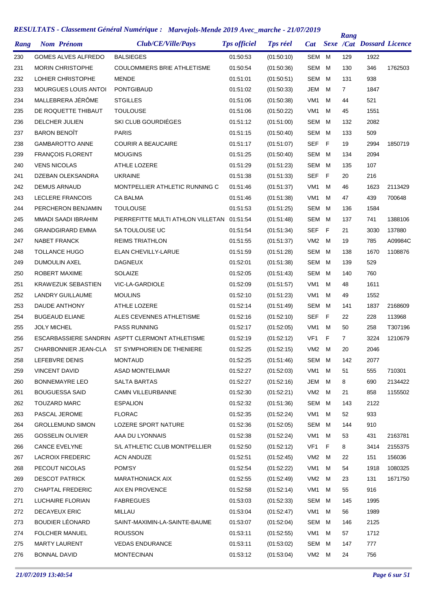| SEM M<br><b>GOMES ALVES ALFREDO</b><br><b>BALSIEGES</b><br>01:50:53<br>(01:50:10)<br>129<br>1922<br>230<br>346<br>231<br>MORIN CHRISTOPHE<br>COULOMMIERS BRIE ATHLETISME<br>01:50:54<br>(01:50:36)<br>SEM<br>M<br>130<br>1762503<br>LOHIER CHRISTOPHE<br><b>MENDE</b><br><b>SEM</b><br>938<br>232<br>01:51:01<br>(01:50:51)<br>M<br>131<br>233<br><b>MOURGUES LOUIS ANTOI</b><br><b>PONTGIBAUD</b><br>JEM<br>7<br>1847<br>01:51:02<br>(01:50:33)<br>M<br>MALLEBRERA JÉRÔME<br>234<br><b>STGILLES</b><br>VM <sub>1</sub><br>м<br>521<br>01:51:06<br>(01:50:38)<br>44<br>1551<br>235<br>DE ROQUETTE THIBAUT<br><b>TOULOUSE</b><br>(01:50:22)<br>VM <sub>1</sub><br>01:51:06<br>M<br>45<br>SKI CLUB GOURDIÉGES<br>2082<br>DELCHER JULIEN<br><b>SEM</b><br>236<br>01:51:12<br>(01:51:00)<br>M<br>132<br><b>BARON BENOIT</b><br><b>PARIS</b><br>237<br><b>SEM</b><br>509<br>01:51:15<br>(01:50:40)<br>M<br>133<br>2994<br>238<br><b>GAMBAROTTO ANNE</b><br><b>COURIR A BEAUCAIRE</b><br>01:51:17<br>(01:51:07)<br><b>SEF</b><br>- F<br>19<br>1850719<br>239<br>FRANÇOIS FLORENT<br><b>MOUGINS</b><br><b>SEM</b><br>2094<br>01:51:25<br>(01:50:40)<br>M<br>134<br><b>VENS NICOLAS</b><br><b>ATHLE LOZERE</b><br>01:51:29<br><b>SEM</b><br>135<br>107<br>240<br>(01:51:23)<br>M<br>241<br>DZEBAN OLEKSANDRA<br><b>UKRAINE</b><br>01:51:38<br>SEF<br>F<br>20<br>216<br>(01:51:33)<br>242<br><b>DEMUS ARNAUD</b><br>MONTPELLIER ATHLETIC RUNNING C<br>01:51:46<br>VM <sub>1</sub><br>M<br>1623<br>2113429<br>(01:51:37)<br>46<br>243<br><b>LECLERE FRANCOIS</b><br><b>CA BALMA</b><br>VM <sub>1</sub><br>439<br>700648<br>01:51:46<br>(01:51:38)<br>M<br>47<br><b>TOULOUSE</b><br>01:51:53<br>SEM<br>1584<br>244<br>PERCHERON BENJAMIN<br>(01:51:25)<br>M<br>136<br>PIERREFITTE MULTI ATHLON VILLETAN<br>245<br><b>MMADI SAADI IBRAHIM</b><br><b>SEM</b><br>M<br>137<br>741<br>1388106<br>01:51:54<br>(01:51:48)<br><b>GRANDGIRARD EMMA</b><br>SA TOULOUSE UC<br><b>SEF</b><br>- F<br>21<br>3030<br>137880<br>246<br>01:51:54<br>(01:51:34)<br><b>NABET FRANCK</b><br><b>REIMS TRIATHLON</b><br>01:51:55<br>(01:51:37)<br>VM <sub>2</sub><br>19<br>785<br>A09984C<br>247<br>M<br><b>TOLLANCE HUGO</b><br>ELAN CHEVILLY-LARUE<br>01:51:59<br>(01:51:28)<br>SEM<br>M<br>138<br>1670<br>1108876<br>248<br>529<br>249<br><b>DUMOULIN AXEL</b><br><b>DAGNEUX</b><br>01:52:01<br>(01:51:38)<br>SEM<br>M<br>139<br>ROBERT MAXIME<br><b>SOLAIZE</b><br>SEM<br>760<br>250<br>01:52:05<br>(01:51:43)<br>M<br>140<br>251<br><b>KRAWEZUK SEBASTIEN</b><br>VIC-LA-GARDIOLE<br>01:52:09<br>(01:51:57)<br>VM1<br>м<br>48<br>1611<br>252<br><b>LANDRY GUILLAUME</b><br><b>MOULINS</b><br>01:52:10<br>(01:51:23)<br>VM <sub>1</sub><br>м<br>1552<br>49<br>253<br>DAUDE ANTHONY<br><b>ATHLE LOZERE</b><br>01:52:14<br>(01:51:49)<br><b>SEM</b><br>1837<br>2168609<br>M<br>141<br><b>BUGEAUD ELIANE</b><br>ALES CEVENNES ATHLETISME<br>01:52:16<br>(01:52:10)<br><b>SEF</b><br>-F<br>22<br>228<br>113968<br>254<br>255<br><b>JOLY MICHEL</b><br><b>PASS RUNNING</b><br>01:52:17<br>(01:52:05)<br>VM1<br>M<br>50<br>258<br>T307196<br>ESCARBASSIERE SANDRIN ASPTT CLERMONT ATHLETISME<br>01:52:19<br>(01:52:12)<br>VF1<br>F<br>$\overline{7}$<br>3224<br>1210679<br>256<br>CHARBONNIER JEAN-CLA<br>ST SYMPHORIEN DE THENIERE<br>2046<br>257<br>01:52:25<br>(01:52:15)<br>VM2<br>M<br>20<br>258<br>LEFEBVRE DENIS<br><b>MONTAUD</b><br>01:52:25<br>(01:51:46)<br>SEM M<br>142<br>2077<br><b>VINCENT DAVID</b><br><b>ASAD MONTELIMAR</b><br>01:52:27<br>VM <sub>1</sub><br>м<br>555<br>710301<br>259<br>(01:52:03)<br>51<br><b>BONNEMAYRE LEO</b><br><b>SALTA BARTAS</b><br>JEM<br>8<br>690<br>2134422<br>260<br>01:52:27<br>(01:52:16)<br>M<br><b>BOUGUESSA SAID</b><br>CAMN VILLEURBANNE<br>01:52:30<br>(01:52:21)<br>VM2<br>M<br>21<br>858<br>1155502<br>261<br><b>TOUZARD MARC</b><br>SEM<br>262<br><b>ESPALION</b><br>01:52:32<br>(01:51:36)<br>M<br>143<br>2122<br>PASCAL JEROME<br><b>FLORAC</b><br>933<br>263<br>01:52:35<br>(01.52.24)<br>VM1<br>M<br>52<br><b>GROLLEMUND SIMON</b><br>LOZERE SPORT NATURE<br>SEM<br>910<br>264<br>01:52:36<br>(01:52:05)<br>M<br>144<br><b>GOSSELIN OLIVIER</b><br>AAA DU LYONNAIS<br>431<br>2163781<br>265<br>01:52:38<br>(01:52:24)<br>VM1<br>M<br>53<br><b>CANCE EVELYNE</b><br>S/L ATHLETIC CLUB MONTPELLIER<br>VF <sub>1</sub><br>F<br>266<br>01:52:50<br>(01.52.12)<br>8<br>3414<br>2155375<br><b>LACROIX FREDERIC</b><br><b>ACN ANDUZE</b><br>VM <sub>2</sub><br>151<br>156036<br>01:52:51<br>(01:52:45)<br>M<br>22<br>267<br>PECOUT NICOLAS<br>POM'SY<br>VM1<br>м<br>1080325<br>268<br>01:52:54<br>(01:52:22)<br>54<br>1918<br><b>DESCOT PATRICK</b><br><b>MARATHONIACK AIX</b><br>(01:52:49)<br>VM <sub>2</sub><br>131<br>269<br>01:52:55<br>м<br>23<br>1671750<br>AIX EN PROVENCE<br>VM1<br>916<br><b>CHAPTAL FREDERIC</b><br>01:52:58<br>(01:52:14)<br>M<br>55<br>270<br>LUCHAIRE FLORIAN<br><b>FABREGUES</b><br>SEM<br>1995<br>01:53:03<br>(01:52:33)<br>M<br>145<br>271<br><b>DECAYEUX ERIC</b><br>MILLAU<br>(01:52:47)<br>VM1<br>1989<br>272<br>01:53:04<br>M<br>56<br><b>BOUDIER LÉONARD</b><br>SAINT-MAXIMIN-LA-SAINTE-BAUME<br>SEM<br>2125<br>273<br>01:53:07<br>(01:52:04)<br>M<br>146<br><b>FOLCHER MANUEL</b><br>VM1<br>1712<br><b>ROUSSON</b><br>01:53:11<br>(01:52:55)<br>M<br>57<br>274<br><b>MARTY LAURENT</b><br><b>VEDAS ENDURANCE</b><br>01:53:11<br>(01:53:02)<br>SEM<br>777<br>275<br>M<br>147<br><b>BONNAL DAVID</b><br><b>MONTECINAN</b><br>01:53:12<br>(01:53:04)<br>VM2 M<br>756<br>276<br>24 | Rang | <b>Nom Prénom</b> | Club/CE/Ville/Pays | <b>Tps officiel</b> | <b>Tps réel</b> | Cat | Rang | <b>Sexe /Cat Dossard Licence</b> |  |
|-------------------------------------------------------------------------------------------------------------------------------------------------------------------------------------------------------------------------------------------------------------------------------------------------------------------------------------------------------------------------------------------------------------------------------------------------------------------------------------------------------------------------------------------------------------------------------------------------------------------------------------------------------------------------------------------------------------------------------------------------------------------------------------------------------------------------------------------------------------------------------------------------------------------------------------------------------------------------------------------------------------------------------------------------------------------------------------------------------------------------------------------------------------------------------------------------------------------------------------------------------------------------------------------------------------------------------------------------------------------------------------------------------------------------------------------------------------------------------------------------------------------------------------------------------------------------------------------------------------------------------------------------------------------------------------------------------------------------------------------------------------------------------------------------------------------------------------------------------------------------------------------------------------------------------------------------------------------------------------------------------------------------------------------------------------------------------------------------------------------------------------------------------------------------------------------------------------------------------------------------------------------------------------------------------------------------------------------------------------------------------------------------------------------------------------------------------------------------------------------------------------------------------------------------------------------------------------------------------------------------------------------------------------------------------------------------------------------------------------------------------------------------------------------------------------------------------------------------------------------------------------------------------------------------------------------------------------------------------------------------------------------------------------------------------------------------------------------------------------------------------------------------------------------------------------------------------------------------------------------------------------------------------------------------------------------------------------------------------------------------------------------------------------------------------------------------------------------------------------------------------------------------------------------------------------------------------------------------------------------------------------------------------------------------------------------------------------------------------------------------------------------------------------------------------------------------------------------------------------------------------------------------------------------------------------------------------------------------------------------------------------------------------------------------------------------------------------------------------------------------------------------------------------------------------------------------------------------------------------------------------------------------------------------------------------------------------------------------------------------------------------------------------------------------------------------------------------------------------------------------------------------------------------------------------------------------------------------------------------------------------------------------------------------------------------------------------------------------------------------------------------------------------------------------------------------------------------------------------------------------------------------------------------------------------------------------------------------------------------------------------------------------------------------------------------------------------------------------------------------------------------------------------------------------------------------------------------------------------------------------------------------------------------------------------------------------------------------------------------------------------------------------------------------------------------------------------------------------------------------------------------------------------------------|------|-------------------|--------------------|---------------------|-----------------|-----|------|----------------------------------|--|
|                                                                                                                                                                                                                                                                                                                                                                                                                                                                                                                                                                                                                                                                                                                                                                                                                                                                                                                                                                                                                                                                                                                                                                                                                                                                                                                                                                                                                                                                                                                                                                                                                                                                                                                                                                                                                                                                                                                                                                                                                                                                                                                                                                                                                                                                                                                                                                                                                                                                                                                                                                                                                                                                                                                                                                                                                                                                                                                                                                                                                                                                                                                                                                                                                                                                                                                                                                                                                                                                                                                                                                                                                                                                                                                                                                                                                                                                                                                                                                                                                                                                                                                                                                                                                                                                                                                                                                                                                                                                                                                                                                                                                                                                                                                                                                                                                                                                                                                                                                                                                                                                                                                                                                                                                                                                                                                                                                                                                                                                                                                                           |      |                   |                    |                     |                 |     |      |                                  |  |
|                                                                                                                                                                                                                                                                                                                                                                                                                                                                                                                                                                                                                                                                                                                                                                                                                                                                                                                                                                                                                                                                                                                                                                                                                                                                                                                                                                                                                                                                                                                                                                                                                                                                                                                                                                                                                                                                                                                                                                                                                                                                                                                                                                                                                                                                                                                                                                                                                                                                                                                                                                                                                                                                                                                                                                                                                                                                                                                                                                                                                                                                                                                                                                                                                                                                                                                                                                                                                                                                                                                                                                                                                                                                                                                                                                                                                                                                                                                                                                                                                                                                                                                                                                                                                                                                                                                                                                                                                                                                                                                                                                                                                                                                                                                                                                                                                                                                                                                                                                                                                                                                                                                                                                                                                                                                                                                                                                                                                                                                                                                                           |      |                   |                    |                     |                 |     |      |                                  |  |
|                                                                                                                                                                                                                                                                                                                                                                                                                                                                                                                                                                                                                                                                                                                                                                                                                                                                                                                                                                                                                                                                                                                                                                                                                                                                                                                                                                                                                                                                                                                                                                                                                                                                                                                                                                                                                                                                                                                                                                                                                                                                                                                                                                                                                                                                                                                                                                                                                                                                                                                                                                                                                                                                                                                                                                                                                                                                                                                                                                                                                                                                                                                                                                                                                                                                                                                                                                                                                                                                                                                                                                                                                                                                                                                                                                                                                                                                                                                                                                                                                                                                                                                                                                                                                                                                                                                                                                                                                                                                                                                                                                                                                                                                                                                                                                                                                                                                                                                                                                                                                                                                                                                                                                                                                                                                                                                                                                                                                                                                                                                                           |      |                   |                    |                     |                 |     |      |                                  |  |
|                                                                                                                                                                                                                                                                                                                                                                                                                                                                                                                                                                                                                                                                                                                                                                                                                                                                                                                                                                                                                                                                                                                                                                                                                                                                                                                                                                                                                                                                                                                                                                                                                                                                                                                                                                                                                                                                                                                                                                                                                                                                                                                                                                                                                                                                                                                                                                                                                                                                                                                                                                                                                                                                                                                                                                                                                                                                                                                                                                                                                                                                                                                                                                                                                                                                                                                                                                                                                                                                                                                                                                                                                                                                                                                                                                                                                                                                                                                                                                                                                                                                                                                                                                                                                                                                                                                                                                                                                                                                                                                                                                                                                                                                                                                                                                                                                                                                                                                                                                                                                                                                                                                                                                                                                                                                                                                                                                                                                                                                                                                                           |      |                   |                    |                     |                 |     |      |                                  |  |
|                                                                                                                                                                                                                                                                                                                                                                                                                                                                                                                                                                                                                                                                                                                                                                                                                                                                                                                                                                                                                                                                                                                                                                                                                                                                                                                                                                                                                                                                                                                                                                                                                                                                                                                                                                                                                                                                                                                                                                                                                                                                                                                                                                                                                                                                                                                                                                                                                                                                                                                                                                                                                                                                                                                                                                                                                                                                                                                                                                                                                                                                                                                                                                                                                                                                                                                                                                                                                                                                                                                                                                                                                                                                                                                                                                                                                                                                                                                                                                                                                                                                                                                                                                                                                                                                                                                                                                                                                                                                                                                                                                                                                                                                                                                                                                                                                                                                                                                                                                                                                                                                                                                                                                                                                                                                                                                                                                                                                                                                                                                                           |      |                   |                    |                     |                 |     |      |                                  |  |
|                                                                                                                                                                                                                                                                                                                                                                                                                                                                                                                                                                                                                                                                                                                                                                                                                                                                                                                                                                                                                                                                                                                                                                                                                                                                                                                                                                                                                                                                                                                                                                                                                                                                                                                                                                                                                                                                                                                                                                                                                                                                                                                                                                                                                                                                                                                                                                                                                                                                                                                                                                                                                                                                                                                                                                                                                                                                                                                                                                                                                                                                                                                                                                                                                                                                                                                                                                                                                                                                                                                                                                                                                                                                                                                                                                                                                                                                                                                                                                                                                                                                                                                                                                                                                                                                                                                                                                                                                                                                                                                                                                                                                                                                                                                                                                                                                                                                                                                                                                                                                                                                                                                                                                                                                                                                                                                                                                                                                                                                                                                                           |      |                   |                    |                     |                 |     |      |                                  |  |
|                                                                                                                                                                                                                                                                                                                                                                                                                                                                                                                                                                                                                                                                                                                                                                                                                                                                                                                                                                                                                                                                                                                                                                                                                                                                                                                                                                                                                                                                                                                                                                                                                                                                                                                                                                                                                                                                                                                                                                                                                                                                                                                                                                                                                                                                                                                                                                                                                                                                                                                                                                                                                                                                                                                                                                                                                                                                                                                                                                                                                                                                                                                                                                                                                                                                                                                                                                                                                                                                                                                                                                                                                                                                                                                                                                                                                                                                                                                                                                                                                                                                                                                                                                                                                                                                                                                                                                                                                                                                                                                                                                                                                                                                                                                                                                                                                                                                                                                                                                                                                                                                                                                                                                                                                                                                                                                                                                                                                                                                                                                                           |      |                   |                    |                     |                 |     |      |                                  |  |
|                                                                                                                                                                                                                                                                                                                                                                                                                                                                                                                                                                                                                                                                                                                                                                                                                                                                                                                                                                                                                                                                                                                                                                                                                                                                                                                                                                                                                                                                                                                                                                                                                                                                                                                                                                                                                                                                                                                                                                                                                                                                                                                                                                                                                                                                                                                                                                                                                                                                                                                                                                                                                                                                                                                                                                                                                                                                                                                                                                                                                                                                                                                                                                                                                                                                                                                                                                                                                                                                                                                                                                                                                                                                                                                                                                                                                                                                                                                                                                                                                                                                                                                                                                                                                                                                                                                                                                                                                                                                                                                                                                                                                                                                                                                                                                                                                                                                                                                                                                                                                                                                                                                                                                                                                                                                                                                                                                                                                                                                                                                                           |      |                   |                    |                     |                 |     |      |                                  |  |
|                                                                                                                                                                                                                                                                                                                                                                                                                                                                                                                                                                                                                                                                                                                                                                                                                                                                                                                                                                                                                                                                                                                                                                                                                                                                                                                                                                                                                                                                                                                                                                                                                                                                                                                                                                                                                                                                                                                                                                                                                                                                                                                                                                                                                                                                                                                                                                                                                                                                                                                                                                                                                                                                                                                                                                                                                                                                                                                                                                                                                                                                                                                                                                                                                                                                                                                                                                                                                                                                                                                                                                                                                                                                                                                                                                                                                                                                                                                                                                                                                                                                                                                                                                                                                                                                                                                                                                                                                                                                                                                                                                                                                                                                                                                                                                                                                                                                                                                                                                                                                                                                                                                                                                                                                                                                                                                                                                                                                                                                                                                                           |      |                   |                    |                     |                 |     |      |                                  |  |
|                                                                                                                                                                                                                                                                                                                                                                                                                                                                                                                                                                                                                                                                                                                                                                                                                                                                                                                                                                                                                                                                                                                                                                                                                                                                                                                                                                                                                                                                                                                                                                                                                                                                                                                                                                                                                                                                                                                                                                                                                                                                                                                                                                                                                                                                                                                                                                                                                                                                                                                                                                                                                                                                                                                                                                                                                                                                                                                                                                                                                                                                                                                                                                                                                                                                                                                                                                                                                                                                                                                                                                                                                                                                                                                                                                                                                                                                                                                                                                                                                                                                                                                                                                                                                                                                                                                                                                                                                                                                                                                                                                                                                                                                                                                                                                                                                                                                                                                                                                                                                                                                                                                                                                                                                                                                                                                                                                                                                                                                                                                                           |      |                   |                    |                     |                 |     |      |                                  |  |
|                                                                                                                                                                                                                                                                                                                                                                                                                                                                                                                                                                                                                                                                                                                                                                                                                                                                                                                                                                                                                                                                                                                                                                                                                                                                                                                                                                                                                                                                                                                                                                                                                                                                                                                                                                                                                                                                                                                                                                                                                                                                                                                                                                                                                                                                                                                                                                                                                                                                                                                                                                                                                                                                                                                                                                                                                                                                                                                                                                                                                                                                                                                                                                                                                                                                                                                                                                                                                                                                                                                                                                                                                                                                                                                                                                                                                                                                                                                                                                                                                                                                                                                                                                                                                                                                                                                                                                                                                                                                                                                                                                                                                                                                                                                                                                                                                                                                                                                                                                                                                                                                                                                                                                                                                                                                                                                                                                                                                                                                                                                                           |      |                   |                    |                     |                 |     |      |                                  |  |
|                                                                                                                                                                                                                                                                                                                                                                                                                                                                                                                                                                                                                                                                                                                                                                                                                                                                                                                                                                                                                                                                                                                                                                                                                                                                                                                                                                                                                                                                                                                                                                                                                                                                                                                                                                                                                                                                                                                                                                                                                                                                                                                                                                                                                                                                                                                                                                                                                                                                                                                                                                                                                                                                                                                                                                                                                                                                                                                                                                                                                                                                                                                                                                                                                                                                                                                                                                                                                                                                                                                                                                                                                                                                                                                                                                                                                                                                                                                                                                                                                                                                                                                                                                                                                                                                                                                                                                                                                                                                                                                                                                                                                                                                                                                                                                                                                                                                                                                                                                                                                                                                                                                                                                                                                                                                                                                                                                                                                                                                                                                                           |      |                   |                    |                     |                 |     |      |                                  |  |
|                                                                                                                                                                                                                                                                                                                                                                                                                                                                                                                                                                                                                                                                                                                                                                                                                                                                                                                                                                                                                                                                                                                                                                                                                                                                                                                                                                                                                                                                                                                                                                                                                                                                                                                                                                                                                                                                                                                                                                                                                                                                                                                                                                                                                                                                                                                                                                                                                                                                                                                                                                                                                                                                                                                                                                                                                                                                                                                                                                                                                                                                                                                                                                                                                                                                                                                                                                                                                                                                                                                                                                                                                                                                                                                                                                                                                                                                                                                                                                                                                                                                                                                                                                                                                                                                                                                                                                                                                                                                                                                                                                                                                                                                                                                                                                                                                                                                                                                                                                                                                                                                                                                                                                                                                                                                                                                                                                                                                                                                                                                                           |      |                   |                    |                     |                 |     |      |                                  |  |
|                                                                                                                                                                                                                                                                                                                                                                                                                                                                                                                                                                                                                                                                                                                                                                                                                                                                                                                                                                                                                                                                                                                                                                                                                                                                                                                                                                                                                                                                                                                                                                                                                                                                                                                                                                                                                                                                                                                                                                                                                                                                                                                                                                                                                                                                                                                                                                                                                                                                                                                                                                                                                                                                                                                                                                                                                                                                                                                                                                                                                                                                                                                                                                                                                                                                                                                                                                                                                                                                                                                                                                                                                                                                                                                                                                                                                                                                                                                                                                                                                                                                                                                                                                                                                                                                                                                                                                                                                                                                                                                                                                                                                                                                                                                                                                                                                                                                                                                                                                                                                                                                                                                                                                                                                                                                                                                                                                                                                                                                                                                                           |      |                   |                    |                     |                 |     |      |                                  |  |
|                                                                                                                                                                                                                                                                                                                                                                                                                                                                                                                                                                                                                                                                                                                                                                                                                                                                                                                                                                                                                                                                                                                                                                                                                                                                                                                                                                                                                                                                                                                                                                                                                                                                                                                                                                                                                                                                                                                                                                                                                                                                                                                                                                                                                                                                                                                                                                                                                                                                                                                                                                                                                                                                                                                                                                                                                                                                                                                                                                                                                                                                                                                                                                                                                                                                                                                                                                                                                                                                                                                                                                                                                                                                                                                                                                                                                                                                                                                                                                                                                                                                                                                                                                                                                                                                                                                                                                                                                                                                                                                                                                                                                                                                                                                                                                                                                                                                                                                                                                                                                                                                                                                                                                                                                                                                                                                                                                                                                                                                                                                                           |      |                   |                    |                     |                 |     |      |                                  |  |
|                                                                                                                                                                                                                                                                                                                                                                                                                                                                                                                                                                                                                                                                                                                                                                                                                                                                                                                                                                                                                                                                                                                                                                                                                                                                                                                                                                                                                                                                                                                                                                                                                                                                                                                                                                                                                                                                                                                                                                                                                                                                                                                                                                                                                                                                                                                                                                                                                                                                                                                                                                                                                                                                                                                                                                                                                                                                                                                                                                                                                                                                                                                                                                                                                                                                                                                                                                                                                                                                                                                                                                                                                                                                                                                                                                                                                                                                                                                                                                                                                                                                                                                                                                                                                                                                                                                                                                                                                                                                                                                                                                                                                                                                                                                                                                                                                                                                                                                                                                                                                                                                                                                                                                                                                                                                                                                                                                                                                                                                                                                                           |      |                   |                    |                     |                 |     |      |                                  |  |
|                                                                                                                                                                                                                                                                                                                                                                                                                                                                                                                                                                                                                                                                                                                                                                                                                                                                                                                                                                                                                                                                                                                                                                                                                                                                                                                                                                                                                                                                                                                                                                                                                                                                                                                                                                                                                                                                                                                                                                                                                                                                                                                                                                                                                                                                                                                                                                                                                                                                                                                                                                                                                                                                                                                                                                                                                                                                                                                                                                                                                                                                                                                                                                                                                                                                                                                                                                                                                                                                                                                                                                                                                                                                                                                                                                                                                                                                                                                                                                                                                                                                                                                                                                                                                                                                                                                                                                                                                                                                                                                                                                                                                                                                                                                                                                                                                                                                                                                                                                                                                                                                                                                                                                                                                                                                                                                                                                                                                                                                                                                                           |      |                   |                    |                     |                 |     |      |                                  |  |
|                                                                                                                                                                                                                                                                                                                                                                                                                                                                                                                                                                                                                                                                                                                                                                                                                                                                                                                                                                                                                                                                                                                                                                                                                                                                                                                                                                                                                                                                                                                                                                                                                                                                                                                                                                                                                                                                                                                                                                                                                                                                                                                                                                                                                                                                                                                                                                                                                                                                                                                                                                                                                                                                                                                                                                                                                                                                                                                                                                                                                                                                                                                                                                                                                                                                                                                                                                                                                                                                                                                                                                                                                                                                                                                                                                                                                                                                                                                                                                                                                                                                                                                                                                                                                                                                                                                                                                                                                                                                                                                                                                                                                                                                                                                                                                                                                                                                                                                                                                                                                                                                                                                                                                                                                                                                                                                                                                                                                                                                                                                                           |      |                   |                    |                     |                 |     |      |                                  |  |
|                                                                                                                                                                                                                                                                                                                                                                                                                                                                                                                                                                                                                                                                                                                                                                                                                                                                                                                                                                                                                                                                                                                                                                                                                                                                                                                                                                                                                                                                                                                                                                                                                                                                                                                                                                                                                                                                                                                                                                                                                                                                                                                                                                                                                                                                                                                                                                                                                                                                                                                                                                                                                                                                                                                                                                                                                                                                                                                                                                                                                                                                                                                                                                                                                                                                                                                                                                                                                                                                                                                                                                                                                                                                                                                                                                                                                                                                                                                                                                                                                                                                                                                                                                                                                                                                                                                                                                                                                                                                                                                                                                                                                                                                                                                                                                                                                                                                                                                                                                                                                                                                                                                                                                                                                                                                                                                                                                                                                                                                                                                                           |      |                   |                    |                     |                 |     |      |                                  |  |
|                                                                                                                                                                                                                                                                                                                                                                                                                                                                                                                                                                                                                                                                                                                                                                                                                                                                                                                                                                                                                                                                                                                                                                                                                                                                                                                                                                                                                                                                                                                                                                                                                                                                                                                                                                                                                                                                                                                                                                                                                                                                                                                                                                                                                                                                                                                                                                                                                                                                                                                                                                                                                                                                                                                                                                                                                                                                                                                                                                                                                                                                                                                                                                                                                                                                                                                                                                                                                                                                                                                                                                                                                                                                                                                                                                                                                                                                                                                                                                                                                                                                                                                                                                                                                                                                                                                                                                                                                                                                                                                                                                                                                                                                                                                                                                                                                                                                                                                                                                                                                                                                                                                                                                                                                                                                                                                                                                                                                                                                                                                                           |      |                   |                    |                     |                 |     |      |                                  |  |
|                                                                                                                                                                                                                                                                                                                                                                                                                                                                                                                                                                                                                                                                                                                                                                                                                                                                                                                                                                                                                                                                                                                                                                                                                                                                                                                                                                                                                                                                                                                                                                                                                                                                                                                                                                                                                                                                                                                                                                                                                                                                                                                                                                                                                                                                                                                                                                                                                                                                                                                                                                                                                                                                                                                                                                                                                                                                                                                                                                                                                                                                                                                                                                                                                                                                                                                                                                                                                                                                                                                                                                                                                                                                                                                                                                                                                                                                                                                                                                                                                                                                                                                                                                                                                                                                                                                                                                                                                                                                                                                                                                                                                                                                                                                                                                                                                                                                                                                                                                                                                                                                                                                                                                                                                                                                                                                                                                                                                                                                                                                                           |      |                   |                    |                     |                 |     |      |                                  |  |
|                                                                                                                                                                                                                                                                                                                                                                                                                                                                                                                                                                                                                                                                                                                                                                                                                                                                                                                                                                                                                                                                                                                                                                                                                                                                                                                                                                                                                                                                                                                                                                                                                                                                                                                                                                                                                                                                                                                                                                                                                                                                                                                                                                                                                                                                                                                                                                                                                                                                                                                                                                                                                                                                                                                                                                                                                                                                                                                                                                                                                                                                                                                                                                                                                                                                                                                                                                                                                                                                                                                                                                                                                                                                                                                                                                                                                                                                                                                                                                                                                                                                                                                                                                                                                                                                                                                                                                                                                                                                                                                                                                                                                                                                                                                                                                                                                                                                                                                                                                                                                                                                                                                                                                                                                                                                                                                                                                                                                                                                                                                                           |      |                   |                    |                     |                 |     |      |                                  |  |
|                                                                                                                                                                                                                                                                                                                                                                                                                                                                                                                                                                                                                                                                                                                                                                                                                                                                                                                                                                                                                                                                                                                                                                                                                                                                                                                                                                                                                                                                                                                                                                                                                                                                                                                                                                                                                                                                                                                                                                                                                                                                                                                                                                                                                                                                                                                                                                                                                                                                                                                                                                                                                                                                                                                                                                                                                                                                                                                                                                                                                                                                                                                                                                                                                                                                                                                                                                                                                                                                                                                                                                                                                                                                                                                                                                                                                                                                                                                                                                                                                                                                                                                                                                                                                                                                                                                                                                                                                                                                                                                                                                                                                                                                                                                                                                                                                                                                                                                                                                                                                                                                                                                                                                                                                                                                                                                                                                                                                                                                                                                                           |      |                   |                    |                     |                 |     |      |                                  |  |
|                                                                                                                                                                                                                                                                                                                                                                                                                                                                                                                                                                                                                                                                                                                                                                                                                                                                                                                                                                                                                                                                                                                                                                                                                                                                                                                                                                                                                                                                                                                                                                                                                                                                                                                                                                                                                                                                                                                                                                                                                                                                                                                                                                                                                                                                                                                                                                                                                                                                                                                                                                                                                                                                                                                                                                                                                                                                                                                                                                                                                                                                                                                                                                                                                                                                                                                                                                                                                                                                                                                                                                                                                                                                                                                                                                                                                                                                                                                                                                                                                                                                                                                                                                                                                                                                                                                                                                                                                                                                                                                                                                                                                                                                                                                                                                                                                                                                                                                                                                                                                                                                                                                                                                                                                                                                                                                                                                                                                                                                                                                                           |      |                   |                    |                     |                 |     |      |                                  |  |
|                                                                                                                                                                                                                                                                                                                                                                                                                                                                                                                                                                                                                                                                                                                                                                                                                                                                                                                                                                                                                                                                                                                                                                                                                                                                                                                                                                                                                                                                                                                                                                                                                                                                                                                                                                                                                                                                                                                                                                                                                                                                                                                                                                                                                                                                                                                                                                                                                                                                                                                                                                                                                                                                                                                                                                                                                                                                                                                                                                                                                                                                                                                                                                                                                                                                                                                                                                                                                                                                                                                                                                                                                                                                                                                                                                                                                                                                                                                                                                                                                                                                                                                                                                                                                                                                                                                                                                                                                                                                                                                                                                                                                                                                                                                                                                                                                                                                                                                                                                                                                                                                                                                                                                                                                                                                                                                                                                                                                                                                                                                                           |      |                   |                    |                     |                 |     |      |                                  |  |
|                                                                                                                                                                                                                                                                                                                                                                                                                                                                                                                                                                                                                                                                                                                                                                                                                                                                                                                                                                                                                                                                                                                                                                                                                                                                                                                                                                                                                                                                                                                                                                                                                                                                                                                                                                                                                                                                                                                                                                                                                                                                                                                                                                                                                                                                                                                                                                                                                                                                                                                                                                                                                                                                                                                                                                                                                                                                                                                                                                                                                                                                                                                                                                                                                                                                                                                                                                                                                                                                                                                                                                                                                                                                                                                                                                                                                                                                                                                                                                                                                                                                                                                                                                                                                                                                                                                                                                                                                                                                                                                                                                                                                                                                                                                                                                                                                                                                                                                                                                                                                                                                                                                                                                                                                                                                                                                                                                                                                                                                                                                                           |      |                   |                    |                     |                 |     |      |                                  |  |
|                                                                                                                                                                                                                                                                                                                                                                                                                                                                                                                                                                                                                                                                                                                                                                                                                                                                                                                                                                                                                                                                                                                                                                                                                                                                                                                                                                                                                                                                                                                                                                                                                                                                                                                                                                                                                                                                                                                                                                                                                                                                                                                                                                                                                                                                                                                                                                                                                                                                                                                                                                                                                                                                                                                                                                                                                                                                                                                                                                                                                                                                                                                                                                                                                                                                                                                                                                                                                                                                                                                                                                                                                                                                                                                                                                                                                                                                                                                                                                                                                                                                                                                                                                                                                                                                                                                                                                                                                                                                                                                                                                                                                                                                                                                                                                                                                                                                                                                                                                                                                                                                                                                                                                                                                                                                                                                                                                                                                                                                                                                                           |      |                   |                    |                     |                 |     |      |                                  |  |
|                                                                                                                                                                                                                                                                                                                                                                                                                                                                                                                                                                                                                                                                                                                                                                                                                                                                                                                                                                                                                                                                                                                                                                                                                                                                                                                                                                                                                                                                                                                                                                                                                                                                                                                                                                                                                                                                                                                                                                                                                                                                                                                                                                                                                                                                                                                                                                                                                                                                                                                                                                                                                                                                                                                                                                                                                                                                                                                                                                                                                                                                                                                                                                                                                                                                                                                                                                                                                                                                                                                                                                                                                                                                                                                                                                                                                                                                                                                                                                                                                                                                                                                                                                                                                                                                                                                                                                                                                                                                                                                                                                                                                                                                                                                                                                                                                                                                                                                                                                                                                                                                                                                                                                                                                                                                                                                                                                                                                                                                                                                                           |      |                   |                    |                     |                 |     |      |                                  |  |
|                                                                                                                                                                                                                                                                                                                                                                                                                                                                                                                                                                                                                                                                                                                                                                                                                                                                                                                                                                                                                                                                                                                                                                                                                                                                                                                                                                                                                                                                                                                                                                                                                                                                                                                                                                                                                                                                                                                                                                                                                                                                                                                                                                                                                                                                                                                                                                                                                                                                                                                                                                                                                                                                                                                                                                                                                                                                                                                                                                                                                                                                                                                                                                                                                                                                                                                                                                                                                                                                                                                                                                                                                                                                                                                                                                                                                                                                                                                                                                                                                                                                                                                                                                                                                                                                                                                                                                                                                                                                                                                                                                                                                                                                                                                                                                                                                                                                                                                                                                                                                                                                                                                                                                                                                                                                                                                                                                                                                                                                                                                                           |      |                   |                    |                     |                 |     |      |                                  |  |
|                                                                                                                                                                                                                                                                                                                                                                                                                                                                                                                                                                                                                                                                                                                                                                                                                                                                                                                                                                                                                                                                                                                                                                                                                                                                                                                                                                                                                                                                                                                                                                                                                                                                                                                                                                                                                                                                                                                                                                                                                                                                                                                                                                                                                                                                                                                                                                                                                                                                                                                                                                                                                                                                                                                                                                                                                                                                                                                                                                                                                                                                                                                                                                                                                                                                                                                                                                                                                                                                                                                                                                                                                                                                                                                                                                                                                                                                                                                                                                                                                                                                                                                                                                                                                                                                                                                                                                                                                                                                                                                                                                                                                                                                                                                                                                                                                                                                                                                                                                                                                                                                                                                                                                                                                                                                                                                                                                                                                                                                                                                                           |      |                   |                    |                     |                 |     |      |                                  |  |
|                                                                                                                                                                                                                                                                                                                                                                                                                                                                                                                                                                                                                                                                                                                                                                                                                                                                                                                                                                                                                                                                                                                                                                                                                                                                                                                                                                                                                                                                                                                                                                                                                                                                                                                                                                                                                                                                                                                                                                                                                                                                                                                                                                                                                                                                                                                                                                                                                                                                                                                                                                                                                                                                                                                                                                                                                                                                                                                                                                                                                                                                                                                                                                                                                                                                                                                                                                                                                                                                                                                                                                                                                                                                                                                                                                                                                                                                                                                                                                                                                                                                                                                                                                                                                                                                                                                                                                                                                                                                                                                                                                                                                                                                                                                                                                                                                                                                                                                                                                                                                                                                                                                                                                                                                                                                                                                                                                                                                                                                                                                                           |      |                   |                    |                     |                 |     |      |                                  |  |
|                                                                                                                                                                                                                                                                                                                                                                                                                                                                                                                                                                                                                                                                                                                                                                                                                                                                                                                                                                                                                                                                                                                                                                                                                                                                                                                                                                                                                                                                                                                                                                                                                                                                                                                                                                                                                                                                                                                                                                                                                                                                                                                                                                                                                                                                                                                                                                                                                                                                                                                                                                                                                                                                                                                                                                                                                                                                                                                                                                                                                                                                                                                                                                                                                                                                                                                                                                                                                                                                                                                                                                                                                                                                                                                                                                                                                                                                                                                                                                                                                                                                                                                                                                                                                                                                                                                                                                                                                                                                                                                                                                                                                                                                                                                                                                                                                                                                                                                                                                                                                                                                                                                                                                                                                                                                                                                                                                                                                                                                                                                                           |      |                   |                    |                     |                 |     |      |                                  |  |
|                                                                                                                                                                                                                                                                                                                                                                                                                                                                                                                                                                                                                                                                                                                                                                                                                                                                                                                                                                                                                                                                                                                                                                                                                                                                                                                                                                                                                                                                                                                                                                                                                                                                                                                                                                                                                                                                                                                                                                                                                                                                                                                                                                                                                                                                                                                                                                                                                                                                                                                                                                                                                                                                                                                                                                                                                                                                                                                                                                                                                                                                                                                                                                                                                                                                                                                                                                                                                                                                                                                                                                                                                                                                                                                                                                                                                                                                                                                                                                                                                                                                                                                                                                                                                                                                                                                                                                                                                                                                                                                                                                                                                                                                                                                                                                                                                                                                                                                                                                                                                                                                                                                                                                                                                                                                                                                                                                                                                                                                                                                                           |      |                   |                    |                     |                 |     |      |                                  |  |
|                                                                                                                                                                                                                                                                                                                                                                                                                                                                                                                                                                                                                                                                                                                                                                                                                                                                                                                                                                                                                                                                                                                                                                                                                                                                                                                                                                                                                                                                                                                                                                                                                                                                                                                                                                                                                                                                                                                                                                                                                                                                                                                                                                                                                                                                                                                                                                                                                                                                                                                                                                                                                                                                                                                                                                                                                                                                                                                                                                                                                                                                                                                                                                                                                                                                                                                                                                                                                                                                                                                                                                                                                                                                                                                                                                                                                                                                                                                                                                                                                                                                                                                                                                                                                                                                                                                                                                                                                                                                                                                                                                                                                                                                                                                                                                                                                                                                                                                                                                                                                                                                                                                                                                                                                                                                                                                                                                                                                                                                                                                                           |      |                   |                    |                     |                 |     |      |                                  |  |
|                                                                                                                                                                                                                                                                                                                                                                                                                                                                                                                                                                                                                                                                                                                                                                                                                                                                                                                                                                                                                                                                                                                                                                                                                                                                                                                                                                                                                                                                                                                                                                                                                                                                                                                                                                                                                                                                                                                                                                                                                                                                                                                                                                                                                                                                                                                                                                                                                                                                                                                                                                                                                                                                                                                                                                                                                                                                                                                                                                                                                                                                                                                                                                                                                                                                                                                                                                                                                                                                                                                                                                                                                                                                                                                                                                                                                                                                                                                                                                                                                                                                                                                                                                                                                                                                                                                                                                                                                                                                                                                                                                                                                                                                                                                                                                                                                                                                                                                                                                                                                                                                                                                                                                                                                                                                                                                                                                                                                                                                                                                                           |      |                   |                    |                     |                 |     |      |                                  |  |
|                                                                                                                                                                                                                                                                                                                                                                                                                                                                                                                                                                                                                                                                                                                                                                                                                                                                                                                                                                                                                                                                                                                                                                                                                                                                                                                                                                                                                                                                                                                                                                                                                                                                                                                                                                                                                                                                                                                                                                                                                                                                                                                                                                                                                                                                                                                                                                                                                                                                                                                                                                                                                                                                                                                                                                                                                                                                                                                                                                                                                                                                                                                                                                                                                                                                                                                                                                                                                                                                                                                                                                                                                                                                                                                                                                                                                                                                                                                                                                                                                                                                                                                                                                                                                                                                                                                                                                                                                                                                                                                                                                                                                                                                                                                                                                                                                                                                                                                                                                                                                                                                                                                                                                                                                                                                                                                                                                                                                                                                                                                                           |      |                   |                    |                     |                 |     |      |                                  |  |
|                                                                                                                                                                                                                                                                                                                                                                                                                                                                                                                                                                                                                                                                                                                                                                                                                                                                                                                                                                                                                                                                                                                                                                                                                                                                                                                                                                                                                                                                                                                                                                                                                                                                                                                                                                                                                                                                                                                                                                                                                                                                                                                                                                                                                                                                                                                                                                                                                                                                                                                                                                                                                                                                                                                                                                                                                                                                                                                                                                                                                                                                                                                                                                                                                                                                                                                                                                                                                                                                                                                                                                                                                                                                                                                                                                                                                                                                                                                                                                                                                                                                                                                                                                                                                                                                                                                                                                                                                                                                                                                                                                                                                                                                                                                                                                                                                                                                                                                                                                                                                                                                                                                                                                                                                                                                                                                                                                                                                                                                                                                                           |      |                   |                    |                     |                 |     |      |                                  |  |
|                                                                                                                                                                                                                                                                                                                                                                                                                                                                                                                                                                                                                                                                                                                                                                                                                                                                                                                                                                                                                                                                                                                                                                                                                                                                                                                                                                                                                                                                                                                                                                                                                                                                                                                                                                                                                                                                                                                                                                                                                                                                                                                                                                                                                                                                                                                                                                                                                                                                                                                                                                                                                                                                                                                                                                                                                                                                                                                                                                                                                                                                                                                                                                                                                                                                                                                                                                                                                                                                                                                                                                                                                                                                                                                                                                                                                                                                                                                                                                                                                                                                                                                                                                                                                                                                                                                                                                                                                                                                                                                                                                                                                                                                                                                                                                                                                                                                                                                                                                                                                                                                                                                                                                                                                                                                                                                                                                                                                                                                                                                                           |      |                   |                    |                     |                 |     |      |                                  |  |
|                                                                                                                                                                                                                                                                                                                                                                                                                                                                                                                                                                                                                                                                                                                                                                                                                                                                                                                                                                                                                                                                                                                                                                                                                                                                                                                                                                                                                                                                                                                                                                                                                                                                                                                                                                                                                                                                                                                                                                                                                                                                                                                                                                                                                                                                                                                                                                                                                                                                                                                                                                                                                                                                                                                                                                                                                                                                                                                                                                                                                                                                                                                                                                                                                                                                                                                                                                                                                                                                                                                                                                                                                                                                                                                                                                                                                                                                                                                                                                                                                                                                                                                                                                                                                                                                                                                                                                                                                                                                                                                                                                                                                                                                                                                                                                                                                                                                                                                                                                                                                                                                                                                                                                                                                                                                                                                                                                                                                                                                                                                                           |      |                   |                    |                     |                 |     |      |                                  |  |
|                                                                                                                                                                                                                                                                                                                                                                                                                                                                                                                                                                                                                                                                                                                                                                                                                                                                                                                                                                                                                                                                                                                                                                                                                                                                                                                                                                                                                                                                                                                                                                                                                                                                                                                                                                                                                                                                                                                                                                                                                                                                                                                                                                                                                                                                                                                                                                                                                                                                                                                                                                                                                                                                                                                                                                                                                                                                                                                                                                                                                                                                                                                                                                                                                                                                                                                                                                                                                                                                                                                                                                                                                                                                                                                                                                                                                                                                                                                                                                                                                                                                                                                                                                                                                                                                                                                                                                                                                                                                                                                                                                                                                                                                                                                                                                                                                                                                                                                                                                                                                                                                                                                                                                                                                                                                                                                                                                                                                                                                                                                                           |      |                   |                    |                     |                 |     |      |                                  |  |
|                                                                                                                                                                                                                                                                                                                                                                                                                                                                                                                                                                                                                                                                                                                                                                                                                                                                                                                                                                                                                                                                                                                                                                                                                                                                                                                                                                                                                                                                                                                                                                                                                                                                                                                                                                                                                                                                                                                                                                                                                                                                                                                                                                                                                                                                                                                                                                                                                                                                                                                                                                                                                                                                                                                                                                                                                                                                                                                                                                                                                                                                                                                                                                                                                                                                                                                                                                                                                                                                                                                                                                                                                                                                                                                                                                                                                                                                                                                                                                                                                                                                                                                                                                                                                                                                                                                                                                                                                                                                                                                                                                                                                                                                                                                                                                                                                                                                                                                                                                                                                                                                                                                                                                                                                                                                                                                                                                                                                                                                                                                                           |      |                   |                    |                     |                 |     |      |                                  |  |
|                                                                                                                                                                                                                                                                                                                                                                                                                                                                                                                                                                                                                                                                                                                                                                                                                                                                                                                                                                                                                                                                                                                                                                                                                                                                                                                                                                                                                                                                                                                                                                                                                                                                                                                                                                                                                                                                                                                                                                                                                                                                                                                                                                                                                                                                                                                                                                                                                                                                                                                                                                                                                                                                                                                                                                                                                                                                                                                                                                                                                                                                                                                                                                                                                                                                                                                                                                                                                                                                                                                                                                                                                                                                                                                                                                                                                                                                                                                                                                                                                                                                                                                                                                                                                                                                                                                                                                                                                                                                                                                                                                                                                                                                                                                                                                                                                                                                                                                                                                                                                                                                                                                                                                                                                                                                                                                                                                                                                                                                                                                                           |      |                   |                    |                     |                 |     |      |                                  |  |
|                                                                                                                                                                                                                                                                                                                                                                                                                                                                                                                                                                                                                                                                                                                                                                                                                                                                                                                                                                                                                                                                                                                                                                                                                                                                                                                                                                                                                                                                                                                                                                                                                                                                                                                                                                                                                                                                                                                                                                                                                                                                                                                                                                                                                                                                                                                                                                                                                                                                                                                                                                                                                                                                                                                                                                                                                                                                                                                                                                                                                                                                                                                                                                                                                                                                                                                                                                                                                                                                                                                                                                                                                                                                                                                                                                                                                                                                                                                                                                                                                                                                                                                                                                                                                                                                                                                                                                                                                                                                                                                                                                                                                                                                                                                                                                                                                                                                                                                                                                                                                                                                                                                                                                                                                                                                                                                                                                                                                                                                                                                                           |      |                   |                    |                     |                 |     |      |                                  |  |
|                                                                                                                                                                                                                                                                                                                                                                                                                                                                                                                                                                                                                                                                                                                                                                                                                                                                                                                                                                                                                                                                                                                                                                                                                                                                                                                                                                                                                                                                                                                                                                                                                                                                                                                                                                                                                                                                                                                                                                                                                                                                                                                                                                                                                                                                                                                                                                                                                                                                                                                                                                                                                                                                                                                                                                                                                                                                                                                                                                                                                                                                                                                                                                                                                                                                                                                                                                                                                                                                                                                                                                                                                                                                                                                                                                                                                                                                                                                                                                                                                                                                                                                                                                                                                                                                                                                                                                                                                                                                                                                                                                                                                                                                                                                                                                                                                                                                                                                                                                                                                                                                                                                                                                                                                                                                                                                                                                                                                                                                                                                                           |      |                   |                    |                     |                 |     |      |                                  |  |
|                                                                                                                                                                                                                                                                                                                                                                                                                                                                                                                                                                                                                                                                                                                                                                                                                                                                                                                                                                                                                                                                                                                                                                                                                                                                                                                                                                                                                                                                                                                                                                                                                                                                                                                                                                                                                                                                                                                                                                                                                                                                                                                                                                                                                                                                                                                                                                                                                                                                                                                                                                                                                                                                                                                                                                                                                                                                                                                                                                                                                                                                                                                                                                                                                                                                                                                                                                                                                                                                                                                                                                                                                                                                                                                                                                                                                                                                                                                                                                                                                                                                                                                                                                                                                                                                                                                                                                                                                                                                                                                                                                                                                                                                                                                                                                                                                                                                                                                                                                                                                                                                                                                                                                                                                                                                                                                                                                                                                                                                                                                                           |      |                   |                    |                     |                 |     |      |                                  |  |
|                                                                                                                                                                                                                                                                                                                                                                                                                                                                                                                                                                                                                                                                                                                                                                                                                                                                                                                                                                                                                                                                                                                                                                                                                                                                                                                                                                                                                                                                                                                                                                                                                                                                                                                                                                                                                                                                                                                                                                                                                                                                                                                                                                                                                                                                                                                                                                                                                                                                                                                                                                                                                                                                                                                                                                                                                                                                                                                                                                                                                                                                                                                                                                                                                                                                                                                                                                                                                                                                                                                                                                                                                                                                                                                                                                                                                                                                                                                                                                                                                                                                                                                                                                                                                                                                                                                                                                                                                                                                                                                                                                                                                                                                                                                                                                                                                                                                                                                                                                                                                                                                                                                                                                                                                                                                                                                                                                                                                                                                                                                                           |      |                   |                    |                     |                 |     |      |                                  |  |
|                                                                                                                                                                                                                                                                                                                                                                                                                                                                                                                                                                                                                                                                                                                                                                                                                                                                                                                                                                                                                                                                                                                                                                                                                                                                                                                                                                                                                                                                                                                                                                                                                                                                                                                                                                                                                                                                                                                                                                                                                                                                                                                                                                                                                                                                                                                                                                                                                                                                                                                                                                                                                                                                                                                                                                                                                                                                                                                                                                                                                                                                                                                                                                                                                                                                                                                                                                                                                                                                                                                                                                                                                                                                                                                                                                                                                                                                                                                                                                                                                                                                                                                                                                                                                                                                                                                                                                                                                                                                                                                                                                                                                                                                                                                                                                                                                                                                                                                                                                                                                                                                                                                                                                                                                                                                                                                                                                                                                                                                                                                                           |      |                   |                    |                     |                 |     |      |                                  |  |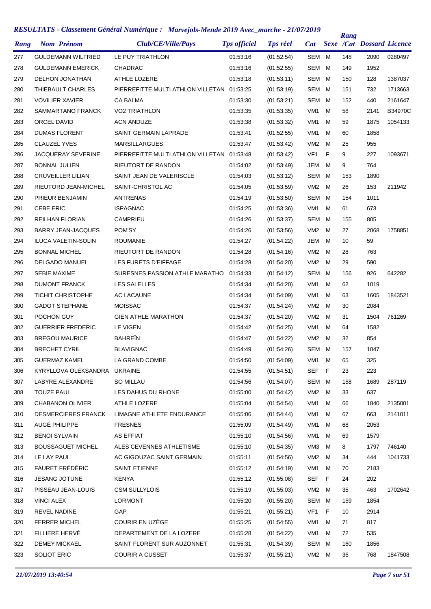| Rang | <b>Nom Prénom</b>          | Club/CE/Ville/Pays                         | <b>Tps officiel</b> | <b>Tps réel</b> | <b>Cat</b>      |    | Rang | <b>Sexe /Cat Dossard Licence</b> |                |
|------|----------------------------|--------------------------------------------|---------------------|-----------------|-----------------|----|------|----------------------------------|----------------|
| 277  | <b>GULDEMANN WILFRIED</b>  | LE PUY TRIATHLON                           | 01:53:16            | (01:52:54)      | <b>SEM</b>      | м  | 148  | 2090                             | 0280497        |
| 278  | <b>GULDEMANN EMERICK</b>   | CHADRAC                                    | 01:53:16            | (01:52:55)      | <b>SEM</b>      | M  | 149  | 1952                             |                |
| 279  | <b>DELHON JONATHAN</b>     | <b>ATHLE LOZERE</b>                        | 01:53:18            | (01:53:11)      | <b>SEM</b>      | м  | 150  | 128                              | 1387037        |
| 280  | THIEBAULT CHARLES          | PIERREFITTE MULTI ATHLON VILLETAN 01:53:25 |                     | (01:53:19)      | <b>SEM</b>      | M  | 151  | 732                              | 1713663        |
| 281  | <b>VOVILIER XAVIER</b>     | <b>CA BALMA</b>                            | 01:53:30            | (01:53:21)      | <b>SEM</b>      | м  | 152  | 440                              | 2161647        |
| 282  | SAMMARTANO FRANCK          | <b>VO2 TRIATHLON</b>                       | 01:53:35            | (01:53:35)      | VM <sub>1</sub> | M  | 58   | 2141                             | <b>B34970C</b> |
| 283  | ORCEL DAVID                | <b>ACN ANDUZE</b>                          | 01:53:38            | (01:53:32)      | VM <sub>1</sub> | M  | 59   | 1875                             | 1054133        |
| 284  | <b>DUMAS FLORENT</b>       | SAINT GERMAIN LAPRADE                      | 01:53:41            | (01:52:55)      | VM <sub>1</sub> | м  | 60   | 1858                             |                |
| 285  | <b>CLAUZEL YVES</b>        | <b>MARSILLARGUES</b>                       | 01:53:47            | (01:53:42)      | VM <sub>2</sub> | M  | 25   | 955                              |                |
| 286  | <b>JACQUERAY SEVERINE</b>  | PIERREFITTE MULTI ATHLON VILLETAN 01:53:48 |                     | (01:53:42)      | VF <sub>1</sub> | F  | 9    | 227                              | 1093671        |
| 287  | <b>BONNAL JULIEN</b>       | RIEUTORT DE RANDON                         | 01:54:02            | (01:53:49)      | JEM             | м  | 9    | 764                              |                |
| 288  | <b>CRUVEILLER LILIAN</b>   | SAINT JEAN DE VALERISCLE                   | 01:54:03            | (01:53:12)      | <b>SEM</b>      | м  | 153  | 1890                             |                |
| 289  | RIEUTORD JEAN-MICHEL       | SAINT-CHRISTOL AC                          | 01:54:05            | (01:53:59)      | VM <sub>2</sub> | M  | 26   | 153                              | 211942         |
| 290  | PRIEUR BENJAMIN            | <b>ANTRENAS</b>                            | 01:54:19            | (01:53:50)      | <b>SEM</b>      | м  | 154  | 1011                             |                |
| 291  | <b>CEBE ERIC</b>           | <b>ISPAGNAC</b>                            | 01:54:25            | (01:53:36)      | VM <sub>1</sub> | M  | 61   | 673                              |                |
| 292  | <b>REILHAN FLORIAN</b>     | <b>CAMPRIEU</b>                            | 01:54:26            | (01:53:37)      | <b>SEM</b>      | м  | 155  | 805                              |                |
| 293  | BARRY JEAN-JACQUES         | POM'SY                                     | 01:54:26            | (01:53:56)      | VM <sub>2</sub> | M  | 27   | 2068                             | 1758851        |
| 294  | <b>ILUCA VALETIN-SOLIN</b> | <b>ROUMANIE</b>                            | 01:54:27            | (01:54:22)      | JEM             | м  | 10   | 59                               |                |
| 295  | <b>BONNAL MICHEL</b>       | RIEUTORT DE RANDON                         | 01:54:28            | (01:54:16)      | VM <sub>2</sub> | м  | 28   | 763                              |                |
| 296  | <b>DELGADO MANUEL</b>      | LES FURETS D'EIFFAGE                       | 01:54:28            | (01:54:20)      | VM <sub>2</sub> | м  | 29   | 590                              |                |
| 297  | <b>SEBIE MAXIME</b>        | SURESNES PASSION ATHLE MARATHO             | 01:54:33            | (01:54:12)      | SEM             | м  | 156  | 926                              | 642282         |
| 298  | <b>DUMONT FRANCK</b>       | LES SALELLES                               | 01:54:34            | (01:54:20)      | VM <sub>1</sub> | M  | 62   | 1019                             |                |
| 299  | <b>TICHIT CHRISTOPHE</b>   | <b>AC LACAUNE</b>                          | 01:54:34            | (01:54:09)      | VM <sub>1</sub> | M  | 63   | 1605                             | 1843521        |
| 300  | <b>GADOT STEPHANE</b>      | <b>MOISSAC</b>                             | 01:54:37            | (01:54:24)      | VM <sub>2</sub> | M  | 30   | 2084                             |                |
| 301  | POCHON GUY                 | <b>GIEN ATHLE MARATHON</b>                 | 01:54:37            | (01.54.20)      | VM <sub>2</sub> | м  | 31   | 1504                             | 761269         |
| 302  | <b>GUERRIER FREDERIC</b>   | LE VIGEN                                   | 01:54:42            | (01:54:25)      | VM <sub>1</sub> | M  | 64   | 1582                             |                |
| 303  | <b>BREGOU MAURICE</b>      | <b>BAHREIN</b>                             | 01:54:47            | (01:54:22)      | VM <sub>2</sub> | м  | 32   | 854                              |                |
| 304  | <b>BRECHET CYRIL</b>       | <b>BLAVIGNAC</b>                           | 01:54:49            | (01.54.26)      | SEM             | M  | 157  | 1047                             |                |
| 305  | <b>GUERMAZ KAMEL</b>       | LA GRAND COMBE                             | 01:54:50            | (01:54:09)      | VM1 M           |    | 65   | 325                              |                |
| 306  | KYRYLLOVA OLEKSANDRA       | <b>UKRAINE</b>                             | 01:54:55            | (01.54.51)      | <b>SEF</b>      | F  | 23   | 223                              |                |
| 307  | LABYRE ALEXANDRE           | SO MILLAU                                  | 01:54:56            | (01:54:07)      | SEM             | M  | 158  | 1689                             | 287119         |
| 308  | <b>TOUZE PAUL</b>          | LES DAHUS DU RHONE                         | 01:55:00            | (01:54:42)      | VM <sub>2</sub> | м  | 33   | 637                              |                |
| 309  | <b>CHABANON OLIVIER</b>    | ATHLE LOZERE                               | 01:55:04            | (01:54:54)      | VM1             | м  | 66   | 1840                             | 2135001        |
| 310  | <b>DESMERCIERES FRANCK</b> | LIMAGNE ATHLETE ENDURANCE                  | 01:55:06            | (01.54.44)      | VM1             | м  | 67   | 663                              | 2141011        |
| 311  | AUGÉ PHILIPPE              | <b>FRESNES</b>                             | 01:55:09            | (01.54.49)      | VM <sub>1</sub> | м  | 68   | 2053                             |                |
| 312  | <b>BENOI SYLVAIN</b>       | <b>AS EFFIAT</b>                           | 01:55:10            | (01:54:56)      | VM1             | м  | 69   | 1579                             |                |
| 313  | <b>BOUSSAGUET MICHEL</b>   | ALES CEVENNES ATHLETISME                   | 01:55:10            | (01:54:35)      | VM3             | м  | 8    | 1797                             | 746140         |
| 314  | LE LAY PAUL                | AC GIGOUZAC SAINT GERMAIN                  | 01:55:11            | (01:54:56)      | VM <sub>2</sub> | М  | 34   | 444                              | 1041733        |
| 315  | FAURET FRÉDÉRIC            | SAINT ETIENNE                              | 01:55:12            | (01:54:19)      | VM1             | м  | 70   | 2183                             |                |
| 316  | <b>JESANG JOTUNE</b>       | <b>KENYA</b>                               | 01:55:12            | (01:55:08)      | SEF             | F  | 24   | 202                              |                |
| 317  | PISSEAU JEAN-LOUIS         | <b>CSM SULLYLOIS</b>                       | 01:55:19            | (01:55:03)      | VM <sub>2</sub> | M  | 35   | 463                              | 1702642        |
| 318  | <b>VINCI ALEX</b>          | <b>LORMONT</b>                             | 01:55:20            | (01:55:20)      | SEM             | М  | 159  | 1854                             |                |
| 319  | <b>REVEL NADINE</b>        | GAP                                        | 01:55:21            | (01:55:21)      | VF <sub>1</sub> | F. | 10   | 2914                             |                |
| 320  | <b>FERRER MICHEL</b>       | COURIR EN UZÈGE                            | 01:55:25            | (01:54:55)      | VM <sub>1</sub> | м  | 71   | 817                              |                |
| 321  | FILLIERE HERVÉ             | DEPARTEMENT DE LA LOZERE                   | 01:55:28            | (01:54:22)      | VM1             | м  | 72   | 535                              |                |
| 322  | <b>DEMEY MICKAEL</b>       | SAINT FLORENT SUR AUZONNET                 | 01:55:31            | (01:54:39)      | SEM             | м  | 160  | 1856                             |                |
| 323  | SOLIOT ERIC                | <b>COURIR A CUSSET</b>                     | 01:55:37            | (01:55:21)      | VM2 M           |    | 36   | 768                              | 1847508        |
|      |                            |                                            |                     |                 |                 |    |      |                                  |                |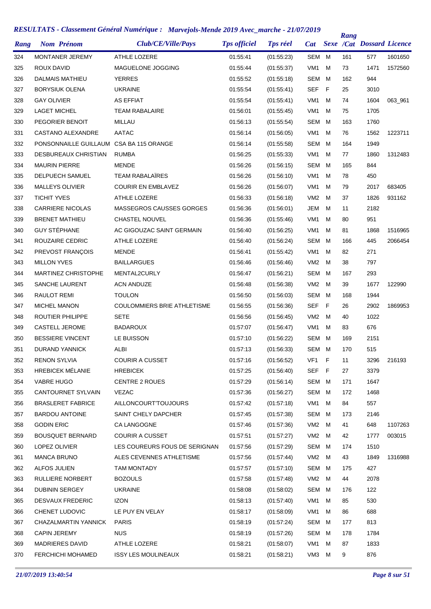| Rang | <b>Nom Prénom</b>                       | Club/CE/Ville/Pays                 | <b>Tps officiel</b> | <b>Tps réel</b> | <b>Cat</b>      |     | Rang | <b>Sexe /Cat Dossard Licence</b> |         |
|------|-----------------------------------------|------------------------------------|---------------------|-----------------|-----------------|-----|------|----------------------------------|---------|
| 324  | <b>MONTANER JEREMY</b>                  | ATHLE LOZERE                       | 01:55:41            | (01.55.23)      | <b>SEM</b>      | м   | 161  | 577                              | 1601650 |
| 325  | ROUX DAVID                              | MAGUELONE JOGGING                  | 01:55:44            | (01:55:37)      | VM <sub>1</sub> | м   | 73   | 1471                             | 1572560 |
| 326  | <b>DALMAIS MATHIEU</b>                  | <b>YERRES</b>                      | 01:55:52            | (01:55:18)      | SEM             | м   | 162  | 944                              |         |
| 327  | BORYSIUK OLENA                          | <b>UKRAINE</b>                     | 01:55:54            | (01:55:41)      | <b>SEF</b>      | F   | 25   | 3010                             |         |
| 328  | <b>GAY OLIVIER</b>                      | AS EFFIAT                          | 01:55:54            | (01:55:41)      | VM <sub>1</sub> | м   | 74   | 1604                             | 063_961 |
| 329  | <b>LAGET MICHEL</b>                     | <b>TEAM RABALAIRE</b>              | 01:56:01            | (01:55:45)      | VM <sub>1</sub> | м   | 75   | 1705                             |         |
| 330  | PEGORIER BENOIT                         | MILLAU                             | 01:56:13            | (01:55:54)      | <b>SEM</b>      | м   | 163  | 1760                             |         |
| 331  | <b>CASTANO ALEXANDRE</b>                | AATAC                              | 01:56:14            | (01:56:05)      | VM <sub>1</sub> | м   | 76   | 1562                             | 1223711 |
| 332  | PONSONNAILLE GUILLAUM CSA BA 115 ORANGE |                                    | 01:56:14            | (01:55:58)      | <b>SEM</b>      | м   | 164  | 1949                             |         |
| 333  | DESBUREAUX CHRISTIAN                    | <b>RUMBA</b>                       | 01:56:25            | (01:55:33)      | VM <sub>1</sub> | м   | 77   | 1860                             | 1312483 |
| 334  | <b>MAURIN PIERRE</b>                    | <b>MENDE</b>                       | 01:56:26            | (01:56:15)      | SEM             | м   | 165  | 844                              |         |
| 335  | <b>DELPUECH SAMUEL</b>                  | <b>TEAM RABALAIRES</b>             | 01:56:26            | (01.56.10)      | VM <sub>1</sub> | м   | 78   | 450                              |         |
| 336  | <b>MALLEYS OLIVIER</b>                  | <b>COURIR EN EMBLAVEZ</b>          | 01:56:26            | (01.56.07)      | VM <sub>1</sub> | м   | 79   | 2017                             | 683405  |
| 337  | <b>TICHIT YVES</b>                      | ATHLE LOZERE                       | 01:56:33            | (01:56:18)      | VM <sub>2</sub> | м   | 37   | 1826                             | 931162  |
| 338  | <b>CARRIERE NICOLAS</b>                 | <b>MASSEGROS CAUSSES GORGES</b>    | 01:56:36            | (01:56:01)      | JEM             | м   | 11   | 2182                             |         |
| 339  | <b>BRENET MATHIEU</b>                   | <b>CHASTEL NOUVEL</b>              | 01:56:36            | (01:55:46)      | VM <sub>1</sub> | м   | 80   | 951                              |         |
| 340  | <b>GUY STÉPHANE</b>                     | AC GIGOUZAC SAINT GERMAIN          | 01:56:40            | (01:56:25)      | VM <sub>1</sub> | м   | 81   | 1868                             | 1516965 |
| 341  | ROUZAIRE CEDRIC                         | ATHLE LOZERE                       | 01:56:40            | (01:56:24)      | SEM             | м   | 166  | 445                              | 2066454 |
| 342  | PREVOST FRANÇOIS                        | MENDE                              | 01:56:41            | (01:55:42)      | VM <sub>1</sub> | м   | 82   | 271                              |         |
| 343  | <b>MILLON YVES</b>                      | <b>BAILLARGUES</b>                 | 01:56:46            | (01:56:46)      | VM <sub>2</sub> | м   | 38   | 797                              |         |
| 344  | <b>MARTINEZ CHRISTOPHE</b>              | MENTAL2CURLY                       | 01:56:47            | (01:56:21)      | SEM             | м   | 167  | 293                              |         |
| 345  | SANCHE LAURENT                          | <b>ACN ANDUZE</b>                  | 01:56:48            | (01:56:38)      | VM <sub>2</sub> | м   | 39   | 1677                             | 122990  |
| 346  | RAULOT REMI                             | <b>TOULON</b>                      | 01:56:50            | (01:56:03)      | SEM             | м   | 168  | 1944                             |         |
| 347  | <b>MICHEL MANON</b>                     | <b>COULOMMIERS BRIE ATHLETISME</b> | 01:56:55            | (01:56:36)      | SEF             | F   | 26   | 2902                             | 1869953 |
| 348  | ROUTIER PHILIPPE                        | SETE                               | 01:56:56            | (01:56:45)      | VM <sub>2</sub> | м   | 40   | 1022                             |         |
| 349  | CASTELL JEROME                          | <b>BADAROUX</b>                    | 01:57:07            | (01:56:47)      | VM <sub>1</sub> | м   | 83   | 676                              |         |
| 350  | <b>BESSIERE VINCENT</b>                 | LE BUISSON                         | 01:57:10            | (01:56:22)      | SEM             | м   | 169  | 2151                             |         |
| 351  | <b>DURAND YANNICK</b>                   | ALBI                               | 01:57:13            | (01:56:33)      | SEM             | м   | 170  | 515                              |         |
| 352  | <b>RENON SYLVIA</b>                     | <b>COURIR A CUSSET</b>             | 01:57:16            | (01:56:52)      | VF1             | - F | 11   | 3296                             | 216193  |
| 353  | <b>HREBICEK MÉLANIE</b>                 | <b>HREBICEK</b>                    | 01:57:25            | (01:56:40)      | <b>SEF</b>      | - F | 27   | 3379                             |         |
| 354  | VABRE HUGO                              | <b>CENTRE 2 ROUES</b>              | 01:57:29            | (01:56:14)      | SEM M           |     | 171  | 1647                             |         |
| 355  | CANTOURNET SYLVAIN                      | VEZAC                              | 01:57:36            | (01:56:27)      | SEM             | м   | 172  | 1468                             |         |
| 356  | <b>BRASLERET FABRICE</b>                | <b>AILLONCOURTTOUJOURS</b>         | 01:57:42            | (01:57:18)      | VM1             | м   | 84   | 557                              |         |
| 357  | <b>BARDOU ANTOINE</b>                   | SAINT CHELY DAPCHER                | 01:57:45            | (01:57:38)      | SEM             | м   | 173  | 2146                             |         |
| 358  | <b>GODIN ERIC</b>                       | CA LANGOGNE                        | 01:57:46            | (01:57:36)      | VM <sub>2</sub> | м   | 41   | 648                              | 1107263 |
| 359  | <b>BOUSQUET BERNARD</b>                 | <b>COURIR A CUSSET</b>             | 01:57:51            | (01:57:27)      | VM <sub>2</sub> | м   | 42   | 1777                             | 003015  |
| 360  | LOPEZ OLIVIER                           | LES COUREURS FOUS DE SERIGNAN      | 01:57:56            | (01.57.29)      | SEM             | M   | 174  | 1510                             |         |
| 361  | <b>MANCA BRUNO</b>                      | ALES CEVENNES ATHLETISME           | 01:57:56            | (01:57:44)      | VM <sub>2</sub> | м   | 43   | 1849                             | 1316988 |
| 362  | ALFOS JULIEN                            | <b>TAM MONTADY</b>                 | 01:57:57            | (01:57:10)      | SEM             | М   | 175  | 427                              |         |
| 363  | RULLIERE NORBERT                        | <b>BOZOULS</b>                     | 01:57:58            | (01:57:48)      | VM <sub>2</sub> | м   | 44   | 2078                             |         |
| 364  | <b>DUBININ SERGEY</b>                   | <b>UKRAINE</b>                     | 01:58:08            | (01:58:02)      | SEM             | M   | 176  | 122                              |         |
| 365  | <b>DESVAUX FREDERIC</b>                 | <b>IZON</b>                        | 01:58:13            | (01:57:40)      | VM1             | м   | 85   | 530                              |         |
| 366  | CHENET LUDOVIC                          | LE PUY EN VELAY                    | 01:58:17            | (01:58:09)      | VM1             | м   | 86   | 688                              |         |
| 367  | CHAZALMARTIN YANNICK                    | <b>PARIS</b>                       | 01:58:19            | (01:57:24)      | SEM             | м   | 177  | 813                              |         |
| 368  | <b>CAPIN JEREMY</b>                     | <b>NUS</b>                         | 01:58:19            | (01:57:26)      | SEM             | M   | 178  | 1784                             |         |
| 369  | <b>MADRIERES DAVID</b>                  | ATHLE LOZERE                       | 01:58:21            | (01:58:07)      | VM1             | м   | 87   | 1833                             |         |
| 370  | FERCHICHI MOHAMED                       | <b>ISSY LES MOULINEAUX</b>         | 01:58:21            | (01:58:21)      | VM3             | M   | 9    | 876                              |         |
|      |                                         |                                    |                     |                 |                 |     |      |                                  |         |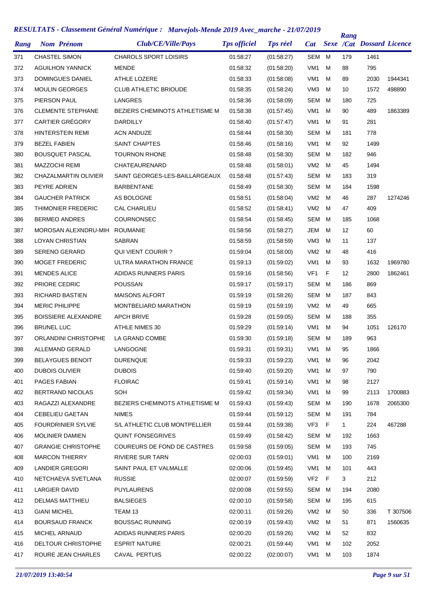| Rang | <b>Nom Prénom</b>           | Club/CE/Ville/Pays                    | <b>Tps officiel</b> | <b>Tps réel</b> | <b>Cat</b>      |   | Rang | <b>Sexe /Cat Dossard Licence</b> |          |
|------|-----------------------------|---------------------------------------|---------------------|-----------------|-----------------|---|------|----------------------------------|----------|
| 371  | <b>CHASTEL SIMON</b>        | <b>CHAROLS SPORT LOISIRS</b>          | 01:58:27            | (01:58:27)      | SEM             | M | 179  | 1461                             |          |
| 372  | <b>AGUILHON YANNICK</b>     | <b>MENDE</b>                          | 01:58:32            | (01:58:20)      | VM <sub>1</sub> | м | 88   | 795                              |          |
| 373  | <b>DOMINGUES DANIEL</b>     | ATHLE LOZERE                          | 01:58:33            | (01:58:08)      | VM <sub>1</sub> | м | 89   | 2030                             | 1944341  |
| 374  | <b>MOULIN GEORGES</b>       | <b>CLUB ATHLETIC BRIOUDE</b>          | 01:58:35            | (01:58:24)      | VM <sub>3</sub> | M | 10   | 1572                             | 498890   |
| 375  | PIERSON PAUL                | LANGRES                               | 01:58:36            | (01:58:09)      | SEM             | M | 180  | 725                              |          |
| 376  | <b>CLEMENTE STEPHANE</b>    | BEZIERS CHEMINOTS ATHLETISME M        | 01:58:38            | (01:57:45)      | VM <sub>1</sub> | M | 90   | 489                              | 1863389  |
| 377  | <b>CARTIER GRÉGORY</b>      | <b>DARDILLY</b>                       | 01:58:40            | (01:57:47)      | VM <sub>1</sub> | м | 91   | 281                              |          |
| 378  | HINTERSTEIN REMI            | <b>ACN ANDUZE</b>                     | 01.58:44            | (01:58:30)      | SEM             | M | 181  | 778                              |          |
| 379  | <b>BEZEL FABIEN</b>         | <b>SAINT CHAPTES</b>                  | 01:58:46            | (01:58:16)      | VM <sub>1</sub> | м | 92   | 1499                             |          |
| 380  | <b>BOUSQUET PASCAL</b>      | <b>TOURNON RHONE</b>                  | 01:58:48            | (01:58:30)      | SEM             | M | 182  | 946                              |          |
| 381  | <b>MAZZOCHI REMI</b>        | CHATEAURENARD                         | 01:58:48            | (01:58:01)      | VM <sub>2</sub> | м | 45   | 1494                             |          |
| 382  | <b>CHAZALMARTIN OLIVIER</b> | SAINT GEORGES-LES-BAILLARGEAUX        | 01:58:48            | (01:57:43)      | SEM             | M | 183  | 319                              |          |
| 383  | PEYRE ADRIEN                | <b>BARBENTANE</b>                     | 01:58:49            | (01:58:30)      | SEM             | M | 184  | 1598                             |          |
| 384  | <b>GAUCHER PATRICK</b>      | AS BOLOGNE                            | 01:58:51            | (01:58:04)      | VM <sub>2</sub> | M | 46   | 287                              | 1274246  |
| 385  | <b>THIMONIER FREDERIC</b>   | <b>CAL CHARLIEU</b>                   | 01:58:52            | (01:58:41)      | VM <sub>2</sub> | м | 47   | 409                              |          |
| 386  | <b>BERMEO ANDRES</b>        | <b>COURNONSEC</b>                     | 01:58:54            | (01:58:45)      | SEM             | M | 185  | 1068                             |          |
| 387  | MOROSAN ALEXNDRU-MIH        | <b>ROUMANIE</b>                       | 01:58:56            | (01:58:27)      | <b>JEM</b>      | M | 12   | 60                               |          |
| 388  | LOYAN CHRISTIAN             | SABRAN                                | 01:58:59            | (01:58:59)      | VM <sub>3</sub> | м | 11   | 137                              |          |
| 389  | <b>SERENO GERARD</b>        | <b>QUI VIENT COURIR?</b>              | 01:59:04            | (01:58:00)      | VM <sub>2</sub> | м | 48   | 416                              |          |
| 390  | <b>MOGET FREDERIC</b>       | ULTRA MARATHON FRANCE                 | 01:59:13            | (01:59:02)      | VM1             | M | 93   | 1632                             | 1969780  |
| 391  | <b>MENDES ALICE</b>         | ADIDAS RUNNERS PARIS                  | 01:59:16            | (01:58:56)      | VF <sub>1</sub> | F | 12   | 2800                             | 1862461  |
| 392  | PRIORE CEDRIC               | <b>POUSSAN</b>                        | 01:59:17            | (01:59:17)      | SEM             | M | 186  | 869                              |          |
| 393  | <b>RICHARD BASTIEN</b>      | <b>MAISONS ALFORT</b>                 | 01:59:19            | (01:58:26)      | SEM             | M | 187  | 843                              |          |
| 394  | <b>MERIC PHILIPPE</b>       | MONTBELIARD MARATHON                  | 01:59:19            | (01:59:19)      | VM <sub>2</sub> | м | 49   | 665                              |          |
|      | <b>BOISSIERE ALEXANDRE</b>  | <b>APCH BRIVE</b>                     | 01:59:28            |                 | SEM             | M | 188  | 355                              |          |
| 395  |                             |                                       |                     | (01:59:05)      |                 | м | 94   |                                  |          |
| 396  | <b>BRUNEL LUC</b>           | ATHLE NIMES 30                        | 01:59:29            | (01:59:14)      | VM1             |   |      | 1051                             | 126170   |
| 397  | ORLANDINI CHRISTOPHE        | LA GRAND COMBE                        | 01:59:30            | (01:59:18)      | SEM             | M | 189  | 963                              |          |
| 398  | ALLEMAND GERALD             | LANGOGNE                              | 01:59:31            | (01:59:31)      | VM1             | M | 95   | 1866                             |          |
| 399  | <b>BELAYGUES BENOIT</b>     | <b>DURENQUE</b>                       | 01:59:33            | (01:59:23)      | VM1 M           |   | 96   | 2042                             |          |
| 400  | <b>DUBOIS OLIVIER</b>       | <b>DUBOIS</b>                         | 01:59:40            | (01.59.20)      | VM1             | м | 97   | 790                              |          |
| 401  | PAGES FABIAN                | <b>FLOIRAC</b>                        | 01:59:41            | (01:59:14)      | VM1             | М | 98   | 2127                             |          |
| 402  | <b>BERTRAND NICOLAS</b>     | SOH                                   | 01:59:42            | (01:59:34)      | VM1             | M | 99   | 2113                             | 1700883  |
| 403  | RAGAZZI ALEXANDRE           | <b>BEZIERS CHEMINOTS ATHLETISME M</b> | 01:59:43            | (01.59.43)      | SEM M           |   | 190  | 1678                             | 2065300  |
| 404  | <b>CEBELIEU GAETAN</b>      | <b>NIMES</b>                          | 01:59:44            | (01.59.12)      | SEM M           |   | 191  | 784                              |          |
| 405  | <b>FOURDRINIER SYLVIE</b>   | S/L ATHLETIC CLUB MONTPELLIER         | 01:59:44            | (01.59.38)      | VF3 F           |   | 1    | 224                              | 467288   |
| 406  | MOLINIER DAMIEN             | <b>QUINT FONSEGRIVES</b>              | 01:59:49            | (01:58:42)      | SEM M           |   | 192  | 1663                             |          |
| 407  | <b>GRANGIE CHRISTOPHE</b>   | COUREURS DE FOND DE CASTRES           | 01:59:58            | (01.59.05)      | SEM M           |   | 193  | 745                              |          |
| 408  | <b>MARCON THIERRY</b>       | <b>RIVIERE SUR TARN</b>               | 02:00:03            | (01:59:01)      | VM1             | M | 100  | 2169                             |          |
| 409  | <b>LANDIER GREGORI</b>      | SAINT PAUL ET VALMALLE                | 02:00:06            | (01:59:45)      | VM1             | М | 101  | 443                              |          |
| 410  | NETCHAEVA SVETLANA          | <b>RUSSIE</b>                         | 02:00:07            | (01:59:59)      | VF <sub>2</sub> | F | 3    | 212                              |          |
| 411  | LARGIER DAVID               | <b>PUYLAURENS</b>                     | 02:00:08            | (01:59:55)      | SEM M           |   | 194  | 2080                             |          |
| 412  | <b>DELMAS MATTHIEU</b>      | <b>BALSIEGES</b>                      | 02:00:10            | (01:59:58)      | SEM             | M | 195  | 615                              |          |
| 413  | <b>GIANI MICHEL</b>         | TEAM 13                               | 02:00:11            | (01:59:26)      | VM <sub>2</sub> | M | 50   | 336                              | T 307506 |
| 414  | <b>BOURSAUD FRANCK</b>      | <b>BOUSSAC RUNNING</b>                | 02:00:19            | (01:59:43)      | VM <sub>2</sub> | M | 51   | 871                              | 1560635  |
| 415  | MICHEL ARNAUD               | ADIDAS RUNNERS PARIS                  | 02:00:20            | (01:59:26)      | VM2             | M | 52   | 832                              |          |
| 416  | DELTOUR CHRISTOPHE          | <b>ESPRIT NATURE</b>                  | 02:00:21            | (01:59:44)      | VM1             | м | 102  | 2052                             |          |
| 417  | ROURE JEAN CHARLES          | CAVAL PERTUIS                         | 02:00:22            | (02:00:07)      | VM1             | M | 103  | 1874                             |          |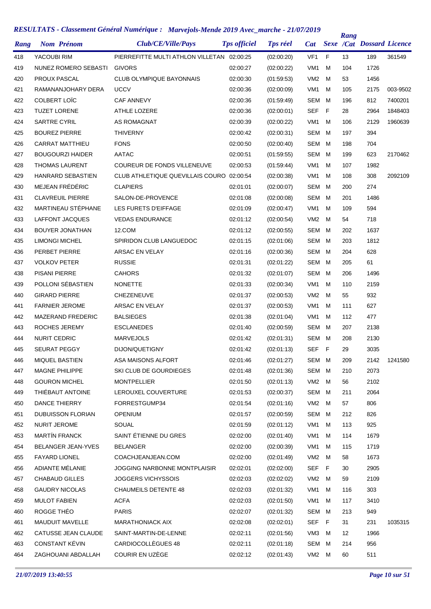| Rang | <b>Nom Prénom</b>        | Club/CE/Ville/Pays                         | <b>Tps officiel</b> | <b>Tps réel</b> | <b>Cat</b>      |     | Rang | <b>Sexe /Cat Dossard Licence</b> |          |
|------|--------------------------|--------------------------------------------|---------------------|-----------------|-----------------|-----|------|----------------------------------|----------|
| 418  | YACOUBI RIM              | PIERREFITTE MULTI ATHLON VILLETAN 02:00:25 |                     | (02:00:20)      | VF <sub>1</sub> | F   | 13   | 189                              | 361549   |
| 419  | NUNEZ ROMERO SEBASTI     | <b>GIVORS</b>                              | 02:00:27            | (02:00:22)      | VM <sub>1</sub> | м   | 104  | 1726                             |          |
| 420  | <b>PROUX PASCAL</b>      | <b>CLUB OLYMPIQUE BAYONNAIS</b>            | 02:00:30            | (01:59:53)      | VM <sub>2</sub> | м   | 53   | 1456                             |          |
| 421  | RAMANANJOHARY DERA       | <b>UCCV</b>                                | 02:00:36            | (02:00:09)      | VM <sub>1</sub> | м   | 105  | 2175                             | 003-9502 |
| 422  | COLBERT LOÏC             | <b>CAF ANNEVY</b>                          | 02:00:36            | (01:59:49)      | <b>SEM</b>      | м   | 196  | 812                              | 7400201  |
| 423  | <b>TUZET LORENE</b>      | ATHLE LOZERE                               | 02:00:36            | (02:00:01)      | <b>SEF</b>      | F   | 28   | 2964                             | 1848403  |
| 424  | <b>SARTRE CYRIL</b>      | AS ROMAGNAT                                | 02:00:39            | (02:00:22)      | VM <sub>1</sub> | м   | 106  | 2129                             | 1960639  |
| 425  | <b>BOUREZ PIERRE</b>     | <b>THIVERNY</b>                            | 02:00:42            | (02:00:31)      | <b>SEM</b>      | M   | 197  | 394                              |          |
| 426  | <b>CARRAT MATTHIEU</b>   | <b>FONS</b>                                | 02:00:50            | (02:00:40)      | <b>SEM</b>      | м   | 198  | 704                              |          |
| 427  | <b>BOUGOURZI HAIDER</b>  | AATAC                                      | 02:00:51            | (01:59:55)      | <b>SEM</b>      | м   | 199  | 623                              | 2170462  |
| 428  | <b>THOMAS LAURENT</b>    | COUREUR DE FONDS VILLENEUVE                | 02:00:53            | (01:59:44)      | VM <sub>1</sub> | м   | 107  | 1982                             |          |
| 429  | HANRARD SEBASTIEN        | CLUB ATHLETIQUE QUEVILLAIS COURO 02:00:54  |                     | (02:00:38)      | VM <sub>1</sub> | м   | 108  | 308                              | 2092109  |
| 430  | MEJEAN FRÉDÉRIC          | <b>CLAPIERS</b>                            | 02:01:01            | (02:00:07)      | <b>SEM</b>      | м   | 200  | 274                              |          |
| 431  | <b>CLAVREUIL PIERRE</b>  | SALON-DE-PROVENCE                          | 02:01:08            | (02:00:08)      | <b>SEM</b>      | м   | 201  | 1486                             |          |
| 432  | MARTINEAU STÉPHANE       | LES FURETS D'EIFFAGE                       | 02:01:09            | (02:00:47)      | VM <sub>1</sub> | м   | 109  | 594                              |          |
| 433  | LAFFONT JACQUES          | <b>VEDAS ENDURANCE</b>                     | 02:01:12            | (02:00:54)      | VM <sub>2</sub> | м   | 54   | 718                              |          |
| 434  | <b>BOUYER JONATHAN</b>   | 12.COM                                     | 02:01:12            | (02:00:55)      | <b>SEM</b>      | м   | 202  | 1637                             |          |
| 435  | <b>LIMONGI MICHEL</b>    | SPIRIDON CLUB LANGUEDOC                    | 02:01:15            | (02:01:06)      | <b>SEM</b>      | м   | 203  | 1812                             |          |
| 436  | PERBET PIERRE            | ARSAC EN VELAY                             | 02:01:16            | (02:00:36)      | <b>SEM</b>      | м   | 204  | 628                              |          |
| 437  | <b>VOLKOV PETER</b>      | <b>RUSSIE</b>                              | 02:01:31            | (02:01:22)      | SEM             | м   | 205  | 61                               |          |
| 438  | <b>PISANI PIERRE</b>     | <b>CAHORS</b>                              | 02:01:32            | (02:01:07)      | SEM             | M   | 206  | 1496                             |          |
| 439  | POLLONI SÉBASTIEN        | <b>NONETTE</b>                             | 02:01:33            | (02:00:34)      | VM <sub>1</sub> | м   | 110  | 2159                             |          |
| 440  | <b>GIRARD PIERRE</b>     | <b>CHEZENEUVE</b>                          | 02:01:37            | (02:00:53)      | VM <sub>2</sub> | м   | 55   | 932                              |          |
| 441  | <b>FARNIER JEROME</b>    | ARSAC EN VELAY                             | 02:01:37            | (02:00:53)      | VM <sub>1</sub> | м   | 111  | 627                              |          |
| 442  | MAZERAND FREDERIC        | <b>BALSIEGES</b>                           | 02:01:38            | (02:01:04)      | VM <sub>1</sub> | м   | 112  | 477                              |          |
| 443  | ROCHES JEREMY            | <b>ESCLANEDES</b>                          | 02:01:40            | (02:00:59)      | <b>SEM</b>      | м   | 207  | 2138                             |          |
| 444  | <b>NURIT CEDRIC</b>      | <b>MARVEJOLS</b>                           | 02:01:42            | (02:01:31)      | SEM             | M   | 208  | 2130                             |          |
| 445  | <b>SEURAT PEGGY</b>      | DIJON/QUETIGNY                             | 02:01:42            | (02:01:13)      | SEF             | - F | 29   | 3035                             |          |
| 446  | <b>MIQUEL BASTIEN</b>    | ASA MAISONS ALFORT                         | 02:01:46            | (02:01:27)      | SEM M           |     | 209  | 2142                             | 1241580  |
| 447  | <b>MAGNE PHILIPPE</b>    | SKI CLUB DE GOURDIEGES                     | 02:01:48            | (02:01:36)      | SEM             | м   | 210  | 2073                             |          |
| 448  | <b>GOURON MICHEL</b>     | <b>MONTPELLIER</b>                         | 02:01:50            | (02:01:13)      | VM <sub>2</sub> | м   | 56   | 2102                             |          |
| 449  | THIÉBAUT ANTOINE         | LEROUXEL COUVERTURE                        | 02:01:53            | (02:00:37)      | SEM             | м   | 211  | 2064                             |          |
| 450  | <b>DANCE THIERRY</b>     | FORRESTGUMP34                              | 02:01:54            | (02:01:16)      | VM <sub>2</sub> | м   | 57   | 806                              |          |
| 451  | <b>DUBUISSON FLORIAN</b> | <b>OPENIUM</b>                             | 02:01:57            | (02:00:59)      | SEM             | м   | 212  | 826                              |          |
| 452  | <b>NURIT JEROME</b>      | SOUAL                                      | 02:01:59            | (02:01:12)      | VM1             | м   | 113  | 925                              |          |
| 453  | <b>MARTÍN FRANCK</b>     | SAINT ÉTIENNE DU GRES                      | 02:02:00            | (02:01:40)      | VM1             | м   | 114  | 1679                             |          |
| 454  | BELANGER JEAN-YVES       | <b>BELANGER</b>                            | 02:02:00            | (02:00:39)      | VM1             | м   | 115  | 1719                             |          |
| 455  | <b>FAYARD LIONEL</b>     | COACHJEANJEAN.COM                          | 02:02:00            | (02:01:49)      | VM <sub>2</sub> | м   | 58   | 1673                             |          |
| 456  | ADIANTE MÉLANIE          | <b>JOGGING NARBONNE MONTPLAISIR</b>        | 02:02:01            | (02:02:00)      | SEF F           |     | 30   | 2905                             |          |
| 457  | CHABAUD GILLES           | <b>JOGGERS VICHYSSOIS</b>                  | 02:02:03            | (02:02:02)      | VM <sub>2</sub> | м   | 59   | 2109                             |          |
| 458  | <b>GAUDRY NICOLAS</b>    | CHAUMEILS DETENTE 48                       | 02:02:03            | (02:01:32)      | VM1             | м   | 116  | 303                              |          |
| 459  | <b>MULOT FABIEN</b>      | <b>ACFA</b>                                | 02:02:03            | (02:01:50)      | VM1             | м   | 117  | 3410                             |          |
| 460  | ROGGE THÉO               | <b>PARIS</b>                               | 02:02:07            | (02:01:32)      | SEM             | M   | 213  | 949                              |          |
| 461  | MAUDUIT MAVELLE          | <b>MARATHONIACK AIX</b>                    | 02:02:08            | (02:02:01)      | SEF             | F   | 31   | 231                              | 1035315  |
| 462  | CATUSSE JEAN CLAUDE      | SAINT-MARTIN-DE-LENNE                      | 02:02:11            | (02:01:56)      | VM3             | M   | 12   | 1966                             |          |
| 463  | <b>CONSTANT KÉVIN</b>    | CARDIOCOLLÈGUES 48                         | 02:02:11            | (02:01:18)      | SEM             | м   | 214  | 956                              |          |
| 464  | ZAGHOUANI ABDALLAH       | COURIR EN UZÈGE                            | 02:02:12            | (02:01:43)      | VM2 M           |     | 60   | 511                              |          |
|      |                          |                                            |                     |                 |                 |     |      |                                  |          |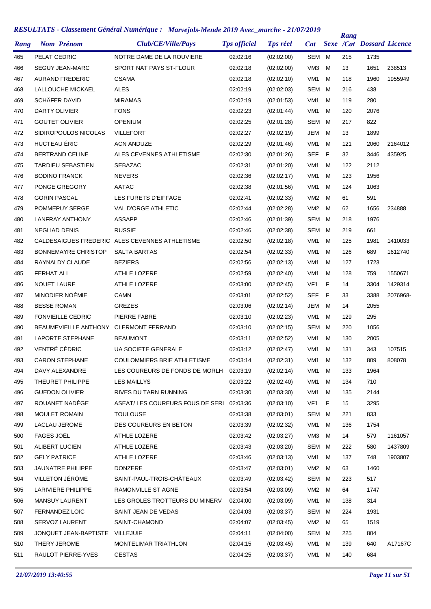| Rang | <b>Nom Prénom</b>                      | Club/CE/Ville/Pays                             | <b>Tps officiel</b> | <b>Tps réel</b> | <b>Cat</b>      |   | Rang | <b>Sexe /Cat Dossard Licence</b> |          |
|------|----------------------------------------|------------------------------------------------|---------------------|-----------------|-----------------|---|------|----------------------------------|----------|
| 465  | PELAT CEDRIC                           | NOTRE DAME DE LA ROUVIERE                      | 02:02:16            | (02:02:00)      | <b>SEM</b>      | м | 215  | 1735                             |          |
| 466  | <b>SEGUY JEAN-MARC</b>                 | SPORT NAT PAYS ST-FLOUR                        | 02:02:18            | (02:02:00)      | VM <sub>3</sub> | м | 13   | 1651                             | 238513   |
| 467  | <b>AURAND FREDERIC</b>                 | <b>CSAMA</b>                                   | 02:02:18            | (02:02:10)      | VM <sub>1</sub> | м | 118  | 1960                             | 1955949  |
| 468  | LALLOUCHE MICKAEL                      | <b>ALES</b>                                    | 02:02:19            | (02:02:03)      | <b>SEM</b>      | м | 216  | 438                              |          |
| 469  | SCHÄFER DAVID                          | <b>MIRAMAS</b>                                 | 02:02:19            | (02:01:53)      | VM <sub>1</sub> | м | 119  | 280                              |          |
| 470  | DARTY OLIVIER                          | <b>FONS</b>                                    | 02:02:23            | (02:01:44)      | VM <sub>1</sub> | м | 120  | 2076                             |          |
| 471  | <b>GOUTET OLIVIER</b>                  | <b>OPENIUM</b>                                 | 02:02:25            | (02:01:28)      | <b>SEM</b>      | м | 217  | 822                              |          |
| 472  | SIDIROPOULOS NICOLAS                   | <b>VILLEFORT</b>                               | 02:02:27            | (02:02:19)      | JEM             | м | 13   | 1899                             |          |
| 473  | HUCTEAU ÉRIC                           | <b>ACN ANDUZE</b>                              | 02:02:29            | (02:01:46)      | VM <sub>1</sub> | м | 121  | 2060                             | 2164012  |
| 474  | <b>BERTRAND CELINE</b>                 | ALES CEVENNES ATHLETISME                       | 02:02:30            | (02:01:26)      | <b>SEF</b>      | F | 32   | 3446                             | 435925   |
| 475  | <b>TARDIEU SEBASTIEN</b>               | <b>SEBAZAC</b>                                 | 02:02:31            | (02:01:20)      | VM <sub>1</sub> | м | 122  | 2112                             |          |
| 476  | <b>BODINO FRANCK</b>                   | <b>NEVERS</b>                                  | 02:02:36            | (02:02:17)      | VM <sub>1</sub> | м | 123  | 1956                             |          |
| 477  | PONGE GREGORY                          | <b>AATAC</b>                                   | 02:02:38            | (02:01:56)      | VM <sub>1</sub> | м | 124  | 1063                             |          |
| 478  | <b>GORIN PASCAL</b>                    | LES FURETS D'EIFFAGE                           | 02:02:41            | (02:02:33)      | VM <sub>2</sub> | м | 61   | 591                              |          |
| 479  | POMMEPUY SERGE                         | <b>VAL D'ORGE ATHLETIC</b>                     | 02:02:44            | (02:02:28)      | VM <sub>2</sub> | м | 62   | 1656                             | 234888   |
| 480  | <b>LANFRAY ANTHONY</b>                 | <b>ASSAPP</b>                                  | 02:02:46            | (02:01:39)      | SEM             | м | 218  | 1976                             |          |
| 481  | <b>NEGLIAD DENIS</b>                   | <b>RUSSIE</b>                                  | 02:02:46            | (02:02:38)      | <b>SEM</b>      | м | 219  | 661                              |          |
| 482  |                                        | CALDESAIGUES FREDERIC ALES CEVENNES ATHLETISME | 02:02:50            | (02:02:18)      | VM1             | м | 125  | 1981                             | 1410033  |
| 483  | <b>BONNEMAYRE CHRISTOP</b>             | <b>SALTA BARTAS</b>                            | 02:02:54            | (02:02:33)      | VM <sub>1</sub> | м | 126  | 689                              | 1612740  |
| 484  | RAYNALDY CLAUDE                        | <b>BEZIERS</b>                                 | 02:02:56            | (02:02:13)      | VM1             | м | 127  | 1723                             |          |
| 485  | <b>FERHAT ALI</b>                      | <b>ATHLE LOZERE</b>                            | 02:02:59            | (02:02:40)      | VM <sub>1</sub> | м | 128  | 759                              | 1550671  |
| 486  | <b>NOUET LAURE</b>                     | <b>ATHLE LOZERE</b>                            | 02:03:00            | (02:02:45)      | VF1             | F | 14   | 3304                             | 1429314  |
| 487  | MINODIER NOÉMIE                        | <b>CAMN</b>                                    | 02:03:01            | (02:02:52)      | SEF             | F | 33   | 3388                             | 2076968- |
| 488  | <b>BESSE ROMAN</b>                     | <b>GREZES</b>                                  | 02:03:06            | (02:02:14)      | JEM             | м | 14   | 2055                             |          |
| 489  | <b>FONVIEILLE CEDRIC</b>               | PIERRE FABRE                                   | 02:03:10            | (02:02:23)      | VM <sub>1</sub> | м | 129  | 295                              |          |
| 490  | BEAUMEVIEILLE ANTHONY CLERMONT FERRAND |                                                | 02:03:10            | (02:02:15)      | <b>SEM</b>      | м | 220  | 1056                             |          |
| 491  | LAPORTE STEPHANE                       | <b>BEAUMONT</b>                                | 02:03:11            | (02:02:52)      | VM <sub>1</sub> | м | 130  | 2005                             |          |
| 492  | VENTRÉ CÉDRIC                          | <b>UA SOCIETE GENERALE</b>                     | 02:03:12            | (02:02:47)      | VM1             | м | 131  | 343                              | 107515   |
| 493  | <b>CARON STEPHANE</b>                  | COULOMMIERS BRIE ATHLETISME                    | 02:03:14            | (02:02:31)      | VM1             | M | 132  | 809                              | 808078   |
| 494  | DAVY ALEXANDRE                         | LES COUREURS DE FONDS DE MORLH                 | 02:03:19            | (02:02:14)      | VM1             | м | 133  | 1964                             |          |
| 495  | THEURET PHILIPPE                       | <b>LES MAILLYS</b>                             | 02:03:22            | (02:02:40)      | VM1             | м | 134  | 710                              |          |
| 496  | <b>GUEDON OLIVIER</b>                  | RIVES DU TARN RUNNING                          | 02:03:30            | (02:03:30)      | VM1             | м | 135  | 2144                             |          |
| 497  | ROUANET NADÈGE                         | ASEAT/LES COUREURS FOUS DE SERI                | 02:03:36            | (02:03:10)      | VF1             | F | 15   | 3295                             |          |
| 498  | <b>MOULET ROMAIN</b>                   | <b>TOULOUSE</b>                                | 02:03:38            | (02:03:01)      | SEM             | м | 221  | 833                              |          |
| 499  | LACLAU JEROME                          | DES COUREURS EN BETON                          | 02:03:39            | (02:02:32)      | VM1             | м | 136  | 1754                             |          |
| 500  | FAGES JOËL                             | ATHLE LOZERE                                   | 02:03:42            | (02:03:27)      | VM3             | м | 14   | 579                              | 1161057  |
| 501  | ALIBERT LUCIEN                         | ATHLE LOZERE                                   | 02:03:43            | (02:03:20)      | SEM             | м | 222  | 580                              | 1437809  |
| 502  | <b>GELY PATRICE</b>                    | ATHLE LOZERE                                   | 02:03:46            | (02:03:13)      | VM1             | м | 137  | 748                              | 1903807  |
| 503  | <b>JAUNATRE PHILIPPE</b>               | <b>DONZERE</b>                                 | 02:03:47            | (02:03:01)      | VM <sub>2</sub> | м | 63   | 1460                             |          |
| 504  | VILLETON JÉRÔME                        | SAINT-PAUL-TROIS-CHÂTEAUX                      | 02:03:49            | (02:03:42)      | SEM             | м | 223  | 517                              |          |
| 505  | <b>LARIVIERE PHILIPPE</b>              | RAMONVILLE ST AGNE                             | 02:03:54            | (02:03:09)      | VM <sub>2</sub> | м | 64   | 1747                             |          |
| 506  | MANSUY LAURENT                         | LES GROLES TROTTEURS DU MINERV                 | 02:04:00            | (02:03:09)      | VM1             | м | 138  | 314                              |          |
| 507  | FERNANDEZ LOÏC                         | SAINT JEAN DE VEDAS                            | 02:04:03            | (02:03:37)      | SEM             | м | 224  | 1931                             |          |
| 508  | SERVOZ LAURENT                         | SAINT-CHAMOND                                  | 02:04:07            | (02:03:45)      | VM <sub>2</sub> | м | 65   | 1519                             |          |
| 509  | JONQUET JEAN-BAPTISTE                  | VILLEJUIF                                      | 02:04:11            | (02:04:00)      | SEM M           |   | 225  | 804                              |          |
| 510  | THERY JEROME                           | MONTELIMAR TRIATHLON                           | 02:04:15            | (02:03:45)      | VM1             | м | 139  | 640                              | A17167C  |
| 511  | RAULOT PIERRE-YVES                     | <b>CESTAS</b>                                  | 02:04:25            | (02:03:37)      | VM1             | М | 140  | 684                              |          |
|      |                                        |                                                |                     |                 |                 |   |      |                                  |          |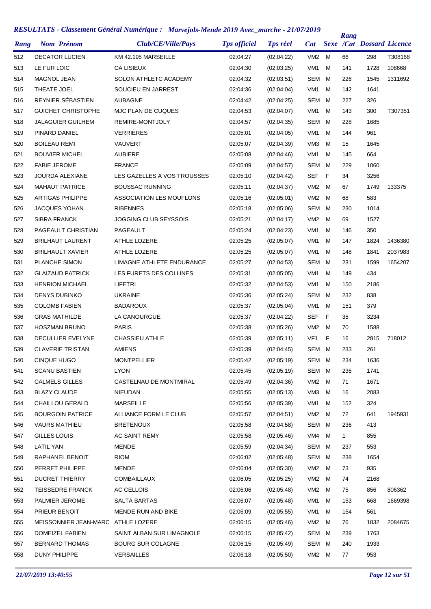| Rang | <b>Nom Prénom</b>                  | Club/CE/Ville/Pays              | <b>Tps officiel</b> | <b>Tps réel</b> | <b>Cat</b>      |   | Rang         | <b>Sexe /Cat Dossard Licence</b> |         |
|------|------------------------------------|---------------------------------|---------------------|-----------------|-----------------|---|--------------|----------------------------------|---------|
| 512  | <b>DECATOR LUCIEN</b>              | KM 42.195 MARSEILLE             | 02:04:27            | (02:04:22)      | VM2             | м | 66           | 298                              | T308168 |
| 513  | LE FUR LOIC                        | <b>CA LISIEUX</b>               | 02:04:30            | (02:03:25)      | VM <sub>1</sub> | M | 141          | 1728                             | 108668  |
| 514  | <b>MAGNOL JEAN</b>                 | SOLON ATHLETC ACADEMY           | 02:04:32            | (02:03:51)      | SEM             | м | 226          | 1545                             | 1311692 |
| 515  | THEATE JOEL                        | SOUCIEU EN JARREST              | 02:04:36            | (02:04:04)      | VM <sub>1</sub> | м | 142          | 1641                             |         |
| 516  | REYNIER SÉBASTIEN                  | <b>AUBAGNE</b>                  | 02:04:42            | (02:04:25)      | SEM             | м | 227          | 326                              |         |
| 517  | <b>GUICHET CHRISTOPHE</b>          | MJC PLAN DE CUQUES              | 02:04:53            | (02:04:07)      | VM <sub>1</sub> | м | 143          | 300                              | T307351 |
| 518  | JALAGUIER GUILHEM                  | REMIRE-MONTJOLY                 | 02:04:57            | (02:04:35)      | SEM             | м | 228          | 1685                             |         |
| 519  | PINARD DANIEL                      | <b>VERRIÈRES</b>                | 02:05:01            | (02:04:05)      | VM <sub>1</sub> | м | 144          | 961                              |         |
| 520  | <b>BOILEAU REMI</b>                | VAUVERT                         | 02:05:07            | (02:04:39)      | VM <sub>3</sub> | м | 15           | 1645                             |         |
| 521  | <b>BOUVIER MICHEL</b>              | <b>AUBIERE</b>                  | 02:05:08            | (02:04:46)      | VM <sub>1</sub> | м | 145          | 664                              |         |
| 522  | <b>FABIE JEROME</b>                | <b>FRANCE</b>                   | 02:05:09            | (02:04:57)      | SEM             | M | 229          | 1060                             |         |
| 523  | <b>JOURDA ALEXIANE</b>             | LES GAZELLES A VOS TROUSSES     | 02:05:10            | (02:04:42)      | SEF             | F | 34           | 3256                             |         |
| 524  | <b>MAHAUT PATRICE</b>              | <b>BOUSSAC RUNNING</b>          | 02:05:11            | (02:04:37)      | VM <sub>2</sub> | M | 67           | 1749                             | 133375  |
| 525  | <b>ARTIGAS PHILIPPE</b>            | <b>ASSOCIATION LES MOUFLONS</b> | 02:05:16            | (02:05:01)      | VM <sub>2</sub> | M | 68           | 583                              |         |
| 526  | <b>JACQUES YOHAN</b>               | <b>RIBENNES</b>                 | 02:05:18            | (02:05:06)      | SEM             | M | 230          | 1014                             |         |
| 527  | <b>SIBRA FRANCK</b>                | JOGGING CLUB SEYSSOIS           | 02:05:21            | (02:04:17)      | VM <sub>2</sub> | м | 69           | 1527                             |         |
| 528  | PAGEAULT CHRISTIAN                 | <b>PAGEAULT</b>                 | 02:05:24            | (02:04:23)      | VM <sub>1</sub> | м | 146          | 350                              |         |
| 529  | <b>BRILHAUT LAURENT</b>            | ATHLE LOZERE                    | 02:05:25            | (02:05:07)      | VM <sub>1</sub> | м | 147          | 1824                             | 1436380 |
| 530  | <b>BRILHAULT XAVIER</b>            | <b>ATHLE LOZERE</b>             | 02:05:25            | (02:05:07)      | VM <sub>1</sub> | м | 148          | 1841                             | 2037983 |
| 531  | PLANCHE SIMON                      | LIMAGNE ATHLETE ENDURANCE       | 02:05:27            | (02:04:53)      | SEM             | м | 231          | 1599                             | 1654207 |
| 532  | <b>GLAIZAUD PATRICK</b>            | LES FURETS DES COLLINES         | 02:05:31            | (02:05:05)      | VM1             | м | 149          | 434                              |         |
| 533  | <b>HENRION MICHAEL</b>             | LIFETRI                         | 02:05:32            | (02:04:53)      | VM <sub>1</sub> | м | 150          | 2186                             |         |
| 534  | <b>DENYS DUBINKO</b>               | <b>UKRAINE</b>                  | 02:05:36            | (02:05:24)      | SEM             | м | 232          | 838                              |         |
| 535  | <b>COLOMB FABIEN</b>               | <b>BADAROUX</b>                 | 02:05:37            | (02:05:04)      | VM1             | м | 151          | 379                              |         |
| 536  | <b>GRAS MATHILDE</b>               | LA CANOURGUE                    | 02:05:37            | (02:04:22)      | <b>SEF</b>      | F | 35           | 3234                             |         |
| 537  | <b>HOSZMAN BRUNO</b>               | <b>PARIS</b>                    | 02:05:38            | (02:05:26)      | VM <sub>2</sub> | м | 70           | 1588                             |         |
| 538  | DECULLIER EVELYNE                  | <b>CHASSIEU ATHLE</b>           | 02:05:39            | (02:05:11)      | VF <sub>1</sub> | F | 16           | 2815                             | 718012  |
| 539  | <b>CLAVERIE TRISTAN</b>            | <b>AMIENS</b>                   | 02:05:39            | (02:04:45)      | SEM             | M | 233          | 261                              |         |
| 540  | <b>CINQUE HUGO</b>                 | <b>MONTPELLIER</b>              | 02:05:42            | (02:05:19)      | SEM M           |   | 234          | 1636                             |         |
| 541  | <b>SCANU BASTIEN</b>               | <b>LYON</b>                     | 02:05:45            | (02:05:19)      | SEM             | м | 235          | 1741                             |         |
| 542  | <b>CALMELS GILLES</b>              | CASTELNAU DE MONTMIRAL          | 02:05:49            | (02:04:36)      | VM <sub>2</sub> | м | 71           | 1671                             |         |
| 543  | <b>BLAZY CLAUDE</b>                | NIEUDAN                         | 02:05:55            | (02:05:13)      | VM3             | м | 16           | 2083                             |         |
| 544  | <b>CHAILLOU GERALD</b>             | <b>MARSEILLE</b>                | 02:05:56            | (02:05:39)      | VM1             | м | 152          | 324                              |         |
| 545  | <b>BOURGOIN PATRICE</b>            | ALLIANCE FORM LE CLUB           | 02:05:57            | (02:04:51)      | VM <sub>2</sub> | м | 72           | 641                              | 1945931 |
| 546  | <b>VAURS MATHIEU</b>               | <b>BRETENOUX</b>                | 02:05:58            | (02:04:58)      | SEM             | M | 236          | 413                              |         |
| 547  | <b>GILLES LOUIS</b>                | AC SAINT REMY                   | 02:05:58            | (02:05:46)      | VM4             | м | $\mathbf{1}$ | 855                              |         |
| 548  | <b>LATIL YAN</b>                   | <b>MENDE</b>                    | 02:05:59            | (02:04:34)      | SEM M           |   | 237          | 553                              |         |
| 549  | RAPHANEL BENOIT                    | <b>RIOM</b>                     | 02:06:02            | (02:05:48)      | SEM             | м | 238          | 1654                             |         |
| 550  | PERRET PHILIPPE                    | <b>MENDE</b>                    | 02:06:04            | (02:05:30)      | VM <sub>2</sub> | м | 73           | 935                              |         |
| 551  | <b>DUCRET THIERRY</b>              | <b>COMBAILLAUX</b>              | 02:06:05            | (02:05:25)      | VM <sub>2</sub> | м | 74           | 2168                             |         |
| 552  | <b>TEISSEDRE FRANCK</b>            | AC CELLOIS                      | 02:06:06            | (02:05:48)      | VM <sub>2</sub> | M | 75           | 856                              | 806362  |
| 553  | PALMIER JEROME                     | <b>SALTA BARTAS</b>             | 02:06:07            | (02:05:48)      | VM1             | м | 153          | 668                              | 1669398 |
| 554  | PRIEUR BENOIT                      | MENDE RUN AND BIKE              | 02:06:09            | (02:05:55)      | VM1             | м | 154          | 561                              |         |
| 555  | MEISSONNIER JEAN-MARC ATHLE LOZERE |                                 | 02:06:15            | (02:05:46)      | VM <sub>2</sub> | м | 76           | 1832                             | 2084675 |
| 556  | DOMEIZEL FABIEN                    | SAINT ALBAN SUR LIMAGNOLE       | 02:06:15            | (02:05:42)      | SEM M           |   | 239          | 1763                             |         |
| 557  | <b>BERNARD THOMAS</b>              | <b>BOURG SUR COLAGNE</b>        | 02:06:15            | (02:05:49)      | SEM             | м | 240          | 1933                             |         |
| 558  | DUNY PHILIPPE                      | <b>VERSAILLES</b>               | 02:06:18            | (02:05:50)      | VM2 M           |   | 77           | 953                              |         |
|      |                                    |                                 |                     |                 |                 |   |              |                                  |         |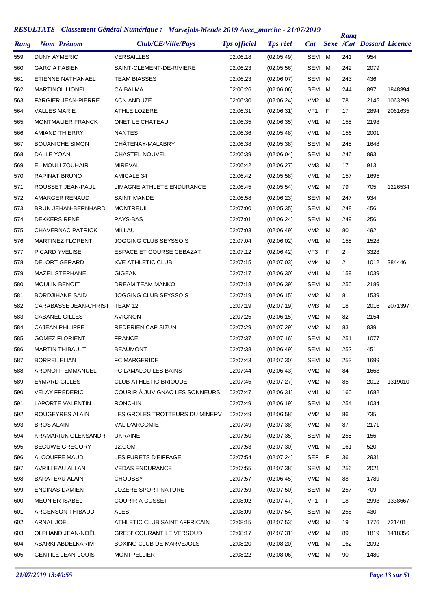| Rang | <b>Nom Prénom</b>             | Club/CE/Ville/Pays               | <b>Tps officiel</b> | <b>Tps réel</b> | <b>Cat</b>      |   | Rang | <b>Sexe /Cat Dossard Licence</b> |         |
|------|-------------------------------|----------------------------------|---------------------|-----------------|-----------------|---|------|----------------------------------|---------|
| 559  | <b>DUNY AYMERIC</b>           | <b>VERSAILLES</b>                | 02:06:18            | (02:05:49)      | SEM             | M | 241  | 954                              |         |
| 560  | <b>GARCIA FABIEN</b>          | SAINT-CLEMENT-DE-RIVIERE         | 02:06:23            | (02:05:56)      | SEM             | м | 242  | 2079                             |         |
| 561  | ETIENNE NATHANAEL             | <b>TEAM BIASSES</b>              | 02:06:23            | (02:06:07)      | SEM             | M | 243  | 436                              |         |
| 562  | <b>MARTINOL LIONEL</b>        | <b>CA BALMA</b>                  | 02:06:26            | (02:06:06)      | SEM             | M | 244  | 897                              | 1848394 |
| 563  | <b>FARGIER JEAN-PIERRE</b>    | <b>ACN ANDUZE</b>                | 02:06:30            | (02:06:24)      | VM <sub>2</sub> | M | 78   | 2145                             | 1063299 |
| 564  | <b>VALLES MARIE</b>           | ATHLE LOZERE                     | 02:06:31            | (02:06:31)      | VF <sub>1</sub> | F | 17   | 2894                             | 2061635 |
| 565  | <b>MONTMALIER FRANCK</b>      | ONET LE CHATEAU                  | 02:06:35            | (02:06:35)      | VM <sub>1</sub> | м | 155  | 2198                             |         |
| 566  | <b>AMIAND THIERRY</b>         | <b>NANTES</b>                    | 02:06:36            | (02:05:48)      | VM <sub>1</sub> | M | 156  | 2001                             |         |
| 567  | <b>BOUANICHE SIMON</b>        | CHÂTENAY-MALABRY                 | 02:06:38            | (02:05:38)      | SEM             | M | 245  | 1648                             |         |
| 568  | DALLE YOAN                    | <b>CHASTEL NOUVEL</b>            | 02:06:39            | (02:06:04)      | <b>SEM</b>      | M | 246  | 893                              |         |
| 569  | EL MOULI ZOUHAIR              | MIREVAL                          | 02:06:42            | (02:06:27)      | VM <sub>3</sub> | M | 17   | 913                              |         |
| 570  | RAPINAT BRUNO                 | <b>AMICALE 34</b>                | 02:06:42            | (02:05:58)      | VM <sub>1</sub> | M | 157  | 1695                             |         |
| 571  | ROUSSET JEAN-PAUL             | <b>LIMAGNE ATHLETE ENDURANCE</b> | 02:06:45            | (02:05:54)      | VM <sub>2</sub> | M | 79   | 705                              | 1226534 |
| 572  | AMARGER RENAUD                | <b>SAINT MANDE</b>               | 02:06:58            | (02:06:23)      | SEM             | M | 247  | 934                              |         |
| 573  | <b>BRUN JEHAN-BERNHARD</b>    | <b>MONTREUIL</b>                 | 02:07:00            | (02:05:35)      | SEM             | M | 248  | 456                              |         |
| 574  | DEKKERS RENÉ                  | PAYS-BAS                         | 02:07:01            | (02:06:24)      | SEM             | M | 249  | 256                              |         |
| 575  | <b>CHAVERNAC PATRICK</b>      | MILLAU                           | 02:07:03            | (02:06:49)      | VM <sub>2</sub> | M | 80   | 492                              |         |
| 576  | <b>MARTINEZ FLORENT</b>       | <b>JOGGING CLUB SEYSSOIS</b>     | 02:07:04            | (02:06:02)      | VM1             | M | 158  | 1528                             |         |
| 577  | PICARD YVELISE                | <b>ESPACE ET COURSE CEBAZAT</b>  | 02:07:12            | (02:06:42)      | VF <sub>3</sub> | F | 2    | 3328                             |         |
| 578  | <b>DELORT GERARD</b>          | <b>XVE ATHLETIC CLUB</b>         | 02:07:15            | (02:07:03)      | VM4             | M | 2    | 1012                             | 384446  |
| 579  | <b>MAZEL STEPHANE</b>         | <b>GIGEAN</b>                    | 02:07:17            | (02:06:30)      | VM <sub>1</sub> | M | 159  | 1039                             |         |
| 580  | <b>MOULIN BENOIT</b>          | DREAM TEAM MANKO                 | 02:07:18            | (02:06:39)      | SEM             | м | 250  | 2189                             |         |
| 581  | <b>BORDJIHANE SAID</b>        | JOGGING CLUB SEYSSOIS            | 02:07:19            | (02:06:15)      | VM <sub>2</sub> | M | 81   | 1539                             |         |
| 582  | CARABASSE JEAN-CHRIST TEAM 12 |                                  | 02:07:19            | (02:07:19)      | VM <sub>3</sub> | м | 18   | 2016                             | 2071397 |
| 583  | <b>CABANEL GILLES</b>         | <b>AVIGNON</b>                   | 02:07:25            | (02:06:15)      | VM <sub>2</sub> | M | 82   | 2154                             |         |
| 584  | <b>CAJEAN PHILIPPE</b>        | <b>REDERIEN CAP SIZUN</b>        | 02:07:29            | (02:07:29)      | VM <sub>2</sub> | м | 83   | 839                              |         |
| 585  | <b>GOMEZ FLORIENT</b>         | <b>FRANCE</b>                    | 02:07:37            | (02:07:16)      | SEM             | M | 251  | 1077                             |         |
| 586  | <b>MARTIN THIBAULT</b>        | <b>BEAUMONT</b>                  | 02:07:38            | (02:06:49)      | SEM             | M | 252  | 451                              |         |
| 587  | <b>BORREL ELIAN</b>           | <b>FC MARGERIDE</b>              | 02:07:43            | (02:07:30)      | SEM M           |   | 253  | 1699                             |         |
| 588  | ARONOFF EMMANUEL              | FC LAMALOU LES BAINS             | 02:07:44            | (02:06:43)      | VM2             | M | 84   | 1668                             |         |
| 589  | <b>EYMARD GILLES</b>          | <b>CLUB ATHLETIC BRIOUDE</b>     | 02:07:45            | (02:07:27)      | VM2             | M | 85   | 2012                             | 1319010 |
| 590  | <b>VELAY FREDERIC</b>         | COURIR À JUVIGNAC LES SONNEURS   | 02:07:47            | (02:06:31)      | VM1             | M | 160  | 1682                             |         |
| 591  | LAPORTE VALENTIN              | <b>RONCHIN</b>                   | 02:07:49            | (02:06:19)      | SEM             | M | 254  | 1034                             |         |
| 592  | ROUGEYRES ALAIN               | LES GROLES TROTTEURS DU MINERV   | 02:07:49            | (02:06:58)      | VM2             | M | 86   | 735                              |         |
| 593  | BROS ALAIN                    | <b>VAL D'ARCOMIE</b>             | 02:07:49            | (02:07:38)      | VM2             | M | 87   | 2171                             |         |
| 594  | KRAMARIUK OLEKSANDR           | <b>UKRAINE</b>                   | 02:07:50            | (02:07:35)      | SEM             | M | 255  | 156                              |         |
| 595  | <b>BECUWE GREGORY</b>         | 12.COM                           | 02:07:53            | (02:07:30)      | VM1             | M | 161  | 520                              |         |
| 596  | ALCOUFFE MAUD                 | LES FURETS D'EIFFAGE             | 02:07:54            | (02:07:24)      | SEF             | F | 36   | 2931                             |         |
| 597  | AVRILLEAU ALLAN               | <b>VEDAS ENDURANCE</b>           | 02:07:55            | (02:07:38)      | SEM M           |   | 256  | 2021                             |         |
| 598  | <b>BARATEAU ALAIN</b>         | <b>CHOUSSY</b>                   | 02:07:57            | (02:06:45)      | VM2             | M | 88   | 1789                             |         |
| 599  | <b>ENCINAS DAMIEN</b>         | LOZERE SPORT NATURE              | 02:07:59            | (02:07:50)      | SEM M           |   | 257  | 709                              |         |
| 600  | <b>MEUNIER ISABEL</b>         | <b>COURIR A CUSSET</b>           | 02:08:02            | (02:07:47)      | VF1             | F | 18   | 2993                             | 1338667 |
| 601  | ARGENSON THIBAUD              | <b>ALES</b>                      | 02:08:09            | (02:07:54)      | SEM             | M | 258  | 430                              |         |
| 602  | ARNAL JOËL                    | ATHLETIC CLUB SAINT AFFRICAIN    | 02:08:15            | (02:07:53)      | VM3             | м | 19   | 1776                             | 721401  |
| 603  | OLPHAND JEAN-NOËL             | GRESI' COURANT LE VERSOUD        | 02:08:17            | (02:07:31)      | VM2             | M | 89   | 1819                             | 1418356 |
| 604  | ABARKI ABDELKARIM             | BOXING CLUB DE MARVEJOLS         | 02:08:20            | (02:08:20)      | VM1             | м | 162  | 2092                             |         |
| 605  | <b>GENTILE JEAN-LOUIS</b>     | <b>MONTPELLIER</b>               | 02:08:22            | (02:08:06)      | VM2 M           |   | 90   | 1480                             |         |
|      |                               |                                  |                     |                 |                 |   |      |                                  |         |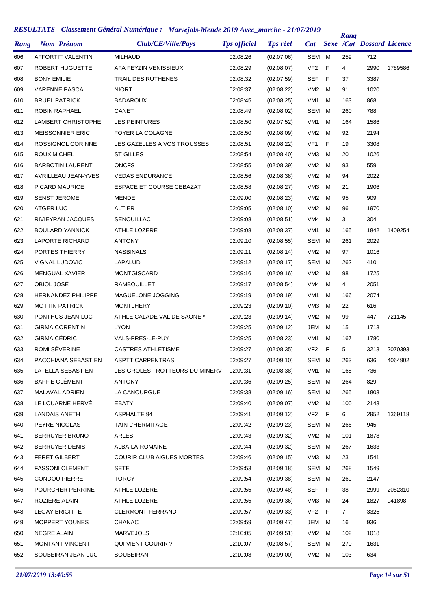|      |                      |                           | KESULIAIS - Classement General Numerique : Marvejois-Mende 2019 Avec_marche - 21/0//2019 |                     |                 |                 |     | Rang         |                           |         |
|------|----------------------|---------------------------|------------------------------------------------------------------------------------------|---------------------|-----------------|-----------------|-----|--------------|---------------------------|---------|
| Rang |                      | <b>Nom Prénom</b>         | Club/CE/Ville/Pays                                                                       | <b>Tps officiel</b> | <b>Tps réel</b> | <b>Cat</b>      |     |              | Sexe /Cat Dossard Licence |         |
| 606  |                      | AFFORTIT VALENTIN         | <b>MILHAUD</b>                                                                           | 02:08:26            | (02:07:06)      | SEM             | м   | 259          | 712                       |         |
| 607  |                      | ROBERT HUGUETTE           | AFA FEYZIN VENISSIEUX                                                                    | 02:08:29            | (02:08:07)      | VF <sub>2</sub> | F   | 4            | 2990                      | 1789586 |
| 608  | <b>BONY EMILIE</b>   |                           | <b>TRAIL DES RUTHENES</b>                                                                | 02:08:32            | (02:07:59)      | <b>SEF</b>      | - F | 37           | 3387                      |         |
| 609  |                      | <b>VARENNE PASCAL</b>     | <b>NIORT</b>                                                                             | 02:08:37            | (02:08:22)      | VM <sub>2</sub> | м   | 91           | 1020                      |         |
| 610  |                      | <b>BRUEL PATRICK</b>      | <b>BADAROUX</b>                                                                          | 02:08:45            | (02:08:25)      | VM1             | м   | 163          | 868                       |         |
| 611  |                      | <b>ROBIN RAPHAEL</b>      | CANET                                                                                    | 02:08:49            | (02:08:02)      | SEM             | м   | 260          | 788                       |         |
| 612  |                      | LAMBERT CHRISTOPHE        | <b>LES PEINTURES</b>                                                                     | 02:08:50            | (02:07:52)      | VM1             | м   | 164          | 1586                      |         |
| 613  |                      | <b>MEISSONNIER ERIC</b>   | FOYER LA COLAGNE                                                                         | 02:08:50            | (02:08:09)      | VM <sub>2</sub> | м   | 92           | 2194                      |         |
| 614  |                      | ROSSIGNOL CORINNE         | LES GAZELLES A VOS TROUSSES                                                              | 02:08:51            | (02:08:22)      | VF1             | F   | 19           | 3308                      |         |
| 615  | ROUX MICHEL          |                           | <b>ST GILLES</b>                                                                         | 02:08:54            | (02:08:40)      | VM <sub>3</sub> | м   | 20           | 1026                      |         |
| 616  |                      | <b>BARBOTIN LAURENT</b>   | <b>ONCFS</b>                                                                             | 02:08:55            | (02:08:39)      | VM <sub>2</sub> | м   | 93           | 559                       |         |
| 617  |                      | AVRILLEAU JEAN-YVES       | <b>VEDAS ENDURANCE</b>                                                                   | 02:08:56            | (02:08:38)      | VM <sub>2</sub> | м   | 94           | 2022                      |         |
| 618  |                      | PICARD MAURICE            | <b>ESPACE ET COURSE CEBAZAT</b>                                                          | 02:08:58            | (02:08:27)      | VM <sub>3</sub> | м   | 21           | 1906                      |         |
| 619  | <b>SENST JEROME</b>  |                           | <b>MENDE</b>                                                                             | 02:09:00            | (02:08:23)      | VM <sub>2</sub> | м   | 95           | 909                       |         |
| 620  | ATGER LUC            |                           | <b>ALTIER</b>                                                                            | 02:09:05            | (02:08:10)      | VM <sub>2</sub> | м   | 96           | 1970                      |         |
| 621  |                      | RIVIEYRAN JACQUES         | SENOUILLAC                                                                               | 02:09:08            | (02:08:51)      | VM4             | м   | 3            | 304                       |         |
| 622  |                      | <b>BOULARD YANNICK</b>    | <b>ATHLE LOZERE</b>                                                                      | 02:09:08            | (02:08:37)      | VM <sub>1</sub> | м   | 165          | 1842                      | 1409254 |
| 623  |                      | LAPORTE RICHARD           | <b>ANTONY</b>                                                                            | 02:09:10            | (02:08:55)      | <b>SEM</b>      | м   | 261          | 2029                      |         |
| 624  |                      | PORTES THIERRY            | <b>NASBINALS</b>                                                                         | 02:09:11            | (02:08:14)      | VM <sub>2</sub> | м   | 97           | 1016                      |         |
| 625  |                      | VIGNAL LUDOVIC            | LAPALUD                                                                                  | 02:09:12            | (02:08:17)      | <b>SEM</b>      | м   | 262          | 410                       |         |
| 626  |                      | MENGUAL XAVIER            | MONTGISCARD                                                                              | 02:09:16            | (02:09:16)      | VM <sub>2</sub> | м   | 98           | 1725                      |         |
| 627  | OBIOL JOSÉ           |                           | <b>RAMBOUILLET</b>                                                                       | 02:09:17            | (02:08:54)      | VM4             | м   | 4            | 2051                      |         |
| 628  |                      | <b>HERNANDEZ PHILIPPE</b> | MAGUELONE JOGGING                                                                        | 02:09:19            | (02:08:19)      | VM <sub>1</sub> | м   | 166          | 2074                      |         |
| 629  |                      | <b>MOTTIN PATRICK</b>     | <b>MONTLHERY</b>                                                                         | 02:09:23            | (02:09:10)      | VM <sub>3</sub> | м   | 22           | 616                       |         |
| 630  |                      | PONTHUS JEAN-LUC          | ATHLE CALADE VAL DE SAONE *                                                              | 02:09:23            | (02:09:14)      | VM <sub>2</sub> | м   | 99           | 447                       | 721145  |
| 631  |                      | <b>GIRMA CORENTIN</b>     | <b>LYON</b>                                                                              | 02:09:25            | (02:09:12)      | JEM             | м   | 15           | 1713                      |         |
| 632  | <b>GIRMA CÉDRIC</b>  |                           | VALS-PRES-LE-PUY                                                                         | 02:09:25            | (02:08:23)      | VM <sub>1</sub> | м   | 167          | 1780                      |         |
| 633  | ROMI SÉVERINE        |                           | <b>CASTRES ATHLETISME</b>                                                                | 02:09:27            | (02:08:35)      | VF <sub>2</sub> | F   | 5            | 3213                      | 2070393 |
| 634  |                      | PACCHIANA SEBASTIEN       | ASPTT CARPENTRAS                                                                         | 02:09:27            | (02:09:10)      | SEM M           |     | 263          | 636                       | 4064902 |
| 635  |                      | LATELLA SEBASTIEN         | LES GROLES TROTTEURS DU MINERV                                                           | 02:09:31            | (02:08:38)      | VM1             | М   | 168          | 736                       |         |
| 636  |                      | <b>BAFFIE CLÉMENT</b>     | ANTONY                                                                                   | 02:09:36            | (02:09:25)      | SEM M           |     | 264          | 829                       |         |
| 637  |                      | MALAVAL ADRIEN            | LA CANOURGUE                                                                             | 02:09:38            | (02:09:16)      | SEM             | м   | 265          | 1803                      |         |
| 638  |                      | LE LOUARNE HERVÉ          | EBATY                                                                                    | 02:09:40            | (02:09:07)      | VM2             | M   | 100          | 2143                      |         |
| 639  | <b>LANDAIS ANETH</b> |                           | <b>ASPHALTE 94</b>                                                                       | 02:09:41            | (02:09:12)      | VF <sub>2</sub> | - F | 6            | 2952                      | 1369118 |
| 640  |                      | PEYRE NICOLAS             | <b>TAIN L'HERMITAGE</b>                                                                  | 02:09:42            | (02:09:23)      | SEM M           |     | 266          | 945                       |         |
| 641  |                      | BERRUYER BRUNO            | <b>ARLES</b>                                                                             | 02:09:43            | (02:09:32)      | VM2             | м   | 101          | 1878                      |         |
| 642  |                      | BERRUYER DENIS            | ALBA-LA-ROMAINE                                                                          | 02:09:44            | (02:09:32)      | SEM M           |     | 267          | 1633                      |         |
| 643  | <b>FERET GILBERT</b> |                           | <b>COURIR CLUB AIGUES MORTES</b>                                                         | 02:09:46            | (02:09:15)      | VM3             | М   | 23           | 1541                      |         |
| 644  |                      | <b>FASSONI CLEMENT</b>    | SETE                                                                                     | 02:09:53            | (02:09:18)      | SEM M           |     | 268          | 1549                      |         |
| 645  |                      | <b>CONDOU PIERRE</b>      | <b>TORCY</b>                                                                             | 02:09:54            | (02:09:38)      | SEM M           |     | 269          | 2147                      |         |
| 646  |                      | POURCHER PERRINE          | ATHLE LOZERE                                                                             | 02:09:55            | (02:09:48)      | SEF F           |     | 38           | 2999                      | 2082810 |
| 647  | ROZIERE ALAIN        |                           | ATHLE LOZERE                                                                             | 02:09:55            | (02:09:36)      | VM3             | M   | 24           | 1827                      | 941898  |
| 648  |                      | <b>LEGAY BRIGITTE</b>     | CLERMONT-FERRAND                                                                         | 02:09:57            | (02:09:33)      | VF <sub>2</sub> | -F  | $\mathbf{7}$ | 3325                      |         |
| 649  |                      | MOPPERT YOUNES            | CHANAC                                                                                   | 02:09:59            | (02:09:47)      | JEM             | M   | 16           | 936                       |         |
| 650  | <b>NEGRE ALAIN</b>   |                           | <b>MARVEJOLS</b>                                                                         | 02:10:05            | (02:09:51)      | VM2             | M   | 102          | 1018                      |         |
| 651  |                      | MONTANT VINCENT           | <b>QUI VIENT COURIR?</b>                                                                 | 02:10:07            | (02:08:57)      | SEM             | M   | 270          | 1631                      |         |
| 652  |                      | SOUBEIRAN JEAN LUC        | SOUBEIRAN                                                                                | 02:10:08            | (02:09:00)      | VM2 M           |     | 103          | 634                       |         |
|      |                      |                           |                                                                                          |                     |                 |                 |     |              |                           |         |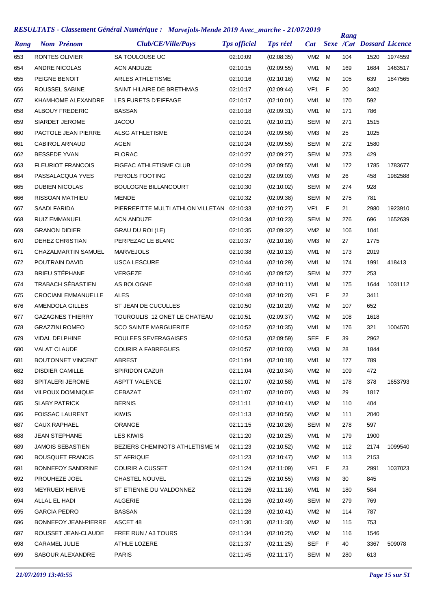|      |                            | KESULIAIS • Classement General Numerique : Marvejots-Menae 2019 Avec_marche • 21/07/2019 |                     |                 |                 |   | Rang |                           |         |
|------|----------------------------|------------------------------------------------------------------------------------------|---------------------|-----------------|-----------------|---|------|---------------------------|---------|
| Rang | <b>Nom Prénom</b>          | Club/CE/Ville/Pays                                                                       | <b>Tps officiel</b> | <b>Tps réel</b> | <b>Cat</b>      |   |      | Sexe /Cat Dossard Licence |         |
| 653  | RONTES OLIVIER             | SA TOULOUSE UC                                                                           | 02:10:09            | (02:08:35)      | VM <sub>2</sub> | м | 104  | 1520                      | 1974559 |
| 654  | ANDRE NICOLAS              | <b>ACN ANDUZE</b>                                                                        | 02:10:15            | (02:09:55)      | VM <sub>1</sub> | м | 169  | 1684                      | 1463517 |
| 655  | PEIGNE BENOIT              | <b>ARLES ATHLETISME</b>                                                                  | 02:10:16            | (02:10:16)      | VM2             | м | 105  | 639                       | 1847565 |
| 656  | <b>ROUSSEL SABINE</b>      | SAINT HILAIRE DE BRETHMAS                                                                | 02:10:17            | (02:09:44)      | VF <sub>1</sub> | F | 20   | 3402                      |         |
| 657  | KHAMHOME ALEXANDRE         | LES FURETS D'EIFFAGE                                                                     | 02:10:17            | (02:10:01)      | VM <sub>1</sub> | м | 170  | 592                       |         |
| 658  | ALBOUY FREDERIC            | <b>BASSAN</b>                                                                            | 02:10:18            | (02:09:31)      | VM <sub>1</sub> | м | 171  | 786                       |         |
| 659  | SIARDET JEROME             | <b>JACOU</b>                                                                             | 02:10:21            | (02:10:21)      | SEM             | м | 271  | 1515                      |         |
| 660  | PACTOLE JEAN PIERRE        | <b>ALSG ATHLETISME</b>                                                                   | 02:10:24            | (02:09:56)      | VM <sub>3</sub> | М | 25   | 1025                      |         |
| 661  | <b>CABIROL ARNAUD</b>      | AGEN                                                                                     | 02:10:24            | (02:09:55)      | SEM             | м | 272  | 1580                      |         |
| 662  | <b>BESSEDE YVAN</b>        | <b>FLORAC</b>                                                                            | 02:10:27            | (02:09:27)      | <b>SEM</b>      | м | 273  | 429                       |         |
| 663  | <b>FLEURIOT FRANCOIS</b>   | FIGEAC ATHLETISME CLUB                                                                   | 02:10:29            | (02:09:55)      | VM <sub>1</sub> | м | 172  | 1785                      | 1783677 |
| 664  | PASSALACQUA YVES           | PEROLS FOOTING                                                                           | 02:10:29            | (02:09:03)      | VM <sub>3</sub> | М | 26   | 458                       | 1982588 |
| 665  | <b>DUBIEN NICOLAS</b>      | <b>BOULOGNE BILLANCOURT</b>                                                              | 02:10:30            | (02:10:02)      | SEM             | м | 274  | 928                       |         |
| 666  | <b>RISSOAN MATHIEU</b>     | <b>MENDE</b>                                                                             | 02:10:32            | (02:09:38)      | SEM             | м | 275  | 781                       |         |
| 667  | SAADI FARIDA               | PIERREFITTE MULTI ATHLON VILLETAN                                                        | 02:10:33            | (02:10:27)      | VF <sub>1</sub> | F | 21   | 2980                      | 1923910 |
| 668  | <b>RUIZ EMMANUEL</b>       | <b>ACN ANDUZE</b>                                                                        | 02:10:34            | (02:10:23)      | SEM             | м | 276  | 696                       | 1652639 |
| 669  | <b>GRANON DIDIER</b>       | <b>GRAU DU ROI (LE)</b>                                                                  | 02:10:35            | (02:09:32)      | VM <sub>2</sub> | м | 106  | 1041                      |         |
| 670  | DEHEZ CHRISTIAN            | PERPEZAC LE BLANC                                                                        | 02:10:37            | (02:10:16)      | VM <sub>3</sub> | М | 27   | 1775                      |         |
| 671  | CHAZALMARTIN SAMUEL        | <b>MARVEJOLS</b>                                                                         | 02:10:38            | (02:10:13)      | VM <sub>1</sub> | м | 173  | 2019                      |         |
| 672  | POUTRAIN DAVID             | <b>USCA LESCURE</b>                                                                      | 02:10:44            | (02:10:29)      | VM <sub>1</sub> | М | 174  | 1991                      | 418413  |
| 673  | <b>BRIEU STÉPHANE</b>      | VERGEZE                                                                                  | 02:10:46            | (02:09:52)      | <b>SEM</b>      | м | 277  | 253                       |         |
| 674  | TRABACH SÉBASTIEN          | AS BOLOGNE                                                                               | 02:10:48            | (02:10:11)      | VM <sub>1</sub> | м | 175  | 1644                      | 1031112 |
| 675  | <b>CROCIANI EMMANUELLE</b> | <b>ALES</b>                                                                              | 02:10:48            | (02:10:20)      | VF <sub>1</sub> | F | 22   | 3411                      |         |
| 676  | AMENDOLA GILLES            | ST JEAN DE CUCULLES                                                                      | 02:10:50            | (02:10:20)      | VM <sub>2</sub> | М | 107  | 652                       |         |
| 677  | <b>GAZAGNES THIERRY</b>    | TOUROULIS 12 ONET LE CHATEAU                                                             | 02:10:51            | (02:09:37)      | VM <sub>2</sub> | м | 108  | 1618                      |         |
| 678  | <b>GRAZZINI ROMEO</b>      | <b>SCO SAINTE MARGUERITE</b>                                                             | 02:10:52            | (02:10:35)      | VM <sub>1</sub> | М | 176  | 321                       | 1004570 |
| 679  | VIDAL DELPHINE             | <b>FOULEES SEVERAGAISES</b>                                                              | 02:10:53            | (02:09:59)      | <b>SEF</b>      | F | 39   | 2962                      |         |
| 680  | <b>VALAT CLAUDE</b>        | <b>COURIR A FABREGUES</b>                                                                | 02:10:57            | (02:10:03)      | VM3             | M | 28   | 1844                      |         |
| 681  | <b>BOUTONNET VINCENT</b>   | ABREST                                                                                   | 02:11:04            | (02:10:18)      | VM1             | M | 177  | 789                       |         |
| 682  | <b>DISDIER CAMILLE</b>     | SPIRIDON CAZUR                                                                           | 02:11:04            | (02:10:34)      | VM <sub>2</sub> | M | 109  | 472                       |         |
| 683  | SPITALERI JEROME           | <b>ASPTT VALENCE</b>                                                                     | 02:11:07            | (02:10:58)      | VM1             | M | 178  | 378                       | 1653793 |
| 684  | VILPOUX DOMINIQUE          | CEBAZAT                                                                                  | 02:11:07            | (02:10:07)      | VM3             | м | 29   | 1817                      |         |
| 685  | <b>SLABY PATRICK</b>       | <b>BERNIS</b>                                                                            | 02:11:11            | (02:10:41)      | VM2             | M | 110  | 404                       |         |
| 686  | <b>FOISSAC LAURENT</b>     | <b>KIWIS</b>                                                                             | 02:11:13            | (02:10:56)      | VM2             | м | 111  | 2040                      |         |
| 687  | CAUX RAPHAEL               | ORANGE                                                                                   | 02:11:15            | (02:10:26)      | SEM M           |   | 278  | 597                       |         |
| 688  | <b>JEAN STEPHANE</b>       | <b>LES KIWIS</b>                                                                         | 02:11:20            | (02:10:25)      | VM1             | м | 179  | 1900                      |         |
| 689  | <b>JAMOIS SEBASTIEN</b>    | BEZIERS CHEMINOTS ATHLETISME M                                                           | 02:11:23            | (02:10:52)      | VM2             | M | 112  | 2174                      | 1099540 |
| 690  | <b>BOUSQUET FRANCIS</b>    | ST AFRIQUE                                                                               | 02:11:23            | (02:10:47)      | VM2             | M | 113  | 2153                      |         |
| 691  | <b>BONNEFOY SANDRINE</b>   | <b>COURIR A CUSSET</b>                                                                   | 02:11:24            | (02:11:09)      | VF1             | F | 23   | 2991                      | 1037023 |
| 692  | PROUHEZE JOEL              | CHASTEL NOUVEL                                                                           | 02:11:25            | (02:10:55)      | VM3             | М | 30   | 845                       |         |
| 693  | <b>MEYRUEIX HERVE</b>      | ST ETIENNE DU VALDONNEZ                                                                  | 02:11:26            | (02:11:16)      | VM1             | м | 180  | 584                       |         |
| 694  | ALLAL EL HADI              | ALGERIE                                                                                  | 02:11:26            | (02:10:49)      | SEM             | M | 279  | 769                       |         |
| 695  | <b>GARCIA PEDRO</b>        | <b>BASSAN</b>                                                                            | 02:11:28            | (02:10:41)      | VM2 M           |   | 114  | 787                       |         |
| 696  | BONNEFOY JEAN-PIERRE       | ASCET 48                                                                                 | 02:11:30            | (02:11:30)      | VM <sub>2</sub> | м | 115  | 753                       |         |
| 697  | ROUSSET JEAN-CLAUDE        | FREE RUN / A3 TOURS                                                                      | 02:11:34            | (02:10:25)      | VM2             | M | 116  | 1546                      |         |
|      | CARAMEL JULIE              | ATHLE LOZERE                                                                             | 02:11:37            | (02:11:25)      |                 |   | 40   | 3367                      | 509078  |
| 698  |                            |                                                                                          |                     |                 | SEF F           |   |      |                           |         |
| 699  | SABOUR ALEXANDRE           | <b>PARIS</b>                                                                             | 02:11:45            | (02:11:17)      | SEM M           |   | 280  | 613                       |         |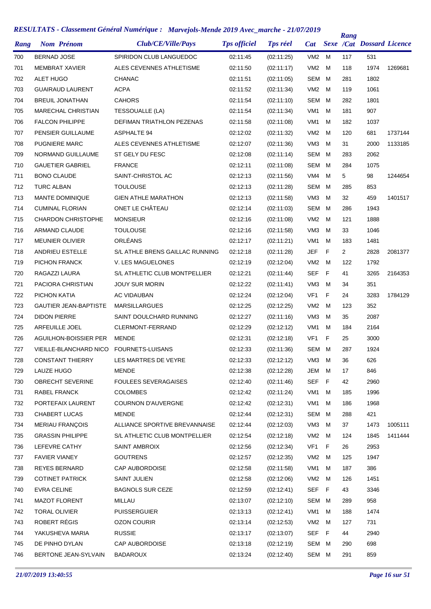| Rang | <b>Nom Prénom</b>            | Club/CE/Ville/Pays              | <b>Tps officiel</b> | <b>Tps réel</b> | <b>Cat</b>      |     | Rang | <b>Sexe /Cat Dossard Licence</b> |         |
|------|------------------------------|---------------------------------|---------------------|-----------------|-----------------|-----|------|----------------------------------|---------|
| 700  | <b>BERNAD JOSE</b>           | SPIRIDON CLUB LANGUEDOC         | 02:11:45            | (02:11:25)      | VM2             | м   | 117  | 531                              |         |
| 701  | MEMBRAT XAVIER               | ALES CEVENNES ATHLETISME        | 02:11:50            | (02:11:17)      | VM <sub>2</sub> | м   | 118  | 1974                             | 1269681 |
| 702  | <b>ALET HUGO</b>             | <b>CHANAC</b>                   | 02:11:51            | (02:11:05)      | SEM             | м   | 281  | 1802                             |         |
| 703  | <b>GUAIRAUD LAURENT</b>      | <b>ACPA</b>                     | 02:11:52            | (02:11:34)      | VM <sub>2</sub> | м   | 119  | 1061                             |         |
| 704  | <b>BREUIL JONATHAN</b>       | CAHORS                          | 02:11:54            | (02:11:10)      | <b>SEM</b>      | м   | 282  | 1801                             |         |
| 705  | <b>MARECHAL CHRISTIAN</b>    | TESSOUALLE (LA)                 | 02:11:54            | (02:11:34)      | VM <sub>1</sub> | м   | 181  | 907                              |         |
| 706  | <b>FALCON PHILIPPE</b>       | DEFIMAN TRIATHLON PEZENAS       | 02:11:58            | (02:11:08)      | VM <sub>1</sub> | м   | 182  | 1037                             |         |
| 707  | PENSIER GUILLAUME            | <b>ASPHALTE 94</b>              | 02:12:02            | (02:11:32)      | VM <sub>2</sub> | м   | 120  | 681                              | 1737144 |
| 708  | <b>PUGNIERE MARC</b>         | ALES CEVENNES ATHLETISME        | 02:12:07            | (02:11:36)      | VM <sub>3</sub> | м   | 31   | 2000                             | 1133185 |
| 709  | <b>NORMAND GUILLAUME</b>     | ST GELY DU FESC                 | 02:12:08            | (02:11:14)      | SEM             | м   | 283  | 2062                             |         |
| 710  | <b>GAUETIER GABRIEL</b>      | <b>FRANCE</b>                   | 02:12:11            | (02:11:08)      | SEM             | м   | 284  | 1075                             |         |
| 711  | <b>BONO CLAUDE</b>           | SAINT-CHRISTOL AC               | 02:12:13            | (02:11:56)      | VM4             | м   | 5    | 98                               | 1244654 |
| 712  | <b>TURC ALBAN</b>            | <b>TOULOUSE</b>                 | 02:12:13            | (02:11:28)      | SEM             | м   | 285  | 853                              |         |
| 713  | <b>MANTE DOMINIQUE</b>       | <b>GIEN ATHLE MARATHON</b>      | 02:12:13            | (02:11:58)      | VM <sub>3</sub> | м   | 32   | 459                              | 1401517 |
| 714  | <b>CUMINAL FLORIAN</b>       | ONET LE CHÂTEAU                 | 02:12:14            | (02:11:03)      | SEM             | м   | 286  | 1943                             |         |
| 715  | <b>CHARDON CHRISTOPHE</b>    | <b>MONSIEUR</b>                 | 02:12:16            | (02:11:08)      | VM <sub>2</sub> | м   | 121  | 1888                             |         |
| 716  | <b>ARMAND CLAUDE</b>         | <b>TOULOUSE</b>                 | 02:12:16            | (02:11:58)      | VM <sub>3</sub> | м   | 33   | 1046                             |         |
| 717  | <b>MEUNIER OLIVIER</b>       | ORLÉANS                         | 02:12:17            | (02:11:21)      | VM <sub>1</sub> | м   | 183  | 1481                             |         |
| 718  | ANDRIEU ESTELLE              | S/L ATHLE BRENS GAILLAC RUNNING | 02:12:18            | (02:11:28)      | JEF             | F   | 2    | 2828                             | 2081377 |
| 719  | PICHON FRANCK                | V. LES MAGUELONES               | 02:12:19            | (02:12:04)      | VM <sub>2</sub> | м   | 122  | 1792                             |         |
| 720  | RAGAZZI LAURA                | S/L ATHLETIC CLUB MONTPELLIER   | 02:12:21            | (02:11:44)      | <b>SEF</b>      | F   | 41   | 3265                             | 2164353 |
| 721  | PACIORA CHRISTIAN            | <b>JOUY SUR MORIN</b>           | 02:12:22            | (02:11:41)      | VM <sub>3</sub> | м   | 34   | 351                              |         |
| 722  | PICHON KATIA                 | <b>AC VIDAUBAN</b>              | 02:12:24            | (02:12:04)      | VF1             | F   | 24   | 3283                             | 1784129 |
| 723  | <b>GAUTIER JEAN-BAPTISTE</b> | <b>MARSILLARGUES</b>            | 02:12:25            | (02:12:25)      | VM <sub>2</sub> | м   | 123  | 352                              |         |
| 724  | <b>DIDON PIERRE</b>          | SAINT DOULCHARD RUNNING         | 02:12:27            | (02:11:16)      | VM <sub>3</sub> | м   | 35   | 2087                             |         |
| 725  | <b>ARFEUILLE JOEL</b>        | <b>CLERMONT-FERRAND</b>         | 02:12:29            | (02:12:12)      | VM <sub>1</sub> | м   | 184  | 2164                             |         |
| 726  | AGUILHON-BOISSIER PER        | MENDE                           | 02:12:31            | (02:12:18)      | VF1             | F   | 25   | 3000                             |         |
| 727  | VIEILLE-BLANCHARD NICO       | <b>FOURNETS-LUISANS</b>         | 02:12:33            | (02:11:36)      | SEM             | M   | 287  | 1924                             |         |
| 728  | <b>CONSTANT THIERRY</b>      | LES MARTRES DE VEYRE            | 02:12:33            | (02:12:12)      | VM3             | М   | 36   | 626                              |         |
| 729  | LAUZE HUGO                   | <b>MENDE</b>                    | 02:12:38            | (02:12:28)      | JEM             | м   | 17   | 846                              |         |
| 730  | <b>OBRECHT SEVERINE</b>      | <b>FOULEES SEVERAGAISES</b>     | 02:12:40            | (02:11:46)      | SEF             | - F | 42   | 2960                             |         |
| 731  | RABEL FRANCK                 | <b>COLOMBES</b>                 | 02:12:42            | (02:11:24)      | VM1             | м   | 185  | 1996                             |         |
| 732  | PORTEFAIX LAURENT            | COURNON D'AUVERGNE              | 02:12:42            | (02:12:31)      | VM1             | м   | 186  | 1968                             |         |
| 733  | <b>CHABERT LUCAS</b>         | MENDE                           | 02:12:44            | (02:12:31)      | SEM             | м   | 288  | 421                              |         |
| 734  | <b>MERIAU FRANÇOIS</b>       | ALLIANCE SPORTIVE BREVANNAISE   | 02:12:44            | (02:12:03)      | VM3             | м   | 37   | 1473                             | 1005111 |
| 735  | <b>GRASSIN PHILIPPE</b>      | S/L ATHLETIC CLUB MONTPELLIER   | 02:12:54            | (02:12:18)      | VM <sub>2</sub> | м   | 124  | 1845                             | 1411444 |
| 736  | LEFEVRE CATHY                | SAINT AMBROIX                   | 02:12:56            | (02:12:34)      | VF1             | F   | 26   | 2953                             |         |
| 737  | <b>FAVIER VIANEY</b>         | <b>GOUTRENS</b>                 | 02:12:57            | (02:12:35)      | VM <sub>2</sub> | м   | 125  | 1947                             |         |
| 738  | <b>REYES BERNARD</b>         | CAP AUBORDOISE                  | 02:12:58            | (02:11:58)      | VM1             | м   | 187  | 386                              |         |
| 739  | <b>COTINET PATRICK</b>       | <b>SAINT JULIEN</b>             | 02:12:58            | (02:12:06)      | VM <sub>2</sub> | м   | 126  | 1451                             |         |
| 740  | <b>EVRA CELINE</b>           | <b>BAGNOLS SUR CEZE</b>         | 02:12:59            | (02:12:41)      | SEF             | - F | 43   | 3346                             |         |
| 741  | <b>MAZOT FLORENT</b>         | <b>MILLAU</b>                   | 02:13:07            | (02:12:10)      | SEM             | м   | 289  | 958                              |         |
| 742  | <b>TORAL OLIVIER</b>         | <b>PUISSERGUIER</b>             | 02:13:13            | (02:12:41)      | VM1             | м   | 188  | 1474                             |         |
| 743  | ROBERT RÉGIS                 | <b>OZON COURIR</b>              | 02:13:14            | (02:12:53)      | VM <sub>2</sub> | м   | 127  | 731                              |         |
| 744  | YAKUSHEVA MARIA              | <b>RUSSIE</b>                   | 02:13:17            | (02:13:07)      | SEF F           |     | 44   | 2940                             |         |
| 745  | DE PINHO DYLAN               | CAP AUBORDOISE                  | 02:13:18            | (02:12:19)      | SEM             | М   | 290  | 698                              |         |
| 746  | BERTONE JEAN-SYLVAIN         | <b>BADAROUX</b>                 | 02:13:24            | (02:12:40)      | SEM M           |     | 291  | 859                              |         |
|      |                              |                                 |                     |                 |                 |     |      |                                  |         |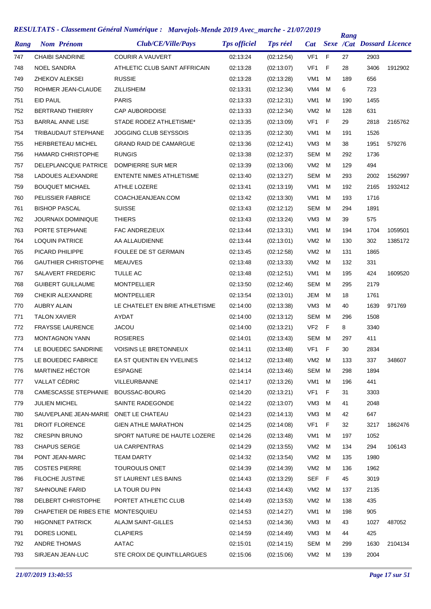|      |                                       | KESULIAIS • Classement General Numerique : Marvejots-Menae 2019 Avec_marche • 21/0//2019 |                     |                 |                 |             | Rang |                                  |         |
|------|---------------------------------------|------------------------------------------------------------------------------------------|---------------------|-----------------|-----------------|-------------|------|----------------------------------|---------|
| Rang | <b>Nom Prénom</b>                     | Club/CE/Ville/Pays                                                                       | <b>Tps officiel</b> | <b>Tps réel</b> | <b>Cat</b>      |             |      | <b>Sexe /Cat Dossard Licence</b> |         |
| 747  | <b>CHAIBI SANDRINE</b>                | <b>COURIR A VAUVERT</b>                                                                  | 02:13:24            | (02:12:54)      | VF <sub>1</sub> | F           | 27   | 2903                             |         |
| 748  | <b>NOEL SANDRA</b>                    | ATHLETIC CLUB SAINT AFFRICAIN                                                            | 02:13:28            | (02:13:07)      | VF <sub>1</sub> | F           | 28   | 3406                             | 1912902 |
| 749  | ZHEKOV ALEKSEI                        | <b>RUSSIE</b>                                                                            | 02:13:28            | (02:13:28)      | VM <sub>1</sub> | м           | 189  | 656                              |         |
| 750  | ROHMER JEAN-CLAUDE                    | <b>ZILLISHEIM</b>                                                                        | 02:13:31            | (02:12:34)      | VM4             | м           | 6    | 723                              |         |
| 751  | EID PAUL                              | <b>PARIS</b>                                                                             | 02:13:33            | (02:12:31)      | VM <sub>1</sub> | м           | 190  | 1455                             |         |
| 752  | <b>BERTRAND THIERRY</b>               | <b>CAP AUBORDOISE</b>                                                                    | 02:13:33            | (02:12:34)      | VM <sub>2</sub> | м           | 128  | 631                              |         |
| 753  | <b>BARRAL ANNE LISE</b>               | STADE RODEZ ATHLETISME*                                                                  | 02:13:35            | (02:13:09)      | VF <sub>1</sub> | F           | 29   | 2818                             | 2165762 |
| 754  | TRIBAUDAUT STEPHANE                   | JOGGING CLUB SEYSSOIS                                                                    | 02:13:35            | (02:12:30)      | VM <sub>1</sub> | м           | 191  | 1526                             |         |
| 755  | HERBRETEAU MICHEL                     | <b>GRAND RAID DE CAMARGUE</b>                                                            | 02:13:36            | (02:12:41)      | VM <sub>3</sub> | м           | 38   | 1951                             | 579276  |
| 756  | <b>HAMARD CHRISTOPHE</b>              | <b>RUNGIS</b>                                                                            | 02:13:38            | (02:12:37)      | <b>SEM</b>      | м           | 292  | 1736                             |         |
| 757  | DELEPLANCQUE PATRICE                  | DOMPIERRE SUR MER                                                                        | 02:13:39            | (02:13:06)      | VM <sub>2</sub> | м           | 129  | 494                              |         |
| 758  | LADOUES ALEXANDRE                     | <b>ENTENTE NIMES ATHLETISME</b>                                                          | 02:13:40            | (02:13:27)      | <b>SEM</b>      | м           | 293  | 2002                             | 1562997 |
| 759  | <b>BOUQUET MICHAEL</b>                | ATHLE LOZERE                                                                             | 02:13:41            | (02:13:19)      | VM <sub>1</sub> | м           | 192  | 2165                             | 1932412 |
| 760  | PELISSIER FABRICE                     | COACHJEANJEAN.COM                                                                        | 02:13:42            | (02:13:30)      | VM <sub>1</sub> | м           | 193  | 1716                             |         |
| 761  | <b>BISHOP PASCAL</b>                  | <b>SUISSE</b>                                                                            | 02:13:43            | (02:12:12)      | SEM             | м           | 294  | 1891                             |         |
| 762  | <b>JOURNAIX DOMINIQUE</b>             | <b>THIERS</b>                                                                            | 02:13:43            | (02:13:24)      | VM <sub>3</sub> | м           | 39   | 575                              |         |
| 763  | PORTE STEPHANE                        | FAC ANDREZIEUX                                                                           | 02:13:44            | (02:13:31)      | VM <sub>1</sub> | м           | 194  | 1704                             | 1059501 |
| 764  | <b>LOQUIN PATRICE</b>                 | AA ALLAUDIENNE                                                                           | 02:13:44            | (02:13:01)      | VM <sub>2</sub> | м           | 130  | 302                              | 1385172 |
| 765  | PICARD PHILIPPE                       | <b>FOULEE DE ST GERMAIN</b>                                                              | 02:13:45            | (02:12:58)      | VM <sub>2</sub> | м           | 131  | 1865                             |         |
| 766  | <b>GAUTHIER CHRISTOPHE</b>            | <b>MEAUVES</b>                                                                           | 02:13:48            | (02:13:33)      | VM <sub>2</sub> | м           | 132  | 331                              |         |
| 767  | SALAVERT FREDERIC                     | TULLE AC                                                                                 | 02:13:48            | (02:12:51)      | VM <sub>1</sub> | M           | 195  | 424                              | 1609520 |
| 768  | <b>GUIBERT GUILLAUME</b>              | <b>MONTPELLIER</b>                                                                       | 02:13:50            | (02:12:46)      | SEM             | м           | 295  | 2179                             |         |
| 769  | <b>CHEKIR ALEXANDRE</b>               | <b>MONTPELLIER</b>                                                                       | 02:13:54            | (02:13:01)      | JEM             | м           | 18   | 1761                             |         |
| 770  | <b>AUBRY ALAIN</b>                    | LE CHATELET EN BRIE ATHLETISME                                                           | 02:14:00            | (02:13:38)      | VM <sub>3</sub> | м           | 40   | 1639                             | 971769  |
| 771  | <b>TALON XAVIER</b>                   | AYDAT                                                                                    | 02:14:00            | (02:13:12)      | SEM             | м           | 296  | 1508                             |         |
| 772  | <b>FRAYSSE LAURENCE</b>               | <b>JACOU</b>                                                                             | 02:14:00            | (02:13:21)      | VF <sub>2</sub> | $\mathsf F$ | 8    | 3340                             |         |
| 773  | <b>MONTAGNON YANN</b>                 | <b>ROSIERES</b>                                                                          | 02:14:01            | (02:13:43)      | SEM             | M           | 297  | 411                              |         |
| 774  | LE BOUEDEC SANDRINE                   | <b>VOISINS LE BRETONNEUX</b>                                                             | 02:14:11            | (02:13:48)      | VF <sub>1</sub> | F           | 30   | 2834                             |         |
| 775  | LE BOUEDEC FABRICE                    | EA ST QUENTIN EN YVELINES                                                                | 02:14:12            | (02:13:48)      | VM2 M           |             | 133  | 337                              | 348607  |
| 776  | MARTINEZ HÉCTOR                       | <b>ESPAGNE</b>                                                                           | 02:14:14            | (02:13:46)      | SEM             | M           | 298  | 1894                             |         |
| 777  | VALLAT CÉDRIC                         | VILLEURBANNE                                                                             | 02:14:17            | (02:13:26)      | VM1             | M           | 196  | 441                              |         |
| 778  | CAMESCASSE STEPHANIE                  | BOUSSAC-BOURG                                                                            | 02:14:20            | (02:13:21)      | VF <sub>1</sub> | F           | 31   | 3303                             |         |
| 779  | <b>JULIEN MICHEL</b>                  | SAINTE RADEGONDE                                                                         | 02:14:22            | (02:13:07)      | VM3             | м           | 41   | 2048                             |         |
| 780  | SAUVEPLANE JEAN-MARIE ONET LE CHATEAU |                                                                                          | 02:14:23            | (02:14:13)      | VM3             | м           | 42   | 647                              |         |
| 781  | <b>DROIT FLORENCE</b>                 | <b>GIEN ATHLE MARATHON</b>                                                               | 02:14:25            | (02:14:08)      | VF <sub>1</sub> | F           | 32   | 3217                             | 1862476 |
| 782  | <b>CRESPIN BRUNO</b>                  | SPORT NATURE DE HAUTE LOZERE                                                             | 02:14:26            | (02:13:48)      | VM1             | м           | 197  | 1052                             |         |
| 783  | <b>CHAPUS SERGE</b>                   | <b>UA CARPENTRAS</b>                                                                     | 02:14:29            | (02:13:55)      | VM <sub>2</sub> | M           | 134  | 294                              | 106143  |
| 784  | PONT JEAN-MARC                        | <b>TEAM DARTY</b>                                                                        | 02:14:32            | (02:13:54)      | VM2             | M           | 135  | 1980                             |         |
| 785  | <b>COSTES PIERRE</b>                  | TOUROULIS ONET                                                                           | 02:14:39            | (02:14:39)      | VM2 M           |             | 136  | 1962                             |         |
| 786  | <b>FILOCHE JUSTINE</b>                | ST LAURENT LES BAINS                                                                     | 02:14:43            | (02:13:29)      | SEF             | - F         | 45   | 3019                             |         |
| 787  | SAHNOUNE FARID                        | LA TOUR DU PIN                                                                           | 02:14:43            | (02.14.43)      | VM2 M           |             | 137  | 2135                             |         |
| 788  | DELBERT CHRISTOPHE                    | PORTET ATHLETIC CLUB                                                                     | 02:14:49            | (02:13:53)      | VM2             | M           | 138  | 435                              |         |
| 789  | CHAPETIER DE RIBES ETIE MONTESQUIEU   |                                                                                          | 02:14:53            | (02:14:27)      | VM1             | м           | 198  | 905                              |         |
| 790  | <b>HIGONNET PATRICK</b>               | <b>ALAJM SAINT-GILLES</b>                                                                | 02:14:53            | (02:14:36)      | VM3             | м           | 43   | 1027                             | 487052  |
| 791  | DORES LIONEL                          | <b>CLAPIERS</b>                                                                          | 02:14:59            | (02.14.49)      | VM3             | м           | 44   | 425                              |         |
| 792  | ANDRE THOMAS                          | AATAC                                                                                    | 02:15:01            | (02:14:15)      | SEM             | M           | 299  | 1630                             | 2104134 |
| 793  | SIRJEAN JEAN-LUC                      | STE CROIX DE QUINTILLARGUES                                                              | 02:15:06            | (02:15:06)      | VM2 M           |             | 139  | 2004                             |         |
|      |                                       |                                                                                          |                     |                 |                 |             |      |                                  |         |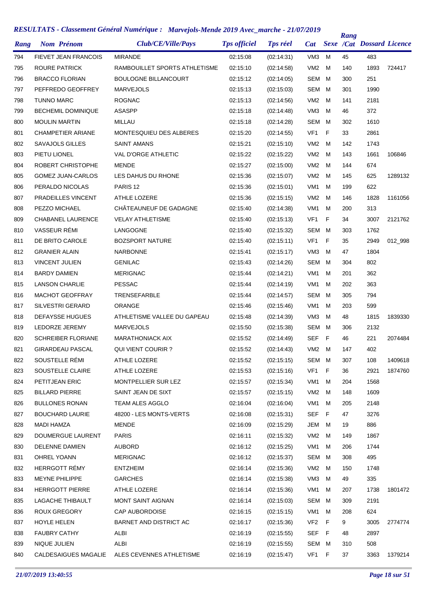| Rang | <b>Nom Prénom</b>           | Club/CE/Ville/Pays            | <b>Tps officiel</b> | <b>Tps réel</b> | <b>Cat</b>      |     | Rang | <b>Sexe /Cat Dossard Licence</b> |         |
|------|-----------------------------|-------------------------------|---------------------|-----------------|-----------------|-----|------|----------------------------------|---------|
| 794  | <b>FIEVET JEAN FRANCOIS</b> | <b>MIRANDE</b>                | 02:15:08            | (02:14:31)      | VM <sub>3</sub> | м   | 45   | 483                              |         |
| 795  | ROURE PATRICK               | RAMBOUILLET SPORTS ATHLETISME | 02:15:10            | (02:14:58)      | VM <sub>2</sub> | м   | 140  | 1893                             | 724417  |
| 796  | <b>BRACCO FLORIAN</b>       | <b>BOULOGNE BILLANCOURT</b>   | 02:15:12            | (02:14:05)      | SEM             | м   | 300  | 251                              |         |
| 797  | PEFFREDO GEOFFREY           | <b>MARVEJOLS</b>              | 02:15:13            | (02:15:03)      | SEM             | M   | 301  | 1990                             |         |
| 798  | <b>TUNNO MARC</b>           | <b>ROGNAC</b>                 | 02:15:13            | (02:14:56)      | VM <sub>2</sub> | м   | 141  | 2181                             |         |
| 799  | <b>BECHEMIL DOMINIQUE</b>   | <b>ASASPP</b>                 | 02:15:18            | (02:14:48)      | VM <sub>3</sub> | м   | 46   | 372                              |         |
| 800  | <b>MOULIN MARTIN</b>        | MILLAU                        | 02:15:18            | (02:14:28)      | SEM             | м   | 302  | 1610                             |         |
| 801  | <b>CHAMPETIER ARIANE</b>    | MONTESQUIEU DES ALBERES       | 02:15:20            | (02:14:55)      | VF <sub>1</sub> | F   | 33   | 2861                             |         |
| 802  | <b>SAVAJOLS GILLES</b>      | SAINT AMANS                   | 02:15:21            | (02:15:10)      | VM <sub>2</sub> | м   | 142  | 1743                             |         |
| 803  | PIETU LIONEL                | <b>VAL D'ORGE ATHLETIC</b>    | 02:15:22            | (02:15:22)      | VM <sub>2</sub> | M   | 143  | 1661                             | 106846  |
| 804  | ROBERT CHRISTOPHE           | <b>MENDE</b>                  | 02:15:27            | (02:15:00)      | VM <sub>2</sub> | м   | 144  | 674                              |         |
| 805  | <b>GOMEZ JUAN-CARLOS</b>    | LES DAHUS DU RHONE            | 02:15:36            | (02:15:07)      | VM <sub>2</sub> | м   | 145  | 625                              | 1289132 |
| 806  | PERALDO NICOLAS             | PARIS <sub>12</sub>           | 02:15:36            | (02:15:01)      | VM <sub>1</sub> | м   | 199  | 622                              |         |
| 807  | PRADEILLES VINCENT          | ATHLE LOZERE                  | 02:15:36            | (02:15:15)      | VM <sub>2</sub> | м   | 146  | 1828                             | 1161056 |
| 808  | PEZZO MICHAEL               | CHÂTEAUNEUF DE GADAGNE        | 02:15:40            | (02:14:38)      | VM <sub>1</sub> | м   | 200  | 313                              |         |
| 809  | <b>CHABANEL LAURENCE</b>    | <b>VELAY ATHLETISME</b>       | 02:15:40            | (02:15:13)      | VF <sub>1</sub> | F   | 34   | 3007                             | 2121762 |
| 810  | VASSEUR RÉMI                | LANGOGNE                      | 02:15:40            | (02:15:32)      | SEM             | M   | 303  | 1762                             |         |
| 811  | DE BRITO CAROLE             | <b>BOZSPORT NATURE</b>        | 02:15:40            | (02:15:11)      | VF <sub>1</sub> | F   | 35   | 2949                             | 012_998 |
| 812  | <b>GRANIER ALAIN</b>        | <b>NARBONNE</b>               | 02:15:41            | (02:15:17)      | VM <sub>3</sub> | M   | 47   | 1804                             |         |
| 813  | <b>VINCENT JULIEN</b>       | <b>GENILAC</b>                | 02:15:43            | (02:14:26)      | SEM             | м   | 304  | 802                              |         |
| 814  | <b>BARDY DAMIEN</b>         | <b>MERIGNAC</b>               | 02:15:44            | (02:14:21)      | VM <sub>1</sub> | м   | 201  | 362                              |         |
| 815  | <b>LANSON CHARLIE</b>       | <b>PESSAC</b>                 | 02:15:44            | (02:14:19)      | VM <sub>1</sub> | м   | 202  | 363                              |         |
| 816  | <b>MACHOT GEOFFRAY</b>      | TRENSEFARBLE                  | 02:15:44            | (02:14:57)      | SEM             | м   | 305  | 794                              |         |
| 817  | <b>SILVESTRI GERARD</b>     | <b>ORANGE</b>                 | 02:15:46            | (02:15:46)      | VM <sub>1</sub> | м   | 203  | 599                              |         |
| 818  | <b>DEFAYSSE HUGUES</b>      | ATHLETISME VALLEE DU GAPEAU   | 02:15:48            | (02:14:39)      | VM <sub>3</sub> | м   | 48   | 1815                             | 1839330 |
| 819  | LEDORZE JEREMY              | <b>MARVEJOLS</b>              | 02:15:50            | (02:15:38)      | SEM             | м   | 306  | 2132                             |         |
| 820  | <b>SCHREIBER FLORIANE</b>   | <b>MARATHONIACK AIX</b>       | 02:15:52            | (02:14:49)      | SEF             | F   | 46   | 221                              | 2074484 |
| 821  | <b>GIRARDEAU PASCAL</b>     | <b>QUI VIENT COURIR?</b>      | 02:15:52            | (02:14:43)      | VM2             | M   | 147  | 402                              |         |
| 822  | SOUSTELLE RÉMI              | <b>ATHLE LOZERE</b>           | 02:15:52            | (02:15:15)      | SEM M           |     | 307  | 108                              | 1409618 |
| 823  | SOUSTELLE CLAIRE            | ATHLE LOZERE                  | 02:15:53            | (02:15:16)      | VF <sub>1</sub> | F   | 36   | 2921                             | 1874760 |
| 824  | PETITJEAN ERIC              | MONTPELLIER SUR LEZ           | 02:15:57            | (02:15:34)      | VM1             | M   | 204  | 1568                             |         |
| 825  | <b>BILLARD PIERRE</b>       | SAINT JEAN DE SIXT            | 02:15:57            | (02:15:15)      | VM <sub>2</sub> | м   | 148  | 1609                             |         |
| 826  | <b>BULLONES RONAN</b>       | TEAM ALES AGGLO               | 02:16:04            | (02:16:04)      | VM1             | м   | 205  | 2148                             |         |
| 827  | <b>BOUCHARD LAURIE</b>      | 48200 - LES MONTS-VERTS       | 02:16:08            | (02:15:31)      | <b>SEF</b>      | F   | 47   | 3276                             |         |
| 828  | <b>MADI HAMZA</b>           | <b>MENDE</b>                  | 02:16:09            | (02:15:29)      | JEM M           |     | 19   | 886                              |         |
| 829  | DOUMERGUE LAURENT           | <b>PARIS</b>                  | 02:16:11            | (02:15:32)      | VM <sub>2</sub> | м   | 149  | 1867                             |         |
| 830  | <b>DELENNE DAMIEN</b>       | AUBORD                        | 02:16:12            | (02:15:25)      | VM1             | м   | 206  | 1744                             |         |
| 831  | OHREL YOANN                 | <b>MERIGNAC</b>               | 02:16:12            | (02:15:37)      | SEM             | M   | 308  | 495                              |         |
| 832  | <b>HERRGOTT RÉMY</b>        | <b>ENTZHEIM</b>               | 02:16:14            | (02:15:36)      | VM <sub>2</sub> | м   | 150  | 1748                             |         |
| 833  | MEYNE PHILIPPE              | <b>GARCHES</b>                | 02:16:14            | (02:15:38)      | VM3             | М   | 49   | 335                              |         |
| 834  | <b>HERRGOTT PIERRE</b>      | ATHLE LOZERE                  | 02:16:14            | (02:15:36)      | VM1             | м   | 207  | 1738                             | 1801472 |
| 835  | LAGACHE THIBAULT            | MONT SAINT AIGNAN             | 02:16:14            | (02:15:03)      | SEM             | м   | 309  | 2191                             |         |
| 836  | <b>ROUX GREGORY</b>         | CAP AUBORDOISE                | 02:16:15            | (02:15:15)      | VM1             | м   | 208  | 624                              |         |
| 837  | <b>HOYLE HELEN</b>          | BARNET AND DISTRICT AC        | 02:16:17            | (02:15:36)      | VF <sub>2</sub> | F   | 9    | 3005                             | 2774774 |
| 838  | <b>FAUBRY CATHY</b>         | ALBI                          | 02:16:19            | (02:15:55)      | SEF             | - F | 48   | 2897                             |         |
| 839  | NIQUE JULIEN                | ALBI                          | 02:16:19            | (02:15:55)      | SEM M           |     | 310  | 508                              |         |
| 840  | CALDESAIGUES MAGALIE        | ALES CEVENNES ATHLETISME      | 02:16:19            | (02:15:47)      | VF <sub>1</sub> | F   | 37   | 3363                             | 1379214 |
|      |                             |                               |                     |                 |                 |     |      |                                  |         |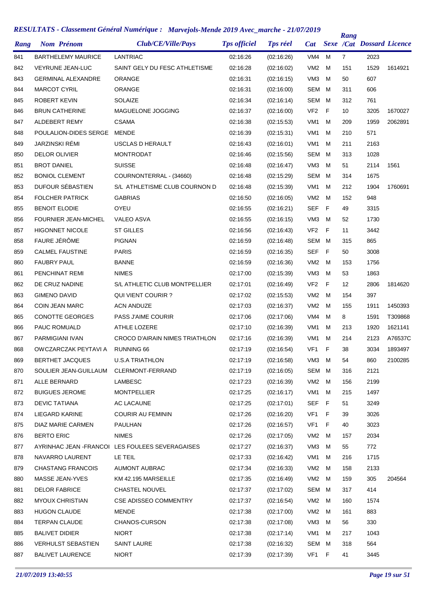| Rang | <b>Nom Prénom</b>           | Club/CE/Ville/Pays                               | <b>Tps officiel</b> | <b>Tps réel</b> | <b>Cat</b>      |     | Rang            | <b>Sexe /Cat Dossard Licence</b> |         |
|------|-----------------------------|--------------------------------------------------|---------------------|-----------------|-----------------|-----|-----------------|----------------------------------|---------|
| 841  | <b>BARTHELEMY MAURICE</b>   | <b>LANTRIAC</b>                                  | 02:16:26            | (02:16:26)      | VM4             | м   | $\overline{7}$  | 2023                             |         |
| 842  | <b>VEYRUNE JEAN-LUC</b>     | SAINT GELY DU FESC ATHLETISME                    | 02:16:28            | (02:16:02)      | VM <sub>2</sub> | м   | 151             | 1529                             | 1614921 |
| 843  | <b>GERMINAL ALEXANDRE</b>   | <b>ORANGE</b>                                    | 02:16:31            | (02:16:15)      | VM <sub>3</sub> | м   | 50              | 607                              |         |
| 844  | <b>MARCOT CYRIL</b>         | ORANGE                                           | 02:16:31            | (02:16:00)      | <b>SEM</b>      | м   | 311             | 606                              |         |
| 845  | <b>ROBERT KEVIN</b>         | SOLAIZE                                          | 02:16:34            | (02:16:14)      | <b>SEM</b>      | м   | 312             | 761                              |         |
| 846  | <b>BRUN CATHERINE</b>       | MAGUELONE JOGGING                                | 02:16:37            | (02:16:00)      | VF <sub>2</sub> | F   | 10              | 3205                             | 1670027 |
| 847  | ALDEBERT REMY               | <b>CSAMA</b>                                     | 02:16:38            | (02:15:53)      | VM <sub>1</sub> | м   | 209             | 1959                             | 2062891 |
| 848  | POULALION-DIDES SERGE       | MENDE                                            | 02:16:39            | (02:15:31)      | VM <sub>1</sub> | м   | 210             | 571                              |         |
| 849  | JARZINSKI RÉMI              | USCLAS D HERAULT                                 | 02:16:43            | (02:16:01)      | VM <sub>1</sub> | м   | 211             | 2163                             |         |
| 850  | <b>DELOR OLIVIER</b>        | <b>MONTRODAT</b>                                 | 02:16:46            | (02:15:56)      | <b>SEM</b>      | м   | 313             | 1028                             |         |
| 851  | <b>BROT DANIEL</b>          | SUISSE                                           | 02:16:48            | (02:16:47)      | VM <sub>3</sub> | м   | 51              | 2114                             | 1561    |
| 852  | <b>BONIOL CLEMENT</b>       | COURNONTERRAL - (34660)                          | 02:16:48            | (02:15:29)      | <b>SEM</b>      | м   | 314             | 1675                             |         |
| 853  | DUFOUR SÉBASTIEN            | S/L ATHLETISME CLUB COURNON D                    | 02:16:48            | (02:15:39)      | VM <sub>1</sub> | м   | 212             | 1904                             | 1760691 |
| 854  | <b>FOLCHER PATRICK</b>      | <b>GABRIAS</b>                                   | 02:16:50            | (02:16:05)      | VM <sub>2</sub> | м   | 152             | 948                              |         |
| 855  | <b>BENOIT ELODIE</b>        | OYEU                                             | 02:16:55            | (02:16:21)      | <b>SEF</b>      | F   | 49              | 3315                             |         |
| 856  | <b>FOURNIER JEAN-MICHEL</b> | <b>VALEO ASVA</b>                                | 02:16:55            | (02:16:15)      | VM <sub>3</sub> | м   | 52              | 1730                             |         |
| 857  | <b>HIGONNET NICOLE</b>      | ST GILLES                                        | 02:16:56            | (02:16:43)      | VF <sub>2</sub> | F   | 11              | 3442                             |         |
| 858  | FAURE JÉRÔME                | <b>PIGNAN</b>                                    | 02:16:59            | (02:16:48)      | <b>SEM</b>      | м   | 315             | 865                              |         |
| 859  | <b>CALMEL FAUSTINE</b>      | <b>PARIS</b>                                     | 02:16:59            | (02:16:35)      | SEF             | F   | 50              | 3008                             |         |
| 860  | <b>FAUBRY PAUL</b>          | <b>BANNE</b>                                     | 02:16:59            | (02:16:36)      | VM <sub>2</sub> | м   | 153             | 1756                             |         |
| 861  | PENCHINAT REMI              | <b>NIMES</b>                                     | 02:17:00            | (02:15:39)      | VM <sub>3</sub> | м   | 53              | 1863                             |         |
| 862  | DE CRUZ NADINE              | S/L ATHLETIC CLUB MONTPELLIER                    | 02:17:01            | (02:16:49)      | VF <sub>2</sub> | F   | 12 <sup>°</sup> | 2806                             | 1814620 |
| 863  | <b>GIMENO DAVID</b>         | <b>QUI VIENT COURIR?</b>                         | 02:17:02            | (02:15:53)      | VM <sub>2</sub> | м   | 154             | 397                              |         |
| 864  | <b>COIN JEAN MARC</b>       | <b>ACN ANDUZE</b>                                | 02:17:03            | (02:16:37)      | VM <sub>2</sub> | м   | 155             | 1911                             | 1450393 |
| 865  | <b>CONOTTE GEORGES</b>      | <b>PASS J'AIME COURIR</b>                        | 02:17:06            | (02:17:06)      | VM4             | м   | 8               | 1591                             | T309868 |
| 866  | <b>PAUC ROMUALD</b>         | ATHLE LOZERE                                     | 02:17:10            | (02:16:39)      | VM <sub>1</sub> | м   | 213             | 1920                             | 1621141 |
| 867  | PARMIGIANI IVAN             | CROCO D'AIRAIN NIMES TRIATHLON                   | 02:17:16            | (02:16:39)      | VM <sub>1</sub> | м   | 214             | 2123                             | A76537C |
| 868  | OWCZARCZAK PEYTAVI A        | <b>RUNNING 66</b>                                | 02:17:19            | (02:16:54)      | VF <sub>1</sub> | F   | 38              | 3034                             | 1893497 |
| 869  | <b>BERTHET JACQUES</b>      | <b>U.S.A TRIATHLON</b>                           | 02:17:19            | (02:16:58)      | VM3             | М   | 54              | 860                              | 2100285 |
| 870  | SOULIER JEAN-GUILLAUM       | CLERMONT-FERRAND                                 | 02:17:19            | (02:16:05)      | SEM             | М   | 316             | 2121                             |         |
| 871  | ALLE BERNARD                | LAMBESC                                          | 02:17:23            | (02:16:39)      | VM <sub>2</sub> | м   | 156             | 2199                             |         |
| 872  | <b>BUIGUES JEROME</b>       | <b>MONTPELLIER</b>                               | 02:17:25            | (02:16:17)      | VM1             | м   | 215             | 1497                             |         |
| 873  | <b>DEVIC TATIANA</b>        | AC LACAUNE                                       | 02:17:25            | (02:17:01)      | <b>SEF</b>      | - F | 51              | 3249                             |         |
| 874  | LIEGARD KARINE              | <b>COURIR AU FEMININ</b>                         | 02:17:26            | (02:16:20)      | VF1             | F   | 39              | 3026                             |         |
| 875  | DIAZ MARIE CARMEN           | PAULHAN                                          | 02:17:26            | (02:16:57)      | VF1             | F   | 40              | 3023                             |         |
| 876  | <b>BERTO ERIC</b>           | <b>NIMES</b>                                     | 02:17:26            | (02:17:05)      | VM2             | м   | 157             | 2034                             |         |
| 877  |                             | AYRINHAC JEAN - FRANCOI LES FOULEES SEVERAGAISES | 02:17:27            | (02:16:37)      | VM3             | м   | 55              | 772                              |         |
| 878  | NAVARRO LAURENT             | LE TEIL                                          | 02:17:33            | (02:16:42)      | VM1             | м   | 216             | 1715                             |         |
| 879  | <b>CHASTANG FRANCOIS</b>    | <b>AUMONT AUBRAC</b>                             | 02:17:34            | (02:16:33)      | VM <sub>2</sub> | м   | 158             | 2133                             |         |
| 880  | MASSE JEAN-YVES             | KM 42.195 MARSEILLE                              | 02:17:35            | (02:16:49)      | VM <sub>2</sub> | м   | 159             | 305                              | 204564  |
| 881  | <b>DELOR FABRICE</b>        | <b>CHASTEL NOUVEL</b>                            | 02:17:37            | (02:17:02)      | SEM             | M   | 317             | 414                              |         |
| 882  | <b>MYOUX CHRISTIAN</b>      | <b>CSE ADISSEO COMMENTRY</b>                     | 02:17:37            | (02:16:54)      | VM <sub>2</sub> | м   | 160             | 1574                             |         |
| 883  | <b>HUGON CLAUDE</b>         | <b>MENDE</b>                                     | 02:17:38            | (02:17:00)      | VM <sub>2</sub> | м   | 161             | 883                              |         |
| 884  | <b>TERPAN CLAUDE</b>        | CHANOS-CURSON                                    | 02:17:38            | (02:17:08)      | VM3             | м   | 56              | 330                              |         |
| 885  | <b>BALIVET DIDIER</b>       | <b>NIORT</b>                                     | 02:17:38            | (02:17:14)      | VM1             | м   | 217             | 1043                             |         |
| 886  | <b>VERHULST SEBASTIEN</b>   | <b>SAINT LAURE</b>                               | 02:17:38            | (02:16:32)      | SEM             | м   | 318             | 564                              |         |
| 887  | <b>BALIVET LAURENCE</b>     | <b>NIORT</b>                                     | 02:17:39            | (02:17:39)      | VF <sub>1</sub> | - F | 41              | 3445                             |         |
|      |                             |                                                  |                     |                 |                 |     |                 |                                  |         |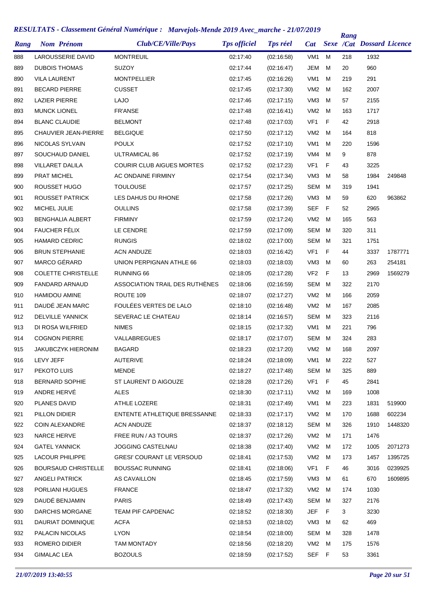| Rang | <b>Nom Prénom</b>           | Club/CE/Ville/Pays               | <b>Tps officiel</b> | <b>Tps réel</b> | Cat             |    | Rang | <b>Sexe /Cat Dossard Licence</b> |         |
|------|-----------------------------|----------------------------------|---------------------|-----------------|-----------------|----|------|----------------------------------|---------|
| 888  | LAROUSSERIE DAVID           | <b>MONTREUIL</b>                 | 02:17:40            | (02:16:58)      | VM <sub>1</sub> | м  | 218  | 1932                             |         |
| 889  | <b>DUBOIS THOMAS</b>        | <b>SUZOY</b>                     | 02:17:44            | (02:16:47)      | JEM             | М  | 20   | 960                              |         |
| 890  | <b>VILA LAURENT</b>         | <b>MONTPELLIER</b>               | 02:17:45            | (02:16:26)      | VM <sub>1</sub> | м  | 219  | 291                              |         |
| 891  | <b>BECARD PIERRE</b>        | <b>CUSSET</b>                    | 02:17:45            | (02:17:30)      | VM <sub>2</sub> | M  | 162  | 2007                             |         |
| 892  | <b>LAZIER PIERRE</b>        | <b>LAJO</b>                      | 02:17:46            | (02:17:15)      | VM <sub>3</sub> | M  | 57   | 2155                             |         |
| 893  | <b>MUNCK LIONEL</b>         | <b>FR'ANSE</b>                   | 02:17:48            | (02:16:41)      | VM <sub>2</sub> | M  | 163  | 1717                             |         |
| 894  | <b>BLANC CLAUDIE</b>        | <b>BELMONT</b>                   | 02:17:48            | (02:17:03)      | VF <sub>1</sub> | F  | 42   | 2918                             |         |
| 895  | <b>CHAUVIER JEAN-PIERRE</b> | <b>BELGIQUE</b>                  | 02:17:50            | (02:17:12)      | VM <sub>2</sub> | M  | 164  | 818                              |         |
| 896  | NICOLAS SYLVAIN             | <b>POULX</b>                     | 02:17:52            | (02:17:10)      | VM <sub>1</sub> | м  | 220  | 1596                             |         |
| 897  | SOUCHAUD DANIEL             | ULTRAMICAL 86                    | 02:17:52            | (02:17:19)      | VM4             | M  | 9    | 878                              |         |
| 898  | <b>VILLARET DALILA</b>      | <b>COURIR CLUB AIGUES MORTES</b> | 02:17:52            | (02:17:23)      | VF <sub>1</sub> | F  | 43   | 3225                             |         |
| 899  | PRAT MICHEL                 | AC ONDAINE FIRMINY               | 02:17:54            | (02:17:34)      | VM <sub>3</sub> | M  | 58   | 1984                             | 249848  |
| 900  | ROUSSET HUGO                | <b>TOULOUSE</b>                  | 02:17:57            | (02:17:25)      | SEM             | M  | 319  | 1941                             |         |
| 901  | ROUSSET PATRICK             | LES DAHUS DU RHONE               | 02:17:58            | (02:17:26)      | VM <sub>3</sub> | M  | 59   | 620                              | 963862  |
| 902  | MICHEL JULIE                | <b>OULLINS</b>                   | 02:17:58            | (02:17:39)      | <b>SEF</b>      | F  | 52   | 2965                             |         |
| 903  | <b>BENGHALIA ALBERT</b>     | <b>FIRMINY</b>                   | 02:17:59            | (02:17:24)      | VM <sub>2</sub> | M  | 165  | 563                              |         |
| 904  | FAUCHER FÉLIX               | LE CENDRE                        | 02:17:59            | (02:17:09)      | SEM             | M  | 320  | 311                              |         |
| 905  | <b>HAMARD CEDRIC</b>        | <b>RUNGIS</b>                    | 02:18:02            | (02:17:00)      | SEM             | M  | 321  | 1751                             |         |
| 906  | <b>BRUN STEPHANIE</b>       | <b>ACN ANDUZE</b>                | 02:18:03            | (02:16:42)      | VF1             | F  | 44   | 3337                             | 1787771 |
| 907  | MARCO GÉRARD                | UNION PERPIGNAN ATHLE 66         | 02:18:03            | (02:18:03)      | VM <sub>3</sub> | M  | 60   | 263                              | 254181  |
| 908  | <b>COLETTE CHRISTELLE</b>   | RUNNING 66                       | 02:18:05            | (02:17:28)      | VF <sub>2</sub> | -F | 13   | 2969                             | 1569279 |
| 909  | <b>FANDARD ARNAUD</b>       | ASSOCIATION TRAIL DES RUTHÈNES   | 02:18:06            | (02:16:59)      | SEM             | м  | 322  | 2170                             |         |
| 910  | <b>HAMIDOU AMINE</b>        | ROUTE 109                        | 02:18:07            | (02:17:27)      | VM <sub>2</sub> | M  | 166  | 2059                             |         |
| 911  | DAUDÉ JEAN MARC             | FOULÉES VERTES DE LALO           | 02:18:10            | (02:16:48)      | VM <sub>2</sub> | M  | 167  | 2085                             |         |
| 912  | <b>DELVILLE YANNICK</b>     | SEVERAC LE CHATEAU               | 02:18:14            | (02:16:57)      | SEM             | M  | 323  | 2116                             |         |
| 913  | DI ROSA WILFRIED            | <b>NIMES</b>                     | 02:18:15            | (02:17:32)      | VM1             | м  | 221  | 796                              |         |
| 914  | <b>COGNON PIERRE</b>        | VALLABREGUES                     | 02:18:17            | (02:17:07)      | SEM             | M  | 324  | 283                              |         |
| 915  | <b>JAKUBCZYK HIERONIM</b>   | <b>BAGARD</b>                    | 02:18:23            | (02:17:20)      | VM2             | M  | 168  | 2097                             |         |
| 916  | LEVY JEFF                   | <b>AUTERIVE</b>                  | 02:18:24            | (02:18:09)      | VM1 M           |    | 222  | 527                              |         |
| 917  | PEKOTO LUIS                 | <b>MENDE</b>                     | 02:18:27            | (02:17:48)      | SEM M           |    | 325  | 889                              |         |
| 918  | <b>BERNARD SOPHIE</b>       | ST LAURENT D AIGOUZE             | 02:18:28            | (02:17:26)      | VF1             | F  | 45   | 2841                             |         |
| 919  | ANDRE HERVÉ                 | <b>ALES</b>                      | 02:18:30            | (02:17:11)      | VM2             | M  | 169  | 1008                             |         |
| 920  | PLANES DAVID                | ATHLE LOZERE                     | 02:18:31            | (02:17:49)      | VM1             | M  | 223  | 1831                             | 519900  |
| 921  | PILLON DIDIER               | ENTENTE ATHLETIQUE BRESSANNE     | 02:18:33            | (02:17:17)      | VM2             | M  | 170  | 1688                             | 602234  |
| 922  | COIN ALEXANDRE              | <b>ACN ANDUZE</b>                | 02:18:37            | (02:18:12)      | SEM             | M  | 326  | 1910                             | 1448320 |
| 923  | <b>NARCE HERVE</b>          | FREE RUN / A3 TOURS              | 02:18:37            | (02:17:26)      | VM2             | M  | 171  | 1476                             |         |
| 924  | <b>GATEL YANNICK</b>        | JOGGING CASTELNAU                | 02:18:38            | (02:17:40)      | VM <sub>2</sub> | M  | 172  | 1005                             | 2071273 |
| 925  | LACOUR PHILIPPE             | <b>GRESI' COURANT LE VERSOUD</b> | 02:18:41            | (02:17:53)      | VM2             | M  | 173  | 1457                             | 1395725 |
| 926  | <b>BOURSAUD CHRISTELLE</b>  | <b>BOUSSAC RUNNING</b>           | 02:18:41            | (02:18:06)      | VF <sub>1</sub> | F  | 46   | 3016                             | 0239925 |
| 927  | <b>ANGELI PATRICK</b>       | AS CAVAILLON                     | 02:18:45            | (02:17:59)      | VM3             | м  | 61   | 670                              | 1609895 |
| 928  | PORLIANI HUGUES             | <b>FRANCE</b>                    | 02:18:47            | (02:17:32)      | VM2             | M  | 174  | 1030                             |         |
| 929  | DAUDÉ BENJAMIN              | <b>PARIS</b>                     | 02:18:49            | (02:17:43)      | SEM             | M  | 327  | 2176                             |         |
| 930  | <b>DARCHIS MORGANE</b>      | TEAM PIF CAPDENAC                | 02:18:52            | (02:18:30)      | JEF             | F  | 3    | 3230                             |         |
| 931  | DAURIAT DOMINIQUE           | <b>ACFA</b>                      | 02:18:53            | (02:18:02)      | VM3             | м  | 62   | 469                              |         |
| 932  | PALACIN NICOLAS             | <b>LYON</b>                      | 02:18:54            | (02:18:00)      | SEM             | M  | 328  | 1478                             |         |
| 933  | ROMERO DIDIER               | TAM MONTADY                      | 02:18:56            | (02:18:20)      | VM2             | м  | 175  | 1576                             |         |
| 934  | <b>GIMALAC LEA</b>          | <b>BOZOULS</b>                   | 02:18:59            | (02:17:52)      | SEF F           |    | 53   | 3361                             |         |
|      |                             |                                  |                     |                 |                 |    |      |                                  |         |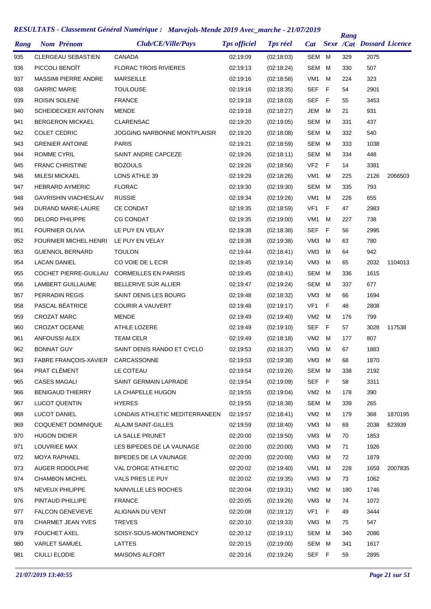| Rang |                       | <b>Nom Prénom</b>                 | Club/CE/Ville/Pays                  | <b>Tps officiel</b> | <b>Tps réel</b> | <b>Cat</b>      |   | Rang | <b>Sexe /Cat Dossard Licence</b> |         |
|------|-----------------------|-----------------------------------|-------------------------------------|---------------------|-----------------|-----------------|---|------|----------------------------------|---------|
| 935  |                       | <b>CLERGEAU SEBASTIEN</b>         | <b>CANADA</b>                       | 02:19:09            | (02:18:03)      | SEM             | М | 329  | 2075                             |         |
| 936  |                       | PICCOLI BENOÎT                    | <b>FLORAC TROIS RIVIERES</b>        | 02:19:13            | (02:18:24)      | SEM             | M | 330  | 507                              |         |
| 937  |                       | <b>MASSIMI PIERRE ANDRE</b>       | <b>MARSEILLE</b>                    | 02:19:16            | (02:18:58)      | VM <sub>1</sub> | м | 224  | 323                              |         |
| 938  | <b>GARRIC MARIE</b>   |                                   | <b>TOULOUSE</b>                     | 02:19:16            | (02:18:35)      | <b>SEF</b>      | F | 54   | 2901                             |         |
| 939  |                       | ROISIN SOLENE                     | <b>FRANCE</b>                       | 02:19:18            | (02:18:03)      | <b>SEF</b>      | F | 55   | 3453                             |         |
| 940  |                       | <b>SCHEIDECKER ANTONIN</b>        | <b>MENDE</b>                        | 02:19:18            | (02:18:27)      | JEM             | м | 21   | 931                              |         |
| 941  |                       | <b>BERGERON MICKAEL</b>           | <b>CLARENSAC</b>                    | 02:19:20            | (02:19:05)      | SEM             | м | 331  | 437                              |         |
| 942  | <b>COLET CEDRIC</b>   |                                   | <b>JOGGING NARBONNE MONTPLAISIR</b> | 02:19:20            | (02:18:08)      | SEM             | M | 332  | 540                              |         |
| 943  |                       | <b>GRENIER ANTOINE</b>            | <b>PARIS</b>                        | 02:19:21            | (02:18:59)      | SEM             | M | 333  | 1038                             |         |
| 944  | <b>ROMME CYRIL</b>    |                                   | SAINT ANDRE CAPCEZE                 | 02:19:26            | (02:18:11)      | SEM             | M | 334  | 448                              |         |
| 945  |                       | <b>FRANC CHRISTINE</b>            | <b>BOZOULS</b>                      | 02:19:26            | (02:18:56)      | VF <sub>2</sub> | F | 14   | 3381                             |         |
| 946  | <b>MILESI MICKAEL</b> |                                   | LONS ATHLE 39                       | 02:19:29            | (02:18:26)      | VM1             | м | 225  | 2126                             | 2066503 |
| 947  |                       | <b>HEBRARD AYMERIC</b>            | <b>FLORAC</b>                       | 02:19:30            | (02:19:30)      | <b>SEM</b>      | м | 335  | 793                              |         |
| 948  |                       | <b>GAVRISHIN VIACHESLAV</b>       | <b>RUSSIE</b>                       | 02:19:34            | (02:19:26)      | VM1             | м | 226  | 655                              |         |
| 949  |                       | DURAND MARIE-LAURE                | <b>CE CONDAT</b>                    | 02:19:35            | (02:18:59)      | VF <sub>1</sub> | F | 47   | 2983                             |         |
| 950  |                       | <b>DELORD PHILIPPE</b>            | <b>CG CONDAT</b>                    | 02:19:35            | (02:19:00)      | VM1             | M | 227  | 738                              |         |
| 951  |                       | <b>FOURNIER OLIVIA</b>            | LE PUY EN VELAY                     | 02:19:38            | (02:18:38)      | <b>SEF</b>      | F | 56   | 2995                             |         |
| 952  |                       | FOURNIER MICHEL HENRI             | LE PUY EN VELAY                     | 02:19:38            | (02:19:38)      | VM <sub>3</sub> | м | 63   | 780                              |         |
| 953  |                       | <b>GUENNOL BERNARD</b>            | <b>TOULON</b>                       | 02:19:44            | (02:18:41)      | VM <sub>3</sub> | м | 64   | 942                              |         |
| 954  | <b>LACAN DANIEL</b>   |                                   | CO VOIE DE L ECIR                   | 02:19:45            | (02:19:14)      | VM <sub>3</sub> | M | 65   | 2032                             | 1104013 |
| 955  |                       | COCHET PIERRE-GUILLAU             | <b>CORMEILLES EN PARISIS</b>        | 02:19:45            | (02:18:41)      | SEM             | M | 336  | 1615                             |         |
| 956  |                       | LAMBERT GUILLAUME                 | BELLERIVE SUR ALLIER                | 02:19:47            | (02:19:24)      | SEM             | M | 337  | 677                              |         |
| 957  |                       | PERRADIN REGIS                    | SAINT DENIS LES BOURG               | 02:19:48            | (02:18:32)      | VM <sub>3</sub> | M | 66   | 1694                             |         |
| 958  |                       | PASCAL BÉATRICE                   | <b>COURIR A VAUVERT</b>             | 02:19:48            | (02:19:17)      | VF <sub>1</sub> | F | 48   | 2808                             |         |
| 959  | <b>CROZAT MARC</b>    |                                   | <b>MENDE</b>                        | 02:19:49            | (02:19:40)      | VM <sub>2</sub> | M | 176  | 799                              |         |
| 960  |                       | <b>CROZAT OCEANE</b>              | ATHLE LOZERE                        | 02:19:49            | (02:19:10)      | <b>SEF</b>      | F | 57   | 3028                             | 117538  |
| 961  |                       | ANFOUSSI ALEX                     | <b>TEAM CELR</b>                    | 02:19:49            | (02:18:18)      | VM <sub>2</sub> | M | 177  | 807                              |         |
| 962  | <b>BONNAT GUY</b>     |                                   | SAINT DENIS RANDO ET CYCLO          | 02:19:53            | (02:18:37)      | VM <sub>3</sub> | M | 67   | 1883                             |         |
| 963  |                       | FABRE FRANÇOIS-XAVIER CARCASSONNE |                                     | 02:19:53            | (02:19:38)      | VM3 M           |   | 68   | 1870                             |         |
| 964  | PRAT CLÉMENT          |                                   | LE COTEAU                           | 02:19:54            | (02:19:26)      | SEM M           |   | 338  | 2192                             |         |
| 965  | <b>CASES MAGALI</b>   |                                   | SAINT GERMAIN LAPRADE               | 02:19:54            | (02:19:09)      | SEF F           |   | 58   | 3311                             |         |
| 966  |                       | <b>BENIGAUD THIERRY</b>           | LA CHAPELLE HUGON                   | 02:19:55            | (02:19:04)      | VM2 M           |   | 178  | 390                              |         |
| 967  |                       | <b>LUCOT QUENTIN</b>              | <b>HYERES</b>                       | 02:19:55            | (02:18:38)      | SEM M           |   | 339  | 265                              |         |
| 968  | LUCOT DANIEL          |                                   | LONDAIS ATHLETIC MEDITERRANEEN      | 02:19:57            | (02:18:41)      | VM2 M           |   | 179  | 368                              | 1870195 |
| 969  |                       | COQUENET DOMINIQUE                | <b>ALAJM SAINT-GILLES</b>           | 02:19:59            | (02:18:40)      | VM3             | M | 69   | 2038                             | 623939  |
| 970  | <b>HUGON DIDIER</b>   |                                   | LA SALLE PRUNET                     | 02:20:00            | (02:19:50)      | VM3 M           |   | 70   | 1853                             |         |
| 971  | LOUVRIEE MAX          |                                   | LES BIPEDES DE LA VAUNAGE           | 02:20:00            | (02:20:00)      | VM3 M           |   | 71   | 1926                             |         |
| 972  |                       | MOYA RAPHAEL                      | BIPEDES DE LA VAUNAGE               | 02:20:00            | (02:20:00)      | VM3             | M | 72   | 1879                             |         |
| 973  |                       | AUGER RODOLPHE                    | VAL D'ORGE ATHLETIC                 | 02:20:02            | (02:19:40)      | VM1             | M | 228  | 1659                             | 2007835 |
| 974  |                       | <b>CHAMBON MICHEL</b>             | VALS PRES LE PUY                    | 02:20:02            | (02:19:35)      | VM3             | M | 73   | 1062                             |         |
| 975  |                       | NEVEUX PHILIPPE                   | NAINVILLE LES ROCHES                | 02:20:04            | (02:19:31)      | VM2 M           |   | 180  | 1746                             |         |
| 976  |                       | PINTAUD PHILLIPE                  | <b>FRANCE</b>                       | 02:20:05            | (02:19:26)      | VM3             | M | 74   | 1072                             |         |
| 977  |                       | <b>FALCON GENEVIEVE</b>           | ALIGNAN DU VENT                     | 02:20:08            | (02:19:12)      | VF1 F           |   | 49   | 3444                             |         |
| 978  |                       | CHARMET JEAN YVES                 | TREVES                              | 02:20:10            | (02:19:33)      | VM3             | M | 75   | 547                              |         |
| 979  | <b>FOUCHET AXEL</b>   |                                   | SOISY-SOUS-MONTMORENCY              | 02:20:12            | (02:19:11)      | SEM M           |   | 340  | 2086                             |         |
| 980  |                       | <b>VARLET SAMUEL</b>              | LATTES                              | 02:20:15            | (02:19:00)      | SEM M           |   | 341  | 1617                             |         |
| 981  | <b>CIULLI ELODIE</b>  |                                   | MAISONS ALFORT                      | 02:20:16            | (02:19:24)      | SEF F           |   | 59   | 2895                             |         |
|      |                       |                                   |                                     |                     |                 |                 |   |      |                                  |         |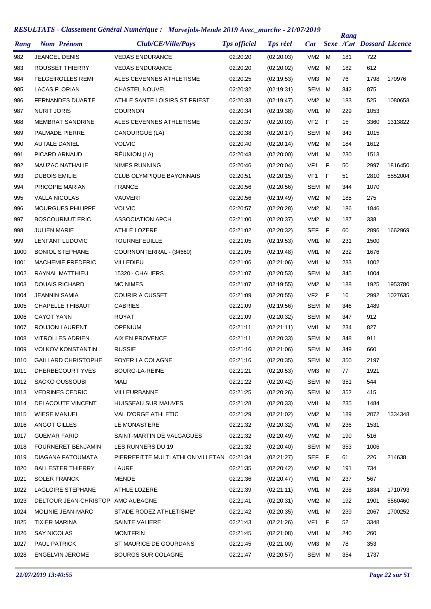| Rang | <b>Nom Prénom</b>                 | Club/CE/Ville/Pays                | <b>Tps officiel</b> | <b>Tps réel</b> | <b>Cat</b>      |   | Rang | <b>Sexe /Cat Dossard Licence</b> |         |
|------|-----------------------------------|-----------------------------------|---------------------|-----------------|-----------------|---|------|----------------------------------|---------|
| 982  | <b>JEANCEL DENIS</b>              | <b>VEDAS ENDURANCE</b>            | 02:20:20            | (02:20:03)      | VM2             | м | 181  | 722                              |         |
| 983  | <b>ROUSSET THIERRY</b>            | <b>VEDAS ENDURANCE</b>            | 02:20:20            | (02:20:02)      | VM <sub>2</sub> | M | 182  | 612                              |         |
| 984  | <b>FELGEIROLLES REMI</b>          | ALES CEVENNES ATHLETISME          | 02:20:25            | (02:19:53)      | VM <sub>3</sub> | м | 76   | 1798                             | 170976  |
| 985  | <b>LACAS FLORIAN</b>              | <b>CHASTEL NOUVEL</b>             | 02:20:32            | (02:19:31)      | <b>SEM</b>      | м | 342  | 875                              |         |
| 986  | <b>FERNANDES DUARTE</b>           | ATHLE SANTE LOISIRS ST PRIEST     | 02:20:33            | (02:19:47)      | VM <sub>2</sub> | м | 183  | 525                              | 1080658 |
| 987  | <b>NURIT JORIS</b>                | <b>COURNON</b>                    | 02:20:34            | (02:19:38)      | VM <sub>1</sub> | M | 229  | 1053                             |         |
| 988  | <b>MEMBRAT SANDRINE</b>           | ALES CEVENNES ATHLETISME          | 02:20:37            | (02:20:03)      | VF <sub>2</sub> | F | 15   | 3360                             | 1313822 |
| 989  | <b>PALMADE PIERRE</b>             | CANOURGUE (LA)                    | 02:20:38            | (02:20:17)      | <b>SEM</b>      | м | 343  | 1015                             |         |
| 990  | <b>AUTALE DANIEL</b>              | <b>VOLVIC</b>                     | 02:20:40            | (02:20:14)      | VM <sub>2</sub> | м | 184  | 1612                             |         |
| 991  | PICARD ARNAUD                     | RÉUNION (LA)                      | 02:20:43            | (02:20:00)      | VM <sub>1</sub> | м | 230  | 1513                             |         |
| 992  | <b>MAUZAC NATHALIE</b>            | NIMES RUNNING                     | 02:20:46            | (02:20:04)      | VF1             | F | 50   | 2997                             | 1816450 |
| 993  | <b>DUBOIS EMILIE</b>              | <b>CLUB OLYMPIQUE BAYONNAIS</b>   | 02:20:51            | (02:20:15)      | VF <sub>1</sub> | F | 51   | 2810                             | 5552004 |
| 994  | PRICOPIE MARIAN                   | <b>FRANCE</b>                     | 02:20:56            | (02:20:56)      | <b>SEM</b>      | M | 344  | 1070                             |         |
| 995  | <b>VALLA NICOLAS</b>              | VAUVERT                           | 02:20:56            | (02:19:49)      | VM <sub>2</sub> | м | 185  | 275                              |         |
| 996  | <b>MOURGUES PHILIPPE</b>          | <b>VOLVIC</b>                     | 02:20:57            | (02:20:28)      | VM <sub>2</sub> | M | 186  | 1846                             |         |
| 997  | <b>BOSCOURNUT ERIC</b>            | <b>ASSOCIATION APCH</b>           | 02:21:00            | (02:20:37)      | VM <sub>2</sub> | M | 187  | 338                              |         |
| 998  | <b>JULIEN MARIE</b>               | ATHLE LOZERE                      | 02:21:02            | (02:20:32)      | <b>SEF</b>      | F | 60   | 2896                             | 1662969 |
| 999  | LENFANT LUDOVIC                   | <b>TOURNEFEUILLE</b>              | 02:21:05            | (02:19:53)      | VM <sub>1</sub> | м | 231  | 1500                             |         |
| 1000 | <b>BONIOL STEPHANE</b>            | COURNONTERRAL - (34660)           | 02:21:05            | (02:19:48)      | VM <sub>1</sub> | М | 232  | 1676                             |         |
| 1001 | <b>MACHEMIE FREDERIC</b>          | <b>VILLEDIEU</b>                  | 02:21:06            | (02:21:06)      | VM <sub>1</sub> | м | 233  | 1002                             |         |
| 1002 | RAYNAL MATTHIEU                   | 15320 - CHALIERS                  | 02:21:07            | (02:20:53)      | SEM             | м | 345  | 1004                             |         |
| 1003 | <b>DOUAIS RICHARD</b>             | <b>MC NIMES</b>                   | 02:21:07            | (02:19:55)      | VM <sub>2</sub> | м | 188  | 1925                             | 1953780 |
| 1004 | <b>JEANNIN SAMIA</b>              | <b>COURIR A CUSSET</b>            | 02:21:09            | (02:20:55)      | VF <sub>2</sub> | F | 16   | 2992                             | 1027635 |
| 1005 | <b>CHAPELLE THIBAUT</b>           | <b>CABRIES</b>                    | 02:21:09            | (02:19:56)      | SEM             | м | 346  | 1489                             |         |
| 1006 | <b>CAYOT YANN</b>                 | <b>ROYAT</b>                      | 02:21:09            | (02:20:32)      | SEM             | м | 347  | 912                              |         |
| 1007 | ROUJON LAURENT                    | <b>OPENIUM</b>                    | 02:21:11            | (02:21:11)      | VM <sub>1</sub> | м | 234  | 827                              |         |
| 1008 | <b>VITROLLES ADRIEN</b>           | AIX EN PROVENCE                   | 02:21:11            | (02:20:33)      | <b>SEM</b>      | м | 348  | 911                              |         |
| 1009 | <b>VOLKOV KONSTANTIN</b>          | <b>RUSSIE</b>                     | 02:21:16            | (02:21:06)      | SEM             | м | 349  | 660                              |         |
| 1010 | <b>GAILLARD CHRISTOPHE</b>        | FOYER LA COLAGNE                  | 02:21:16            | (02:20:35)      | SEM             | M | 350  | 2197                             |         |
| 1011 | DHERBECOURT YVES                  | BOURG-LA-REINE                    | 02:21:21            | (02:20:53)      | VM3             | м | 77   | 1921                             |         |
| 1012 | SACKO OUSSOUBI                    | MALI                              | 02:21:22            | (02:20:42)      | SEM             | м | 351  | 544                              |         |
| 1013 | <b>VEDRINES CEDRIC</b>            | VILLEURBANNE                      | 02:21:25            | (02:20:26)      | SEM             | м | 352  | 415                              |         |
| 1014 | DELACOUTE VINCENT                 | HUISSEAU SUR MAUVES               | 02:21:28            | (02:20:33)      | VM1             | м | 235  | 1484                             |         |
| 1015 | <b>WIESE MANUEL</b>               | <b>VAL D'ORGE ATHLETIC</b>        | 02:21:29            | (02:21:02)      | VM2             | м | 189  | 2072                             | 1334348 |
| 1016 | ANGOT GILLES                      | LE MONASTERE                      | 02:21:32            | (02:20:32)      | VM1             | м | 236  | 1531                             |         |
| 1017 | <b>GUEMAR FARID</b>               | SAINT-MARTIN DE VALGAGUES         | 02:21:32            | (02:20:49)      | VM2             | м | 190  | 516                              |         |
| 1018 | <b>FOURNERET BENJAMIN</b>         | LES RUNNERS DU 19                 | 02:21:32            | (02:20:40)      | SEM             | м | 353  | 1006                             |         |
| 1019 | DIAGANA FATOUMATA                 | PIERREFITTE MULTI ATHLON VILLETAN | 02:21:34            | (02:21:27)      | <b>SEF</b>      | F | 61   | 226                              | 214638  |
| 1020 | <b>BALLESTER THIERRY</b>          | LAURE                             | 02:21:35            | (02:20:42)      | VM <sub>2</sub> | м | 191  | 734                              |         |
| 1021 | <b>SOLER FRANCK</b>               | <b>MENDE</b>                      | 02:21:36            | (02:20:47)      | VM <sub>1</sub> | м | 237  | 567                              |         |
| 1022 | LAGLOIRE STEPHANE                 | ATHLE LOZERE                      | 02:21:39            | (02:21:11)      | VM1             | м | 238  | 1834                             | 1710793 |
| 1023 | DELTOUR JEAN-CHRISTOP AMC AUBAGNE |                                   | 02:21:41            | (02:20:31)      | VM <sub>2</sub> | м | 192  | 1901                             | 5560460 |
|      |                                   |                                   |                     |                 |                 |   |      |                                  |         |
| 1024 | MOLINIE JEAN-MARC                 | STADE RODEZ ATHLETISME*           | 02:21:42            | (02:20:35)      | VM1             | м | 239  | 2067                             | 1700252 |
| 1025 | <b>TIXIER MARINA</b>              | SAINTE VALIERE                    | 02:21:43            | (02:21:26)      | VF1             | F | 52   | 3348                             |         |
| 1026 | SAY NICOLAS                       | <b>MONTFRIN</b>                   | 02:21:45            | (02:21:08)      | VM <sub>1</sub> | M | 240  | 260                              |         |
| 1027 | PAUL PATRICK                      | ST MAURICE DE GOURDANS            | 02:21:45            | (02:21:00)      | VM <sub>3</sub> | М | 78   | 353                              |         |
| 1028 | ENGELVIN JEROME                   | BOURGS SUR COLAGNE                | 02:21:47            | (02:20:57)      | SEM             | M | 354  | 1737                             |         |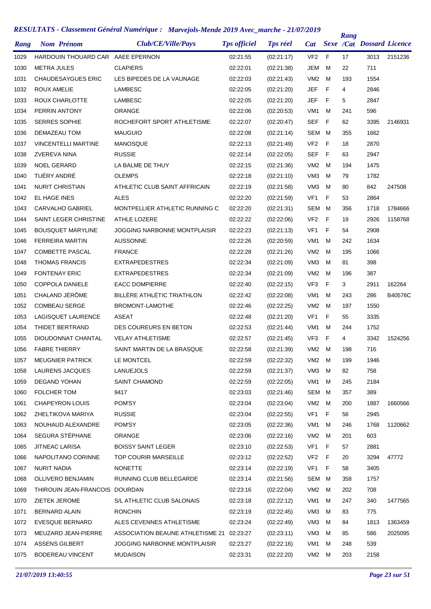| Rang | <b>Nom Prénom</b>                 | Club/CE/Ville/Pays               | <b>Tps officiel</b> | <b>Tps réel</b> | <b>Cat</b>      |    | Rang | <b>Sexe /Cat Dossard Licence</b> |         |
|------|-----------------------------------|----------------------------------|---------------------|-----------------|-----------------|----|------|----------------------------------|---------|
| 1029 | HARDOUIN THOUARD CAR AAEE EPERNON |                                  | 02:21:55            | (02:21:17)      | VF <sub>2</sub> | F  | 17   | 3013                             | 2151236 |
| 1030 | <b>METRA JULES</b>                | <b>CLAPIERS</b>                  | 02:22:01            | (02:21:38)      | JEM             | M  | 22   | 711                              |         |
| 1031 | <b>CHAUDESAYGUES ERIC</b>         | LES BIPEDES DE LA VAUNAGE        | 02:22:03            | (02:21:43)      | VM <sub>2</sub> | м  | 193  | 1554                             |         |
| 1032 | <b>ROUX AMELIE</b>                | LAMBESC                          | 02:22:05            | (02:21:20)      | <b>JEF</b>      | F  | 4    | 2846                             |         |
| 1033 | ROUX CHARLOTTE                    | <b>LAMBESC</b>                   | 02:22:05            | (02:21:20)      | JEF             | F  | 5    | 2847                             |         |
| 1034 | PERRIN ANTONY                     | ORANGE                           | 02:22:06            | (02:20:53)      | VM <sub>1</sub> | м  | 241  | 596                              |         |
| 1035 | <b>SERRES SOPHIE</b>              | ROCHEFORT SPORT ATHLETISME       | 02:22:07            | (02:20:47)      | SEF             | F  | 62   | 3395                             | 2146931 |
| 1036 | DEMAZEAU TOM                      | <b>MAUGUIO</b>                   | 02:22:08            | (02:21:14)      | SEM             | M  | 355  | 1662                             |         |
| 1037 | <b>VINCENTELLI MARTINE</b>        | <b>MANOSQUE</b>                  | 02:22:13            | (02:21:49)      | VF <sub>2</sub> | F  | 18   | 2870                             |         |
| 1038 | <b>ZVEREVA NINA</b>               | <b>RUSSIE</b>                    | 02:22:14            | (02:22:05)      | SEF             | F  | 63   | 2947                             |         |
| 1039 | <b>NOEL GERARD</b>                | LA BALME DE THUY                 | 02:22:15            | (02:21:36)      | VM <sub>2</sub> | M  | 194  | 1475                             |         |
| 1040 | TUÉRY ANDRÉ                       | <b>OLEMPS</b>                    | 02:22:18            | (02:21:10)      | VM <sub>3</sub> | м  | 79   | 1782                             |         |
| 1041 | <b>NURIT CHRISTIAN</b>            | ATHLETIC CLUB SAINT AFFRICAIN    | 02:22:19            | (02:21:58)      | VM <sub>3</sub> | м  | 80   | 842                              | 247508  |
| 1042 | EL HAGE INES                      | <b>ALES</b>                      | 02:22:20            | (02:21:59)      | VF <sub>1</sub> | F  | 53   | 2864                             |         |
| 1043 | <b>CARVALHO GABRIEL</b>           | MONTPELLIER ATHLETIC RUNNING C   | 02:22:20            | (02:21:31)      | SEM             | M  | 356  | 1718                             | 1784666 |
| 1044 | SAINT LEGER CHRISTINE             | <b>ATHLE LOZERE</b>              | 02:22:22            | (02:22:06)      | VF <sub>2</sub> | F  | 19   | 2926                             | 1158768 |
| 1045 | <b>BOUSQUET MARYLINE</b>          | JOGGING NARBONNE MONTPLAISIR     | 02:22:23            | (02:21:13)      | VF <sub>1</sub> | F  | 54   | 2908                             |         |
| 1046 | <b>FERREIRA MARTIN</b>            | <b>AUSSONNE</b>                  | 02:22:26            | (02:20:59)      | VM <sub>1</sub> | м  | 242  | 1634                             |         |
| 1047 | <b>COMBETTE PASCAL</b>            | <b>FRANCE</b>                    | 02:22:28            | (02:21:26)      | VM <sub>2</sub> | м  | 195  | 1066                             |         |
| 1048 | <b>THOMAS FRANCIS</b>             | <b>EXTRAPEDESTRES</b>            | 02:22:34            | (02:21:09)      | VM <sub>3</sub> | м  | 81   | 398                              |         |
| 1049 | <b>FONTENAY ERIC</b>              | <b>EXTRAPEDESTRES</b>            | 02:22:34            | (02:21:09)      | VM <sub>2</sub> | м  | 196  | 387                              |         |
| 1050 | <b>COPPOLA DANIELE</b>            | <b>EACC DOMPIERRE</b>            | 02:22:40            | (02:22:15)      | VF <sub>3</sub> | F  | 3    | 2911                             | 162264  |
| 1051 | CHALAND JÉRÔME                    | BILLÈRE ATHLÉTIC TRIATHLON       | 02:22:42            | (02:22:08)      | VM <sub>1</sub> | м  | 243  | 286                              | B40576C |
| 1052 | <b>COMBEAU SERGE</b>              | BROMONT-LAMOTHE                  | 02:22:46            | (02:22:25)      | VM <sub>2</sub> | м  | 197  | 1550                             |         |
| 1053 | LAGISQUET LAURENCE                | <b>ASEAT</b>                     | 02:22:48            | (02:21:20)      | VF <sub>1</sub> | F  | 55   | 3335                             |         |
| 1054 | THIDET BERTRAND                   | DES COUREURS EN BETON            | 02:22:53            | (02:21:44)      | VM <sub>1</sub> | м  | 244  | 1752                             |         |
| 1055 | DIOUDONNAT CHANTAL                | <b>VELAY ATHLETISME</b>          | 02:22:57            | (02:21:45)      | VF <sub>3</sub> | F  | 4    | 3342                             | 1524256 |
| 1056 | <b>FABRE THIERRY</b>              | SAINT MARTIN DE LA BRASQUE       | 02:22:58            | (02:21:39)      | VM <sub>2</sub> | M  | 198  | 716                              |         |
| 1057 | <b>MEUGNIER PATRICK</b>           | LE MONTCEL                       | 02:22:59            | (02:22:32)      | VM2             | M. | 199  | 1946                             |         |
| 1058 | LAURENS JACQUES                   | <b>LANUEJOLS</b>                 | 02:22:59            | (02:21:37)      | VM <sub>3</sub> | м  | 82   | 758                              |         |
| 1059 | DEGAND YOHAN                      | <b>SAINT CHAMOND</b>             | 02:22:59            | (02:22:05)      | VM <sub>1</sub> | м  | 245  | 2184                             |         |
| 1060 | <b>FOLCHER TOM</b>                | 9417                             | 02:23:03            | (02:21:46)      | SEM             | м  | 357  | 389                              |         |
| 1061 | <b>CHAPEYRON LOUIS</b>            | POM'SY                           | 02:23:04            | (02:23:04)      | VM2             | м  | 200  | 1887                             | 1660566 |
| 1062 | ZHELTIKOVA MARIYA                 | <b>RUSSIE</b>                    | 02:23:04            | (02:22:55)      | VF <sub>1</sub> | F  | 56   | 2945                             |         |
| 1063 | NOUHAUD ALEXANDRE                 | POM'SY                           | 02:23:05            | (02:22:36)      | VM <sub>1</sub> | м  | 246  | 1768                             | 1120662 |
| 1064 | SEGURA STÉPHANE                   | <b>ORANGE</b>                    | 02:23:06            | (02:22:16)      | VM2             | м  | 201  | 603                              |         |
| 1065 | JITNEAC LARISA                    | <b>BOISSY SAINT LEGER</b>        | 02:23:10            | (02:22:53)      | VF1             | F  | 57   | 2881                             |         |
| 1066 | NAPOLITANO CORINNE                | TOP COURIR MARSEILLE             | 02:23:12            | (02:22:52)      | VF <sub>2</sub> | F  | 20   | 3294                             | 47772   |
| 1067 | <b>NURIT NADIA</b>                | <b>NONETTE</b>                   | 02:23:14            | (02:22:19)      | VF <sub>1</sub> | F  | 58   | 3405                             |         |
| 1068 | OLLIVERO BENJAMIN                 | RUNNING CLUB BELLEGARDE          | 02:23:14            | (02:21:56)      | SEM             | м  | 358  | 1757                             |         |
| 1069 | THIROUIN JEAN-FRANCOIS DOURDAN    |                                  | 02:23:16            | (02:22:04)      | VM <sub>2</sub> | м  | 202  | 708                              |         |
| 1070 | ZIETEK JEROME                     | S/L ATHLETIC CLUB SALONAIS       | 02:23:18            | (02:22:12)      | VM <sub>1</sub> | м  | 247  | 340                              | 1477565 |
| 1071 | <b>BERNARD ALAIN</b>              | <b>RONCHIN</b>                   | 02:23:19            | (02:22:45)      | VM <sub>3</sub> | м  | 83   | 775                              |         |
| 1072 | <b>EVESQUE BERNARD</b>            | ALES CEVENNES ATHLETISME         | 02:23:24            | (02:22:49)      | VM3             | м  | 84   | 1813                             | 1363459 |
| 1073 | MEUZARD JEAN-PIERRE               | ASSOCIATION BEAUNE ATHLETISME 21 | 02:23:27            | (02:23:11)      | VM3             | м  | 85   | 586                              | 2025095 |
| 1074 | <b>ASSENS GILBERT</b>             | JOGGING NARBONNE MONTPLAISIR     | 02:23:27            | (02:22:16)      | VM <sub>1</sub> | м  | 248  | 539                              |         |
| 1075 | <b>BODEREAU VINCENT</b>           | <b>MUDAISON</b>                  | 02:23:31            | (02:22:20)      | VM2             | M  | 203  | 2158                             |         |
|      |                                   |                                  |                     |                 |                 |    |      |                                  |         |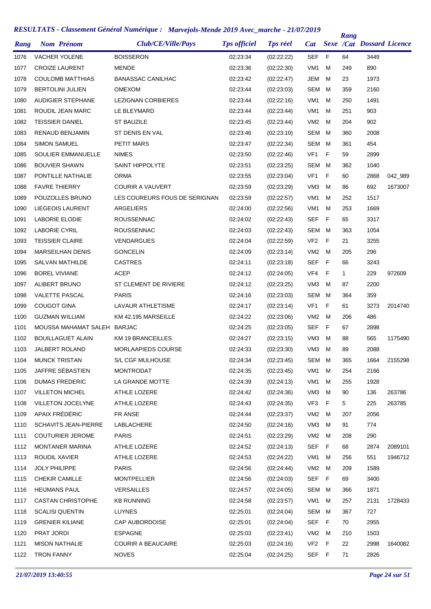| Rang | <b>Nom Prénom</b>           | Club/CE/Ville/Pays            | <b>Tps officiel</b> | <b>Tps réel</b> | <b>Cat</b>      |   | Rang | <b>Sexe /Cat Dossard Licence</b> |         |
|------|-----------------------------|-------------------------------|---------------------|-----------------|-----------------|---|------|----------------------------------|---------|
| 1076 | <b>VACHER YOLENE</b>        | <b>BOISSERON</b>              | 02:23:34            | (02:22:22)      | <b>SEF</b>      | F | 64   | 3449                             |         |
| 1077 | <b>CROIZE LAURENT</b>       | <b>MENDE</b>                  | 02:23:36            | (02:22:30)      | VM <sub>1</sub> | M | 249  | 890                              |         |
| 1078 | <b>COULOMB MATTHIAS</b>     | <b>BANASSAC CANILHAC</b>      | 02:23:42            | (02:22:47)      | <b>JEM</b>      | М | 23   | 1973                             |         |
| 1079 | <b>BERTOLINI JULIEN</b>     | <b>OMEXOM</b>                 | 02:23:44            | (02:23:03)      | <b>SEM</b>      | м | 359  | 2160                             |         |
| 1080 | AUDIGIER STEPHANE           | <b>LEZIGNAN CORBIERES</b>     | 02:23:44            | (02:22:16)      | VM <sub>1</sub> | м | 250  | 1491                             |         |
| 1081 | ROUDIL JEAN MARC            | LE BLEYMARD                   | 02:23:44            | (02:23:44)      | VM <sub>1</sub> | м | 251  | 903                              |         |
| 1082 | <b>TEISSIER DANIEL</b>      | <b>ST BAUZILE</b>             | 02:23:45            | (02:23:44)      | VM <sub>2</sub> | м | 204  | 902                              |         |
| 1083 | RENAUD BENJAMIN             | ST DENIS EN VAL               | 02:23:46            | (02:23:10)      | <b>SEM</b>      | м | 360  | 2008                             |         |
| 1084 | <b>SIMON SAMUEL</b>         | PETIT MARS                    | 02:23:47            | (02:22:34)      | <b>SEM</b>      | м | 361  | 454                              |         |
| 1085 | SOULIER EMMANUELLE          | <b>NIMES</b>                  | 02:23:50            | (02:22:46)      | VF <sub>1</sub> | F | 59   | 2899                             |         |
| 1086 | <b>BOUVIER SHAWN</b>        | <b>SAINT HIPPOLYTE</b>        | 02:23:51            | (02:23:25)      | <b>SEM</b>      | м | 362  | 1040                             |         |
| 1087 | PONTILLE NATHALIE           | <b>ORMA</b>                   | 02:23:55            | (02:23:04)      | VF <sub>1</sub> | F | 60   | 2868                             | 042_989 |
| 1088 | <b>FAVRE THIERRY</b>        | <b>COURIR A VAUVERT</b>       | 02:23:59            | (02:23:29)      | VM <sub>3</sub> | м | 86   | 692                              | 1673007 |
| 1089 | POUZOLLES BRUNO             | LES COUREURS FOUS DE SERIGNAN | 02:23:59            | (02:22:57)      | VM <sub>1</sub> | М | 252  | 1517                             |         |
| 1090 | <b>LIEGEOIS LAURENT</b>     | ARGELIERS                     | 02:24:00            | (02:22:56)      | VM <sub>1</sub> | М | 253  | 1669                             |         |
| 1091 | <b>LABORIE ELODIE</b>       | <b>ROUSSENNAC</b>             | 02:24:02            | (02:22:43)      | <b>SEF</b>      | F | 65   | 3317                             |         |
| 1092 | <b>LABORIE CYRIL</b>        | <b>ROUSSENNAC</b>             | 02:24:03            | (02:22:43)      | <b>SEM</b>      | м | 363  | 1054                             |         |
| 1093 | <b>TEISSIER CLAIRE</b>      | <b>VENDARGUES</b>             | 02:24:04            | (02:22:59)      | VF <sub>2</sub> | F | 21   | 3255                             |         |
| 1094 | <b>MARSEILHAN DENIS</b>     | <b>GONCELIN</b>               | 02:24:09            | (02:23:14)      | VM <sub>2</sub> | M | 205  | 296                              |         |
| 1095 | <b>SALVAN MATHILDE</b>      | <b>CASTRES</b>                | 02:24:11            | (02:23:18)      | <b>SEF</b>      | F | 66   | 3243                             |         |
| 1096 | <b>BOREL VIVIANE</b>        | <b>ACEP</b>                   | 02:24:12            | (02:24:05)      | VF4             | F | 1    | 229                              | 972609  |
| 1097 | ALIBERT BRUNO               | ST CLEMENT DE RIVIERE         | 02:24:12            | (02:23:25)      | VM <sub>3</sub> | м | 87   | 2200                             |         |
| 1098 | <b>VALETTE PASCAL</b>       | <b>PARIS</b>                  | 02:24:16            | (02:23:03)      | <b>SEM</b>      | м | 364  | 359                              |         |
| 1099 | <b>COUGOT GINA</b>          | LAVAUR ATHLETISME             | 02:24:17            | (02:23:14)      | VF1             | F | 61   | 3273                             | 2014740 |
| 1100 | <b>GUZMAN WILLIAM</b>       | KM 42.195 MARSEILLE           | 02:24:22            | (02:23:06)      | VM <sub>2</sub> | м | 206  | 486                              |         |
| 1101 | MOUSSA MAHAMAT SALEH BARJAC |                               | 02:24:25            | (02:23:05)      | SEF             | F | 67   | 2898                             |         |
| 1102 | <b>BOUILLAGUET ALAIN</b>    | <b>KM 19 BRANCEILLES</b>      | 02:24:27            | (02:23:15)      | VM <sub>3</sub> | м | 88   | 565                              | 1175490 |
| 1103 | <b>JALBERT ROLAND</b>       | <b>MORLAAPIEDS COURSE</b>     | 02:24:33            | (02:23:30)      | VM3             | M | 89   | 2088                             |         |
| 1104 | <b>MUNCK TRISTAN</b>        | S/L CGF MULHOUSE              | 02:24:34            | (02:23:45)      | SEM             | M | 365  | 1664                             | 2155298 |
| 1105 | JAFFRE SÉBASTIEN            | <b>MONTRODAT</b>              | 02:24:35            | (02:23:45)      | VM <sub>1</sub> | м | 254  | 2166                             |         |
| 1106 | <b>DUMAS FREDERIC</b>       | LA GRANDE MOTTE               | 02:24:39            | (02:24:13)      | VM1             | М | 255  | 1928                             |         |
| 1107 | <b>VILLETON MICHEL</b>      | ATHLE LOZERE                  | 02:24:42            | (02:24:36)      | VM3             | М | 90   | 136                              | 263786  |
| 1108 | VILLETON JOCELYNE           | ATHLE LOZERE                  | 02:24:43            | (02:24:35)      | VF3             | F | 5    | 225                              | 263785  |
| 1109 | APAIX FRÉDÉRIC              | FR ANSE                       | 02:24:44            | (02:23:37)      | VM <sub>2</sub> | М | 207  | 2056                             |         |
| 1110 | <b>SCHAVITS JEAN-PIERRE</b> | LABLACHERE                    | 02:24:50            | (02:24:16)      | VM3             | м | 91   | 774                              |         |
| 1111 | <b>COUTURIER JEROME</b>     | <b>PARIS</b>                  | 02:24:51            | (02:23:29)      | VM2             | М | 208  | 290                              |         |
| 1112 | MONTANER MARINA             | ATHLE LOZERE                  | 02:24:52            | (02:24:13)      | SEF             | F | 68   | 2874                             | 2089101 |
| 1113 | ROUDIL XAVIER               | ATHLE LOZERE                  | 02:24:53            | (02:24:22)      | VM1             | М | 256  | 551                              | 1946712 |
| 1114 | <b>JOLY PHILIPPE</b>        | <b>PARIS</b>                  | 02:24:56            | (02:24:44)      | VM <sub>2</sub> | м | 209  | 1589                             |         |
| 1115 | <b>CHEKIR CAMILLE</b>       | <b>MONTPELLIER</b>            | 02:24:56            | (02:24:03)      | SEF             | F | 69   | 3400                             |         |
| 1116 | <b>HEIJMANS PAUL</b>        | <b>VERSAILLES</b>             | 02:24:57            | (02:24:05)      | SEM             | м | 366  | 1871                             |         |
| 1117 | <b>CASTAN CHRISTOPHE</b>    | <b>KB RUNNING</b>             | 02:24:58            | (02:23:57)      | VM1             | М | 257  | 2131                             | 1728433 |
| 1118 | <b>SCALISI QUENTIN</b>      | <b>LUYNES</b>                 | 02:25:01            | (02:24:04)      | SEM             | М | 367  | 727                              |         |
| 1119 | <b>GRENIER KILIANE</b>      | CAP AUBORDOISE                | 02:25:01            | (02:24:04)      | SEF             | F | 70   | 2955                             |         |
| 1120 | PRAT JORDI                  | <b>ESPAGNE</b>                | 02:25:03            | (02:23:41)      | VM <sub>2</sub> | м | 210  | 1503                             |         |
| 1121 | <b>MISON NATHALIE</b>       | <b>COURIR A BEAUCAIRE</b>     | 02:25:03            | (02:24:16)      | VF <sub>2</sub> | F | 22   | 2998                             | 1640082 |
| 1122 | <b>TRON FANNY</b>           | <b>NOVES</b>                  | 02:25:04            | (02:24:25)      | SEF F           |   | 71   | 2826                             |         |
|      |                             |                               |                     |                 |                 |   |      |                                  |         |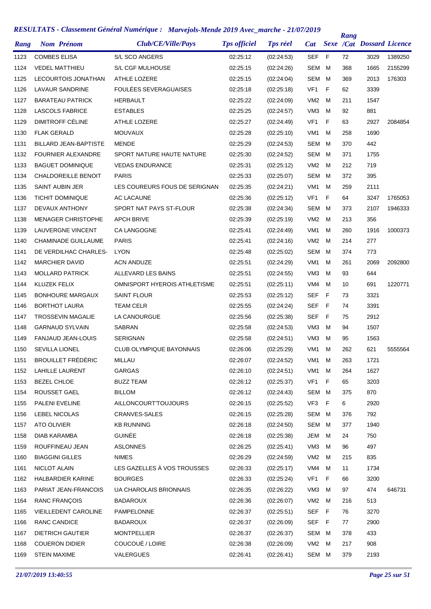| Rang | <b>Nom Prénom</b>            | Club/CE/Ville/Pays              | <b>Tps officiel</b> | <b>Tps réel</b> | Cat             |             | Rang | <b>Sexe /Cat Dossard Licence</b> |         |
|------|------------------------------|---------------------------------|---------------------|-----------------|-----------------|-------------|------|----------------------------------|---------|
| 1123 | <b>COMBES ELISA</b>          | S/L SCO ANGERS                  | 02:25:12            | (02:24:53)      | <b>SEF</b>      | F           | 72   | 3029                             | 1389250 |
| 1124 | <b>VEDEL MATTHIEU</b>        | S/L CGF MULHOUSE                | 02:25:15            | (02:24:26)      | <b>SEM</b>      | м           | 368  | 1665                             | 2155299 |
| 1125 | LECOURTOIS JONATHAN          | ATHLE LOZERE                    | 02:25:15            | (02:24:04)      | SEM             | м           | 369  | 2013                             | 176303  |
| 1126 | LAVAUR SANDRINE              | <b>FOULÉES SEVERAGUAISES</b>    | 02:25:18            | (02:25:18)      | VF <sub>1</sub> | F           | 62   | 3339                             |         |
| 1127 | <b>BARATEAU PATRICK</b>      | HERBAULT                        | 02:25:22            | (02:24:09)      | VM <sub>2</sub> | м           | 211  | 1547                             |         |
| 1128 | <b>LASCOLS FABRICE</b>       | <b>ESTABLES</b>                 | 02:25:25            | (02:24:57)      | VM <sub>3</sub> | м           | 92   | 881                              |         |
| 1129 | DIMITROFF CÉLINE             | <b>ATHLE LOZERE</b>             | 02:25:27            | (02:24:49)      | VF <sub>1</sub> | F           | 63   | 2927                             | 2084854 |
| 1130 | <b>FLAK GERALD</b>           | <b>MOUVAUX</b>                  | 02:25:28            | (02:25:10)      | VM1             | м           | 258  | 1690                             |         |
| 1131 | <b>BILLARD JEAN-BAPTISTE</b> | <b>MENDE</b>                    | 02:25:29            | (02:24:53)      | <b>SEM</b>      | м           | 370  | 442                              |         |
| 1132 | <b>FOURNIER ALEXANDRE</b>    | SPORT NATURE HAUTE NATURE       | 02:25:30            | (02:24:52)      | SEM             | M           | 371  | 1755                             |         |
| 1133 | <b>BAGUET DOMINIQUE</b>      | <b>VEDAS ENDURANCE</b>          | 02:25:31            | (02:25:12)      | VM <sub>2</sub> | м           | 212  | 719                              |         |
| 1134 | CHALDOREILLE BENOIT          | <b>PARIS</b>                    | 02:25:33            | (02:25:07)      | SEM             | M           | 372  | 395                              |         |
| 1135 | <b>SAINT AUBIN JER</b>       | LES COUREURS FOUS DE SERIGNAN   | 02:25:35            | (02:24:21)      | VM <sub>1</sub> | м           | 259  | 2111                             |         |
| 1136 | <b>TICHIT DOMINIQUE</b>      | AC LACAUNE                      | 02:25:36            | (02:25:12)      | VF <sub>1</sub> | F           | 64   | 3247                             | 1765053 |
| 1137 | DEVAUX ANTHONY               | SPORT NAT PAYS ST-FLOUR         | 02:25:38            | (02:24:34)      | SEM             | м           | 373  | 2107                             | 1946333 |
| 1138 | <b>MENAGER CHRISTOPHE</b>    | <b>APCH BRIVE</b>               | 02:25:39            | (02:25:19)      | VM <sub>2</sub> | м           | 213  | 356                              |         |
| 1139 | <b>LAUVERGNE VINCENT</b>     | <b>CA LANGOGNE</b>              | 02:25:41            | (02:24:49)      | VM <sub>1</sub> | м           | 260  | 1916                             | 1000373 |
| 1140 | CHAMINADE GUILLAUME          | <b>PARIS</b>                    | 02:25:41            | (02:24:16)      | VM <sub>2</sub> | м           | 214  | 277                              |         |
| 1141 | DE VERDILHAC CHARLES-        | <b>LYON</b>                     | 02:25:48            | (02:25:02)      | SEM             | м           | 374  | 773                              |         |
| 1142 | <b>MARCHIER DAVID</b>        | <b>ACN ANDUZE</b>               | 02:25:51            | (02:24:29)      | VM <sub>1</sub> | м           | 261  | 2069                             | 2092800 |
| 1143 | <b>MOLLARD PATRICK</b>       | ALLEVARD LES BAINS              | 02:25:51            | (02:24:55)      | VM <sub>3</sub> | м           | 93   | 644                              |         |
| 1144 | <b>KLUZEK FELIX</b>          | OMNISPORT HYEROIS ATHLETISME    | 02:25:51            | (02:25:11)      | VM4             | м           | 10   | 691                              | 1220771 |
| 1145 | <b>BONHOURE MARGAUX</b>      | <b>SAINT FLOUR</b>              | 02:25:53            | (02:25:12)      | <b>SEF</b>      | F           | 73   | 3321                             |         |
| 1146 | <b>BORTHOT LAURA</b>         | <b>TEAM CELR</b>                | 02:25:55            | (02:24:24)      | SEF             | F           | 74   | 3391                             |         |
| 1147 | <b>TROSSEVIN MAGALIE</b>     | LA CANOURGUE                    | 02:25:56            | (02:25:38)      | SEF             | F           | 75   | 2912                             |         |
| 1148 | <b>GARNAUD SYLVAIN</b>       | SABRAN                          | 02:25:58            | (02:24:53)      | VM <sub>3</sub> | м           | 94   | 1507                             |         |
| 1149 | <b>FANJAUD JEAN-LOUIS</b>    | <b>SERIGNAN</b>                 | 02:25:58            | (02:24:51)      | VM <sub>3</sub> | м           | 95   | 1563                             |         |
| 1150 | <b>SEVILLA LIONEL</b>        | <b>CLUB OLYMPIQUE BAYONNAIS</b> | 02:26:06            | (02:25:29)      | VM1             | м           | 262  | 621                              | 5555564 |
| 1151 | <b>BROUILLET FRÉDÉRIC</b>    | MILLAU                          | 02:26:07            | (02:24:52)      | VM <sub>1</sub> | M           | 263  | 1721                             |         |
| 1152 | <b>LAHILLE LAURENT</b>       | <b>GARGAS</b>                   | 02:26:10            | (02:24:51)      | VM <sub>1</sub> | м           | 264  | 1627                             |         |
| 1153 | <b>BEZEL CHLOE</b>           | <b>BUZZ TEAM</b>                | 02:26:12            | (02:25:37)      | VF1             | F           | 65   | 3203                             |         |
| 1154 | ROUSSET GAEL                 | <b>BILLOM</b>                   | 02:26:12            | (02:24:43)      | SEM             | м           | 375  | 870                              |         |
| 1155 | PALENI EVELINE               | <b>AILLONCOURTTOUJOURS</b>      | 02:26:15            | (02:25:52)      | VF3             | F           | 6    | 2920                             |         |
| 1156 | LEBEL NICOLAS                | CRANVES-SALES                   | 02:26:15            | (02:25:28)      | SEM             | м           | 376  | 792                              |         |
| 1157 | ATO OLIVIER                  | <b>KB RUNNING</b>               | 02:26:18            | (02:24:50)      | SEM             | M           | 377  | 1940                             |         |
| 1158 | DIAB KARAMBA                 | <b>GUINÉE</b>                   | 02:26:18            | (02:25:38)      | JEM             | м           | 24   | 750                              |         |
| 1159 | ROUFFINEAU JEAN              | <b>ASLONNES</b>                 | 02:26:25            | (02:25:41)      | VM3             | м           | 96   | 497                              |         |
| 1160 | <b>BIAGGINI GILLES</b>       | <b>NIMES</b>                    | 02:26:29            | (02:24:59)      | VM <sub>2</sub> | м           | 215  | 835                              |         |
| 1161 | NICLOT ALAIN                 | LES GAZELLES À VOS TROUSSES     | 02:26:33            | (02:25:17)      | VM4             | м           | 11   | 1734                             |         |
| 1162 | HALBARDIER KARINE            | <b>BOURGES</b>                  | 02:26:33            | (02:25:24)      | VF1             | F           | 66   | 3200                             |         |
| 1163 | PARIAT JEAN-FRANCOIS         | UA CHAROLAIS BRIONNAIS          | 02:26:35            | (02:26:22)      | VM <sub>3</sub> | м           | 97   | 474                              | 646731  |
| 1164 | <b>RANC FRANÇOIS</b>         | <b>BADAROUX</b>                 | 02:26:36            | (02:26:07)      | VM <sub>2</sub> | м           | 216  | 513                              |         |
| 1165 | VIEILLEDENT CAROLINE         | PAMPELONNE                      | 02:26:37            | (02:25:51)      | SEF             | - F         | 76   | 3270                             |         |
| 1166 | RANC CANDICE                 | <b>BADAROUX</b>                 | 02:26:37            | (02:26:09)      | SEF             | $\mathsf F$ | 77   | 2900                             |         |
| 1167 | <b>DIETRICH GAUTIER</b>      | <b>MONTPELLIER</b>              | 02:26:37            | (02:26:37)      | SEM             | M           | 378  | 433                              |         |
| 1168 | <b>COUERON DIDIER</b>        | COUCOUÉ / LOIRE                 | 02:26:38            | (02:26:09)      | VM <sub>2</sub> | м           | 217  | 908                              |         |
| 1169 | <b>STEIN MAXIME</b>          | VALERGUES                       | 02:26:41            | (02:26:41)      | SEM M           |             | 379  | 2193                             |         |
|      |                              |                                 |                     |                 |                 |             |      |                                  |         |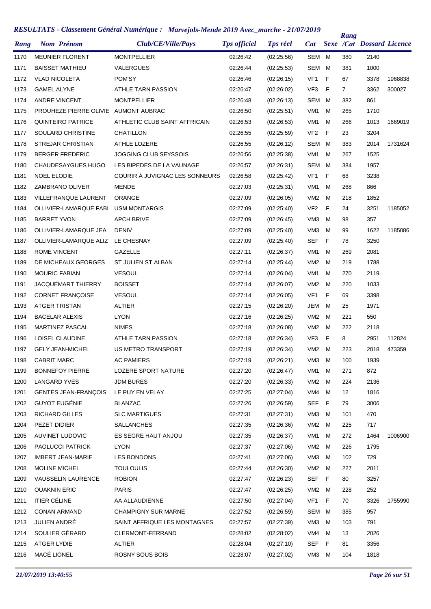| Rang | <b>Nom Prénom</b>                    | Club/CE/Ville/Pays             | <b>Tps officiel</b> | <b>Tps réel</b> | Cat             |   | Rang           | <b>Sexe /Cat Dossard Licence</b> |         |
|------|--------------------------------------|--------------------------------|---------------------|-----------------|-----------------|---|----------------|----------------------------------|---------|
| 1170 | <b>MEUNIER FLORENT</b>               | <b>MONTPELLIER</b>             | 02:26:42            | (02:25:56)      | SEM M           |   | 380            | 2140                             |         |
| 1171 | <b>BAISSET MATHIEU</b>               | VALERGUES                      | 02:26:44            | (02:25:53)      | <b>SEM</b>      | M | 381            | 1000                             |         |
| 1172 | <b>VLAD NICOLETA</b>                 | POM'SY                         | 02:26:46            | (02:26:15)      | VF <sub>1</sub> | F | 67             | 3378                             | 1968838 |
| 1173 | <b>GAMEL ALYNE</b>                   | ATHLE TARN PASSION             | 02:26:47            | (02:26:02)      | VF3             | F | $\overline{7}$ | 3362                             | 300027  |
| 1174 | <b>ANDRE VINCENT</b>                 | <b>MONTPELLIER</b>             | 02:26:48            | (02:26:13)      | <b>SEM</b>      | M | 382            | 861                              |         |
| 1175 | PROUHEZE PIERRE OLIVIE AUMONT AUBRAC |                                | 02:26:50            | (02:25:51)      | VM <sub>1</sub> | м | 265            | 1710                             |         |
| 1176 | QUINTEIRO PATRICE                    | ATHLETIC CLUB SAINT AFFRICAIN  | 02:26:53            | (02:26:53)      | VM <sub>1</sub> | M | 266            | 1013                             | 1669019 |
| 1177 | SOULARD CHRISTINE                    | CHATILLON                      | 02:26:55            | (02:25:59)      | VF <sub>2</sub> | F | 23             | 3204                             |         |
| 1178 | <b>STREJAR CHRISTIAN</b>             | <b>ATHLE LOZERE</b>            | 02:26:55            | (02:26:12)      | SEM             | M | 383            | 2014                             | 1731624 |
| 1179 | <b>BERGER FREDERIC</b>               | JOGGING CLUB SEYSSOIS          | 02:26:56            | (02:25:38)      | VM <sub>1</sub> | M | 267            | 1525                             |         |
| 1180 | CHAUDESAYGUES HUGO                   | LES BIPEDES DE LA VAUNAGE      | 02:26:57            | (02:26:31)      | <b>SEM</b>      | M | 384            | 1957                             |         |
| 1181 | <b>NOEL ELODIE</b>                   | COURIR À JUVIGNAC LES SONNEURS | 02:26:58            | (02:25:42)      | VF <sub>1</sub> | F | 68             | 3238                             |         |
| 1182 | ZAMBRANO OLIVER                      | <b>MENDE</b>                   | 02:27:03            | (02:25:31)      | VM1             | M | 268            | 866                              |         |
| 1183 | <b>VILLEFRANQUE LAURENT</b>          | <b>ORANGE</b>                  | 02:27:09            | (02:26:05)      | VM <sub>2</sub> | M | 218            | 1852                             |         |
| 1184 | <b>OLLIVIER-LAMARQUE FABI</b>        | <b>USM MONTARGIS</b>           | 02:27:09            | (02:25:40)      | VF <sub>2</sub> | F | 24             | 3251                             | 1185052 |
| 1185 | <b>BARRET YVON</b>                   | <b>APCH BRIVE</b>              | 02:27:09            | (02:26:45)      | VM <sub>3</sub> | M | 98             | 357                              |         |
| 1186 | OLLIVIER-LAMARQUE JEA                | <b>DENIV</b>                   | 02:27:09            | (02:25:40)      | VM <sub>3</sub> | M | 99             | 1622                             | 1185086 |
| 1187 | OLLIVIER-LAMARQUE ALIZ               | LE CHESNAY                     | 02:27:09            | (02:25:40)      | <b>SEF</b>      | F | 78             | 3250                             |         |
| 1188 | <b>ROME VINCENT</b>                  | <b>GAZELLE</b>                 | 02:27:11            | (02:26:37)      | VM <sub>1</sub> | м | 269            | 2081                             |         |
| 1189 | DE MICHEAUX GEORGES                  | ST JULIEN ST ALBAN             | 02:27:14            | (02:25:44)      | VM <sub>2</sub> | M | 219            | 1788                             |         |
| 1190 | <b>MOURIC FABIAN</b>                 | <b>VESOUL</b>                  | 02:27:14            | (02:26:04)      | VM <sub>1</sub> | M | 270            | 2119                             |         |
| 1191 | <b>JACQUEMART THIERRY</b>            | <b>BOISSET</b>                 | 02:27:14            | (02:26:07)      | VM <sub>2</sub> | M | 220            | 1033                             |         |
| 1192 | CORNET FRANÇOISE                     | <b>VESOUL</b>                  | 02:27:14            | (02:26:05)      | VF1             | F | 69             | 3398                             |         |
| 1193 | ATGER TRISTAN                        | <b>ALTIER</b>                  | 02:27:15            | (02:26:20)      | JEM             | M | 25             | 1971                             |         |
| 1194 | <b>BACELAR ALEXIS</b>                | <b>LYON</b>                    | 02:27:16            | (02:26:25)      | VM <sub>2</sub> | M | 221            | 550                              |         |
| 1195 | <b>MARTINEZ PASCAL</b>               | <b>NIMES</b>                   | 02:27:18            | (02:26:08)      | VM <sub>2</sub> | M | 222            | 2118                             |         |
| 1196 | LOISEL CLAUDINE                      | ATHLE TARN PASSION             | 02:27:18            | (02:26:34)      | VF3             | F | 8              | 2951                             | 112824  |
| 1197 | <b>GELY JEAN-MICHEL</b>              | US METRO TRANSPORT             | 02:27:19            | (02:26:34)      | VM2             | M | 223            | 2018                             | 473359  |
| 1198 | <b>CABRIT MARC</b>                   | <b>AC PAMIERS</b>              | 02:27:19            | (02:26:21)      | VM3             | M | 100            | 1939                             |         |
| 1199 | <b>BONNEFOY PIERRE</b>               | LOZERE SPORT NATURE            | 02:27:20            | (02:26:47)      | VM1             | M | 271            | 872                              |         |
| 1200 | LANGARD YVES                         | <b>JDM BURES</b>               | 02:27:20            | (02:26:33)      | VM <sub>2</sub> | M | 224            | 2136                             |         |
| 1201 | GENTES JEAN-FRANÇOIS                 | LE PUY EN VELAY                | 02:27:25            | (02:27:04)      | VM4             | M | 12             | 1816                             |         |
| 1202 | <b>GUYOT EUGÉNIE</b>                 | <b>BLANZAC</b>                 | 02:27:26            | (02:26:59)      | SEF F           |   | 79             | 3006                             |         |
| 1203 | <b>RICHARD GILLES</b>                | <b>SLC MARTIGUES</b>           | 02:27:31            | (02:27:31)      | VM3             | M | 101            | 470                              |         |
| 1204 | PEZET DIDIER                         | <b>SALLANCHES</b>              | 02:27:35            | (02:26:36)      | VM <sub>2</sub> | M | 225            | 717                              |         |
| 1205 | AUVINET LUDOVIC                      | ES SEGRE HAUT ANJOU            | 02:27:35            | (02:26:37)      | VM1             | M | 272            | 1464                             | 1006900 |
| 1206 | PAOLUCCI PATRICK                     | <b>LYON</b>                    | 02:27:37            | (02:27:06)      | VM <sub>2</sub> | M | 226            | 1795                             |         |
| 1207 | <b>IMBERT JEAN-MARIE</b>             | <b>LES BONDONS</b>             | 02:27:41            | (02:27:06)      | VM <sub>3</sub> | M | 102            | 729                              |         |
| 1208 | <b>MOLINE MICHEL</b>                 | <b>TOULOULIS</b>               | 02:27:44            | (02:26:30)      | VM <sub>2</sub> | M | 227            | 2011                             |         |
| 1209 | VAUSSELIN LAURENCE                   | <b>ROBION</b>                  | 02:27:47            | (02:26:23)      | SEF             | F | 80             | 3257                             |         |
| 1210 | <b>OUAKNIN ERIC</b>                  | <b>PARIS</b>                   | 02:27:47            | (02:26:25)      | VM2             | M | 228            | 252                              |         |
| 1211 | <b>ITIER CÉLINE</b>                  | AA ALLAUDIENNE                 | 02:27:50            | (02:27:04)      | VF1             | F | 70             | 3326                             | 1755990 |
| 1212 | <b>CONAN ARMAND</b>                  | <b>CHAMPIGNY SUR MARNE</b>     | 02:27:52            | (02:26:59)      | SEM             | M | 385            | 957                              |         |
| 1213 | JULIEN ANDRÉ                         | SAINT AFFRIQUE LES MONTAGNES   | 02:27:57            | (02:27:39)      | VM <sub>3</sub> | м | 103            | 791                              |         |
| 1214 | SOULIER GÉRARD                       | CLERMONT-FERRAND               | 02:28:02            | (02:28:02)      | VM4             | M | 13             | 2026                             |         |
| 1215 | <b>ATGER LYDIE</b>                   | <b>ALTIER</b>                  | 02:28:04            | (02:27:10)      | <b>SEF</b>      | F | 81             | 3356                             |         |
| 1216 | MACÉ LIONEL                          | ROSNY SOUS BOIS                | 02:28:07            | (02:27:02)      | VM3             | M | 104            | 1818                             |         |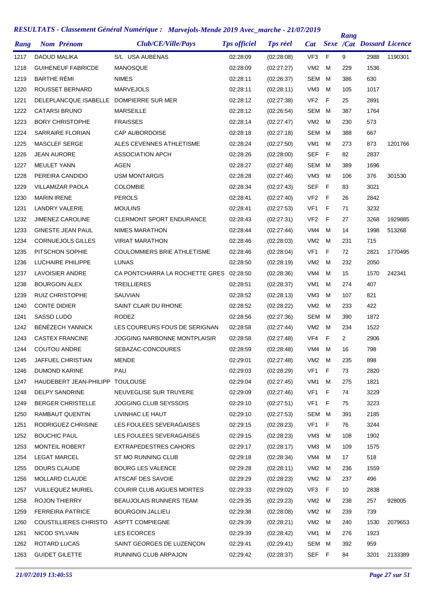| Rang | <b>Nom Prénom</b>            | Club/CE/Ville/Pays                  | <b>Tps officiel</b> | <b>Tps réel</b> | <b>Cat</b>      |   | Rang | <b>Sexe /Cat Dossard Licence</b> |         |
|------|------------------------------|-------------------------------------|---------------------|-----------------|-----------------|---|------|----------------------------------|---------|
| 1217 | DAOUD MALIKA                 | S/L USA AUBENAS                     | 02:28:09            | (02:28:08)      | VF <sub>3</sub> | F | 9    | 2988                             | 1190301 |
| 1218 | <b>GUIHENEUF FABRICDE</b>    | <b>MANOSQUE</b>                     | 02:28:09            | (02:27:27)      | VM <sub>2</sub> | м | 229  | 1536                             |         |
| 1219 | <b>BARTHE RÉMI</b>           | <b>NIMES</b>                        | 02:28:11            | (02:26:37)      | <b>SEM</b>      | м | 386  | 630                              |         |
| 1220 | ROUSSET BERNARD              | <b>MARVEJOLS</b>                    | 02:28:11            | (02:28:11)      | VM <sub>3</sub> | м | 105  | 1017                             |         |
| 1221 | DELEPLANCQUE ISABELLE        | DOMPIERRE SUR MER                   | 02:28:12            | (02:27:38)      | VF <sub>2</sub> | F | 25   | 2891                             |         |
| 1222 | <b>CATARSI BRUNO</b>         | <b>MARSEILLE</b>                    | 02:28:12            | (02:26:54)      | <b>SEM</b>      | м | 387  | 1764                             |         |
| 1223 | <b>BORY CHRISTOPHE</b>       | <b>FRAISSES</b>                     | 02:28:14            | (02:27:47)      | VM <sub>2</sub> | м | 230  | 573                              |         |
| 1224 | SARRAIRE FLORIAN             | <b>CAP AUBORDOISE</b>               | 02:28:18            | (02:27:18)      | <b>SEM</b>      | м | 388  | 667                              |         |
| 1225 | <b>MASCLEF SERGE</b>         | ALES CEVENNES ATHLETISME            | 02:28:24            | (02:27:50)      | VM <sub>1</sub> | м | 273  | 873                              | 1201766 |
| 1226 | <b>JEAN AURORE</b>           | <b>ASSOCIATION APCH</b>             | 02:28:26            | (02:28:00)      | <b>SEF</b>      | F | 82   | 2837                             |         |
| 1227 | <b>MEULET YANN</b>           | AGEN                                | 02:28:27            | (02:27:48)      | SEM             | м | 389  | 1696                             |         |
| 1228 | PEREIRA CANDIDO              | <b>USM MONTARGIS</b>                | 02:28:28            | (02:27:46)      | VM <sub>3</sub> | м | 106  | 376                              | 301530  |
| 1229 | <b>VILLAMIZAR PAOLA</b>      | <b>COLOMBIE</b>                     | 02:28:34            | (02:27:43)      | <b>SEF</b>      | F | 83   | 3021                             |         |
| 1230 | <b>MARIN IRENE</b>           | <b>PEROLS</b>                       | 02:28:41            | (02:27:40)      | VF <sub>2</sub> | F | 26   | 2842                             |         |
| 1231 | <b>LANDRY VALERIE</b>        | <b>MOULINS</b>                      | 02:28:41            | (02:27:53)      | VF1             | F | 71   | 3232                             |         |
| 1232 | <b>JIMENEZ CAROLINE</b>      | <b>CLERMONT SPORT ENDURANCE</b>     | 02:28:43            | (02:27:31)      | VF <sub>2</sub> | F | 27   | 3268                             | 1929885 |
| 1233 | <b>GINESTE JEAN PAUL</b>     | NIMES MARATHON                      | 02:28:44            | (02:27:44)      | VM4             | м | 14   | 1998                             | 513268  |
| 1234 | <b>CORNUEJOLS GILLES</b>     | <b>VIRIAT MARATHON</b>              | 02:28:46            | (02:28:03)      | VM <sub>2</sub> | м | 231  | 715                              |         |
| 1235 | PITSCHON SOPHIE              | <b>COULOMMIERS BRIE ATHLETISME</b>  | 02:28:46            | (02:28:04)      | VF1             | F | 72   | 2821                             | 1770495 |
| 1236 | LUCHAIRE PHILIPPE            | <b>LUNAS</b>                        | 02:28:50            | (02:28:19)      | VM <sub>2</sub> | м | 232  | 2050                             |         |
| 1237 | LAVOISIER ANDRE              | CA PONTCHARRA LA ROCHETTE GRES      | 02:28:50            | (02:28:36)      | VM4             | м | 15   | 1570                             | 242341  |
| 1238 | <b>BOURGOIN ALEX</b>         | <b>TREILLIERES</b>                  | 02:28:51            | (02:28:37)      | VM1             | м | 274  | 407                              |         |
| 1239 | <b>RUIZ CHRISTOPHE</b>       | SAUVIAN                             | 02:28:52            | (02:28:13)      | VM <sub>3</sub> | м | 107  | 821                              |         |
| 1240 | <b>CONTE DIDIER</b>          | SAINT CLAIR DU RHONE                | 02:28:52            | (02:28:22)      | VM <sub>2</sub> | м | 233  | 422                              |         |
| 1241 | SASSO LUDO                   | <b>RODEZ</b>                        | 02:28:56            | (02:27:36)      | SEM             | м | 390  | 1872                             |         |
| 1242 | BÉNÉZECH YANNICK             | LES COUREURS FOUS DE SERIGNAN       | 02:28:58            | (02:27:44)      | VM <sub>2</sub> | м | 234  | 1522                             |         |
| 1243 | <b>CASTEX FRANCINE</b>       | <b>JOGGING NARBONNE MONTPLAISIR</b> | 02:28:58            | (02:27:48)      | VF4             | F | 2    | 2906                             |         |
| 1244 | <b>COUTOU ANDRE</b>          | SEBAZAC-CONCOURES                   | 02:28:59            | (02:28:48)      | VM4             | м | 16   | 798                              |         |
| 1245 | JAFFUEL CHRISTIAN            | MENDE                               | 02:29:01            | (02:27:48)      | VM <sub>2</sub> | M | 235  | 898                              |         |
| 1246 | <b>DUMOND KARINE</b>         | PAU                                 | 02:29:03            | (02:28:29)      | VF1             | F | 73   | 2820                             |         |
| 1247 | HAUDEBERT JEAN-PHILIPP       | <b>TOULOUSE</b>                     | 02:29:04            | (02:27:45)      | VM1             | м | 275  | 1821                             |         |
| 1248 | <b>DELPY SANDRINE</b>        | NEUVEGLISE SUR TRUYERE              | 02:29:09            | (02:27:46)      | VF1             | F | 74   | 3229                             |         |
| 1249 | <b>BERGER CHRISTELLE</b>     | JOGGING CLUB SEYSSOIS               | 02:29:10            | (02:27:51)      | VF1             | F | 75   | 3223                             |         |
| 1250 | RAMBAUT QUENTIN              | LIVINHAC LE HAUT                    | 02:29:10            | (02:27:53)      | SEM             | м | 391  | 2185                             |         |
| 1251 | RODRIGUEZ CHRISINE           | LES FOULEES SEVERAGAISES            | 02:29:15            | (02:28:23)      | VF1             | F | 76   | 3244                             |         |
| 1252 | <b>BOUCHIC PAUL</b>          | LES FOULEES SEVERAGAISES            | 02:29:15            | (02:28:23)      | VM3             | м | 108  | 1902                             |         |
| 1253 | MONTEIL ROBERT               | EXTRAPEDESTRES CAHORS               | 02:29:17            | (02:28:17)      | VM <sub>3</sub> | м | 109  | 1575                             |         |
| 1254 | <b>LEGAT MARCEL</b>          | ST MO RUNNING CLUB                  | 02:29:18            | (02:28:34)      | VM4             | м | 17   | 518                              |         |
| 1255 | DOURS CLAUDE                 | <b>BOURG LES VALENCE</b>            | 02:29:28            | (02:28:11)      | VM <sub>2</sub> | м | 236  | 1559                             |         |
| 1256 | MOLLARD CLAUDE               | ATSCAF DES SAVOIE                   | 02:29:29            | (02:28:23)      | VM <sub>2</sub> | м | 237  | 496                              |         |
| 1257 | <b>VUILLEQUEZ MURIEL</b>     | <b>COURIR CLUB AIGUES MORTES</b>    | 02:29:33            | (02:29:02)      | VF3             | F | 10   | 2838                             |         |
| 1258 | <b>ROJON THIERRY</b>         | BEAUJOLAIS RUNNERS TEAM             | 02:29:35            | (02:29:23)      | VM <sub>2</sub> | M | 238  | 257                              | 928005  |
| 1259 | <b>FERREIRA PATRICE</b>      | <b>BOURGOIN JALLIEU</b>             | 02:29:38            | (02:28:08)      | VM <sub>2</sub> | м | 239  | 739                              |         |
| 1260 | <b>COUSTILLIERES CHRISTO</b> | <b>ASPTT COMPIEGNE</b>              | 02:29:39            | (02:28:21)      | VM <sub>2</sub> | M | 240  | 1530                             | 2079653 |
| 1261 | NICOD SYLVAIN                | LES ECORCES                         | 02:29:39            | (02:28:42)      | VM1             | м | 276  | 1923                             |         |
| 1262 | ROTARD LUCAS                 | SAINT GEORGES DE LUZENÇON           | 02:29:41            | (02:29:41)      | SEM             | м | 392  | 959                              |         |
| 1263 | <b>GUIDET GILETTE</b>        | RUNNING CLUB ARPAJON                | 02:29:42            | (02:28:37)      | SEF F           |   | 84   | 3201                             | 2133389 |
|      |                              |                                     |                     |                 |                 |   |      |                                  |         |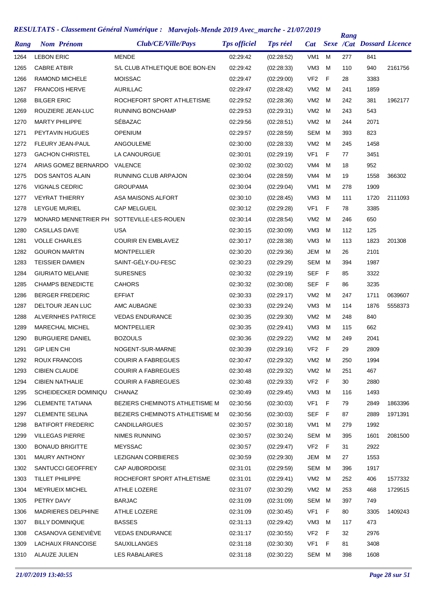| Rang | <b>Nom Prénom</b>        | Club/CE/Ville/Pays                    | <b>Tps officiel</b> | <b>Tps réel</b> | <b>Cat</b>      |   | Rang | <b>Sexe /Cat Dossard Licence</b> |         |
|------|--------------------------|---------------------------------------|---------------------|-----------------|-----------------|---|------|----------------------------------|---------|
| 1264 | <b>LEBON ERIC</b>        | <b>MENDE</b>                          | 02:29:42            | (02:28:52)      | VM <sub>1</sub> | м | 277  | 841                              |         |
| 1265 | <b>CABRE ATBIR</b>       | S/L CLUB ATHLETIQUE BOE BON-EN        | 02:29:42            | (02:28:33)      | VM <sub>3</sub> | M | 110  | 940                              | 2161756 |
| 1266 | <b>RAMOND MICHELE</b>    | <b>MOISSAC</b>                        | 02:29:47            | (02:29:00)      | VF <sub>2</sub> | F | 28   | 3383                             |         |
| 1267 | <b>FRANCOIS HERVE</b>    | AURILLAC                              | 02:29:47            | (02:28:42)      | VM <sub>2</sub> | M | 241  | 1859                             |         |
| 1268 | <b>BILGER ERIC</b>       | ROCHEFORT SPORT ATHLETISME            | 02:29:52            | (02:28:36)      | VM <sub>2</sub> | м | 242  | 381                              | 1962177 |
| 1269 | ROUZIERE JEAN-LUC        | <b>RUNNING BONCHAMP</b>               | 02:29:53            | (02:29:31)      | VM <sub>2</sub> | M | 243  | 543                              |         |
| 1270 | <b>MARTY PHILIPPE</b>    | SÉBAZAC                               | 02:29:56            | (02:28:51)      | VM <sub>2</sub> | M | 244  | 2071                             |         |
| 1271 | PEYTAVIN HUGUES          | <b>OPENIUM</b>                        | 02:29:57            | (02:28:59)      | SEM             | M | 393  | 823                              |         |
| 1272 | FLEURY JEAN-PAUL         | ANGOULEME                             | 02:30:00            | (02:28:33)      | VM <sub>2</sub> | M | 245  | 1458                             |         |
| 1273 | <b>GACHON CHRISTEL</b>   | LA CANOURGUE                          | 02:30:01            | (02:29:19)      | VF <sub>1</sub> | F | 77   | 3451                             |         |
| 1274 | ARIAS GOMEZ BERNARDO     | VALENCE                               | 02:30:02            | (02:30:02)      | VM4             | м | 18   | 952                              |         |
| 1275 | <b>DOS SANTOS ALAIN</b>  | RUNNING CLUB ARPAJON                  | 02:30:04            | (02:28:59)      | VM4             | м | 19   | 1558                             | 366302  |
| 1276 | <b>VIGNALS CEDRIC</b>    | <b>GROUPAMA</b>                       | 02:30:04            | (02:29:04)      | VM <sub>1</sub> | м | 278  | 1909                             |         |
| 1277 | <b>VEYRAT THIERRY</b>    | ASA MAISONS ALFORT                    | 02:30:10            | (02:28:45)      | VM <sub>3</sub> | м | 111  | 1720                             | 2111093 |
| 1278 | LEYGUE MURIEL            | <b>CAP MELGUEIL</b>                   | 02:30:12            | (02:29:28)      | VF <sub>1</sub> | F | 78   | 3385                             |         |
| 1279 | MONARD MENNETRIER PH     | SOTTEVILLE-LES-ROUEN                  | 02:30:14            | (02:28:54)      | VM <sub>2</sub> | M | 246  | 650                              |         |
| 1280 | <b>CASILLAS DAVE</b>     | USA                                   | 02:30:15            | (02:30:09)      | VM <sub>3</sub> | м | 112  | 125                              |         |
| 1281 | <b>VOLLE CHARLES</b>     | <b>COURIR EN EMBLAVEZ</b>             | 02:30:17            | (02:28:38)      | VM <sub>3</sub> | м | 113  | 1823                             | 201308  |
| 1282 | <b>GOURON MARTIN</b>     | <b>MONTPELLIER</b>                    | 02:30:20            | (02:29:36)      | <b>JEM</b>      | м | 26   | 2101                             |         |
| 1283 | <b>TEISSIER DAMIEN</b>   | SAINT-GÉLY-DU-FESC                    | 02:30:23            | (02:29:29)      | SEM             | M | 394  | 1987                             |         |
| 1284 | <b>GIURIATO MELANIE</b>  | <b>SURESNES</b>                       | 02:30:32            | (02:29:19)      | <b>SEF</b>      | F | 85   | 3322                             |         |
| 1285 | <b>CHAMPS BENEDICTE</b>  | <b>CAHORS</b>                         | 02:30:32            | (02:30:08)      | SEF             | F | 86   | 3235                             |         |
| 1286 | <b>BERGER FREDERIC</b>   | <b>EFFIAT</b>                         | 02:30:33            | (02:29:17)      | VM <sub>2</sub> | M | 247  | 1711                             | 0639607 |
| 1287 | DELTOUR JEAN LUC         | AMC AUBAGNE                           | 02:30:33            | (02:29:24)      | VM <sub>3</sub> | м | 114  | 1876                             | 5558373 |
| 1288 | <b>ALVERNHES PATRICE</b> | <b>VEDAS ENDURANCE</b>                | 02:30:35            | (02:29:30)      | VM <sub>2</sub> | м | 248  | 840                              |         |
| 1289 | <b>MARECHAL MICHEL</b>   | <b>MONTPELLIER</b>                    | 02:30:35            | (02:29:41)      | VM <sub>3</sub> | м | 115  | 662                              |         |
| 1290 | <b>BURGUIERE DANIEL</b>  | <b>BOZOULS</b>                        | 02:30:36            | (02:29:22)      | VM <sub>2</sub> | м | 249  | 2041                             |         |
| 1291 | <b>GIP LIEN CHI</b>      | NOGENT-SUR-MARNE                      | 02:30:39            | (02:29:16)      | VF <sub>2</sub> | F | 29   | 2809                             |         |
| 1292 | <b>ROUX FRANCOIS</b>     | COURIR A FABREGUES                    | 02:30:47            | (02:29:32)      | VM2             | M | 250  | 1994                             |         |
| 1293 | <b>CIBIEN CLAUDE</b>     | <b>COURIR A FABREGUES</b>             | 02:30:48            | (02:29:32)      | VM <sub>2</sub> | м | 251  | 467                              |         |
| 1294 | <b>CIBIEN NATHALIE</b>   | <b>COURIR A FABREGUES</b>             | 02:30:48            | (02:29:33)      | VF <sub>2</sub> | F | 30   | 2880                             |         |
| 1295 | SCHEIDECKER DOMINIQU     | CHANAZ                                | 02:30:49            | (02:29:45)      | VM3             | м | 116  | 1493                             |         |
| 1296 | <b>CLEMENTE TATIANA</b>  | <b>BEZIERS CHEMINOTS ATHLETISME M</b> | 02:30:56            | (02:30:03)      | VF <sub>1</sub> | F | 79   | 2849                             | 1863396 |
| 1297 | <b>CLEMENTE SELINA</b>   | <b>BEZIERS CHEMINOTS ATHLETISME M</b> | 02:30:56            | (02:30:03)      | <b>SEF</b>      | F | 87   | 2889                             | 1971391 |
| 1298 | <b>BATIFORT FREDERIC</b> | CANDILLARGUES                         | 02:30:57            | (02:30:18)      | VM <sub>1</sub> | м | 279  | 1992                             |         |
| 1299 | <b>VILLEGAS PIERRE</b>   | NIMES RUNNING                         | 02:30:57            | (02:30:24)      | SEM             | м | 395  | 1601                             | 2081500 |
| 1300 | <b>BONAUD BRIGITTE</b>   | <b>MEYSSAC</b>                        | 02:30:57            | (02:29:47)      | VF <sub>2</sub> | F | 31   | 2922                             |         |
| 1301 | <b>MAURY ANTHONY</b>     | LEZIGNAN CORBIERES                    | 02:30:59            | (02:29:30)      | JEM             | м | 27   | 1553                             |         |
| 1302 | SANTUCCI GEOFFREY        | <b>CAP AUBORDOISE</b>                 | 02:31:01            | (02:29:59)      | SEM M           |   | 396  | 1917                             |         |
| 1303 | TILLET PHILIPPE          | ROCHEFORT SPORT ATHLETISME            | 02:31:01            | (02:29:41)      | VM2             | M | 252  | 406                              | 1577332 |
| 1304 | <b>MEYRUEIX MICHEL</b>   | ATHLE LOZERE                          | 02:31:07            | (02:30:29)      | VM <sub>2</sub> | м | 253  | 468                              | 1729515 |
| 1305 | PETRY DAVY               | <b>BARJAC</b>                         | 02:31:09            | (02:31:09)      | SEM             | м | 397  | 749                              |         |
| 1306 | MADRIERES DELPHINE       | ATHLE LOZERE                          | 02:31:09            | (02:30:45)      | VF <sub>1</sub> | F | 80   | 3305                             | 1409243 |
| 1307 | <b>BILLY DOMINIQUE</b>   | <b>BASSES</b>                         | 02:31:13            | (02:29:42)      | VM3             | м | 117  | 473                              |         |
| 1308 | CASANOVA GENEVIEVE       | <b>VEDAS ENDURANCE</b>                | 02:31:17            | (02:30:55)      | VF <sub>2</sub> | F | 32   | 2976                             |         |
| 1309 | LACHAUX FRANCOISE        | SAUXILLANGES                          | 02:31:18            | (02:30:30)      | VF <sub>1</sub> | F | 81   | 3408                             |         |
| 1310 | ALAUZE JULIEN            | LES RABALAIRES                        | 02:31:18            | (02:30:22)      | SEM M           |   | 398  | 1608                             |         |
|      |                          |                                       |                     |                 |                 |   |      |                                  |         |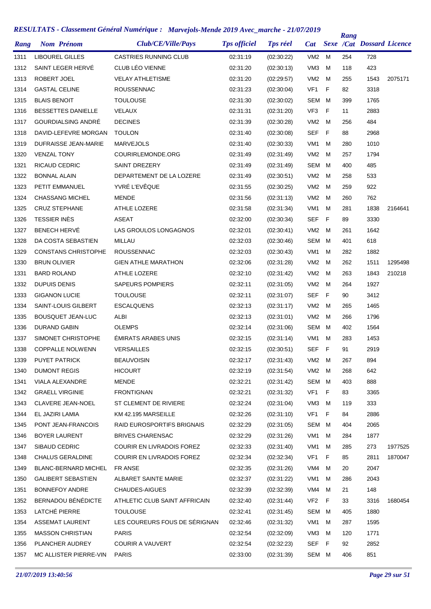| Rang | <b>Nom Prénom</b>           | Club/CE/Ville/Pays               | <b>Tps officiel</b> | <b>Tps réel</b> | <b>Cat</b>      |    | Rang | <b>Sexe /Cat Dossard Licence</b> |         |
|------|-----------------------------|----------------------------------|---------------------|-----------------|-----------------|----|------|----------------------------------|---------|
| 1311 | <b>LIBOUREL GILLES</b>      | <b>CASTRIES RUNNING CLUB</b>     | 02:31:19            | (02:30:22)      | VM <sub>2</sub> | м  | 254  | 728                              |         |
| 1312 | SAINT LEGER HERVÉ           | CLUB LÉO VIENNE                  | 02:31:20            | (02:30:13)      | VM <sub>3</sub> | м  | 118  | 423                              |         |
| 1313 | ROBERT JOEL                 | <b>VELAY ATHLETISME</b>          | 02:31:20            | (02:29:57)      | VM <sub>2</sub> | м  | 255  | 1543                             | 2075171 |
| 1314 | <b>GASTAL CELINE</b>        | <b>ROUSSENNAC</b>                | 02:31:23            | (02:30:04)      | VF <sub>1</sub> | F  | 82   | 3318                             |         |
| 1315 | <b>BLAIS BENOIT</b>         | <b>TOULOUSE</b>                  | 02:31:30            | (02:30:02)      | <b>SEM</b>      | м  | 399  | 1765                             |         |
| 1316 | <b>BESSETTES DANIELLE</b>   | VELAUX                           | 02:31:31            | (02:31:20)      | VF <sub>3</sub> | F  | 11   | 2883                             |         |
| 1317 | GOURDIALSING ANDRÉ          | <b>DECINES</b>                   | 02:31:39            | (02:30:28)      | VM <sub>2</sub> | м  | 256  | 484                              |         |
| 1318 | DAVID-LEFEVRE MORGAN        | <b>TOULON</b>                    | 02:31:40            | (02:30:08)      | <b>SEF</b>      | F  | 88   | 2968                             |         |
| 1319 | DUFRAISSE JEAN-MARIE        | <b>MARVEJOLS</b>                 | 02:31:40            | (02:30:33)      | VM <sub>1</sub> | м  | 280  | 1010                             |         |
| 1320 | <b>VENZAL TONY</b>          | COURIRLEMONDE.ORG                | 02:31:49            | (02:31:49)      | VM <sub>2</sub> | м  | 257  | 1794                             |         |
| 1321 | RICAUD CEDRIC               | SAINT DREZERY                    | 02:31:49            | (02:31:49)      | <b>SEM</b>      | м  | 400  | 485                              |         |
| 1322 | <b>BONNAL ALAIN</b>         | DEPARTEMENT DE LA LOZERE         | 02:31:49            | (02:30:51)      | VM <sub>2</sub> | м  | 258  | 533                              |         |
| 1323 | <b>PETIT EMMANUEL</b>       | YVRÉ L'EVÊQUE                    | 02:31:55            | (02:30:25)      | VM <sub>2</sub> | м  | 259  | 922                              |         |
| 1324 | <b>CHASSANG MICHEL</b>      | <b>MENDE</b>                     | 02:31:56            | (02:31:13)      | VM <sub>2</sub> | м  | 260  | 762                              |         |
| 1325 | <b>CRUZ STEPHANE</b>        | <b>ATHLE LOZERE</b>              | 02:31:58            | (02:31:34)      | VM <sub>1</sub> | м  | 281  | 1838                             | 2164641 |
| 1326 | <b>TESSIER INÈS</b>         | <b>ASEAT</b>                     | 02:32:00            | (02:30:34)      | <b>SEF</b>      | F  | 89   | 3330                             |         |
| 1327 | <b>BENECH HERVÉ</b>         | LAS GROULOS LONGAGNOS            | 02:32:01            | (02:30:41)      | VM <sub>2</sub> | м  | 261  | 1642                             |         |
| 1328 | DA COSTA SEBASTIEN          | MILLAU                           | 02:32:03            | (02:30:46)      | <b>SEM</b>      | м  | 401  | 618                              |         |
| 1329 | <b>CONSTANS CHRISTOPHE</b>  | <b>ROUSSENNAC</b>                | 02:32:03            | (02:30:43)      | VM <sub>1</sub> | м  | 282  | 1882                             |         |
| 1330 | <b>BRUN OLIVIER</b>         | <b>GIEN ATHLE MARATHON</b>       | 02:32:06            | (02:31:28)      | VM <sub>2</sub> | м  | 262  | 1511                             | 1295498 |
| 1331 | <b>BARD ROLAND</b>          | ATHLE LOZERE                     | 02:32:10            | (02:31:42)      | VM <sub>2</sub> | м  | 263  | 1843                             | 210218  |
| 1332 | <b>DUPUIS DENIS</b>         | <b>SAPEURS POMPIERS</b>          | 02:32:11            | (02:31:05)      | VM <sub>2</sub> | м  | 264  | 1927                             |         |
| 1333 | <b>GIGANON LUCIE</b>        | <b>TOULOUSE</b>                  | 02:32:11            | (02:31:07)      | SEF             | F  | 90   | 3412                             |         |
| 1334 | SAINT-LOUIS GILBERT         | <b>ESCALQUENS</b>                | 02:32:13            | (02:31:17)      | VM <sub>2</sub> | м  | 265  | 1465                             |         |
| 1335 | <b>BOUSQUET JEAN-LUC</b>    | ALBI                             | 02:32:13            | (02:31:01)      | VM <sub>2</sub> | м  | 266  | 1796                             |         |
| 1336 | DURAND GABIN                | <b>OLEMPS</b>                    | 02:32:14            | (02:31:06)      | SEM             | м  | 402  | 1564                             |         |
| 1337 | SIMONET CHRISTOPHE          | <b>EMIRATS ARABES UNIS</b>       | 02:32:15            | (02:31:14)      | VM1             | м  | 283  | 1453                             |         |
| 1338 | <b>COPPALLE NOLWENN</b>     | <b>VERSAILLES</b>                | 02:32:15            | (02:30:51)      | SEF             | F  | 91   | 2919                             |         |
| 1339 | PUYET PATRICK               | <b>BEAUVOISIN</b>                | 02:32:17            | (02:31:43)      | VM2             | M  | 267  | 894                              |         |
| 1340 | <b>DUMONT REGIS</b>         | <b>HICOURT</b>                   | 02:32:19            | (02:31:54)      | VM <sub>2</sub> | м  | 268  | 642                              |         |
| 1341 | VIALA ALEXANDRE             | <b>MENDE</b>                     | 02:32:21            | (02:31:42)      | SEM             | M  | 403  | 888                              |         |
| 1342 | <b>GRAELL VIRGINIE</b>      | <b>FRONTIGNAN</b>                | 02:32:21            | (02:31:32)      | VF1             | F  | 83   | 3365                             |         |
| 1343 | <b>CLAVERE JEAN-NOEL</b>    | ST CLEMENT DE RIVIERE            | 02:32:24            | (02:31:04)      | VM3             | м  | 119  | 333                              |         |
| 1344 | EL JAZIRI LAMIA             | KM 42.195 MARSEILLE              | 02:32:26            | (02:31:10)      | VF1             | F  | 84   | 2886                             |         |
| 1345 | PONT JEAN-FRANCOIS          | RAID EUROSPORTIFS BRIGNAIS       | 02:32:29            | (02:31:05)      | SEM             | M  | 404  | 2065                             |         |
| 1346 | <b>BOYER LAURENT</b>        | <b>BRIVES CHARENSAC</b>          | 02:32:29            | (02:31:26)      | VM1             | м  | 284  | 1877                             |         |
| 1347 | SIBAUD CEDRIC               | COURIR EN LIVRADOIS FOREZ        | 02:32:33            | (02:31:40)      | VM1             | м  | 285  | 273                              | 1977525 |
| 1348 | <b>CHALUS GERALDINE</b>     | <b>COURIR EN LIVRADOIS FOREZ</b> | 02:32:34            | (02:32:34)      | VF1             | F  | 85   | 2811                             | 1870047 |
| 1349 | <b>BLANC-BERNARD MICHEL</b> | FR ANSE                          | 02:32:35            | (02:31:26)      | VM4             | м  | 20   | 2047                             |         |
| 1350 | <b>GALIBERT SEBASTIEN</b>   | ALBARET SAINTE MARIE             | 02:32:37            | (02:31:22)      | VM1             | м  | 286  | 2043                             |         |
| 1351 | <b>BONNEFOY ANDRE</b>       | CHAUDES-AIGUES                   | 02:32:39            | (02:32:39)      | VM4             | м  | 21   | 148                              |         |
| 1352 | BERNADOU BÉNÉDICTE          | ATHLETIC CLUB SAINT AFFRICAIN    | 02:32:40            | (02:31:44)      | VF <sub>2</sub> | F  | 33   | 3316                             | 1680454 |
| 1353 | LATCHÉ PIERRE               | <b>TOULOUSE</b>                  | 02:32:41            | (02:31:45)      | SEM             | M  | 405  | 1880                             |         |
| 1354 | ASSEMAT LAURENT             | LES COUREURS FOUS DE SÉRIGNAN    | 02:32:46            | (02:31:32)      | VM1             | м  | 287  | 1595                             |         |
| 1355 | <b>MASSON CHRISTIAN</b>     | <b>PARIS</b>                     | 02:32:54            | (02:32:09)      | VM3             | м  | 120  | 1771                             |         |
| 1356 | PLANCHER AUDREY             | <b>COURIR A VAUVERT</b>          | 02:32:54            | (02:32:23)      | <b>SEF</b>      | F. | 92   | 2852                             |         |
| 1357 | MC ALLISTER PIERRE-VIN      | <b>PARIS</b>                     | 02:33:00            | (02:31:39)      | SEM M           |    | 406  | 851                              |         |
|      |                             |                                  |                     |                 |                 |    |      |                                  |         |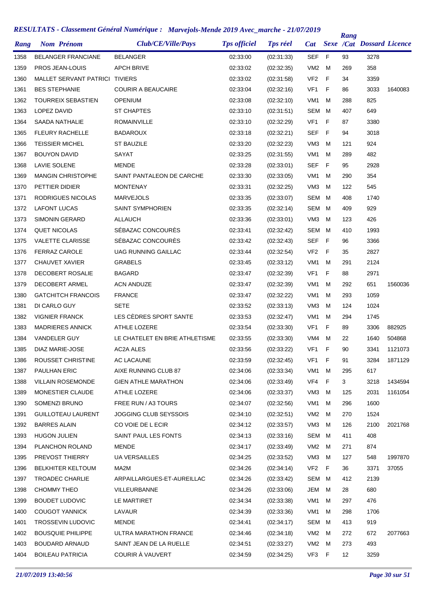| Rang | <b>Nom Prénom</b>              | Club/CE/Ville/Pays             | <b>Tps officiel</b> | <b>Tps réel</b> | <b>Cat</b>      |             | Rang | <b>Sexe /Cat Dossard Licence</b> |         |
|------|--------------------------------|--------------------------------|---------------------|-----------------|-----------------|-------------|------|----------------------------------|---------|
| 1358 | <b>BELANGER FRANCIANE</b>      | <b>BELANGER</b>                | 02:33:00            | (02:31:33)      | <b>SEF</b>      | F           | 93   | 3278                             |         |
| 1359 | PROS JEAN-LOUIS                | <b>APCH BRIVE</b>              | 02:33:02            | (02:32:35)      | VM2             | м           | 269  | 358                              |         |
| 1360 | MALLET SERVANT PATRICI TIVIERS |                                | 02:33:02            | (02:31:58)      | VF <sub>2</sub> | $\mathsf F$ | 34   | 3359                             |         |
| 1361 | <b>BES STEPHANIE</b>           | <b>COURIR A BEAUCAIRE</b>      | 02:33:04            | (02:32:16)      | VF <sub>1</sub> | F           | 86   | 3033                             | 1640083 |
| 1362 | <b>TOURREIX SEBASTIEN</b>      | <b>OPENIUM</b>                 | 02:33:08            | (02:32:10)      | VM <sub>1</sub> | M           | 288  | 825                              |         |
| 1363 | LOPEZ DAVID                    | <b>ST CHAPTES</b>              | 02:33:10            | (02:31:51)      | <b>SEM</b>      | M           | 407  | 649                              |         |
| 1364 | SAADA NATHALIE                 | <b>ROMAINVILLE</b>             | 02:33:10            | (02:32:29)      | VF <sub>1</sub> | F           | 87   | 3380                             |         |
| 1365 | <b>FLEURY RACHELLE</b>         | <b>BADAROUX</b>                | 02:33:18            | (02:32:21)      | SEF             | F           | 94   | 3018                             |         |
| 1366 | <b>TEISSIER MICHEL</b>         | ST BAUZILE                     | 02:33:20            | (02:32:23)      | VM <sub>3</sub> | M           | 121  | 924                              |         |
| 1367 | <b>BOUYON DAVID</b>            | SAYAT                          | 02:33:25            | (02:31:55)      | VM1             | м           | 289  | 482                              |         |
| 1368 | <b>LAVIE SOLENE</b>            | <b>MENDE</b>                   | 02:33:28            | (02:33:01)      | <b>SEF</b>      | F           | 95   | 2928                             |         |
| 1369 | <b>MANGIN CHRISTOPHE</b>       | SAINT PANTALEON DE CARCHE      | 02:33:30            | (02:33:05)      | VM <sub>1</sub> | м           | 290  | 354                              |         |
| 1370 | PETTIER DIDIER                 | <b>MONTENAY</b>                | 02:33:31            | (02:32:25)      | VM <sub>3</sub> | м           | 122  | 545                              |         |
| 1371 | RODRIGUES NICOLAS              | <b>MARVEJOLS</b>               | 02:33:35            | (02:33:07)      | <b>SEM</b>      | M           | 408  | 1740                             |         |
| 1372 | <b>LAFONT LUCAS</b>            | <b>SAINT SYMPHORIEN</b>        | 02:33:35            | (02:32:14)      | <b>SEM</b>      | м           | 409  | 929                              |         |
| 1373 | <b>SIMONIN GERARD</b>          | <b>ALLAUCH</b>                 | 02:33:36            | (02:33:01)      | VM <sub>3</sub> | м           | 123  | 426                              |         |
| 1374 | <b>QUET NICOLAS</b>            | SÉBAZAC CONCOURÈS              | 02:33:41            | (02:32:42)      | <b>SEM</b>      | M           | 410  | 1993                             |         |
| 1375 | <b>VALETTE CLARISSE</b>        | SÉBAZAC CONCOURÈS              | 02:33:42            | (02:32:43)      | <b>SEF</b>      | F           | 96   | 3366                             |         |
| 1376 | <b>FERRAZ CAROLE</b>           | <b>UAG RUNNING GAILLAC</b>     | 02:33:44            | (02:32:54)      | VF <sub>2</sub> | F           | 35   | 2827                             |         |
| 1377 | <b>CHAUVET XAVIER</b>          | <b>GRABELS</b>                 | 02:33:45            | (02:33:12)      | VM <sub>1</sub> | M           | 291  | 2124                             |         |
| 1378 | DECOBERT ROSALIE               | <b>BAGARD</b>                  | 02:33:47            | (02:32:39)      | VF <sub>1</sub> | F           | 88   | 2971                             |         |
| 1379 | DECOBERT ARMEL                 | <b>ACN ANDUZE</b>              | 02:33:47            | (02:32:39)      | VM <sub>1</sub> | М           | 292  | 651                              | 1560036 |
| 1380 | <b>GATCHITCH FRANCOIS</b>      | <b>FRANCE</b>                  | 02:33:47            | (02:32:22)      | VM <sub>1</sub> | М           | 293  | 1059                             |         |
| 1381 | DI CARLO GUY                   | <b>SETE</b>                    | 02:33:52            | (02:33:13)      | VM <sub>3</sub> | М           | 124  | 1024                             |         |
| 1382 | <b>VIGNIER FRANCK</b>          | LES CEDRES SPORT SANTE         | 02:33:53            | (02:32:47)      | VM <sub>1</sub> | М           | 294  | 1745                             |         |
| 1383 | <b>MADRIERES ANNICK</b>        | <b>ATHLE LOZERE</b>            | 02:33:54            | (02:33:30)      | VF <sub>1</sub> | F           | 89   | 3306                             | 882925  |
| 1384 | <b>VANDELER GUY</b>            | LE CHATELET EN BRIE ATHLETISME | 02:33:55            | (02:33:30)      | VM4             | М           | 22   | 1640                             | 504868  |
| 1385 | DIAZ MARIE-JOSE                | <b>AC2A ALES</b>               | 02:33:56            | (02:33:22)      | VF1             | F           | 90   | 3341                             | 1121073 |
| 1386 | ROUSSET CHRISTINE              | <b>AC LACAUNE</b>              | 02:33:59            | (02:32:45)      | VF <sub>1</sub> | - F         | 91   | 3284                             | 1871129 |
| 1387 | PAULHAN ERIC                   | AIXE RUNNING CLUB 87           | 02:34:06            | (02:33:34)      | VM1             | м           | 295  | 617                              |         |
| 1388 | <b>VILLAIN ROSEMONDE</b>       | <b>GIEN ATHLE MARATHON</b>     | 02:34:06            | (02:33:49)      | VF4             | F           | 3    | 3218                             | 1434594 |
| 1389 | MONESTIER CLAUDE               | ATHLE LOZERE                   | 02:34:06            | (02:33:37)      | VM3             | м           | 125  | 2031                             | 1161054 |
| 1390 | SOMENZI BRUNO                  | FREE RUN / A3 TOURS            | 02:34:07            | (02:32:56)      | VM <sub>1</sub> | м           | 296  | 1600                             |         |
| 1391 | <b>GUILLOTEAU LAURENT</b>      | <b>JOGGING CLUB SEYSSOIS</b>   | 02:34:10            | (02:32:51)      | VM2             | м           | 270  | 1524                             |         |
| 1392 | <b>BARRES ALAIN</b>            | CO VOIE DE L ECIR              | 02:34:12            | (02:33:57)      | VM <sub>3</sub> | м           | 126  | 2100                             | 2021768 |
| 1393 | <b>HUGON JULIEN</b>            | SAINT PAUL LES FONTS           | 02:34:13            | (02:33:16)      | SEM             | м           | 411  | 408                              |         |
| 1394 | PLANCHON ROLAND                | MENDE                          | 02:34:17            | (02:33:49)      | VM2             | м           | 271  | 874                              |         |
| 1395 | PREVOST THIERRY                | <b>UA VERSAILLES</b>           | 02:34:25            | (02:33:52)      | VM3             | M           | 127  | 548                              | 1997870 |
| 1396 | <b>BELKHITER KELTOUM</b>       | MA2M                           | 02:34:26            | (02:34:14)      | VF <sub>2</sub> | F           | 36   | 3371                             | 37055   |
| 1397 | <b>TROADEC CHARLIE</b>         | ARPAILLARGUES-ET-AUREILLAC     | 02:34:26            | (02:33:42)      | SEM             | M           | 412  | 2139                             |         |
| 1398 | CHOMMY THEO                    | <b>VILLEURBANNE</b>            | 02:34:26            | (02:33:06)      | JEM             | M           | 28   | 680                              |         |
| 1399 | <b>BOUDET LUDOVIC</b>          | LE MARTIRET                    | 02:34:34            | (02:33:38)      | VM1             | м           | 297  | 476                              |         |
| 1400 | <b>COUGOT YANNICK</b>          | LAVAUR                         | 02:34:39            | (02:33:36)      | VM1             | м           | 298  | 1706                             |         |
| 1401 | <b>TROSSEVIN LUDOVIC</b>       | <b>MENDE</b>                   | 02:34:41            | (02:34:17)      | SEM             | м           | 413  | 919                              |         |
| 1402 | <b>BOUSQUIE PHILIPPE</b>       | ULTRA MARATHON FRANCE          | 02:34:46            | (02:34:18)      | VM2             | M           | 272  | 672                              | 2077663 |
| 1403 | <b>BOUDARD ARNAUD</b>          | SAINT JEAN DE LA RUELLE        | 02:34:51            | (02:33:27)      | VM2             | м           | 273  | 493                              |         |
| 1404 | <b>BOILEAU PATRICIA</b>        | COURIR À VAUVERT               | 02:34:59            | (02:34:25)      | VF3 F           |             | 12   | 3259                             |         |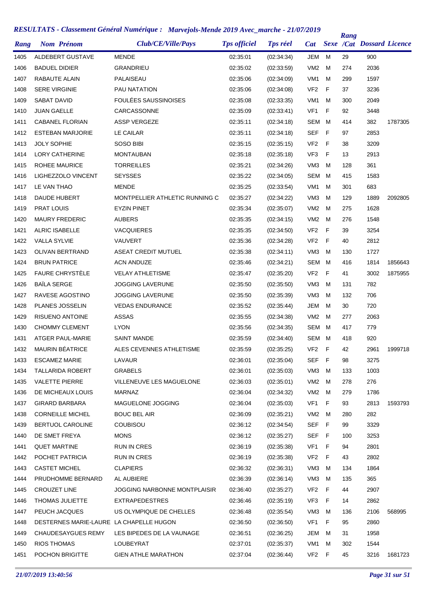| <b>JEM</b><br>ALDEBERT GUSTAVE<br><b>MENDE</b><br>02:35:01<br>(02:34:34)<br>M<br>29<br>900<br>1405<br><b>BADUEL DIDIER</b><br>GRANDRIEU<br>02:35:02<br>(02:33:59)<br>VM <sub>2</sub><br>274<br>2036<br>1406<br>м<br>1407<br>RABAUTE ALAIN<br>PALAISEAU<br>VM <sub>1</sub><br>M<br>1597<br>02:35:06<br>(02:34:09)<br>299<br>F<br><b>SERE VIRGINIE</b><br>VF <sub>2</sub><br>37<br>3236<br>1408<br>PAU NATATION<br>02:35:06<br>(02:34:08)<br><b>FOULÉES SAUSSINOISES</b><br>2049<br>1409<br>SABAT DAVID<br>VM <sub>1</sub><br>M<br>02:35:08<br>(02:33:35)<br>300<br>F<br><b>JUAN GAELLE</b><br>CARCASSONNE<br>VF <sub>1</sub><br>92<br>3448<br>1410<br>02:35:09<br>(02:33:41)<br>382<br>1411<br><b>CABANEL FLORIAN</b><br><b>ASSP VERGEZE</b><br>02:35:11<br><b>SEM</b><br>414<br>1787305<br>(02:34:18)<br>M<br>LE CAILAR<br>02:35:11<br>SEF<br>F<br>97<br>2853<br>1412<br><b>ESTEBAN MARJORIE</b><br>(02:34:18)<br>1413<br><b>JOLY SOPHIE</b><br>SOSO BIBI<br>02:35:15<br>VF <sub>2</sub><br>- F<br>38<br>3209<br>(02:35:15)<br>1414<br>LORY CATHERINE<br><b>MONTAUBAN</b><br>02:35:18<br>VF3<br>F<br>13<br>2913<br>(02:35:18)<br>361<br>1415<br><b>ROHEE MAURICE</b><br><b>TORREILLES</b><br>02:35:21<br>VM <sub>3</sub><br>128<br>(02:34:26)<br>м<br>LIGHEZZOLO VINCENT<br><b>SEYSSES</b><br>02:35:22<br><b>SEM</b><br>415<br>1583<br>1416<br>(02:34:05)<br>M<br>683<br>1417<br>LE VAN THAO<br><b>MENDE</b><br>02:35:25<br>(02:33:54)<br>VM <sub>1</sub><br>301<br>M<br><b>DAUDE HUBERT</b><br>MONTPELLIER ATHLETIC RUNNING C<br>02:35:27<br>VM <sub>3</sub><br>1889<br>1418<br>(02:34:22)<br>M<br>129<br>2092805<br>1419<br><b>PRAT LOUIS</b><br><b>EYZIN PINET</b><br>02:35:34<br>VM <sub>2</sub><br>275<br>1628<br>(02:35:07)<br>м<br>1420<br><b>MAURY FREDERIC</b><br><b>AUBERS</b><br>02:35:35<br>VM <sub>2</sub><br>M<br>276<br>1548<br>(02:34:15)<br>3254<br>1421<br><b>ALRIC ISABELLE</b><br><b>VACQUIERES</b><br>02:35:35<br>(02:34:50)<br>VF <sub>2</sub><br>F<br>39<br>1422<br><b>VALLA SYLVIE</b><br>VAUVERT<br>02:35:36<br>VF <sub>2</sub><br>F<br>40<br>2812<br>(02:34:28)<br>1423<br><b>OLIVAN BERTRAND</b><br><b>ASEAT CREDIT MUTUEL</b><br>02:35:38<br>(02:34:11)<br>VM <sub>3</sub><br>M<br>130<br>1727<br>1424<br><b>BRUN PATRICE</b><br><b>ACN ANDUZE</b><br>02:35:46<br>SEM<br>M<br>416<br>1814<br>1856643<br>(02:34:21)<br><b>FAURE CHRYSTELE</b><br>1425<br><b>VELAY ATHLETISME</b><br>VF <sub>2</sub><br>F<br>41<br>3002<br>1875955<br>02:35:47<br>(02:35:20)<br><b>BAÏLA SERGE</b><br>1426<br><b>JOGGING LAVERUNE</b><br>02:35:50<br>VM <sub>3</sub><br>M<br>782<br>(02:35:50)<br>131<br>1427<br>RAVESE AGOSTINO<br><b>JOGGING LAVERUNE</b><br>VM <sub>3</sub><br>м<br>132<br>706<br>02:35:50<br>(02:35:39)<br>1428<br>PLANES JOSSELIN<br><b>VEDAS ENDURANCE</b><br>JEM<br>30<br>720<br>02:35:52<br>(02:35:44)<br>M<br>1429<br><b>RISUENO ANTOINE</b><br><b>ASSAS</b><br>VM <sub>2</sub><br>277<br>2063<br>02:35:55<br>(02:34:38)<br>M<br>1430<br><b>CHOMMY CLEMENT</b><br><b>LYON</b><br>02:35:56<br>SEM<br>м<br>779<br>(02:34:35)<br>417<br>1431<br><b>ATGER PAUL-MARIE</b><br><b>SAINT MANDE</b><br>02:35:59<br>SEM<br>920<br>(02:34:40)<br>M<br>418<br>MAURIN BÉATRICE<br>ALES CEVENNES ATHLETISME<br>- F<br>1432<br>02:35:59<br>(02:35:25)<br>VF2<br>42<br>2961<br>1999718<br>1433<br><b>ESCAMEZ MARIE</b><br>LAVAUR<br>02:36:01<br>(02:35:04)<br>SEF<br>- F<br>98<br>3275<br><b>TALLARIDA ROBERT</b><br><b>GRABELS</b><br>1434<br>02:36:01<br>(02:35:03)<br>VM3<br>M<br>133<br>1003<br><b>VALETTE PIERRE</b><br>VM <sub>2</sub><br>276<br>1435<br>VILLENEUVE LES MAGUELONE<br>02:36:03<br>(02:35:01)<br>M<br>278<br>DE MICHEAUX LOUIS<br>1436<br><b>MARNAZ</b><br>02:36:04<br>(02:34:32)<br>VM2<br>M<br>279<br>1786<br><b>GIRARD BARBARA</b><br>MAGUELONE JOGGING<br>VF <sub>1</sub><br>1437<br>02:36:04<br>(02:35:03)<br>F<br>93<br>2813<br>1593793<br><b>CORNEILLE MICHEL</b><br><b>BOUC BEL AIR</b><br>282<br>1438<br>02:36:09<br>(02:35:21)<br>VM2<br>M<br>280<br>BERTUOL CAROLINE<br><b>COUBISOU</b><br>SEF F<br>3329<br>1439<br>02:36:12<br>(02:34:54)<br>99<br>DE SMET FREYA<br><b>MONS</b><br><b>SEF</b><br>- F<br>3253<br>1440<br>02:36:12<br>(02:35:27)<br>100<br><b>QUET MARTINE</b><br>VF <sub>1</sub><br>2801<br>1441<br>RUN IN CRES<br>02:36:19<br>(02:35:38)<br>-F<br>94<br>POCHET PATRICIA<br>VF <sub>2</sub><br>F<br>2802<br>1442<br>RUN IN CRES<br>02:36:19<br>(02:35:38)<br>43<br><b>CASTET MICHEL</b><br><b>CLAPIERS</b><br>VM <sub>3</sub><br>1864<br>1443<br>02:36:32<br>(02:36:31)<br>M<br>134<br>365<br>PRUDHOMME BERNARD<br>02:36:39<br>VM3<br>1444<br>AL AUBIERE<br>(02:36:14)<br>M<br>135<br>VF <sub>2</sub><br>2907<br>1445<br><b>CROUZET LINE</b><br><b>JOGGING NARBONNE MONTPLAISIR</b><br>02:36:40<br>(02:35:27)<br>- F<br>44<br>THOMAS JULIETTE<br>VF3<br>F<br>2862<br>1446<br>EXTRAPEDESTRES<br>02:36:46<br>(02:35:19)<br>14<br>PEUCH JACQUES<br>US OLYMPIQUE DE CHELLES<br>VM <sub>3</sub><br>2106<br>1447<br>02:36:48<br>(02:35:54)<br>M<br>136<br>568995<br>VF <sub>1</sub><br>F<br>95<br>2860<br>1448<br>DESTERNES MARIE-LAURE LA CHAPELLE HUGON<br>02:36:50<br>(02:36:50)<br>1958<br>1449<br><b>CHAUDESAYGUES REMY</b><br>LES BIPEDES DE LA VAUNAGE<br>02:36:51<br>(02:36:25)<br>JEM<br>M<br>31<br><b>RIOS THOMAS</b><br>LOUBEYRAT<br>02:37:01<br>1544<br>1450<br>(02:35:37)<br>VM1<br>M<br>302<br>POCHON BRIGITTE<br>VF2 F<br>3216<br>1451<br>GIEN ATHLE MARATHON<br>02:37:04<br>(02:36:44)<br>45<br>1681723 | Rang | <b>Nom Prénom</b> | Club/CE/Ville/Pays | <b>Tps officiel</b> | <b>Tps réel</b> | Cat | <b>Rang</b> | <b>Sexe /Cat Dossard Licence</b> |  |
|-------------------------------------------------------------------------------------------------------------------------------------------------------------------------------------------------------------------------------------------------------------------------------------------------------------------------------------------------------------------------------------------------------------------------------------------------------------------------------------------------------------------------------------------------------------------------------------------------------------------------------------------------------------------------------------------------------------------------------------------------------------------------------------------------------------------------------------------------------------------------------------------------------------------------------------------------------------------------------------------------------------------------------------------------------------------------------------------------------------------------------------------------------------------------------------------------------------------------------------------------------------------------------------------------------------------------------------------------------------------------------------------------------------------------------------------------------------------------------------------------------------------------------------------------------------------------------------------------------------------------------------------------------------------------------------------------------------------------------------------------------------------------------------------------------------------------------------------------------------------------------------------------------------------------------------------------------------------------------------------------------------------------------------------------------------------------------------------------------------------------------------------------------------------------------------------------------------------------------------------------------------------------------------------------------------------------------------------------------------------------------------------------------------------------------------------------------------------------------------------------------------------------------------------------------------------------------------------------------------------------------------------------------------------------------------------------------------------------------------------------------------------------------------------------------------------------------------------------------------------------------------------------------------------------------------------------------------------------------------------------------------------------------------------------------------------------------------------------------------------------------------------------------------------------------------------------------------------------------------------------------------------------------------------------------------------------------------------------------------------------------------------------------------------------------------------------------------------------------------------------------------------------------------------------------------------------------------------------------------------------------------------------------------------------------------------------------------------------------------------------------------------------------------------------------------------------------------------------------------------------------------------------------------------------------------------------------------------------------------------------------------------------------------------------------------------------------------------------------------------------------------------------------------------------------------------------------------------------------------------------------------------------------------------------------------------------------------------------------------------------------------------------------------------------------------------------------------------------------------------------------------------------------------------------------------------------------------------------------------------------------------------------------------------------------------------------------------------------------------------------------------------------------------------------------------------------------------------------------------------------------------------------------------------------------------------------------------------------------------------------------------------------------------------------------------------------------------------------------------------------------------------------------------------------------------------------------------------------------------------------------------------------------------------------------------------------------------------------------------------------------------------------------------------------------------------------------------------------------------|------|-------------------|--------------------|---------------------|-----------------|-----|-------------|----------------------------------|--|
|                                                                                                                                                                                                                                                                                                                                                                                                                                                                                                                                                                                                                                                                                                                                                                                                                                                                                                                                                                                                                                                                                                                                                                                                                                                                                                                                                                                                                                                                                                                                                                                                                                                                                                                                                                                                                                                                                                                                                                                                                                                                                                                                                                                                                                                                                                                                                                                                                                                                                                                                                                                                                                                                                                                                                                                                                                                                                                                                                                                                                                                                                                                                                                                                                                                                                                                                                                                                                                                                                                                                                                                                                                                                                                                                                                                                                                                                                                                                                                                                                                                                                                                                                                                                                                                                                                                                                                                                                                                                                                                                                                                                                                                                                                                                                                                                                                                                                                                                                                                                                                                                                                                                                                                                                                                                                                                                                                                                                                                                                     |      |                   |                    |                     |                 |     |             |                                  |  |
|                                                                                                                                                                                                                                                                                                                                                                                                                                                                                                                                                                                                                                                                                                                                                                                                                                                                                                                                                                                                                                                                                                                                                                                                                                                                                                                                                                                                                                                                                                                                                                                                                                                                                                                                                                                                                                                                                                                                                                                                                                                                                                                                                                                                                                                                                                                                                                                                                                                                                                                                                                                                                                                                                                                                                                                                                                                                                                                                                                                                                                                                                                                                                                                                                                                                                                                                                                                                                                                                                                                                                                                                                                                                                                                                                                                                                                                                                                                                                                                                                                                                                                                                                                                                                                                                                                                                                                                                                                                                                                                                                                                                                                                                                                                                                                                                                                                                                                                                                                                                                                                                                                                                                                                                                                                                                                                                                                                                                                                                                     |      |                   |                    |                     |                 |     |             |                                  |  |
|                                                                                                                                                                                                                                                                                                                                                                                                                                                                                                                                                                                                                                                                                                                                                                                                                                                                                                                                                                                                                                                                                                                                                                                                                                                                                                                                                                                                                                                                                                                                                                                                                                                                                                                                                                                                                                                                                                                                                                                                                                                                                                                                                                                                                                                                                                                                                                                                                                                                                                                                                                                                                                                                                                                                                                                                                                                                                                                                                                                                                                                                                                                                                                                                                                                                                                                                                                                                                                                                                                                                                                                                                                                                                                                                                                                                                                                                                                                                                                                                                                                                                                                                                                                                                                                                                                                                                                                                                                                                                                                                                                                                                                                                                                                                                                                                                                                                                                                                                                                                                                                                                                                                                                                                                                                                                                                                                                                                                                                                                     |      |                   |                    |                     |                 |     |             |                                  |  |
|                                                                                                                                                                                                                                                                                                                                                                                                                                                                                                                                                                                                                                                                                                                                                                                                                                                                                                                                                                                                                                                                                                                                                                                                                                                                                                                                                                                                                                                                                                                                                                                                                                                                                                                                                                                                                                                                                                                                                                                                                                                                                                                                                                                                                                                                                                                                                                                                                                                                                                                                                                                                                                                                                                                                                                                                                                                                                                                                                                                                                                                                                                                                                                                                                                                                                                                                                                                                                                                                                                                                                                                                                                                                                                                                                                                                                                                                                                                                                                                                                                                                                                                                                                                                                                                                                                                                                                                                                                                                                                                                                                                                                                                                                                                                                                                                                                                                                                                                                                                                                                                                                                                                                                                                                                                                                                                                                                                                                                                                                     |      |                   |                    |                     |                 |     |             |                                  |  |
|                                                                                                                                                                                                                                                                                                                                                                                                                                                                                                                                                                                                                                                                                                                                                                                                                                                                                                                                                                                                                                                                                                                                                                                                                                                                                                                                                                                                                                                                                                                                                                                                                                                                                                                                                                                                                                                                                                                                                                                                                                                                                                                                                                                                                                                                                                                                                                                                                                                                                                                                                                                                                                                                                                                                                                                                                                                                                                                                                                                                                                                                                                                                                                                                                                                                                                                                                                                                                                                                                                                                                                                                                                                                                                                                                                                                                                                                                                                                                                                                                                                                                                                                                                                                                                                                                                                                                                                                                                                                                                                                                                                                                                                                                                                                                                                                                                                                                                                                                                                                                                                                                                                                                                                                                                                                                                                                                                                                                                                                                     |      |                   |                    |                     |                 |     |             |                                  |  |
|                                                                                                                                                                                                                                                                                                                                                                                                                                                                                                                                                                                                                                                                                                                                                                                                                                                                                                                                                                                                                                                                                                                                                                                                                                                                                                                                                                                                                                                                                                                                                                                                                                                                                                                                                                                                                                                                                                                                                                                                                                                                                                                                                                                                                                                                                                                                                                                                                                                                                                                                                                                                                                                                                                                                                                                                                                                                                                                                                                                                                                                                                                                                                                                                                                                                                                                                                                                                                                                                                                                                                                                                                                                                                                                                                                                                                                                                                                                                                                                                                                                                                                                                                                                                                                                                                                                                                                                                                                                                                                                                                                                                                                                                                                                                                                                                                                                                                                                                                                                                                                                                                                                                                                                                                                                                                                                                                                                                                                                                                     |      |                   |                    |                     |                 |     |             |                                  |  |
|                                                                                                                                                                                                                                                                                                                                                                                                                                                                                                                                                                                                                                                                                                                                                                                                                                                                                                                                                                                                                                                                                                                                                                                                                                                                                                                                                                                                                                                                                                                                                                                                                                                                                                                                                                                                                                                                                                                                                                                                                                                                                                                                                                                                                                                                                                                                                                                                                                                                                                                                                                                                                                                                                                                                                                                                                                                                                                                                                                                                                                                                                                                                                                                                                                                                                                                                                                                                                                                                                                                                                                                                                                                                                                                                                                                                                                                                                                                                                                                                                                                                                                                                                                                                                                                                                                                                                                                                                                                                                                                                                                                                                                                                                                                                                                                                                                                                                                                                                                                                                                                                                                                                                                                                                                                                                                                                                                                                                                                                                     |      |                   |                    |                     |                 |     |             |                                  |  |
|                                                                                                                                                                                                                                                                                                                                                                                                                                                                                                                                                                                                                                                                                                                                                                                                                                                                                                                                                                                                                                                                                                                                                                                                                                                                                                                                                                                                                                                                                                                                                                                                                                                                                                                                                                                                                                                                                                                                                                                                                                                                                                                                                                                                                                                                                                                                                                                                                                                                                                                                                                                                                                                                                                                                                                                                                                                                                                                                                                                                                                                                                                                                                                                                                                                                                                                                                                                                                                                                                                                                                                                                                                                                                                                                                                                                                                                                                                                                                                                                                                                                                                                                                                                                                                                                                                                                                                                                                                                                                                                                                                                                                                                                                                                                                                                                                                                                                                                                                                                                                                                                                                                                                                                                                                                                                                                                                                                                                                                                                     |      |                   |                    |                     |                 |     |             |                                  |  |
|                                                                                                                                                                                                                                                                                                                                                                                                                                                                                                                                                                                                                                                                                                                                                                                                                                                                                                                                                                                                                                                                                                                                                                                                                                                                                                                                                                                                                                                                                                                                                                                                                                                                                                                                                                                                                                                                                                                                                                                                                                                                                                                                                                                                                                                                                                                                                                                                                                                                                                                                                                                                                                                                                                                                                                                                                                                                                                                                                                                                                                                                                                                                                                                                                                                                                                                                                                                                                                                                                                                                                                                                                                                                                                                                                                                                                                                                                                                                                                                                                                                                                                                                                                                                                                                                                                                                                                                                                                                                                                                                                                                                                                                                                                                                                                                                                                                                                                                                                                                                                                                                                                                                                                                                                                                                                                                                                                                                                                                                                     |      |                   |                    |                     |                 |     |             |                                  |  |
|                                                                                                                                                                                                                                                                                                                                                                                                                                                                                                                                                                                                                                                                                                                                                                                                                                                                                                                                                                                                                                                                                                                                                                                                                                                                                                                                                                                                                                                                                                                                                                                                                                                                                                                                                                                                                                                                                                                                                                                                                                                                                                                                                                                                                                                                                                                                                                                                                                                                                                                                                                                                                                                                                                                                                                                                                                                                                                                                                                                                                                                                                                                                                                                                                                                                                                                                                                                                                                                                                                                                                                                                                                                                                                                                                                                                                                                                                                                                                                                                                                                                                                                                                                                                                                                                                                                                                                                                                                                                                                                                                                                                                                                                                                                                                                                                                                                                                                                                                                                                                                                                                                                                                                                                                                                                                                                                                                                                                                                                                     |      |                   |                    |                     |                 |     |             |                                  |  |
|                                                                                                                                                                                                                                                                                                                                                                                                                                                                                                                                                                                                                                                                                                                                                                                                                                                                                                                                                                                                                                                                                                                                                                                                                                                                                                                                                                                                                                                                                                                                                                                                                                                                                                                                                                                                                                                                                                                                                                                                                                                                                                                                                                                                                                                                                                                                                                                                                                                                                                                                                                                                                                                                                                                                                                                                                                                                                                                                                                                                                                                                                                                                                                                                                                                                                                                                                                                                                                                                                                                                                                                                                                                                                                                                                                                                                                                                                                                                                                                                                                                                                                                                                                                                                                                                                                                                                                                                                                                                                                                                                                                                                                                                                                                                                                                                                                                                                                                                                                                                                                                                                                                                                                                                                                                                                                                                                                                                                                                                                     |      |                   |                    |                     |                 |     |             |                                  |  |
|                                                                                                                                                                                                                                                                                                                                                                                                                                                                                                                                                                                                                                                                                                                                                                                                                                                                                                                                                                                                                                                                                                                                                                                                                                                                                                                                                                                                                                                                                                                                                                                                                                                                                                                                                                                                                                                                                                                                                                                                                                                                                                                                                                                                                                                                                                                                                                                                                                                                                                                                                                                                                                                                                                                                                                                                                                                                                                                                                                                                                                                                                                                                                                                                                                                                                                                                                                                                                                                                                                                                                                                                                                                                                                                                                                                                                                                                                                                                                                                                                                                                                                                                                                                                                                                                                                                                                                                                                                                                                                                                                                                                                                                                                                                                                                                                                                                                                                                                                                                                                                                                                                                                                                                                                                                                                                                                                                                                                                                                                     |      |                   |                    |                     |                 |     |             |                                  |  |
|                                                                                                                                                                                                                                                                                                                                                                                                                                                                                                                                                                                                                                                                                                                                                                                                                                                                                                                                                                                                                                                                                                                                                                                                                                                                                                                                                                                                                                                                                                                                                                                                                                                                                                                                                                                                                                                                                                                                                                                                                                                                                                                                                                                                                                                                                                                                                                                                                                                                                                                                                                                                                                                                                                                                                                                                                                                                                                                                                                                                                                                                                                                                                                                                                                                                                                                                                                                                                                                                                                                                                                                                                                                                                                                                                                                                                                                                                                                                                                                                                                                                                                                                                                                                                                                                                                                                                                                                                                                                                                                                                                                                                                                                                                                                                                                                                                                                                                                                                                                                                                                                                                                                                                                                                                                                                                                                                                                                                                                                                     |      |                   |                    |                     |                 |     |             |                                  |  |
|                                                                                                                                                                                                                                                                                                                                                                                                                                                                                                                                                                                                                                                                                                                                                                                                                                                                                                                                                                                                                                                                                                                                                                                                                                                                                                                                                                                                                                                                                                                                                                                                                                                                                                                                                                                                                                                                                                                                                                                                                                                                                                                                                                                                                                                                                                                                                                                                                                                                                                                                                                                                                                                                                                                                                                                                                                                                                                                                                                                                                                                                                                                                                                                                                                                                                                                                                                                                                                                                                                                                                                                                                                                                                                                                                                                                                                                                                                                                                                                                                                                                                                                                                                                                                                                                                                                                                                                                                                                                                                                                                                                                                                                                                                                                                                                                                                                                                                                                                                                                                                                                                                                                                                                                                                                                                                                                                                                                                                                                                     |      |                   |                    |                     |                 |     |             |                                  |  |
|                                                                                                                                                                                                                                                                                                                                                                                                                                                                                                                                                                                                                                                                                                                                                                                                                                                                                                                                                                                                                                                                                                                                                                                                                                                                                                                                                                                                                                                                                                                                                                                                                                                                                                                                                                                                                                                                                                                                                                                                                                                                                                                                                                                                                                                                                                                                                                                                                                                                                                                                                                                                                                                                                                                                                                                                                                                                                                                                                                                                                                                                                                                                                                                                                                                                                                                                                                                                                                                                                                                                                                                                                                                                                                                                                                                                                                                                                                                                                                                                                                                                                                                                                                                                                                                                                                                                                                                                                                                                                                                                                                                                                                                                                                                                                                                                                                                                                                                                                                                                                                                                                                                                                                                                                                                                                                                                                                                                                                                                                     |      |                   |                    |                     |                 |     |             |                                  |  |
|                                                                                                                                                                                                                                                                                                                                                                                                                                                                                                                                                                                                                                                                                                                                                                                                                                                                                                                                                                                                                                                                                                                                                                                                                                                                                                                                                                                                                                                                                                                                                                                                                                                                                                                                                                                                                                                                                                                                                                                                                                                                                                                                                                                                                                                                                                                                                                                                                                                                                                                                                                                                                                                                                                                                                                                                                                                                                                                                                                                                                                                                                                                                                                                                                                                                                                                                                                                                                                                                                                                                                                                                                                                                                                                                                                                                                                                                                                                                                                                                                                                                                                                                                                                                                                                                                                                                                                                                                                                                                                                                                                                                                                                                                                                                                                                                                                                                                                                                                                                                                                                                                                                                                                                                                                                                                                                                                                                                                                                                                     |      |                   |                    |                     |                 |     |             |                                  |  |
|                                                                                                                                                                                                                                                                                                                                                                                                                                                                                                                                                                                                                                                                                                                                                                                                                                                                                                                                                                                                                                                                                                                                                                                                                                                                                                                                                                                                                                                                                                                                                                                                                                                                                                                                                                                                                                                                                                                                                                                                                                                                                                                                                                                                                                                                                                                                                                                                                                                                                                                                                                                                                                                                                                                                                                                                                                                                                                                                                                                                                                                                                                                                                                                                                                                                                                                                                                                                                                                                                                                                                                                                                                                                                                                                                                                                                                                                                                                                                                                                                                                                                                                                                                                                                                                                                                                                                                                                                                                                                                                                                                                                                                                                                                                                                                                                                                                                                                                                                                                                                                                                                                                                                                                                                                                                                                                                                                                                                                                                                     |      |                   |                    |                     |                 |     |             |                                  |  |
|                                                                                                                                                                                                                                                                                                                                                                                                                                                                                                                                                                                                                                                                                                                                                                                                                                                                                                                                                                                                                                                                                                                                                                                                                                                                                                                                                                                                                                                                                                                                                                                                                                                                                                                                                                                                                                                                                                                                                                                                                                                                                                                                                                                                                                                                                                                                                                                                                                                                                                                                                                                                                                                                                                                                                                                                                                                                                                                                                                                                                                                                                                                                                                                                                                                                                                                                                                                                                                                                                                                                                                                                                                                                                                                                                                                                                                                                                                                                                                                                                                                                                                                                                                                                                                                                                                                                                                                                                                                                                                                                                                                                                                                                                                                                                                                                                                                                                                                                                                                                                                                                                                                                                                                                                                                                                                                                                                                                                                                                                     |      |                   |                    |                     |                 |     |             |                                  |  |
|                                                                                                                                                                                                                                                                                                                                                                                                                                                                                                                                                                                                                                                                                                                                                                                                                                                                                                                                                                                                                                                                                                                                                                                                                                                                                                                                                                                                                                                                                                                                                                                                                                                                                                                                                                                                                                                                                                                                                                                                                                                                                                                                                                                                                                                                                                                                                                                                                                                                                                                                                                                                                                                                                                                                                                                                                                                                                                                                                                                                                                                                                                                                                                                                                                                                                                                                                                                                                                                                                                                                                                                                                                                                                                                                                                                                                                                                                                                                                                                                                                                                                                                                                                                                                                                                                                                                                                                                                                                                                                                                                                                                                                                                                                                                                                                                                                                                                                                                                                                                                                                                                                                                                                                                                                                                                                                                                                                                                                                                                     |      |                   |                    |                     |                 |     |             |                                  |  |
|                                                                                                                                                                                                                                                                                                                                                                                                                                                                                                                                                                                                                                                                                                                                                                                                                                                                                                                                                                                                                                                                                                                                                                                                                                                                                                                                                                                                                                                                                                                                                                                                                                                                                                                                                                                                                                                                                                                                                                                                                                                                                                                                                                                                                                                                                                                                                                                                                                                                                                                                                                                                                                                                                                                                                                                                                                                                                                                                                                                                                                                                                                                                                                                                                                                                                                                                                                                                                                                                                                                                                                                                                                                                                                                                                                                                                                                                                                                                                                                                                                                                                                                                                                                                                                                                                                                                                                                                                                                                                                                                                                                                                                                                                                                                                                                                                                                                                                                                                                                                                                                                                                                                                                                                                                                                                                                                                                                                                                                                                     |      |                   |                    |                     |                 |     |             |                                  |  |
|                                                                                                                                                                                                                                                                                                                                                                                                                                                                                                                                                                                                                                                                                                                                                                                                                                                                                                                                                                                                                                                                                                                                                                                                                                                                                                                                                                                                                                                                                                                                                                                                                                                                                                                                                                                                                                                                                                                                                                                                                                                                                                                                                                                                                                                                                                                                                                                                                                                                                                                                                                                                                                                                                                                                                                                                                                                                                                                                                                                                                                                                                                                                                                                                                                                                                                                                                                                                                                                                                                                                                                                                                                                                                                                                                                                                                                                                                                                                                                                                                                                                                                                                                                                                                                                                                                                                                                                                                                                                                                                                                                                                                                                                                                                                                                                                                                                                                                                                                                                                                                                                                                                                                                                                                                                                                                                                                                                                                                                                                     |      |                   |                    |                     |                 |     |             |                                  |  |
|                                                                                                                                                                                                                                                                                                                                                                                                                                                                                                                                                                                                                                                                                                                                                                                                                                                                                                                                                                                                                                                                                                                                                                                                                                                                                                                                                                                                                                                                                                                                                                                                                                                                                                                                                                                                                                                                                                                                                                                                                                                                                                                                                                                                                                                                                                                                                                                                                                                                                                                                                                                                                                                                                                                                                                                                                                                                                                                                                                                                                                                                                                                                                                                                                                                                                                                                                                                                                                                                                                                                                                                                                                                                                                                                                                                                                                                                                                                                                                                                                                                                                                                                                                                                                                                                                                                                                                                                                                                                                                                                                                                                                                                                                                                                                                                                                                                                                                                                                                                                                                                                                                                                                                                                                                                                                                                                                                                                                                                                                     |      |                   |                    |                     |                 |     |             |                                  |  |
|                                                                                                                                                                                                                                                                                                                                                                                                                                                                                                                                                                                                                                                                                                                                                                                                                                                                                                                                                                                                                                                                                                                                                                                                                                                                                                                                                                                                                                                                                                                                                                                                                                                                                                                                                                                                                                                                                                                                                                                                                                                                                                                                                                                                                                                                                                                                                                                                                                                                                                                                                                                                                                                                                                                                                                                                                                                                                                                                                                                                                                                                                                                                                                                                                                                                                                                                                                                                                                                                                                                                                                                                                                                                                                                                                                                                                                                                                                                                                                                                                                                                                                                                                                                                                                                                                                                                                                                                                                                                                                                                                                                                                                                                                                                                                                                                                                                                                                                                                                                                                                                                                                                                                                                                                                                                                                                                                                                                                                                                                     |      |                   |                    |                     |                 |     |             |                                  |  |
|                                                                                                                                                                                                                                                                                                                                                                                                                                                                                                                                                                                                                                                                                                                                                                                                                                                                                                                                                                                                                                                                                                                                                                                                                                                                                                                                                                                                                                                                                                                                                                                                                                                                                                                                                                                                                                                                                                                                                                                                                                                                                                                                                                                                                                                                                                                                                                                                                                                                                                                                                                                                                                                                                                                                                                                                                                                                                                                                                                                                                                                                                                                                                                                                                                                                                                                                                                                                                                                                                                                                                                                                                                                                                                                                                                                                                                                                                                                                                                                                                                                                                                                                                                                                                                                                                                                                                                                                                                                                                                                                                                                                                                                                                                                                                                                                                                                                                                                                                                                                                                                                                                                                                                                                                                                                                                                                                                                                                                                                                     |      |                   |                    |                     |                 |     |             |                                  |  |
|                                                                                                                                                                                                                                                                                                                                                                                                                                                                                                                                                                                                                                                                                                                                                                                                                                                                                                                                                                                                                                                                                                                                                                                                                                                                                                                                                                                                                                                                                                                                                                                                                                                                                                                                                                                                                                                                                                                                                                                                                                                                                                                                                                                                                                                                                                                                                                                                                                                                                                                                                                                                                                                                                                                                                                                                                                                                                                                                                                                                                                                                                                                                                                                                                                                                                                                                                                                                                                                                                                                                                                                                                                                                                                                                                                                                                                                                                                                                                                                                                                                                                                                                                                                                                                                                                                                                                                                                                                                                                                                                                                                                                                                                                                                                                                                                                                                                                                                                                                                                                                                                                                                                                                                                                                                                                                                                                                                                                                                                                     |      |                   |                    |                     |                 |     |             |                                  |  |
|                                                                                                                                                                                                                                                                                                                                                                                                                                                                                                                                                                                                                                                                                                                                                                                                                                                                                                                                                                                                                                                                                                                                                                                                                                                                                                                                                                                                                                                                                                                                                                                                                                                                                                                                                                                                                                                                                                                                                                                                                                                                                                                                                                                                                                                                                                                                                                                                                                                                                                                                                                                                                                                                                                                                                                                                                                                                                                                                                                                                                                                                                                                                                                                                                                                                                                                                                                                                                                                                                                                                                                                                                                                                                                                                                                                                                                                                                                                                                                                                                                                                                                                                                                                                                                                                                                                                                                                                                                                                                                                                                                                                                                                                                                                                                                                                                                                                                                                                                                                                                                                                                                                                                                                                                                                                                                                                                                                                                                                                                     |      |                   |                    |                     |                 |     |             |                                  |  |
|                                                                                                                                                                                                                                                                                                                                                                                                                                                                                                                                                                                                                                                                                                                                                                                                                                                                                                                                                                                                                                                                                                                                                                                                                                                                                                                                                                                                                                                                                                                                                                                                                                                                                                                                                                                                                                                                                                                                                                                                                                                                                                                                                                                                                                                                                                                                                                                                                                                                                                                                                                                                                                                                                                                                                                                                                                                                                                                                                                                                                                                                                                                                                                                                                                                                                                                                                                                                                                                                                                                                                                                                                                                                                                                                                                                                                                                                                                                                                                                                                                                                                                                                                                                                                                                                                                                                                                                                                                                                                                                                                                                                                                                                                                                                                                                                                                                                                                                                                                                                                                                                                                                                                                                                                                                                                                                                                                                                                                                                                     |      |                   |                    |                     |                 |     |             |                                  |  |
|                                                                                                                                                                                                                                                                                                                                                                                                                                                                                                                                                                                                                                                                                                                                                                                                                                                                                                                                                                                                                                                                                                                                                                                                                                                                                                                                                                                                                                                                                                                                                                                                                                                                                                                                                                                                                                                                                                                                                                                                                                                                                                                                                                                                                                                                                                                                                                                                                                                                                                                                                                                                                                                                                                                                                                                                                                                                                                                                                                                                                                                                                                                                                                                                                                                                                                                                                                                                                                                                                                                                                                                                                                                                                                                                                                                                                                                                                                                                                                                                                                                                                                                                                                                                                                                                                                                                                                                                                                                                                                                                                                                                                                                                                                                                                                                                                                                                                                                                                                                                                                                                                                                                                                                                                                                                                                                                                                                                                                                                                     |      |                   |                    |                     |                 |     |             |                                  |  |
|                                                                                                                                                                                                                                                                                                                                                                                                                                                                                                                                                                                                                                                                                                                                                                                                                                                                                                                                                                                                                                                                                                                                                                                                                                                                                                                                                                                                                                                                                                                                                                                                                                                                                                                                                                                                                                                                                                                                                                                                                                                                                                                                                                                                                                                                                                                                                                                                                                                                                                                                                                                                                                                                                                                                                                                                                                                                                                                                                                                                                                                                                                                                                                                                                                                                                                                                                                                                                                                                                                                                                                                                                                                                                                                                                                                                                                                                                                                                                                                                                                                                                                                                                                                                                                                                                                                                                                                                                                                                                                                                                                                                                                                                                                                                                                                                                                                                                                                                                                                                                                                                                                                                                                                                                                                                                                                                                                                                                                                                                     |      |                   |                    |                     |                 |     |             |                                  |  |
|                                                                                                                                                                                                                                                                                                                                                                                                                                                                                                                                                                                                                                                                                                                                                                                                                                                                                                                                                                                                                                                                                                                                                                                                                                                                                                                                                                                                                                                                                                                                                                                                                                                                                                                                                                                                                                                                                                                                                                                                                                                                                                                                                                                                                                                                                                                                                                                                                                                                                                                                                                                                                                                                                                                                                                                                                                                                                                                                                                                                                                                                                                                                                                                                                                                                                                                                                                                                                                                                                                                                                                                                                                                                                                                                                                                                                                                                                                                                                                                                                                                                                                                                                                                                                                                                                                                                                                                                                                                                                                                                                                                                                                                                                                                                                                                                                                                                                                                                                                                                                                                                                                                                                                                                                                                                                                                                                                                                                                                                                     |      |                   |                    |                     |                 |     |             |                                  |  |
|                                                                                                                                                                                                                                                                                                                                                                                                                                                                                                                                                                                                                                                                                                                                                                                                                                                                                                                                                                                                                                                                                                                                                                                                                                                                                                                                                                                                                                                                                                                                                                                                                                                                                                                                                                                                                                                                                                                                                                                                                                                                                                                                                                                                                                                                                                                                                                                                                                                                                                                                                                                                                                                                                                                                                                                                                                                                                                                                                                                                                                                                                                                                                                                                                                                                                                                                                                                                                                                                                                                                                                                                                                                                                                                                                                                                                                                                                                                                                                                                                                                                                                                                                                                                                                                                                                                                                                                                                                                                                                                                                                                                                                                                                                                                                                                                                                                                                                                                                                                                                                                                                                                                                                                                                                                                                                                                                                                                                                                                                     |      |                   |                    |                     |                 |     |             |                                  |  |
|                                                                                                                                                                                                                                                                                                                                                                                                                                                                                                                                                                                                                                                                                                                                                                                                                                                                                                                                                                                                                                                                                                                                                                                                                                                                                                                                                                                                                                                                                                                                                                                                                                                                                                                                                                                                                                                                                                                                                                                                                                                                                                                                                                                                                                                                                                                                                                                                                                                                                                                                                                                                                                                                                                                                                                                                                                                                                                                                                                                                                                                                                                                                                                                                                                                                                                                                                                                                                                                                                                                                                                                                                                                                                                                                                                                                                                                                                                                                                                                                                                                                                                                                                                                                                                                                                                                                                                                                                                                                                                                                                                                                                                                                                                                                                                                                                                                                                                                                                                                                                                                                                                                                                                                                                                                                                                                                                                                                                                                                                     |      |                   |                    |                     |                 |     |             |                                  |  |
|                                                                                                                                                                                                                                                                                                                                                                                                                                                                                                                                                                                                                                                                                                                                                                                                                                                                                                                                                                                                                                                                                                                                                                                                                                                                                                                                                                                                                                                                                                                                                                                                                                                                                                                                                                                                                                                                                                                                                                                                                                                                                                                                                                                                                                                                                                                                                                                                                                                                                                                                                                                                                                                                                                                                                                                                                                                                                                                                                                                                                                                                                                                                                                                                                                                                                                                                                                                                                                                                                                                                                                                                                                                                                                                                                                                                                                                                                                                                                                                                                                                                                                                                                                                                                                                                                                                                                                                                                                                                                                                                                                                                                                                                                                                                                                                                                                                                                                                                                                                                                                                                                                                                                                                                                                                                                                                                                                                                                                                                                     |      |                   |                    |                     |                 |     |             |                                  |  |
|                                                                                                                                                                                                                                                                                                                                                                                                                                                                                                                                                                                                                                                                                                                                                                                                                                                                                                                                                                                                                                                                                                                                                                                                                                                                                                                                                                                                                                                                                                                                                                                                                                                                                                                                                                                                                                                                                                                                                                                                                                                                                                                                                                                                                                                                                                                                                                                                                                                                                                                                                                                                                                                                                                                                                                                                                                                                                                                                                                                                                                                                                                                                                                                                                                                                                                                                                                                                                                                                                                                                                                                                                                                                                                                                                                                                                                                                                                                                                                                                                                                                                                                                                                                                                                                                                                                                                                                                                                                                                                                                                                                                                                                                                                                                                                                                                                                                                                                                                                                                                                                                                                                                                                                                                                                                                                                                                                                                                                                                                     |      |                   |                    |                     |                 |     |             |                                  |  |
|                                                                                                                                                                                                                                                                                                                                                                                                                                                                                                                                                                                                                                                                                                                                                                                                                                                                                                                                                                                                                                                                                                                                                                                                                                                                                                                                                                                                                                                                                                                                                                                                                                                                                                                                                                                                                                                                                                                                                                                                                                                                                                                                                                                                                                                                                                                                                                                                                                                                                                                                                                                                                                                                                                                                                                                                                                                                                                                                                                                                                                                                                                                                                                                                                                                                                                                                                                                                                                                                                                                                                                                                                                                                                                                                                                                                                                                                                                                                                                                                                                                                                                                                                                                                                                                                                                                                                                                                                                                                                                                                                                                                                                                                                                                                                                                                                                                                                                                                                                                                                                                                                                                                                                                                                                                                                                                                                                                                                                                                                     |      |                   |                    |                     |                 |     |             |                                  |  |
|                                                                                                                                                                                                                                                                                                                                                                                                                                                                                                                                                                                                                                                                                                                                                                                                                                                                                                                                                                                                                                                                                                                                                                                                                                                                                                                                                                                                                                                                                                                                                                                                                                                                                                                                                                                                                                                                                                                                                                                                                                                                                                                                                                                                                                                                                                                                                                                                                                                                                                                                                                                                                                                                                                                                                                                                                                                                                                                                                                                                                                                                                                                                                                                                                                                                                                                                                                                                                                                                                                                                                                                                                                                                                                                                                                                                                                                                                                                                                                                                                                                                                                                                                                                                                                                                                                                                                                                                                                                                                                                                                                                                                                                                                                                                                                                                                                                                                                                                                                                                                                                                                                                                                                                                                                                                                                                                                                                                                                                                                     |      |                   |                    |                     |                 |     |             |                                  |  |
|                                                                                                                                                                                                                                                                                                                                                                                                                                                                                                                                                                                                                                                                                                                                                                                                                                                                                                                                                                                                                                                                                                                                                                                                                                                                                                                                                                                                                                                                                                                                                                                                                                                                                                                                                                                                                                                                                                                                                                                                                                                                                                                                                                                                                                                                                                                                                                                                                                                                                                                                                                                                                                                                                                                                                                                                                                                                                                                                                                                                                                                                                                                                                                                                                                                                                                                                                                                                                                                                                                                                                                                                                                                                                                                                                                                                                                                                                                                                                                                                                                                                                                                                                                                                                                                                                                                                                                                                                                                                                                                                                                                                                                                                                                                                                                                                                                                                                                                                                                                                                                                                                                                                                                                                                                                                                                                                                                                                                                                                                     |      |                   |                    |                     |                 |     |             |                                  |  |
|                                                                                                                                                                                                                                                                                                                                                                                                                                                                                                                                                                                                                                                                                                                                                                                                                                                                                                                                                                                                                                                                                                                                                                                                                                                                                                                                                                                                                                                                                                                                                                                                                                                                                                                                                                                                                                                                                                                                                                                                                                                                                                                                                                                                                                                                                                                                                                                                                                                                                                                                                                                                                                                                                                                                                                                                                                                                                                                                                                                                                                                                                                                                                                                                                                                                                                                                                                                                                                                                                                                                                                                                                                                                                                                                                                                                                                                                                                                                                                                                                                                                                                                                                                                                                                                                                                                                                                                                                                                                                                                                                                                                                                                                                                                                                                                                                                                                                                                                                                                                                                                                                                                                                                                                                                                                                                                                                                                                                                                                                     |      |                   |                    |                     |                 |     |             |                                  |  |
|                                                                                                                                                                                                                                                                                                                                                                                                                                                                                                                                                                                                                                                                                                                                                                                                                                                                                                                                                                                                                                                                                                                                                                                                                                                                                                                                                                                                                                                                                                                                                                                                                                                                                                                                                                                                                                                                                                                                                                                                                                                                                                                                                                                                                                                                                                                                                                                                                                                                                                                                                                                                                                                                                                                                                                                                                                                                                                                                                                                                                                                                                                                                                                                                                                                                                                                                                                                                                                                                                                                                                                                                                                                                                                                                                                                                                                                                                                                                                                                                                                                                                                                                                                                                                                                                                                                                                                                                                                                                                                                                                                                                                                                                                                                                                                                                                                                                                                                                                                                                                                                                                                                                                                                                                                                                                                                                                                                                                                                                                     |      |                   |                    |                     |                 |     |             |                                  |  |
|                                                                                                                                                                                                                                                                                                                                                                                                                                                                                                                                                                                                                                                                                                                                                                                                                                                                                                                                                                                                                                                                                                                                                                                                                                                                                                                                                                                                                                                                                                                                                                                                                                                                                                                                                                                                                                                                                                                                                                                                                                                                                                                                                                                                                                                                                                                                                                                                                                                                                                                                                                                                                                                                                                                                                                                                                                                                                                                                                                                                                                                                                                                                                                                                                                                                                                                                                                                                                                                                                                                                                                                                                                                                                                                                                                                                                                                                                                                                                                                                                                                                                                                                                                                                                                                                                                                                                                                                                                                                                                                                                                                                                                                                                                                                                                                                                                                                                                                                                                                                                                                                                                                                                                                                                                                                                                                                                                                                                                                                                     |      |                   |                    |                     |                 |     |             |                                  |  |
|                                                                                                                                                                                                                                                                                                                                                                                                                                                                                                                                                                                                                                                                                                                                                                                                                                                                                                                                                                                                                                                                                                                                                                                                                                                                                                                                                                                                                                                                                                                                                                                                                                                                                                                                                                                                                                                                                                                                                                                                                                                                                                                                                                                                                                                                                                                                                                                                                                                                                                                                                                                                                                                                                                                                                                                                                                                                                                                                                                                                                                                                                                                                                                                                                                                                                                                                                                                                                                                                                                                                                                                                                                                                                                                                                                                                                                                                                                                                                                                                                                                                                                                                                                                                                                                                                                                                                                                                                                                                                                                                                                                                                                                                                                                                                                                                                                                                                                                                                                                                                                                                                                                                                                                                                                                                                                                                                                                                                                                                                     |      |                   |                    |                     |                 |     |             |                                  |  |
|                                                                                                                                                                                                                                                                                                                                                                                                                                                                                                                                                                                                                                                                                                                                                                                                                                                                                                                                                                                                                                                                                                                                                                                                                                                                                                                                                                                                                                                                                                                                                                                                                                                                                                                                                                                                                                                                                                                                                                                                                                                                                                                                                                                                                                                                                                                                                                                                                                                                                                                                                                                                                                                                                                                                                                                                                                                                                                                                                                                                                                                                                                                                                                                                                                                                                                                                                                                                                                                                                                                                                                                                                                                                                                                                                                                                                                                                                                                                                                                                                                                                                                                                                                                                                                                                                                                                                                                                                                                                                                                                                                                                                                                                                                                                                                                                                                                                                                                                                                                                                                                                                                                                                                                                                                                                                                                                                                                                                                                                                     |      |                   |                    |                     |                 |     |             |                                  |  |
|                                                                                                                                                                                                                                                                                                                                                                                                                                                                                                                                                                                                                                                                                                                                                                                                                                                                                                                                                                                                                                                                                                                                                                                                                                                                                                                                                                                                                                                                                                                                                                                                                                                                                                                                                                                                                                                                                                                                                                                                                                                                                                                                                                                                                                                                                                                                                                                                                                                                                                                                                                                                                                                                                                                                                                                                                                                                                                                                                                                                                                                                                                                                                                                                                                                                                                                                                                                                                                                                                                                                                                                                                                                                                                                                                                                                                                                                                                                                                                                                                                                                                                                                                                                                                                                                                                                                                                                                                                                                                                                                                                                                                                                                                                                                                                                                                                                                                                                                                                                                                                                                                                                                                                                                                                                                                                                                                                                                                                                                                     |      |                   |                    |                     |                 |     |             |                                  |  |
|                                                                                                                                                                                                                                                                                                                                                                                                                                                                                                                                                                                                                                                                                                                                                                                                                                                                                                                                                                                                                                                                                                                                                                                                                                                                                                                                                                                                                                                                                                                                                                                                                                                                                                                                                                                                                                                                                                                                                                                                                                                                                                                                                                                                                                                                                                                                                                                                                                                                                                                                                                                                                                                                                                                                                                                                                                                                                                                                                                                                                                                                                                                                                                                                                                                                                                                                                                                                                                                                                                                                                                                                                                                                                                                                                                                                                                                                                                                                                                                                                                                                                                                                                                                                                                                                                                                                                                                                                                                                                                                                                                                                                                                                                                                                                                                                                                                                                                                                                                                                                                                                                                                                                                                                                                                                                                                                                                                                                                                                                     |      |                   |                    |                     |                 |     |             |                                  |  |
|                                                                                                                                                                                                                                                                                                                                                                                                                                                                                                                                                                                                                                                                                                                                                                                                                                                                                                                                                                                                                                                                                                                                                                                                                                                                                                                                                                                                                                                                                                                                                                                                                                                                                                                                                                                                                                                                                                                                                                                                                                                                                                                                                                                                                                                                                                                                                                                                                                                                                                                                                                                                                                                                                                                                                                                                                                                                                                                                                                                                                                                                                                                                                                                                                                                                                                                                                                                                                                                                                                                                                                                                                                                                                                                                                                                                                                                                                                                                                                                                                                                                                                                                                                                                                                                                                                                                                                                                                                                                                                                                                                                                                                                                                                                                                                                                                                                                                                                                                                                                                                                                                                                                                                                                                                                                                                                                                                                                                                                                                     |      |                   |                    |                     |                 |     |             |                                  |  |
|                                                                                                                                                                                                                                                                                                                                                                                                                                                                                                                                                                                                                                                                                                                                                                                                                                                                                                                                                                                                                                                                                                                                                                                                                                                                                                                                                                                                                                                                                                                                                                                                                                                                                                                                                                                                                                                                                                                                                                                                                                                                                                                                                                                                                                                                                                                                                                                                                                                                                                                                                                                                                                                                                                                                                                                                                                                                                                                                                                                                                                                                                                                                                                                                                                                                                                                                                                                                                                                                                                                                                                                                                                                                                                                                                                                                                                                                                                                                                                                                                                                                                                                                                                                                                                                                                                                                                                                                                                                                                                                                                                                                                                                                                                                                                                                                                                                                                                                                                                                                                                                                                                                                                                                                                                                                                                                                                                                                                                                                                     |      |                   |                    |                     |                 |     |             |                                  |  |
|                                                                                                                                                                                                                                                                                                                                                                                                                                                                                                                                                                                                                                                                                                                                                                                                                                                                                                                                                                                                                                                                                                                                                                                                                                                                                                                                                                                                                                                                                                                                                                                                                                                                                                                                                                                                                                                                                                                                                                                                                                                                                                                                                                                                                                                                                                                                                                                                                                                                                                                                                                                                                                                                                                                                                                                                                                                                                                                                                                                                                                                                                                                                                                                                                                                                                                                                                                                                                                                                                                                                                                                                                                                                                                                                                                                                                                                                                                                                                                                                                                                                                                                                                                                                                                                                                                                                                                                                                                                                                                                                                                                                                                                                                                                                                                                                                                                                                                                                                                                                                                                                                                                                                                                                                                                                                                                                                                                                                                                                                     |      |                   |                    |                     |                 |     |             |                                  |  |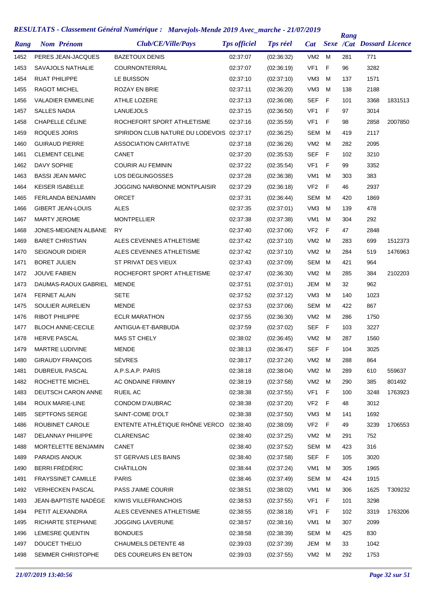| Rang |                       | <b>Nom Prénom</b>         | Club/CE/Ville/Pays                        | <b>Tps officiel</b> | <b>Tps réel</b> | <b>Cat</b>      |     | Rang | <b>Sexe /Cat Dossard Licence</b> |         |
|------|-----------------------|---------------------------|-------------------------------------------|---------------------|-----------------|-----------------|-----|------|----------------------------------|---------|
| 1452 |                       | PERES JEAN-JACQUES        | <b>BAZETOUX DENIS</b>                     | 02:37:07            | (02:36:32)      | VM2             | M   | 281  | 771                              |         |
| 1453 |                       | SAVAJOLS NATHALIE         | COURNONTERRAL                             | 02:37:07            | (02:36:19)      | VF <sub>1</sub> | F   | 96   | 3282                             |         |
| 1454 | <b>RUAT PHILIPPE</b>  |                           | LE BUISSON                                | 02:37:10            | (02:37:10)      | VM <sub>3</sub> | м   | 137  | 1571                             |         |
| 1455 | <b>RAGOT MICHEL</b>   |                           | ROZAY EN BRIE                             | 02:37:11            | (02:36:20)      | VM <sub>3</sub> | M   | 138  | 2188                             |         |
| 1456 |                       | <b>VALADIER EMMELINE</b>  | ATHLE LOZERE                              | 02:37:13            | (02:36:08)      | SEF             | F   | 101  | 3368                             | 1831513 |
| 1457 | <b>SALLES NADIA</b>   |                           | <b>LANUEJOLS</b>                          | 02:37:15            | (02:36:50)      | VF <sub>1</sub> | F   | 97   | 3014                             |         |
| 1458 |                       | CHAPELLE CÉLINE           | ROCHEFORT SPORT ATHLETISME                | 02:37:16            | (02:35:59)      | VF <sub>1</sub> | F   | 98   | 2858                             | 2007850 |
| 1459 | ROQUES JORIS          |                           | SPIRIDON CLUB NATURE DU LODEVOIS 02:37:17 |                     | (02:36:25)      | SEM             | M   | 419  | 2117                             |         |
| 1460 |                       | <b>GUIRAUD PIERRE</b>     | <b>ASSOCIATION CARITATIVE</b>             | 02:37:18            | (02:36:26)      | VM <sub>2</sub> | м   | 282  | 2095                             |         |
| 1461 |                       | <b>CLEMENT CELINE</b>     | <b>CANET</b>                              | 02:37:20            | (02:35:53)      | <b>SEF</b>      | F   | 102  | 3210                             |         |
| 1462 | DAVY SOPHIE           |                           | <b>COURIR AU FEMININ</b>                  | 02:37:22            | (02:35:54)      | VF <sub>1</sub> | F   | 99   | 3352                             |         |
| 1463 |                       | <b>BASSI JEAN MARC</b>    | LOS DEGLINGOSSES                          | 02:37:28            | (02:36:38)      | VM <sub>1</sub> | м   | 303  | 383                              |         |
| 1464 |                       | <b>KEISER ISABELLE</b>    | <b>JOGGING NARBONNE MONTPLAISIR</b>       | 02:37:29            | (02:36:18)      | VF <sub>2</sub> | F   | 46   | 2937                             |         |
| 1465 |                       | <b>FERLANDA BENJAMIN</b>  | <b>ORCET</b>                              | 02:37:31            | (02:36:44)      | SEM             | м   | 420  | 1869                             |         |
| 1466 |                       | <b>GIBERT JEAN-LOUIS</b>  | <b>ALES</b>                               | 02:37:35            | (02:37:01)      | VM <sub>3</sub> | м   | 139  | 478                              |         |
| 1467 | <b>MARTY JEROME</b>   |                           | <b>MONTPELLIER</b>                        | 02:37:38            | (02:37:38)      | VM <sub>1</sub> | м   | 304  | 292                              |         |
| 1468 |                       | JONES-MEIGNEN ALBANE      | RY                                        | 02:37:40            | (02:37:06)      | VF <sub>2</sub> | F   | 47   | 2848                             |         |
| 1469 |                       | <b>BARET CHRISTIAN</b>    | ALES CEVENNES ATHLETISME                  | 02:37:42            | (02:37:10)      | VM <sub>2</sub> | M   | 283  | 699                              | 1512373 |
| 1470 |                       | <b>SEIGNOUR DIDIER</b>    | ALES CEVENNES ATHLETISME                  | 02:37:42            | (02:37:10)      | VM <sub>2</sub> | м   | 284  | 519                              | 1476963 |
| 1471 | <b>BORET JULIEN</b>   |                           | ST PRIVAT DES VIEUX                       | 02:37:43            | (02:37:09)      | SEM             | M   | 421  | 964                              |         |
| 1472 | <b>JOUVE FABIEN</b>   |                           | ROCHEFORT SPORT ATHLETISME                | 02:37:47            | (02:36:30)      | VM <sub>2</sub> | M   | 285  | 384                              | 2102203 |
| 1473 |                       | DAUMAS-RAOUX GABRIEL      | <b>MENDE</b>                              | 02:37:51            | (02:37:01)      | JEM             | м   | 32   | 962                              |         |
| 1474 | FERNET ALAIN          |                           | <b>SETE</b>                               | 02:37:52            | (02:37:12)      | VM <sub>3</sub> | м   | 140  | 1023                             |         |
| 1475 |                       | SOULIER AURELIEN          | <b>MENDE</b>                              | 02:37:53            | (02:37:06)      | SEM             | M   | 422  | 867                              |         |
| 1476 | <b>RIBOT PHILIPPE</b> |                           | <b>ECLR MARATHON</b>                      | 02:37:55            | (02:36:30)      | VM <sub>2</sub> | м   | 286  | 1750                             |         |
| 1477 |                       | <b>BLOCH ANNE-CECILE</b>  | ANTIGUA-ET-BARBUDA                        | 02:37:59            | (02:37:02)      | <b>SEF</b>      | F   | 103  | 3227                             |         |
| 1478 | <b>HERVE PASCAL</b>   |                           | MAS ST CHELY                              | 02:38:02            | (02:36:45)      | VM <sub>2</sub> | M   | 287  | 1560                             |         |
| 1479 |                       | <b>MARTRE LUDIVINE</b>    | <b>MENDE</b>                              | 02:38:13            | (02:36:47)      | SEF             | - F | 104  | 3025                             |         |
| 1480 |                       | <b>GIRAUDY FRANÇOIS</b>   | <b>SÈVRES</b>                             | 02:38:17            | (02:37:24)      | VM2 M           |     | 288  | 864                              |         |
| 1481 |                       | DUBREUIL PASCAL           | A.P.S.A.P. PARIS                          | 02:38:18            | (02:38:04)      | VM2 M           |     | 289  | 610                              | 559637  |
| 1482 |                       | ROCHETTE MICHEL           | AC ONDAINE FIRMINY                        | 02:38:19            | (02:37:58)      | VM2 M           |     | 290  | 385                              | 801492  |
| 1483 |                       | DEUTSCH CARON ANNE        | RUEIL AC                                  | 02:38:38            | (02:37:55)      | VF1             | - F | 100  | 3248                             | 1763923 |
| 1484 |                       | <b>ROUX MARIE-LINE</b>    | CONDOM D'AUBRAC                           | 02:38:38            | (02:37:20)      | VF <sub>2</sub> | - F | 48   | 3012                             |         |
| 1485 |                       | SEPTFONS SERGE            | SAINT-COME D'OLT                          | 02:38:38            | (02:37:50)      | VM3             | M   | 141  | 1692                             |         |
| 1486 |                       | ROUBINET CAROLE           | ENTENTE ATHLÉTIQUE RHÔNE VERCO            | 02:38:40            | (02:38:09)      | VF <sub>2</sub> | - F | 49   | 3239                             | 1706553 |
| 1487 |                       | DELANNAY PHILIPPE         | <b>CLARENSAC</b>                          | 02:38:40            | (02:37:25)      | VM2 M           |     | 291  | 752                              |         |
| 1488 |                       | MORTELETTE BENJAMIN       | CANET                                     | 02:38:40            | (02:37:52)      | SEM M           |     | 423  | 316                              |         |
| 1489 |                       | PARADIS ANOUK             | ST GERVAIS LES BAINS                      | 02:38:40            | (02:37:58)      | SEF F           |     | 105  | 3020                             |         |
| 1490 |                       | BERRI FRÉDÉRIC            | CHÂTILLON                                 | 02:38:44            | (02:37:24)      | VM1             | M   | 305  | 1965                             |         |
| 1491 |                       | <b>FRAYSSINET CAMILLE</b> | <b>PARIS</b>                              | 02:38:46            | (02:37:49)      | SEM M           |     | 424  | 1915                             |         |
| 1492 |                       | <b>VERHECKEN PASCAL</b>   | PASS J'AIME COURIR                        | 02:38:51            | (02:38:02)      | VM1             | M   | 306  | 1625                             | T309232 |
| 1493 |                       | JEAN-BAPTISTE NADÈGE      | KIWIS VILLEFRANCHOIS                      | 02:38:53            | (02:37:55)      | VF1             | F.  | 101  | 3298                             |         |
| 1494 |                       | PETIT ALEXANDRA           | ALES CEVENNES ATHLETISME                  | 02:38:55            | (02:38:18)      | VF1             | -F  | 102  | 3319                             | 1763206 |
| 1495 |                       | RICHARTE STEPHANE         | <b>JOGGING LAVERUNE</b>                   | 02:38:57            | (02:38:16)      | VM1             | M   | 307  | 2099                             |         |
| 1496 |                       | LEMESRE QUENTIN           | <b>BONDUES</b>                            | 02:38:58            | (02:38:39)      | SEM M           |     | 425  | 830                              |         |
| 1497 |                       | <b>DOUCET THELIO</b>      | <b>CHAUMEILS DETENTE 48</b>               | 02:39:03            | (02:37:39)      | JEM             | M   | 33   | 1042                             |         |
| 1498 |                       | SEMMER CHRISTOPHE         | DES COUREURS EN BETON                     | 02:39:03            | (02:37:55)      | VM2 M           |     | 292  | 1753                             |         |
|      |                       |                           |                                           |                     |                 |                 |     |      |                                  |         |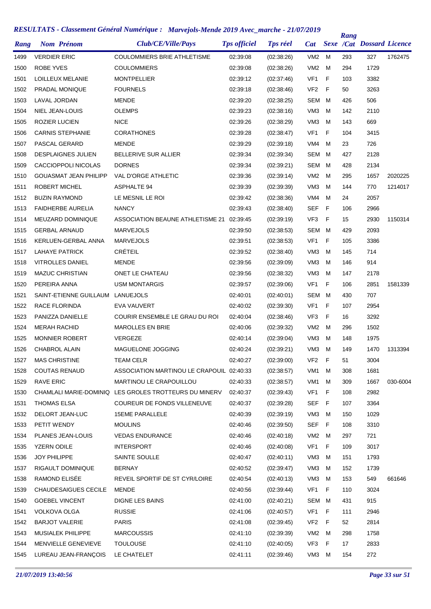| Rang | <b>Nom Prénom</b>            | Club/CE/Ville/Pays                                    | <b>Tps officiel</b> | <b>Tps réel</b> | <b>Cat</b>      |     | Rang | <b>Sexe /Cat Dossard Licence</b> |          |
|------|------------------------------|-------------------------------------------------------|---------------------|-----------------|-----------------|-----|------|----------------------------------|----------|
| 1499 | <b>VERDIER ERIC</b>          | <b>COULOMMIERS BRIE ATHLETISME</b>                    | 02:39:08            | (02:38:26)      | VM <sub>2</sub> | M   | 293  | 327                              | 1762475  |
| 1500 | ROBE YVES                    | <b>COULOMMIERS</b>                                    | 02:39:08            | (02:38:26)      | VM <sub>2</sub> | м   | 294  | 1729                             |          |
| 1501 | LOILLEUX MELANIE             | MONTPELLIER                                           | 02:39:12            | (02:37:46)      | VF <sub>1</sub> | F   | 103  | 3382                             |          |
| 1502 | PRADAL MONIQUE               | <b>FOURNELS</b>                                       | 02:39:18            | (02:38:46)      | VF <sub>2</sub> | F   | 50   | 3263                             |          |
| 1503 | LAVAL JORDAN                 | <b>MENDE</b>                                          | 02:39:20            | (02:38:25)      | SEM             | M   | 426  | 506                              |          |
| 1504 | NIEL JEAN-LOUIS              | <b>OLEMPS</b>                                         | 02:39:23            | (02:38:16)      | VM <sub>3</sub> | м   | 142  | 2110                             |          |
| 1505 | <b>ROZIER LUCIEN</b>         | <b>NICE</b>                                           | 02:39:26            | (02:38:29)      | VM <sub>3</sub> | м   | 143  | 669                              |          |
| 1506 | <b>CARNIS STEPHANIE</b>      | <b>CORATHONES</b>                                     | 02:39:28            | (02:38:47)      | VF <sub>1</sub> | F   | 104  | 3415                             |          |
| 1507 | PASCAL GERARD                | <b>MENDE</b>                                          | 02:39:29            | (02:39:18)      | VM4             | м   | 23   | 726                              |          |
| 1508 | <b>DESPLAIGNES JULIEN</b>    | BELLERIVE SUR ALLIER                                  | 02:39:34            | (02:39:34)      | SEM             | M   | 427  | 2128                             |          |
| 1509 | CACCIOPPOLI NICOLAS          | <b>DORNES</b>                                         | 02:39:34            | (02:39:21)      | SEM             | M   | 428  | 2134                             |          |
| 1510 | <b>GOUASMAT JEAN PHILIPP</b> | <b>VAL D'ORGE ATHLETIC</b>                            | 02:39:36            | (02:39:14)      | VM <sub>2</sub> | M   | 295  | 1657                             | 2020225  |
| 1511 | ROBERT MICHEL                | ASPHALTE 94                                           | 02:39:39            | (02:39:39)      | VM <sub>3</sub> | м   | 144  | 770                              | 1214017  |
| 1512 | <b>BUZIN RAYMOND</b>         | LE MESNIL LE ROI                                      | 02:39:42            | (02:38:36)      | VM4             | м   | 24   | 2057                             |          |
| 1513 | <b>FAIDHERBE AURELIA</b>     | <b>NANCY</b>                                          | 02:39:43            | (02:38:40)      | <b>SEF</b>      | F   | 106  | 2966                             |          |
| 1514 | <b>MEUZARD DOMINIQUE</b>     | ASSOCIATION BEAUNE ATHLETISME 21                      | 02:39:45            | (02:39:19)      | VF <sub>3</sub> | F   | 15   | 2930                             | 1150314  |
| 1515 | <b>GERBAL ARNAUD</b>         | <b>MARVEJOLS</b>                                      | 02:39:50            | (02:38:53)      | SEM             | M   | 429  | 2093                             |          |
| 1516 | KERLUEN-GERBAL ANNA          | <b>MARVEJOLS</b>                                      | 02:39:51            | (02:38:53)      | VF <sub>1</sub> | F   | 105  | 3386                             |          |
| 1517 | <b>LAHAYE PATRICK</b>        | <b>CRÉTEIL</b>                                        | 02:39:52            | (02:38:40)      | VM <sub>3</sub> | м   | 145  | 714                              |          |
| 1518 | <b>VITROLLES DANIEL</b>      | MENDE                                                 | 02:39:56            | (02:39:09)      | VM <sub>3</sub> | м   | 146  | 914                              |          |
| 1519 | <b>MAZUC CHRISTIAN</b>       | ONET LE CHATEAU                                       | 02:39:56            | (02:38:32)      | VM <sub>3</sub> | м   | 147  | 2178                             |          |
| 1520 | PEREIRA ANNA                 | <b>USM MONTARGIS</b>                                  | 02:39:57            | (02:39:06)      | VF <sub>1</sub> | F   | 106  | 2851                             | 1581339  |
| 1521 | SAINT-ETIENNE GUILLAUM       | LANUEJOLS                                             | 02:40:01            | (02:40:01)      | SEM             | M   | 430  | 707                              |          |
| 1522 | RACE FLORINDA                | EVA VAUVERT                                           | 02:40:02            | (02:39:30)      | VF <sub>1</sub> | F   | 107  | 2954                             |          |
| 1523 | PANIZZA DANIELLE             | COURIR ENSEMBLE LE GRAU DU ROI                        | 02:40:04            | (02:38:46)      | VF <sub>3</sub> | F   | 16   | 3292                             |          |
| 1524 | <b>MERAH RACHID</b>          | <b>MAROLLES EN BRIE</b>                               | 02:40:06            | (02:39:32)      | VM <sub>2</sub> | м   | 296  | 1502                             |          |
| 1525 | <b>MONNIER ROBERT</b>        | <b>VERGEZE</b>                                        | 02:40:14            | (02:39:04)      | VM <sub>3</sub> | м   | 148  | 1975                             |          |
| 1526 | <b>CHABROL ALAIN</b>         | MAGUELONE JOGGING                                     | 02:40:24            | (02:39:21)      | VM3             | м   | 149  | 1470                             | 1313394  |
| 1527 | <b>MAS CHRISTINE</b>         | TEAM CELR                                             | 02:40:27            | (02:39:00)      | VF <sub>2</sub> | - F | 51   | 3004                             |          |
| 1528 | <b>COUTAS RENAUD</b>         | ASSOCIATION MARTINOU LE CRAPOUIL 02:40:33             |                     | (02:38:57)      | VM1             | м   | 308  | 1681                             |          |
| 1529 | <b>RAVE ERIC</b>             | MARTINOU LE CRAPOUILLOU                               | 02:40:33            | (02:38:57)      | VM <sub>1</sub> | M   | 309  | 1667                             | 030-6004 |
| 1530 |                              | CHAMLALI MARIE-DOMINIQ LES GROLES TROTTEURS DU MINERV | 02:40:37            | (02:39:43)      | VF <sub>1</sub> | F   | 108  | 2982                             |          |
| 1531 | <b>THOMAS ELSA</b>           | COUREUR DE FONDS VILLENEUVE                           | 02:40:37            | (02:39:28)      | <b>SEF</b>      | F   | 107  | 3364                             |          |
| 1532 | DELORT JEAN-LUC              | <b>15EME PARALLELE</b>                                | 02:40:39            | (02:39:19)      | VM3             | м   | 150  | 1029                             |          |
| 1533 | PETIT WENDY                  | <b>MOULINS</b>                                        | 02:40:46            | (02:39:50)      | <b>SEF</b>      | F   | 108  | 3310                             |          |
| 1534 | PLANES JEAN-LOUIS            | <b>VEDAS ENDURANCE</b>                                | 02:40:46            | (02:40:18)      | VM2             | м   | 297  | 721                              |          |
| 1535 | <b>YZERN ODILE</b>           | <b>INTERSPORT</b>                                     | 02:40:46            | (02:40:08)      | VF1             | F   | 109  | 3017                             |          |
| 1536 | <b>JOY PHILIPPE</b>          | SAINTE SOULLE                                         | 02:40:47            | (02:40:11)      | VM3             | м   | 151  | 1793                             |          |
| 1537 | RIGAULT DOMINIQUE            | <b>BERNAY</b>                                         | 02:40:52            | (02:39:47)      | VM3             | м   | 152  | 1739                             |          |
| 1538 | RAMOND ELISÉE                | REVEIL SPORTIF DE ST CYR/LOIRE                        | 02:40:54            | (02:40:13)      | VM3             | М   | 153  | 549                              | 661646   |
| 1539 | CHAUDESAIGUES CECILE         | MENDE                                                 | 02:40:56            | (02:39:44)      | VF <sub>1</sub> | F   | 110  | 3024                             |          |
| 1540 | <b>GOEBEL VINCENT</b>        | <b>DIGNE LES BAINS</b>                                | 02:41:00            | (02:40:21)      | SEM             | M   | 431  | 915                              |          |
| 1541 | <b>VOLKOVA OLGA</b>          | <b>RUSSIE</b>                                         | 02:41:06            | (02:40:57)      | VF1             | F   | 111  | 2946                             |          |
| 1542 | <b>BARJOT VALERIE</b>        | <b>PARIS</b>                                          | 02:41:08            | (02:39:45)      | VF <sub>2</sub> | F   | 52   | 2814                             |          |
| 1543 | MUSIALEK PHILIPPE            | <b>MARCOUSSIS</b>                                     | 02:41:10            | (02:39:39)      | VM <sub>2</sub> | м   | 298  | 1758                             |          |
| 1544 | MENVIELLE GENEVIEVE          | <b>TOULOUSE</b>                                       | 02:41:10            | (02:40:05)      | VF3             | F   | 17   | 2833                             |          |
| 1545 | LUREAU JEAN-FRANÇOIS         | LE CHATELET                                           | 02:41:11            | (02:39:46)      | VM3 M           |     | 154  | 272                              |          |
|      |                              |                                                       |                     |                 |                 |     |      |                                  |          |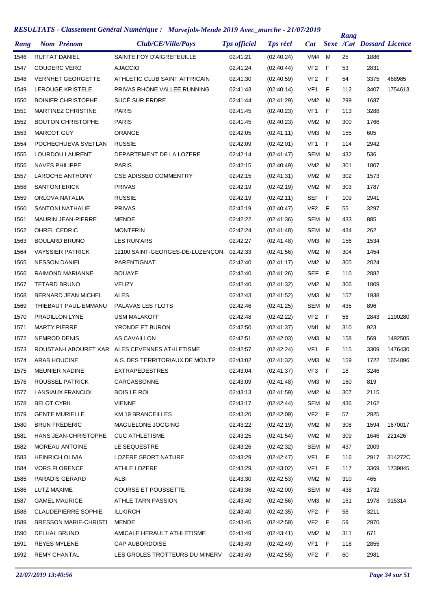| Rang         | <b>Nom Prénom</b>                      | Club/CE/Ville/Pays                            | <b>Tps officiel</b>  | <b>Tps réel</b>          | <b>Cat</b>             |              | Rang       | <b>Sexe /Cat Dossard Licence</b> |         |
|--------------|----------------------------------------|-----------------------------------------------|----------------------|--------------------------|------------------------|--------------|------------|----------------------------------|---------|
| 1546         | <b>RUFFAT DANIEL</b>                   | SAINTE FOY D'AIGREFEUILLE                     | 02:41:21             | (02:40:24)               | VM4                    | M            | 25         | 1886                             |         |
| 1547         | <b>COUDERC VÉRO</b>                    | <b>AJACCIO</b>                                | 02:41:24             | (02:40:44)               | VF <sub>2</sub>        | $\mathsf{F}$ | 53         | 2831                             |         |
| 1548         | <b>VERNHET GEORGETTE</b>               | ATHLETIC CLUB SAINT AFFRICAIN                 | 02:41:30             | (02:40:59)               | VF <sub>2</sub>        | $\mathsf{F}$ | 54         | 3375                             | 468985  |
| 1549         | LEROUGE KRISTELE                       | PRIVAS RHONE VALLEE RUNNING                   | 02:41:43             | (02:40:14)               | VF <sub>1</sub>        | F            | 112        | 3407                             | 1754613 |
| 1550         | <b>BOINIER CHRISTOPHE</b>              | SUCÉ SUR ERDRE                                | 02:41:44             | (02:41:29)               | VM <sub>2</sub>        | M            | 299        | 1687                             |         |
| 1551         | MARTINEZ CHRISTINE                     | <b>PARIS</b>                                  | 02:41:45             | (02:40:23)               | VF <sub>1</sub>        | $\mathsf F$  | 113        | 3288                             |         |
| 1552         | <b>BOUTON CHRISTOPHE</b>               | <b>PARIS</b>                                  | 02:41:45             | (02:40:23)               | VM <sub>2</sub>        | M            | 300        | 1766                             |         |
| 1553         | <b>MARCOT GUY</b>                      | ORANGE                                        | 02:42:05             | (02:41:11)               | VM <sub>3</sub>        | м            | 155        | 605                              |         |
| 1554         | POCHECHUEVA SVETLAN                    | <b>RUSSIE</b>                                 | 02:42:09             | (02:42:01)               | VF <sub>1</sub>        | F            | 114        | 2942                             |         |
| 1555         | LOURDOU LAURENT                        | DEPARTEMENT DE LA LOZERE                      | 02:42:14             | (02:41:47)               | <b>SEM</b>             | м            | 432        | 536                              |         |
| 1556         | <b>NAVES PHILIPPE</b>                  | <b>PARIS</b>                                  | 02:42:15             | (02:40:49)               | VM <sub>2</sub>        | M            | 301        | 1807                             |         |
| 1557         | <b>LAROCHE ANTHONY</b>                 | <b>CSE ADISSEO COMMENTRY</b>                  | 02:42:15             | (02:41:31)               | VM <sub>2</sub>        | M            | 302        | 1573                             |         |
| 1558         | <b>SANTONI ERICK</b>                   | <b>PRIVAS</b>                                 | 02:42:19             | (02:42:19)               | VM <sub>2</sub>        | м            | 303        | 1787                             |         |
| 1559         | ORLOVA NATALIA                         | <b>RUSSIE</b>                                 | 02:42:19             | (02:42:11)               | <b>SEF</b>             | F            | 109        | 2941                             |         |
| 1560         | <b>SANTONI NATHALIE</b>                | <b>PRIVAS</b>                                 | 02:42:19             | (02:40:47)               | VF <sub>2</sub>        | F            | 55         | 3297                             |         |
| 1561         | <b>MAURIN JEAN-PIERRE</b>              | <b>MENDE</b>                                  | 02:42:22             | (02:41:36)               | <b>SEM</b>             | м            | 433        | 885                              |         |
| 1562         | OHREL CEDRIC                           | <b>MONTFRIN</b>                               | 02:42:24             | (02.41.48)               | <b>SEM</b>             | м            | 434        | 262                              |         |
| 1563         | <b>BOULARD BRUNO</b>                   | <b>LES RUN'ARS</b>                            | 02:42:27             | (02:41:48)               | VM <sub>3</sub>        | м            | 156        | 1534                             |         |
| 1564         | <b>VAYSSIER PATRICK</b>                | 12100 SAINT-GEORGES-DE-LUZENÇON,              | 02:42:33             | (02:41:56)               | VM <sub>2</sub>        | M            | 304        | 1454                             |         |
| 1565         | <b>NESSON DANIEL</b>                   | PARENTIGNAT                                   | 02:42:40             | (02:41:17)               | VM <sub>2</sub>        | м            | 305        | 2024                             |         |
| 1566         | RAIMOND MARIANNE                       | <b>BOUAYE</b>                                 | 02:42:40             | (02:41:26)               | <b>SEF</b>             | F            | 110        | 2882                             |         |
| 1567         | <b>TETARD BRUNO</b>                    | <b>VEUZY</b>                                  | 02:42:40             | (02:41:32)               | VM <sub>2</sub>        | м            | 306        | 1809                             |         |
| 1568         | BERNARD JEAN MICHEL                    | <b>ALES</b>                                   | 02:42:43             | (02:41:52)               | VM <sub>3</sub>        | м            | 157        | 1938                             |         |
| 1569         | THIEBAUT PAUL-EMMANU                   | PALAVAS LES FLOTS                             | 02:42:46             | (02:41:25)               | <b>SEM</b>             | м            | 435        | 896                              |         |
| 1570         | PRADILLON LYNE                         | <b>USM MALAKOFF</b>                           | 02:42:48             | (02:42:22)               | VF <sub>2</sub>        | F            | 56         | 2843                             | 1190280 |
| 1571         | <b>MARTY PIERRE</b>                    | YRONDE ET BURON                               | 02:42:50             | (02:41:37)               | VM <sub>1</sub>        | M            | 310        | 923                              |         |
| 1572         | <b>NEMROD DENIS</b>                    | <b>AS CAVAILLON</b>                           | 02:42:51             | (02:42:03)               | VM3                    | м            | 158        | 569                              | 1492505 |
| 1573         |                                        | ROUSTAN-LABOURET KAR ALES CEVENNES ATHLETISME | 02:42:57             | (02:42:24)               | VF1                    | F            | 115        | 3309                             | 1476430 |
|              | <b>ARAB HOUCINE</b>                    | A.S. DES TERRITORIAUX DE MONTP                |                      |                          |                        |              |            |                                  |         |
| 1574<br>1575 | <b>MEUNIER NADINE</b>                  | <b>EXTRAPEDESTRES</b>                         | 02:43:02<br>02:43:04 | (02:41:32)<br>(02:41:37) | VM3<br>VF3             | M<br>F       | 159<br>18  | 1722<br>3246                     | 1654896 |
| 1576         | ROUSSEL PATRICK                        | CARCASSONNE                                   | 02:43:09             | (02:41:48)               | VM3                    | м            | 160        | 819                              |         |
|              | LANSIAUX FRANCIOI                      | <b>BOIS LE ROI</b>                            | 02:43:13             | (02:41:59)               | VM2                    | м            | 307        | 2115                             |         |
| 1577         | <b>BELOT CYRIL</b>                     |                                               | 02:43:17             |                          |                        | M            |            |                                  |         |
| 1578         | <b>GENTE MURIELLE</b>                  | <b>VIENNE</b><br>KM 19 BRANCEILLES            |                      | (02:42:44)<br>(02:42:09) | SEM<br>VF <sub>2</sub> | F            | 436<br>57  | 2162<br>2925                     |         |
| 1579         | <b>BRUN FREDERIC</b>                   | MAGUELONE JOGGING                             | 02:43:20             | (02:42:19)               | VM2                    | м            |            |                                  | 1670017 |
| 1580         | <b>HANS JEAN-CHRISTOPHE</b>            | <b>CUC ATHLETISME</b>                         | 02:43:22             |                          |                        | м            | 308        | 1594<br>1646                     |         |
| 1581         | MOREAU ANTOINE                         |                                               | 02:43:25             | (02:41:54)<br>(02:42:32) | VM2<br>SEM             |              | 309        |                                  | 221426  |
| 1582<br>1583 | <b>HEINRICH OLIVIA</b>                 | LE SEQUESTRE<br>LOZERE SPORT NATURE           | 02:43:26<br>02:43:29 |                          | VF1                    | M<br>F       | 437<br>116 | 2009<br>2917                     | 314272C |
|              |                                        |                                               |                      | (02:42:47)               |                        |              |            |                                  |         |
| 1584         | <b>VORS FLORENCE</b><br>PARADIS GERARD | ATHLE LOZERE<br>ALBI                          | 02:43:29             | (02:43:02)               | VF1<br>VM <sub>2</sub> | F<br>м       | 117        | 3369<br>465                      | 1739845 |
| 1585         |                                        |                                               | 02:43:30             | (02:42:53)               |                        |              | 310        |                                  |         |
| 1586         | LUTZ MAXIME                            | <b>COURSE ET POUSSETTE</b>                    | 02:43:36             | (02:42:00)               | SEM                    | м            | 438        | 1732                             |         |
| 1587         | <b>GAMEL MAURICE</b>                   | ATHLE TARN PASSION                            | 02:43:40             | (02:42:56)               | VM3                    | м            | 161        | 1978                             | 915314  |
| 1588         | <b>CLAUDEPIERRE SOPHIE</b>             | <b>ILLKIRCH</b>                               | 02:43:40             | (02:42:35)               | VF <sub>2</sub>        | F            | 58         | 3211                             |         |
| 1589         | <b>BRESSON MARIE-CHRISTI</b>           | MENDE                                         | 02:43:45             | (02:42:59)               | VF <sub>2</sub>        | $\mathsf F$  | 59         | 2970                             |         |
| 1590         | DELHAL BRUNO                           | AMICALE HERAULT ATHLETISME                    | 02:43:49             | (02:43:41)               | VM <sub>2</sub>        | M            | 311        | 671                              |         |
| 1591         | <b>REYES MYLENE</b>                    | CAP AUBORDOISE                                | 02:43:49             | (02:42:49)               | VF1                    | F            | 118        | 2855                             |         |
| 1592         | <b>REMY CHANTAL</b>                    | LES GROLES TROTTEURS DU MINERV                | 02:43:49             | (02:42:55)               | VF2 F                  |              | 60         | 2981                             |         |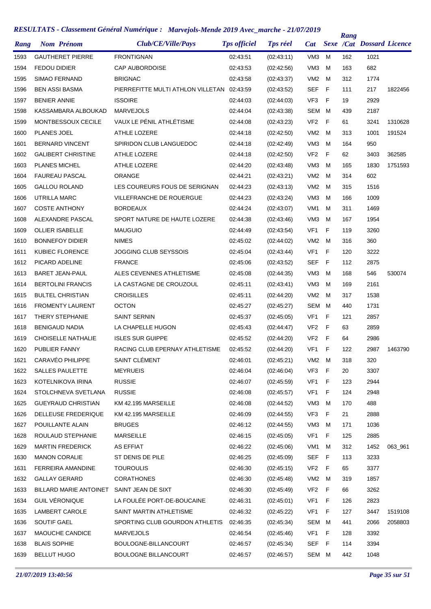|      |                               | KESULTATS - Classement General Numerique : Marvejois-Mende 2019 Avec_marche - 21/07/2019 |                     |                 |                 |     | Rang |                                  |         |
|------|-------------------------------|------------------------------------------------------------------------------------------|---------------------|-----------------|-----------------|-----|------|----------------------------------|---------|
| Rang | <b>Nom Prénom</b>             | Club/CE/Ville/Pays                                                                       | <b>Tps officiel</b> | <b>Tps réel</b> | <b>Cat</b>      |     |      | <b>Sexe /Cat Dossard Licence</b> |         |
| 1593 | <b>GAUTHERET PIERRE</b>       | <b>FRONTIGNAN</b>                                                                        | 02:43:51            | (02:43:11)      | VM <sub>3</sub> | М   | 162  | 1021                             |         |
| 1594 | <b>FEDOU DIDIER</b>           | <b>CAP AUBORDOISE</b>                                                                    | 02:43:53            | (02:42:56)      | VM <sub>3</sub> | м   | 163  | 682                              |         |
| 1595 | <b>SIMAO FERNAND</b>          | <b>BRIGNAC</b>                                                                           | 02:43:58            | (02:43:37)      | VM <sub>2</sub> | м   | 312  | 1774                             |         |
| 1596 | <b>BEN ASSI BASMA</b>         | PIERREFITTE MULTI ATHLON VILLETAN 02:43:59                                               |                     | (02:43:52)      | <b>SEF</b>      | F   | 111  | 217                              | 1822456 |
| 1597 | <b>BENIER ANNIE</b>           | <b>ISSOIRE</b>                                                                           | 02:44:03            | (02:44:03)      | VF3             | F   | 19   | 2929                             |         |
| 1598 | KASSAMBARA ALBOUKAD           | <b>MARVEJOLS</b>                                                                         | 02:44:04            | (02:43:38)      | SEM             | M   | 439  | 2187                             |         |
| 1599 | MONTBESSOUX CECILE            | VAUX LE PÉNIL ATHLÉTISME                                                                 | 02:44:08            | (02:43:23)      | VF <sub>2</sub> | F   | 61   | 3241                             | 1310628 |
| 1600 | PLANES JOEL                   | ATHLE LOZERE                                                                             | 02:44:18            | (02:42:50)      | VM2             | м   | 313  | 1001                             | 191524  |
| 1601 | <b>BERNARD VINCENT</b>        | SPIRIDON CLUB LANGUEDOC                                                                  | 02:44:18            | (02:42:49)      | VM <sub>3</sub> | м   | 164  | 950                              |         |
| 1602 | <b>GALIBERT CHRISTINE</b>     | ATHLE LOZERE                                                                             | 02:44:18            | (02:42:50)      | VF <sub>2</sub> | F   | 62   | 3403                             | 362585  |
| 1603 | <b>PLANES MICHEL</b>          | <b>ATHLE LOZERE</b>                                                                      | 02:44:20            | (02:43:48)      | VM <sub>3</sub> | м   | 165  | 1830                             | 1751593 |
| 1604 | <b>FAUREAU PASCAL</b>         | <b>ORANGE</b>                                                                            | 02:44:21            | (02:43:21)      | VM <sub>2</sub> | м   | 314  | 602                              |         |
| 1605 | <b>GALLOU ROLAND</b>          | LES COUREURS FOUS DE SERIGNAN                                                            | 02:44:23            | (02:43:13)      | VM <sub>2</sub> | м   | 315  | 1516                             |         |
| 1606 | UTRILLA MARC                  | VILLEFRANCHE DE ROUERGUE                                                                 | 02:44:23            | (02:43:24)      | VM <sub>3</sub> | м   | 166  | 1009                             |         |
| 1607 | <b>COSTE ANTHONY</b>          | <b>BORDEAUX</b>                                                                          | 02:44:24            | (02:43:07)      | VM <sub>1</sub> | М   | 311  | 1469                             |         |
| 1608 | ALEXANDRE PASCAL              | SPORT NATURE DE HAUTE LOZERE                                                             | 02:44:38            | (02:43:46)      | VM <sub>3</sub> | м   | 167  | 1954                             |         |
| 1609 | <b>OLLIER ISABELLE</b>        | <b>MAUGUIO</b>                                                                           | 02:44:49            | (02:43:54)      | VF <sub>1</sub> | F   | 119  | 3260                             |         |
| 1610 | <b>BONNEFOY DIDIER</b>        | <b>NIMES</b>                                                                             | 02:45:02            | (02:44:02)      | VM <sub>2</sub> | м   | 316  | 360                              |         |
| 1611 | <b>KUBIEC FLORENCE</b>        | <b>JOGGING CLUB SEYSSOIS</b>                                                             | 02:45:04            | (02:43:44)      | VF <sub>1</sub> | F   | 120  | 3222                             |         |
| 1612 | PICARD ADELINE                | <b>FRANCE</b>                                                                            | 02:45:06            | (02:43:52)      | <b>SEF</b>      | F   | 112  | 2875                             |         |
| 1613 | <b>BARET JEAN-PAUL</b>        | ALES CEVENNES ATHLETISME                                                                 | 02:45:08            | (02:44:35)      | VM <sub>3</sub> | M   | 168  | 546                              | 530074  |
| 1614 | <b>BERTOLINI FRANCIS</b>      | LA CASTAGNE DE CROUZOUL                                                                  | 02:45:11            | (02:43:41)      | VM <sub>3</sub> | м   | 169  | 2161                             |         |
| 1615 | <b>BULTEL CHRISTIAN</b>       | <b>CROISILLES</b>                                                                        | 02:45:11            | (02:44:20)      | VM <sub>2</sub> | м   | 317  | 1538                             |         |
| 1616 | FROMENTY LAURENT              | <b>OCTON</b>                                                                             | 02:45:27            | (02:45:27)      | <b>SEM</b>      | м   | 440  | 1731                             |         |
| 1617 | THERY STEPHANIE               | <b>SAINT SERNIN</b>                                                                      | 02:45:37            | (02:45:05)      | VF <sub>1</sub> | F   | 121  | 2857                             |         |
| 1618 | <b>BENIGAUD NADIA</b>         | LA CHAPELLE HUGON                                                                        | 02:45:43            | (02:44:47)      | VF <sub>2</sub> | F   | 63   | 2859                             |         |
| 1619 | <b>CHOISELLE NATHALIE</b>     | <b>ISLES SUR GUIPPE</b>                                                                  | 02:45:52            | (02:44:20)      | VF <sub>2</sub> | F   | 64   | 2986                             |         |
| 1620 | PUBLIER FANNY                 | RACING CLUB EPERNAY ATHLETISME                                                           | 02:45:52            | (02:44:20)      | VF <sub>1</sub> | F   | 122  | 2987                             | 1463790 |
| 1621 | CARAVÉO PHILIPPE              | SAINT CLÉMENT                                                                            | 02:46:01            | (02:45:21)      | VM <sub>2</sub> | M   | 318  | 320                              |         |
| 1622 | SALLES PAULETTE               | <b>MEYRUEIS</b>                                                                          | 02:46:04            | (02:46:04)      | VF3             | F   | 20   | 3307                             |         |
| 1623 | KOTELNIKOVA IRINA             | <b>RUSSIE</b>                                                                            | 02:46:07            | (02:45:59)      | VF1             | -F  | 123  | 2944                             |         |
| 1624 | STOLCHNEVA SVETLANA           | <b>RUSSIE</b>                                                                            | 02:46:08            | (02:45:57)      | VF1             | F   | 124  | 2948                             |         |
| 1625 | <b>GUEYRAUD CHRISTIAN</b>     | KM 42.195 MARSEILLE                                                                      | 02:46:08            | (02:44:52)      | VM3             | M   | 170  | 488                              |         |
| 1626 | DELLEUSE FREDERIQUE           | KM 42.195 MARSEILLE                                                                      | 02:46:09            | (02:44:55)      | VF3             | F   | 21   | 2888                             |         |
| 1627 | POUILLANTE ALAIN              | <b>BRUGES</b>                                                                            | 02:46:12            | (02:44:55)      | VM3             | M   | 171  | 1036                             |         |
| 1628 | ROULAUD STEPHANIE             | <b>MARSEILLE</b>                                                                         | 02:46:15            | (02:45:05)      | VF1             | F   | 125  | 2885                             |         |
| 1629 | <b>MARTIN FREDERICK</b>       | <b>AS EFFIAT</b>                                                                         | 02:46:22            | (02:45:06)      | VM1             | M   | 312  | 1452                             | 063_961 |
| 1630 | <b>MANON CORALIE</b>          | ST DENIS DE PILE                                                                         | 02:46:25            | (02:45:09)      | SEF F           |     | 113  | 3233                             |         |
| 1631 | <b>FERREIRA AMANDINE</b>      | <b>TOUROULIS</b>                                                                         | 02:46:30            | (02:45:15)      | VF <sub>2</sub> | - F | 65   | 3377                             |         |
| 1632 | <b>GALLAY GERARD</b>          | <b>CORATHONES</b>                                                                        | 02:46:30            | (02:45:48)      | VM <sub>2</sub> | M   | 319  | 1857                             |         |
| 1633 | <b>BILLARD MARIE ANTOINET</b> | SAINT JEAN DE SIXT                                                                       | 02:46:30            | (02:45:49)      | VF <sub>2</sub> | -F  | 66   | 3262                             |         |
| 1634 | <b>GUIL VÉRONIQUE</b>         | LA FOULÉE PORT-DE-BOUCAINE                                                               | 02:46:31            | (02:45:01)      | VF1             | F   | 126  | 2823                             |         |
| 1635 | LAMBERT CAROLE                | SAINT MARTIN ATHLETISME                                                                  | 02:46:32            | (02:45:22)      | VF1             | -F  | 127  | 3447                             | 1519108 |
| 1636 | SOUTIF GAEL                   | SPORTING CLUB GOURDON ATHLETIS                                                           | 02:46:35            | (02:45:34)      | SEM M           |     | 441  | 2066                             | 2058803 |
| 1637 | MAOUCHE CANDICE               | MARVEJOLS                                                                                | 02:46:54            | (02:45:46)      | VF1             | F.  | 128  | 3392                             |         |
| 1638 | <b>BLAIS SOPHIE</b>           | BOULOGNE-BILLANCOURT                                                                     | 02:46:57            | (02:45:34)      | SEF F           |     | 114  | 3394                             |         |
| 1639 | <b>BELLUT HUGO</b>            | <b>BOULOGNE BILLANCOURT</b>                                                              | 02:46:57            | (02:46:57)      | SEM M           |     | 442  | 1048                             |         |
|      |                               |                                                                                          |                     |                 |                 |     |      |                                  |         |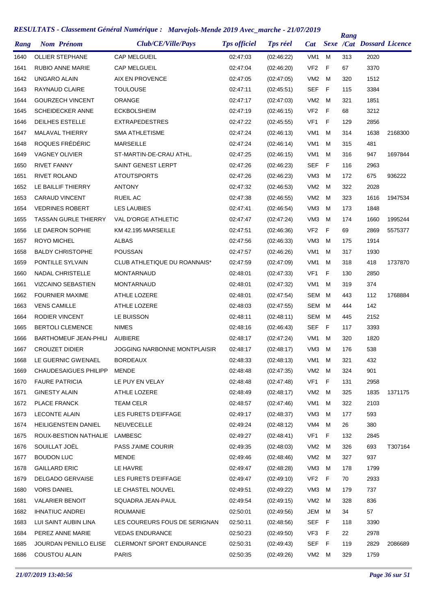| Rang | <b>Nom Prénom</b>            | Club/CE/Ville/Pays                  | <b>Tps officiel</b> | <b>Tps réel</b> | Cat             |              | Rang | <b>Sexe /Cat Dossard Licence</b> |         |
|------|------------------------------|-------------------------------------|---------------------|-----------------|-----------------|--------------|------|----------------------------------|---------|
| 1640 | <b>OLLIER STEPHANE</b>       | <b>CAP MELGUEIL</b>                 | 02:47:03            | (02:46:22)      | VM <sub>1</sub> | M            | 313  | 2020                             |         |
| 1641 | <b>RUBIO ANNE MARIE</b>      | <b>CAP MELGUEIL</b>                 | 02:47:04            | (02:46:20)      | VF <sub>2</sub> | $\mathsf{F}$ | 67   | 3370                             |         |
| 1642 | <b>UNGARO ALAIN</b>          | AIX EN PROVENCE                     | 02:47:05            | (02:47:05)      | VM <sub>2</sub> | M            | 320  | 1512                             |         |
| 1643 | RAYNAUD CLAIRE               | <b>TOULOUSE</b>                     | 02:47:11            | (02:45:51)      | <b>SEF</b>      | F            | 115  | 3384                             |         |
| 1644 | <b>GOURZECH VINCENT</b>      | <b>ORANGE</b>                       | 02:47:17            | (02:47:03)      | VM <sub>2</sub> | M            | 321  | 1851                             |         |
| 1645 | <b>SCHEIDECKER ANNE</b>      | <b>ECKBOLSHEIM</b>                  | 02:47:19            | (02:46:15)      | VF <sub>2</sub> | $\mathsf{F}$ | 68   | 3212                             |         |
| 1646 | DEILHES ESTELLE              | <b>EXTRAPEDESTRES</b>               | 02:47:22            | (02:45:55)      | VF <sub>1</sub> | F            | 129  | 2856                             |         |
| 1647 | <b>MALAVAL THIERRY</b>       | <b>SMA ATHLETISME</b>               | 02:47:24            | (02:46:13)      | VM <sub>1</sub> | M            | 314  | 1638                             | 2168300 |
| 1648 | ROQUES FRÉDÉRIC              | <b>MARSEILLE</b>                    | 02:47:24            | (02:46:14)      | VM <sub>1</sub> | м            | 315  | 481                              |         |
| 1649 | <b>VAGNEY OLIVIER</b>        | ST-MARTIN-DE-CRAU ATHL.             | 02:47:25            | (02:46:15)      | VM1             | м            | 316  | 947                              | 1697844 |
| 1650 | <b>RIVET FANNY</b>           | SAINT GENEST LERPT                  | 02:47:26            | (02:46:23)      | SEF             | F            | 116  | 2963                             |         |
| 1651 | <b>RIVET ROLAND</b>          | <b>ATOUTSPORTS</b>                  | 02:47:26            | (02:46:23)      | VM <sub>3</sub> | M            | 172  | 675                              | 936222  |
| 1652 | LE BAILLIF THIERRY           | <b>ANTONY</b>                       | 02:47:32            | (02:46:53)      | VM <sub>2</sub> | м            | 322  | 2028                             |         |
| 1653 | <b>CARAUD VINCENT</b>        | RUEIL AC                            | 02:47:38            | (02:46:55)      | VM <sub>2</sub> | M            | 323  | 1616                             | 1947534 |
| 1654 | <b>VEDRINES ROBERT</b>       | <b>LES LAUBIES</b>                  | 02:47:41            | (02:46:54)      | VM <sub>3</sub> | M            | 173  | 1848                             |         |
| 1655 | <b>TASSAN GURLE THIERRY</b>  | <b>VAL D'ORGE ATHLETIC</b>          | 02:47:47            | (02:47:24)      | VM <sub>3</sub> | M            | 174  | 1660                             | 1995244 |
| 1656 | LE DAERON SOPHIE             | KM 42.195 MARSEILLE                 | 02:47:51            | (02:46:36)      | VF <sub>2</sub> | F            | 69   | 2869                             | 5575377 |
| 1657 | <b>ROYO MICHEL</b>           | <b>ALBAS</b>                        | 02:47:56            | (02:46:33)      | VM <sub>3</sub> | M            | 175  | 1914                             |         |
| 1658 | <b>BALDY CHRISTOPHE</b>      | <b>POUSSAN</b>                      | 02:47:57            | (02:46:26)      | VM <sub>1</sub> | м            | 317  | 1930                             |         |
| 1659 | PONTILLE SYLVAIN             | CLUB ATHLETIQUE DU ROANNAIS*        | 02:47:59            | (02:47:09)      | VM <sub>1</sub> | м            | 318  | 418                              | 1737870 |
| 1660 | <b>NADAL CHRISTELLE</b>      | <b>MONTARNAUD</b>                   | 02:48:01            | (02:47:33)      | VF1             | F            | 130  | 2850                             |         |
| 1661 | <b>VIZCAINO SEBASTIEN</b>    | <b>MONTARNAUD</b>                   | 02:48:01            | (02:47:32)      | VM1             | M            | 319  | 374                              |         |
| 1662 | <b>FOURNIER MAXIME</b>       | ATHLE LOZERE                        | 02:48:01            | (02:47:54)      | SEM             | M            | 443  | 112                              | 1768884 |
| 1663 | <b>VENS CAMILLE</b>          | <b>ATHLE LOZERE</b>                 | 02:48:03            | (02:47:55)      | SEM             | M            | 444  | 142                              |         |
| 1664 | <b>RODIER VINCENT</b>        | LE BUISSON                          | 02:48:11            | (02:48:11)      | SEM             | M            | 445  | 2152                             |         |
| 1665 | <b>BERTOLI CLEMENCE</b>      | <b>NIMES</b>                        | 02:48:16            | (02:46:43)      | <b>SEF</b>      | F            | 117  | 3393                             |         |
| 1666 | <b>BARTHOMEUF JEAN-PHILI</b> | <b>AUBIERE</b>                      | 02:48:17            | (02:47:24)      | VM <sub>1</sub> | M            | 320  | 1820                             |         |
| 1667 | <b>CROUZET DIDIER</b>        | <b>JOGGING NARBONNE MONTPLAISIR</b> | 02:48:17            | (02:48:17)      | VM3             | M            | 176  | 538                              |         |
| 1668 | LE GUERNIC GWENAEL           | BORDEAUX                            | 02:48:33            | (02:48:13)      | VM1 M           |              | 321  | 432                              |         |
| 1669 | <b>CHAUDESAIGUES PHILIPP</b> | <b>MENDE</b>                        | 02:48:48            | (02:47:35)      | VM <sub>2</sub> | M            | 324  | 901                              |         |
| 1670 | <b>FAURE PATRICIA</b>        | LE PUY EN VELAY                     | 02:48:48            | (02:47:48)      | VF1             | F            | 131  | 2958                             |         |
| 1671 | <b>GINESTY ALAIN</b>         | ATHLE LOZERE                        | 02:48:49            | (02:48:17)      | VM2             | M            | 325  | 1835                             | 1371175 |
| 1672 | PLACE FRANCK                 | <b>TEAM CELR</b>                    | 02:48:57            | (02:47:46)      | VM1             | M            | 322  | 2103                             |         |
| 1673 | <b>LECONTE ALAIN</b>         | LES FURETS D'EIFFAGE                | 02:49:17            | (02:48:37)      | VM3             | M            | 177  | 593                              |         |
| 1674 | HEILIGENSTEIN DANIEL         | <b>NEUVECELLE</b>                   | 02:49:24            | (02:48:12)      | VM4             | M            | 26   | 380                              |         |
| 1675 | ROUX-BESTION NATHALIE        | LAMBESC                             | 02:49:27            | (02:48:41)      | VF <sub>1</sub> | F            | 132  | 2845                             |         |
| 1676 | SOUILLAT JOËL                | <b>PASS J'AIME COURIR</b>           | 02:49:35            | (02:48:03)      | VM2             | M            | 326  | 693                              | T307164 |
| 1677 | <b>BOUDON LUC</b>            | MENDE                               | 02:49:46            | (02:48:46)      | VM <sub>2</sub> | M            | 327  | 937                              |         |
| 1678 | <b>GAILLARD ERIC</b>         | LE HAVRE                            | 02:49:47            | (02:48:28)      | VM <sub>3</sub> | M            | 178  | 1799                             |         |
| 1679 | <b>DELGADO GERVAISE</b>      | LES FURETS D'EIFFAGE                | 02:49:47            | (02:49:10)      | VF <sub>2</sub> | F            | 70   | 2933                             |         |
| 1680 | <b>VORS DANIEL</b>           | LE CHASTEL NOUVEL                   | 02:49:51            | (02:49:22)      | VM3             | M            | 179  | 737                              |         |
| 1681 | <b>VALARIER BENOIT</b>       | SQUADRA JEAN-PAUL                   | 02:49:54            | (02:49:15)      | VM <sub>2</sub> | M            | 328  | 836                              |         |
| 1682 | <b>IHNATIUC ANDREI</b>       | <b>ROUMANIE</b>                     | 02:50:01            | (02:49:56)      | JEM             | M            | 34   | 57                               |         |
| 1683 | LUI SAINT AUBIN LINA         | LES COUREURS FOUS DE SERIGNAN       | 02:50:11            | (02:48:56)      | SEF             | F            | 118  | 3390                             |         |
| 1684 | PEREZ ANNE MARIE             | <b>VEDAS ENDURANCE</b>              | 02:50:23            | (02:49:50)      | VF3             | - F          | 22   | 2978                             |         |
| 1685 | JOURDAN PENILLO ELISE        | CLERMONT SPORT ENDURANCE            | 02:50:31            | (02:49:43)      | <b>SEF</b>      | - F          | 119  | 2829                             | 2086689 |
| 1686 | <b>COUSTOU ALAIN</b>         | <b>PARIS</b>                        | 02:50:35            | (02:49:26)      | VM2 M           |              | 329  | 1759                             |         |
|      |                              |                                     |                     |                 |                 |              |      |                                  |         |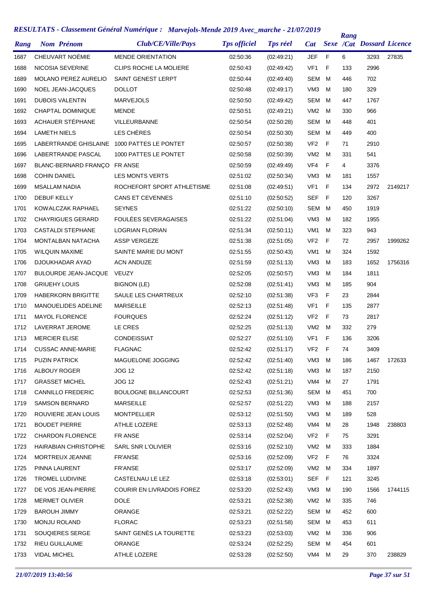| Rang | <b>Nom Prénom</b>            | Club/CE/Ville/Pays            | <b>Tps officiel</b> | <b>Tps réel</b> | Cat             |   | Rang | <b>Sexe /Cat Dossard Licence</b> |         |
|------|------------------------------|-------------------------------|---------------------|-----------------|-----------------|---|------|----------------------------------|---------|
| 1687 | CHEUVART NOÉMIE              | <b>MENDE ORIENTATION</b>      | 02:50:36            | (02:49:21)      | <b>JEF</b>      | F | 6    | 3293                             | 27835   |
| 1688 | NICOSIA SEVERINE             | <b>CLIPS ROCHE LA MOLIERE</b> | 02:50:43            | (02:49:42)      | VF <sub>1</sub> | F | 133  | 2996                             |         |
| 1689 | <b>MOLANO PEREZ AURELIO</b>  | SAINT GENEST LERPT            | 02:50:44            | (02.49.40)      | SEM             | м | 446  | 702                              |         |
| 1690 | NOEL JEAN-JACQUES            | <b>DOLLOT</b>                 | 02:50:48            | (02:49:17)      | VM <sub>3</sub> | M | 180  | 329                              |         |
| 1691 | <b>DUBOIS VALENTIN</b>       | <b>MARVEJOLS</b>              | 02:50:50            | (02:49:42)      | SEM             | м | 447  | 1767                             |         |
| 1692 | CHAPTAL DOMINIQUE            | <b>MENDE</b>                  | 02:50:51            | (02:49:21)      | VM <sub>2</sub> | M | 330  | 966                              |         |
| 1693 | ACHAUER STÉPHANE             | <b>VILLEURBANNE</b>           | 02:50:54            | (02:50:28)      | <b>SEM</b>      | м | 448  | 401                              |         |
| 1694 | <b>LAMETH NIELS</b>          | LES CHÈRES                    | 02:50:54            | (02:50:30)      | <b>SEM</b>      | M | 449  | 400                              |         |
| 1695 | LABERTRANDE GHISLAINE        | 1000 PATTES LE PONTET         | 02:50:57            | (02:50:38)      | VF <sub>2</sub> | F | 71   | 2910                             |         |
| 1696 | LABERTRANDE PASCAL           | 1000 PATTES LE PONTET         | 02:50:58            | (02:50:39)      | VM <sub>2</sub> | M | 331  | 541                              |         |
| 1697 | BLANC-BERNARD FRANÇO FR ANSE |                               | 02:50:59            | (02:49:49)      | VF4             | F | 4    | 3376                             |         |
| 1698 | <b>COHIN DANIEL</b>          | <b>LES MONTS VERTS</b>        | 02:51:02            | (02:50:34)      | VM <sub>3</sub> | M | 181  | 1557                             |         |
| 1699 | <b>MSALLAM NADIA</b>         | ROCHEFORT SPORT ATHLETISME    | 02:51:08            | (02:49:51)      | VF <sub>1</sub> | F | 134  | 2972                             | 2149217 |
| 1700 | <b>DEBUF KELLY</b>           | <b>CANS ET CEVENNES</b>       | 02:51:10            | (02:50:52)      | <b>SEF</b>      | F | 120  | 3267                             |         |
| 1701 | KOWALCZAK RAPHAEL            | <b>SEYNES</b>                 | 02:51:22            | (02:50:10)      | SEM             | M | 450  | 1919                             |         |
| 1702 | <b>CHAYRIGUES GERARD</b>     | FOULÉES SEVERAGAISES          | 02:51:22            | (02:51:04)      | VM <sub>3</sub> | M | 182  | 1955                             |         |
| 1703 | <b>CASTALDI STEPHANE</b>     | <b>LOGRIAN FLORIAN</b>        | 02:51:34            | (02:50:11)      | VM <sub>1</sub> | м | 323  | 943                              |         |
| 1704 | <b>MONTALBAN NATACHA</b>     | <b>ASSP VERGEZE</b>           | 02:51:38            | (02:51:05)      | VF <sub>2</sub> | F | 72   | 2957                             | 1999262 |
| 1705 | <b>WILQUIN MAXIME</b>        | SAINTE MARIE DU MONT          | 02:51:55            | (02:50:43)      | VM <sub>1</sub> | м | 324  | 1592                             |         |
| 1706 | DJOUKHADAR AYAD              | <b>ACN ANDUZE</b>             | 02:51:59            | (02:51:13)      | VM <sub>3</sub> | м | 183  | 1652                             | 1756316 |
| 1707 | <b>BULOURDE JEAN-JACQUE</b>  | VEUZY                         | 02:52:05            | (02:50:57)      | VM <sub>3</sub> | м | 184  | 1811                             |         |
| 1708 | <b>GRIUEHY LOUIS</b>         | <b>BIGNON (LE)</b>            | 02:52:08            | (02:51:41)      | VM <sub>3</sub> | м | 185  | 904                              |         |
| 1709 | <b>HABERKORN BRIGITTE</b>    | SAULE LES CHARTREUX           | 02:52:10            | (02:51:38)      | VF <sub>3</sub> | F | 23   | 2844                             |         |
| 1710 | MANOUELIDES ADELINE          | <b>MARSEILLE</b>              | 02:52:13            | (02:51:48)      | VF <sub>1</sub> | F | 135  | 2877                             |         |
| 1711 | <b>MAYOL FLORENCE</b>        | <b>FOURQUES</b>               | 02:52:24            | (02:51:12)      | VF <sub>2</sub> | F | 73   | 2817                             |         |
| 1712 | LAVERRAT JEROME              | LE CRES                       | 02:52:25            | (02:51:13)      | VM <sub>2</sub> | м | 332  | 279                              |         |
| 1713 | <b>MERCIER ELISE</b>         | <b>CONDEISSIAT</b>            | 02:52:27            | (02:51:10)      | VF <sub>1</sub> | F | 136  | 3206                             |         |
| 1714 | <b>CUSSAC ANNE-MARIE</b>     | <b>FLAGNAC</b>                | 02:52:42            | (02:51:17)      | VF <sub>2</sub> | F | 74   | 3409                             |         |
| 1715 | <b>PUZIN PATRICK</b>         | MAGUELONE JOGGING             | 02:52:42            | (02:51:40)      | VM3             | M | 186  | 1467                             | 172633  |
| 1716 | ALBOUY ROGER                 | <b>JOG 12</b>                 | 02:52:42            | (02.51.18)      | VM <sub>3</sub> | м | 187  | 2150                             |         |
| 1717 | <b>GRASSET MICHEL</b>        | <b>JOG 12</b>                 | 02:52:43            | (02:51:21)      | VM4             | м | 27   | 1791                             |         |
| 1718 | <b>CANNILLO FREDERIC</b>     | <b>BOULOGNE BILLANCOURT</b>   | 02:52:53            | (02:51:36)      | SEM             | M | 451  | 700                              |         |
| 1719 | <b>SAMSON BERNARD</b>        | <b>MARSEILLE</b>              | 02:52:57            | (02:51:22)      | VM <sub>3</sub> | м | 188  | 2157                             |         |
| 1720 | ROUVIERE JEAN LOUIS          | <b>MONTPELLIER</b>            | 02:53:12            | (02:51:50)      | VM3             | м | 189  | 528                              |         |
| 1721 | <b>BOUDET PIERRE</b>         | ATHLE LOZERE                  | 02:53:13            | (02:52:48)      | VM4             | м | 28   | 1948                             | 238803  |
| 1722 | <b>CHARDON FLORENCE</b>      | FR ANSE                       | 02:53:14            | (02:52:04)      | VF <sub>2</sub> | F | 75   | 3291                             |         |
| 1723 | HAIRABIAN CHRISTOPHE         | SARL SNR L'OLIVIER            | 02:53:16            | (02:52:10)      | VM2             | M | 333  | 1884                             |         |
| 1724 | MORTREUX JEANNE              | <b>FR'ANSE</b>                | 02:53:16            | (02:52:09)      | VF <sub>2</sub> | F | 76   | 3324                             |         |
| 1725 | PINNA LAURENT                | <b>FR'ANSE</b>                | 02:53:17            | (02:52:09)      | VM2             | M | 334  | 1897                             |         |
| 1726 | TROMEL LUDIVINE              | CASTELNAU LE LEZ              | 02:53:18            | (02:53:01)      | SEF             | F | 121  | 3245                             |         |
| 1727 | DE VOS JEAN-PIERRE           | COURIR EN LIVRADOIS FOREZ     | 02:53:20            | (02:52:43)      | VM3             | M | 190  | 1566                             | 1744115 |
| 1728 | <b>MERMET OLIVIER</b>        | <b>DOLE</b>                   | 02:53:21            | (02:52:38)      | VM <sub>2</sub> | м | 335  | 746                              |         |
| 1729 | <b>BAROUH JIMMY</b>          | ORANGE                        | 02:53:21            | (02:52:22)      | SEM             | M | 452  | 600                              |         |
| 1730 | <b>MONJU ROLAND</b>          | <b>FLORAC</b>                 | 02:53:23            | (02:51:58)      | SEM             | M | 453  | 611                              |         |
| 1731 | SOUQIERES SERGE              | SAINT GENÈS LA TOURETTE       | 02:53:23            | (02:53:03)      | VM <sub>2</sub> | M | 336  | 906                              |         |
| 1732 | RIEU GUILLAUME               | ORANGE                        | 02:53:24            | (02:52:25)      | SEM             | м | 454  | 601                              |         |
| 1733 | <b>VIDAL MICHEL</b>          | ATHLE LOZERE                  | 02:53:28            | (02:52:50)      | VM4             | M | 29   | 370                              | 238829  |
|      |                              |                               |                     |                 |                 |   |      |                                  |         |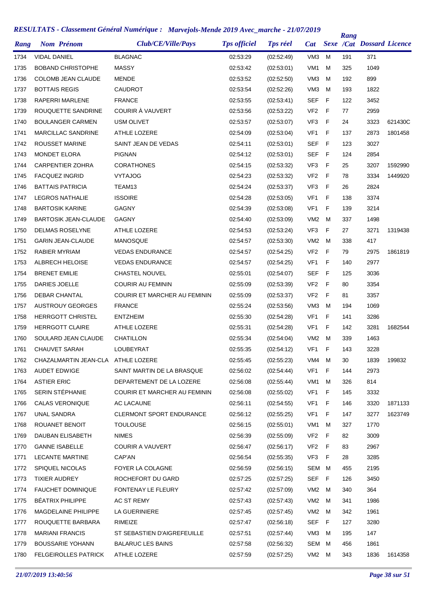| Rang | <b>Nom Prénom</b>                  | Club/CE/Ville/Pays              | <b>Tps officiel</b> | <b>Tps réel</b> | <b>Cat</b>      |    | Rang | <b>Sexe /Cat Dossard Licence</b> |         |
|------|------------------------------------|---------------------------------|---------------------|-----------------|-----------------|----|------|----------------------------------|---------|
| 1734 | <b>VIDAL DANIEL</b>                | <b>BLAGNAC</b>                  | 02:53:29            | (02:52:49)      | VM <sub>3</sub> | м  | 191  | 371                              |         |
| 1735 | <b>BOBAND CHRISTOPHE</b>           | <b>MASSY</b>                    | 02:53:42            | (02:53:01)      | VM <sub>1</sub> | м  | 325  | 1049                             |         |
| 1736 | <b>COLOMB JEAN CLAUDE</b>          | <b>MENDE</b>                    | 02:53:52            | (02:52:50)      | VM <sub>3</sub> | м  | 192  | 899                              |         |
| 1737 | <b>BOTTAIS REGIS</b>               | CAUDROT                         | 02:53:54            | (02:52:26)      | VM <sub>3</sub> | м  | 193  | 1822                             |         |
| 1738 | <b>RAPERRI MARLENE</b>             | <b>FRANCE</b>                   | 02:53:55            | (02:53:41)      | <b>SEF</b>      | F  | 122  | 3452                             |         |
| 1739 | ROUQUETTE SANDRINE                 | COURIR À VAUVERT                | 02:53:56            | (02:53:22)      | VF <sub>2</sub> | F  | 77   | 2959                             |         |
| 1740 | <b>BOULANGER CARMEN</b>            | <b>USM OLIVET</b>               | 02:53:57            | (02:53:07)      | VF <sub>3</sub> | F  | 24   | 3323                             | 621430C |
| 1741 | <b>MARCILLAC SANDRINE</b>          | ATHLE LOZERE                    | 02:54:09            | (02:53:04)      | VF <sub>1</sub> | F  | 137  | 2873                             | 1801458 |
| 1742 | ROUSSET MARINE                     | SAINT JEAN DE VEDAS             | 02:54:11            | (02:53:01)      | SEF             | -F | 123  | 3027                             |         |
| 1743 | <b>MONDET ELORA</b>                | <b>PIGNAN</b>                   | 02:54:12            | (02:53:01)      | <b>SEF</b>      | F  | 124  | 2854                             |         |
| 1744 | <b>CARPENTIER ZOHRA</b>            | <b>CORATHONES</b>               | 02:54:15            | (02:53:32)      | VF3             | F  | 25   | 3207                             | 1592990 |
| 1745 | <b>FACQUEZ INGRID</b>              | <b>VYTAJOG</b>                  | 02:54:23            | (02:53:32)      | VF <sub>2</sub> | F  | 78   | 3334                             | 1449920 |
| 1746 | <b>BATTAIS PATRICIA</b>            | TEAM13                          | 02:54:24            | (02:53:37)      | VF <sub>3</sub> | F  | 26   | 2824                             |         |
| 1747 | <b>LEGROS NATHALIE</b>             | <b>ISSOIRE</b>                  | 02:54:28            | (02:53:05)      | VF <sub>1</sub> | F  | 138  | 3374                             |         |
| 1748 | <b>BARTOSIK KARINE</b>             | GAGNY                           | 02:54:39            | (02:53:08)      | VF <sub>1</sub> | F  | 139  | 3214                             |         |
| 1749 | <b>BARTOSIK JEAN-CLAUDE</b>        | <b>GAGNY</b>                    | 02:54:40            | (02:53:09)      | VM <sub>2</sub> | M  | 337  | 1498                             |         |
| 1750 | <b>DELMAS ROSELYNE</b>             | <b>ATHLE LOZERE</b>             | 02:54:53            | (02:53:24)      | VF <sub>3</sub> | F  | 27   | 3271                             | 1319438 |
| 1751 | <b>GARIN JEAN-CLAUDE</b>           | MANOSQUE                        | 02:54:57            | (02:53:30)      | VM <sub>2</sub> | м  | 338  | 417                              |         |
| 1752 | RABIER MYRIAM                      | <b>VEDAS ENDURANCE</b>          | 02:54:57            | (02:54:25)      | VF <sub>2</sub> | F  | 79   | 2975                             | 1861819 |
| 1753 | ALBRECH HELOISE                    | <b>VEDAS ENDURANCE</b>          | 02:54:57            | (02:54:25)      | VF1             | F  | 140  | 2977                             |         |
| 1754 | <b>BRENET EMILIE</b>               | <b>CHASTEL NOUVEL</b>           | 02:55:01            | (02:54:07)      | <b>SEF</b>      | -F | 125  | 3036                             |         |
| 1755 | DARIES JOELLE                      | <b>COURIR AU FEMININ</b>        | 02:55:09            | (02:53:39)      | VF <sub>2</sub> | F  | 80   | 3354                             |         |
| 1756 | <b>DEBAR CHANTAL</b>               | COURIR ET MARCHER AU FEMININ    | 02:55:09            | (02:53:37)      | VF <sub>2</sub> | F  | 81   | 3357                             |         |
| 1757 | <b>AUSTROUY GEORGES</b>            | <b>FRANCE</b>                   | 02:55:24            | (02:53:56)      | VM <sub>3</sub> | м  | 194  | 1069                             |         |
| 1758 | <b>HERRGOTT CHRISTEL</b>           | <b>ENTZHEIM</b>                 | 02:55:30            | (02:54:28)      | VF <sub>1</sub> | F  | 141  | 3286                             |         |
| 1759 | <b>HERRGOTT CLAIRE</b>             | ATHLE LOZERE                    | 02:55:31            | (02:54:28)      | VF <sub>1</sub> | F  | 142  | 3281                             | 1682544 |
| 1760 | SOULARD JEAN CLAUDE                | CHATILLON                       | 02:55:34            | (02:54:04)      | VM <sub>2</sub> | M  | 339  | 1463                             |         |
| 1761 | <b>CHAUVET SARAH</b>               | LOUBEYRAT                       | 02:55:35            | (02.54.12)      | VF1             | F  | 143  | 3228                             |         |
| 1762 | CHAZALMARTIN JEAN-CLA ATHLE LOZERE |                                 | 02:55:45            | (02:55:23)      | VM4             | M  | 30   | 1839                             | 199832  |
| 1763 | <b>AUDET EDWIGE</b>                | SAINT MARTIN DE LA BRASQUE      | 02:56:02            | (02:54:44)      | VF1             | F  | 144  | 2973                             |         |
| 1764 | <b>ASTIER ERIC</b>                 | DEPARTEMENT DE LA LOZERE        | 02:56:08            | (02:55:44)      | VM1             | M  | 326  | 814                              |         |
| 1765 | SERIN STÉPHANIE                    | COURIR ET MARCHER AU FEMININ    | 02:56:08            | (02:55:02)      | VF1             | F  | 145  | 3332                             |         |
| 1766 | CALAS VERONIQUE                    | AC LACAUNE                      | 02:56:11            | (02:54:55)      | VF1             | F  | 146  | 3320                             | 1871133 |
| 1767 | UNAL SANDRA                        | <b>CLERMONT SPORT ENDURANCE</b> | 02:56:12            | (02.55.25)      | VF1             | F  | 147  | 3277                             | 1623749 |
| 1768 | ROUANET BENOIT                     | <b>TOULOUSE</b>                 | 02:56:15            | (02.55.01)      | VM1             | M  | 327  | 1770                             |         |
| 1769 | DAUBAN ELISABETH                   | <b>NIMES</b>                    | 02:56:39            | (02:55:09)      | VF <sub>2</sub> | -F | 82   | 3009                             |         |
| 1770 | <b>GANNE ISABELLE</b>              | COURIR A VAUVERT                | 02:56:47            | (02:56:17)      | VF <sub>2</sub> | F  | 83   | 2967                             |         |
| 1771 | <b>LECANTE MARTINE</b>             | CAP'AN                          | 02:56:54            | (02:55:35)      | VF3             | F  | 28   | 3285                             |         |
| 1772 | <b>SPIQUEL NICOLAS</b>             | FOYER LA COLAGNE                | 02:56:59            | (02:56:15)      | SEM             | M  | 455  | 2195                             |         |
| 1773 | <b>TIXIER AUDREY</b>               | ROCHEFORT DU GARD               | 02:57:25            | (02:57:25)      | SEF             | F  | 126  | 3450                             |         |
| 1774 | <b>FAUCHET DOMINIQUE</b>           | FONTENAY LE FLEURY              | 02:57:42            | (02:57:09)      | VM2             | M  | 340  | 364                              |         |
| 1775 | <b>BÉATRIX PHILIPPE</b>            | AC ST REMY                      | 02:57:43            | (02:57:43)      | VM <sub>2</sub> | M  | 341  | 1986                             |         |
| 1776 | MAGDELAINE PHILIPPE                | LA GUERINIERE                   | 02:57:45            | (02:57:45)      | VM <sub>2</sub> | M  | 342  | 1961                             |         |
| 1777 | ROUQUETTE BARBARA                  | RIMEIZE                         | 02:57:47            | (02:56:18)      | SEF             | F  | 127  | 3280                             |         |
| 1778 | <b>MARIANI FRANCIS</b>             | ST SEBASTIEN D'AIGREFEUILLE     | 02:57:51            | (02:57:44)      | VM3             | M  | 195  | 147                              |         |
| 1779 | <b>BOUSSARIE YOHANN</b>            | <b>BALARUC LES BAINS</b>        | 02:57:58            | (02:56:32)      | SEM             | M  | 456  | 1861                             |         |
| 1780 | <b>FELGEIROLLES PATRICK</b>        | ATHLE LOZERE                    | 02:57:59            | (02:57:25)      | VM2 M           |    | 343  | 1836                             | 1614358 |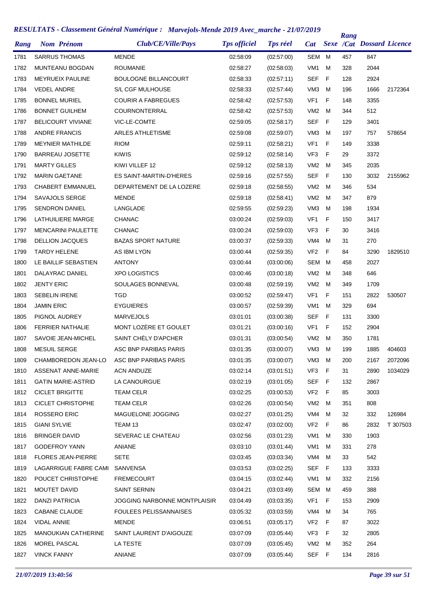| Rang | <b>Nom Prénom</b>          | Club/CE/Ville/Pays            | <b>Tps officiel</b> | <b>Tps réel</b> | Cat             |             | <b>Rang</b> | <b>Sexe /Cat Dossard Licence</b> |          |
|------|----------------------------|-------------------------------|---------------------|-----------------|-----------------|-------------|-------------|----------------------------------|----------|
| 1781 | <b>SARRUS THOMAS</b>       | <b>MENDE</b>                  | 02:58:09            | (02:57:00)      | <b>SEM</b>      | M           | 457         | 847                              |          |
| 1782 | MUNTEANU BOGDAN            | <b>ROUMANIE</b>               | 02:58:27            | (02:58:03)      | VM <sub>1</sub> | м           | 328         | 2044                             |          |
| 1783 | <b>MEYRUEIX PAULINE</b>    | BOULOGNE BILLANCOURT          | 02:58:33            | (02:57:11)      | <b>SEF</b>      | $\mathsf F$ | 128         | 2924                             |          |
| 1784 | <b>VEDEL ANDRE</b>         | S/L CGF MULHOUSE              | 02:58:33            | (02:57:44)      | VM <sub>3</sub> | M           | 196         | 1666                             | 2172364  |
| 1785 | <b>BONNEL MURIEL</b>       | <b>COURIR A FABREGUES</b>     | 02:58:42            | (02:57:53)      | VF <sub>1</sub> | F           | 148         | 3355                             |          |
| 1786 | <b>BONNET GUILHEM</b>      | <b>COURNONTERRAL</b>          | 02:58:42            | (02.57.53)      | VM <sub>2</sub> | м           | 344         | 512                              |          |
| 1787 | <b>BELICOURT VIVIANE</b>   | VIC-LE-COMTE                  | 02:59:05            | (02:58:17)      | <b>SEF</b>      | F           | 129         | 3401                             |          |
| 1788 | <b>ANDRE FRANCIS</b>       | <b>ARLES ATHLETISME</b>       | 02:59:08            | (02:59:07)      | VM <sub>3</sub> | M           | 197         | 757                              | 578654   |
| 1789 | <b>MEYNIER MATHILDE</b>    | <b>RIOM</b>                   | 02:59:11            | (02:58:21)      | VF <sub>1</sub> | F           | 149         | 3338                             |          |
| 1790 | <b>BARREAU JOSETTE</b>     | <b>KIWIS</b>                  | 02:59:12            | (02:58:14)      | VF3             | F           | 29          | 3372                             |          |
| 1791 | <b>MARTY GILLES</b>        | KIWI VILLEF 12                | 02:59:12            | (02:58:13)      | VM <sub>2</sub> | м           | 345         | 2035                             |          |
| 1792 | <b>MARIN GAETANE</b>       | ES SAINT-MARTIN-D'HERES       | 02:59:16            | (02:57:55)      | <b>SEF</b>      | F           | 130         | 3032                             | 2155962  |
| 1793 | <b>CHABERT EMMANUEL</b>    | DEPARTEMENT DE LA LOZERE      | 02:59:18            | (02:58:55)      | VM <sub>2</sub> | M           | 346         | 534                              |          |
| 1794 | SAVAJOLS SERGE             | <b>MENDE</b>                  | 02:59:18            | (02:58:41)      | VM <sub>2</sub> | M           | 347         | 879                              |          |
| 1795 | <b>SENDRON DANIEL</b>      | LANGLADE                      | 02:59:55            | (02:59:23)      | VM <sub>3</sub> | м           | 198         | 1934                             |          |
| 1796 | LATHUILIERE MARGE          | <b>CHANAC</b>                 | 03:00:24            | (02:59:03)      | VF <sub>1</sub> | F           | 150         | 3417                             |          |
| 1797 | <b>MENCARINI PAULETTE</b>  | <b>CHANAC</b>                 | 03:00:24            | (02:59:03)      | VF3             | F           | 30          | 3416                             |          |
| 1798 | <b>DELLION JACQUES</b>     | <b>BAZAS SPORT NATURE</b>     | 03:00:37            | (02:59:33)      | VM4             | M           | 31          | 270                              |          |
| 1799 | <b>TARDY HELENE</b>        | AS IBM LYON                   | 03:00:44            | (02:59:35)      | VF <sub>2</sub> | F           | 84          | 3290                             | 1829510  |
| 1800 | LE BAILLIF SEBASTIEN       | <b>ANTONY</b>                 | 03:00:44            | (03:00:06)      | SEM             | M           | 458         | 2027                             |          |
| 1801 | DALAYRAC DANIEL            | <b>XPO LOGISTICS</b>          | 03:00:46            | (03:00:18)      | VM <sub>2</sub> | м           | 348         | 646                              |          |
| 1802 | <b>JENTY ERIC</b>          | SOULAGES BONNEVAL             | 03:00:48            | (02:59:19)      | VM <sub>2</sub> | M           | 349         | 1709                             |          |
| 1803 | <b>SEBELIN IRENE</b>       | TGD                           | 03:00:52            | (02:59:47)      | VF <sub>1</sub> | F           | 151         | 2822                             | 530507   |
| 1804 | <b>JAMIN ERIC</b>          | <b>EYGUIERES</b>              | 03:00:57            | (02:59:39)      | VM1             | M           | 329         | 694                              |          |
| 1805 | PIGNOL AUDREY              | <b>MARVEJOLS</b>              | 03:01:01            | (03:00:38)      | <b>SEF</b>      | F           | 131         | 3300                             |          |
| 1806 | <b>FERRIER NATHALIE</b>    | MONT LOZERE ET GOULET         | 03:01:21            | (03:00:16)      | VF <sub>1</sub> | F           | 152         | 2904                             |          |
| 1807 | SAVOIE JEAN-MICHEL         | SAINT CHÉLY D'APCHER          | 03:01:31            | (03:00:54)      | VM <sub>2</sub> | M           | 350         | 1781                             |          |
| 1808 | <b>MESUIL SERGE</b>        | ASC BNP PARIBAS PARIS         | 03:01:35            | (03:00:07)      | VM3             | M           | 199         | 1885                             | 404603   |
| 1809 | CHAMBOREDON JEAN-LO        | ASC BNP PARIBAS PARIS         | 03:01:35            | (03:00:07)      | VM3             | M           | 200         | 2167                             | 2072096  |
| 1810 | ASSENAT ANNE-MARIE         | <b>ACN ANDUZE</b>             | 03:02:14            | (03:01:51)      | VF3             | - F         | 31          | 2890                             | 1034029  |
| 1811 | <b>GATIN MARIE-ASTRID</b>  | LA CANOURGUE                  | 03:02:19            | (03:01:05)      | SEF F           |             | 132         | 2867                             |          |
| 1812 | <b>CICLET BRIGITTE</b>     | <b>TEAM CELR</b>              | 03:02:25            | (03:00:53)      | VF <sub>2</sub> | F           | 85          | 3003                             |          |
| 1813 | <b>CICLET CHRISTOPHE</b>   | <b>TEAM CELR</b>              | 03:02:26            | (03:00:54)      | VM2             | M           | 351         | 808                              |          |
| 1814 | <b>ROSSERO ERIC</b>        | MAGUELONE JOGGING             | 03:02:27            | (03.01.25)      | VM4             | M           | 32          | 332                              | 126984   |
| 1815 | <b>GIANI SYLVIE</b>        | TEAM 13                       | 03:02:47            | (03:02:00)      | VF <sub>2</sub> | F           | 86          | 2832                             | T 307503 |
| 1816 | <b>BRINGER DAVID</b>       | SEVERAC LE CHATEAU            | 03:02:56            | (03:01:23)      | VM1             | M           | 330         | 1903                             |          |
| 1817 | <b>GODEFROY YANN</b>       | <b>ANIANE</b>                 | 03:03:10            | (03:01:44)      | VM1             | M           | 331         | 278                              |          |
| 1818 | <b>FLORES JEAN-PIERRE</b>  | <b>SETE</b>                   | 03:03:45            | (03:03:34)      | VM4             | M           | 33          | 542                              |          |
| 1819 | LAGARRIGUE FABRE CAMI      | SANVENSA                      | 03:03:53            | (03:02:25)      | <b>SEF</b>      | - F         | 133         | 3333                             |          |
| 1820 | POUCET CHRISTOPHE          | <b>FREMECOURT</b>             | 03:04:15            | (03:02:44)      | VM1             | M           | 332         | 2156                             |          |
| 1821 | MOUTET DAVID               | SAINT SERNIN                  | 03:04:21            | (03:03:49)      | SEM             | M           | 459         | 388                              |          |
| 1822 | <b>DANZI PATRICIA</b>      | JOGGING NARBONNE MONTPLAISIR  | 03:04:49            | (03:03:35)      | VF1             | F           | 153         | 2909                             |          |
| 1823 | <b>CABANE CLAUDE</b>       | <b>FOULEES PELISSANNAISES</b> | 03:05:32            | (03:03:59)      | VM4             | M           | 34          | 765                              |          |
| 1824 | <b>VIDAL ANNIE</b>         | MENDE                         | 03:06:51            | (03:05:17)      | VF <sub>2</sub> | F           | 87          | 3022                             |          |
| 1825 | <b>MANOUKIAN CATHERINE</b> | SAINT LAURENT D'AIGOUZE       | 03:07:09            | (03:05:44)      | VF3             | -F          | 32          | 2805                             |          |
| 1826 | MOREL PASCAL               | LA TESTE                      | 03:07:09            | (03:05:45)      | VM <sub>2</sub> | M           | 352         | 264                              |          |
| 1827 | <b>VINCK FANNY</b>         | ANIANE                        | 03:07:09            | (03:05:44)      | SEF F           |             | 134         | 2816                             |          |
|      |                            |                               |                     |                 |                 |             |             |                                  |          |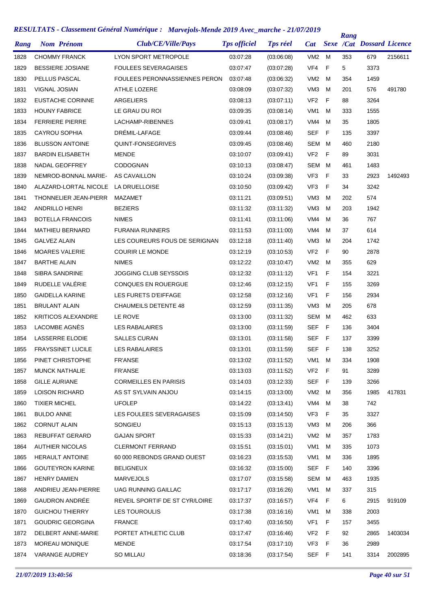| Rang | <b>Nom Prénom</b>            | Club/CE/Ville/Pays                   | <b>Tps officiel</b> | <b>Tps réel</b> | <b>Cat</b>      |     | Rang | <b>Sexe /Cat Dossard Licence</b> |         |
|------|------------------------------|--------------------------------------|---------------------|-----------------|-----------------|-----|------|----------------------------------|---------|
| 1828 | <b>CHOMMY FRANCK</b>         | <b>LYON SPORT METROPOLE</b>          | 03:07:28            | (03:06:08)      | VM <sub>2</sub> | м   | 353  | 679                              | 2156611 |
| 1829 | <b>BESSIERE JOSIANE</b>      | <b>FOULEES SEVERAGAISES</b>          | 03:07:47            | (03:07:28)      | VF4             | F   | 5    | 3373                             |         |
| 1830 | PELLUS PASCAL                | <b>FOULEES PERONNASSIENNES PERON</b> | 03:07:48            | (03:06:32)      | VM <sub>2</sub> | м   | 354  | 1459                             |         |
| 1831 | VIGNAL JOSIAN                | ATHLE LOZERE                         | 03:08:09            | (03:07:32)      | VM <sub>3</sub> | M   | 201  | 576                              | 491780  |
| 1832 | <b>EUSTACHE CORINNE</b>      | <b>ARGELIERS</b>                     | 03:08:13            | (03:07:11)      | VF <sub>2</sub> | F   | 88   | 3264                             |         |
| 1833 | <b>HOUNY FABRICE</b>         | LE GRAU DU ROI                       | 03:09:35            | (03:08:14)      | VM <sub>1</sub> | M   | 333  | 1555                             |         |
| 1834 | <b>FERRIERE PIERRE</b>       | LACHAMP-RIBENNES                     | 03:09:41            | (03:08:17)      | VM4             | м   | 35   | 1805                             |         |
| 1835 | <b>CAYROU SOPHIA</b>         | DRÉMIL-LAFAGE                        | 03:09:44            | (03:08:46)      | <b>SEF</b>      | F   | 135  | 3397                             |         |
| 1836 | <b>BLUSSON ANTOINE</b>       | QUINT-FONSEGRIVES                    | 03:09:45            | (03:08:46)      | SEM             | м   | 460  | 2180                             |         |
| 1837 | <b>BARDIN ELISABETH</b>      | <b>MENDE</b>                         | 03:10:07            | (03:09:41)      | VF <sub>2</sub> | F   | 89   | 3031                             |         |
| 1838 | NADAL GEOFFREY               | <b>CODOGNAN</b>                      | 03:10:13            | (03:08:47)      | SEM             | м   | 461  | 1483                             |         |
| 1839 | NEMROD-BONNAL MARIE-         | AS CAVAILLON                         | 03:10:24            | (03:09:38)      | VF <sub>3</sub> | F   | 33   | 2923                             | 1492493 |
| 1840 | ALAZARD-LORTAL NICOLE        | LA DRUELLOISE                        | 03:10:50            | (03:09:42)      | VF <sub>3</sub> | F   | 34   | 3242                             |         |
| 1841 | <b>THONNELIER JEAN-PIERR</b> | <b>MAZAMET</b>                       | 03:11:21            | (03:09:51)      | VM <sub>3</sub> | M   | 202  | 574                              |         |
| 1842 | <b>ANDRILLO HENRI</b>        | <b>BEZIERS</b>                       | 03:11:32            | (03:11:32)      | VM <sub>3</sub> | м   | 203  | 1942                             |         |
| 1843 | <b>BOTELLA FRANCOIS</b>      | <b>NIMES</b>                         | 03:11:41            | (03.11.06)      | VM4             | м   | 36   | 767                              |         |
| 1844 | <b>MATHIEU BERNARD</b>       | <b>FURANIA RUNNERS</b>               | 03:11:53            | (03:11:00)      | VM4             | м   | 37   | 614                              |         |
| 1845 | <b>GALVEZ ALAIN</b>          | LES COUREURS FOUS DE SERIGNAN        | 03:12:18            | (03:11:40)      | VM <sub>3</sub> | м   | 204  | 1742                             |         |
| 1846 | <b>MOARES VALERIE</b>        | <b>COURIR LE MONDE</b>               | 03:12:19            | (03:10:53)      | VF <sub>2</sub> | F   | 90   | 2878                             |         |
| 1847 | <b>BARTHE ALAIN</b>          | <b>NIMES</b>                         | 03:12:22            | (03:10:47)      | VM <sub>2</sub> | м   | 355  | 629                              |         |
| 1848 | <b>SIBRA SANDRINE</b>        | <b>JOGGING CLUB SEYSSOIS</b>         | 03:12:32            | (03:11:12)      | VF1             | F   | 154  | 3221                             |         |
| 1849 | RUDELLE VALÉRIE              | <b>CONQUES EN ROUERGUE</b>           | 03:12:46            | (03:12:15)      | VF1             | F   | 155  | 3269                             |         |
| 1850 | <b>GAIDELLA KARINE</b>       | LES FURETS D'EIFFAGE                 | 03:12:58            | (03:12:16)      | VF <sub>1</sub> | F   | 156  | 2934                             |         |
| 1851 | <b>BRULANT ALAIN</b>         | <b>CHAUMEILS DETENTE 48</b>          | 03:12:59            | (03:11:35)      | VM <sub>3</sub> | м   | 205  | 678                              |         |
| 1852 | <b>KRITICOS ALEXANDRE</b>    | LE ROVE                              | 03:13:00            | (03:11:32)      | SEM             | м   | 462  | 633                              |         |
| 1853 | LACOMBE AGNÈS                | <b>LES RABALAIRES</b>                | 03:13:00            | (03:11:59)      | <b>SEF</b>      | F.  | 136  | 3404                             |         |
| 1854 | LASSERRE ELODIE              | <b>SALLES CURAN</b>                  | 03:13:01            | (03:11:58)      | <b>SEF</b>      | F   | 137  | 3399                             |         |
| 1855 | <b>FRAYSSINET LUCILE</b>     | <b>LES RABALAIRES</b>                | 03:13:01            | (03:11:59)      | SEF             | - F | 138  | 3252                             |         |
| 1856 | PINET CHRISTOPHE             | <b>FR'ANSE</b>                       | 03:13:02            | (03:11:52)      | VM1             | M   | 334  | 1908                             |         |
| 1857 | <b>MUNCK NATHALIE</b>        | <b>FR'ANSE</b>                       | 03:13:03            | (03:11:52)      | VF <sub>2</sub> | F   | 91   | 3289                             |         |
| 1858 | <b>GILLE AURIANE</b>         | <b>CORMEILLES EN PARISIS</b>         | 03:14:03            | (03:12:33)      | SEF             | - F | 139  | 3266                             |         |
| 1859 | <b>LOISON RICHARD</b>        | AS ST SYLVAIN ANJOU                  | 03:14:15            | (03:13:00)      | VM <sub>2</sub> | м   | 356  | 1985                             | 417831  |
| 1860 | <b>TIXIER MICHEL</b>         | <b>UFOLEP</b>                        | 03:14:22            | (03.13.41)      | VM4             | м   | 38   | 742                              |         |
| 1861 | <b>BULDO ANNE</b>            | LES FOULEES SEVERAGAISES             | 03:15:09            | (03:14:50)      | VF3             | F   | 35   | 3327                             |         |
| 1862 | <b>CORNUT ALAIN</b>          | SONGIEU                              | 03:15:13            | (03:15:13)      | VM3             | м   | 206  | 366                              |         |
| 1863 | <b>REBUFFAT GERARD</b>       | <b>GAJAN SPORT</b>                   | 03:15:33            | (03:14:21)      | VM2             | м   | 357  | 1783                             |         |
| 1864 | <b>AUTHIER NICOLAS</b>       | <b>CLERMONT FERRAND</b>              | 03:15:51            | (03:15:01)      | VM <sub>1</sub> | м   | 335  | 1073                             |         |
| 1865 | <b>HERAULT ANTOINE</b>       | 60 000 REBONDS GRAND OUEST           | 03:16:23            | (03:15:53)      | VM1             | м   | 336  | 1895                             |         |
| 1866 | <b>GOUTEYRON KARINE</b>      | <b>BELIGNEUX</b>                     | 03:16:32            | (03:15:00)      | SEF             | F   | 140  | 3396                             |         |
| 1867 | <b>HENRY DAMIEN</b>          | <b>MARVEJOLS</b>                     | 03:17:07            | (03:15:58)      | SEM             | м   | 463  | 1935                             |         |
| 1868 | ANDRIEU JEAN-PIERRE          | UAG RUNNING GAILLAC                  | 03:17:17            | (03:16:26)      | VM1             | M   | 337  | 315                              |         |
| 1869 | <b>GAUDRON ANDRÉE</b>        | REVEIL SPORTIF DE ST CYR/LOIRE       | 03:17:37            | (03:16:57)      | VF4             | F   | 6    | 2915                             | 919109  |
| 1870 | <b>GUICHOU THIERRY</b>       | LES TOUROULIS                        | 03:17:38            | (03:16:16)      | VM1             | м   | 338  | 2003                             |         |
| 1871 | <b>GOUDRIC GEORGINA</b>      | <b>FRANCE</b>                        | 03:17:40            | (03:16:50)      | VF1             | F.  | 157  | 3455                             |         |
| 1872 | DELBERT ANNE-MARIE           | PORTET ATHLETIC CLUB                 | 03:17:47            | (03:16:46)      | VF <sub>2</sub> | F   | 92   | 2865                             | 1403034 |
| 1873 | MOREAU MONIQUE               | <b>MENDE</b>                         | 03:17:54            | (03:17:10)      | VF3             | F   | 36   | 2989                             |         |
| 1874 | VARANGE AUDREY               | SO MILLAU                            | 03:18:36            | (03:17:54)      | SEF F           |     | 141  | 3314                             | 2002895 |
|      |                              |                                      |                     |                 |                 |     |      |                                  |         |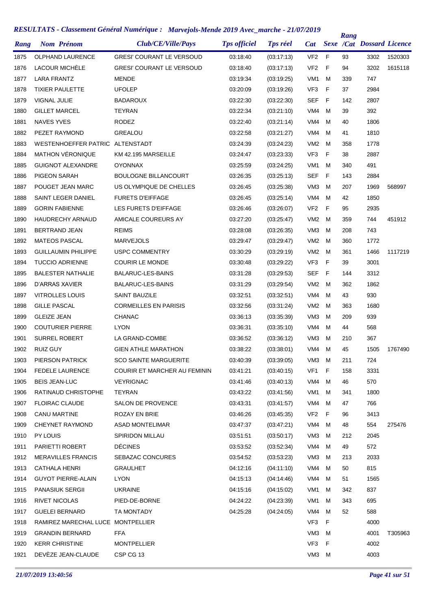| Rang | <b>Nom Prénom</b>                 | Club/CE/Ville/Pays                  | <b>Tps officiel</b> | <b>Tps réel</b> | <b>Cat</b>      |   | Rang | <b>Sexe /Cat Dossard Licence</b> |         |
|------|-----------------------------------|-------------------------------------|---------------------|-----------------|-----------------|---|------|----------------------------------|---------|
| 1875 | <b>OLPHAND LAURENCE</b>           | <b>GRESI' COURANT LE VERSOUD</b>    | 03:18:40            | (03:17:13)      | VF <sub>2</sub> | F | 93   | 3302                             | 1520303 |
| 1876 | LACOUR MICHÈLE                    | <b>GRESI' COURANT LE VERSOUD</b>    | 03:18:40            | (03:17:13)      | VF <sub>2</sub> | F | 94   | 3202                             | 1615118 |
| 1877 | <b>LARA FRANTZ</b>                | <b>MENDE</b>                        | 03:19:34            | (03:19:25)      | VM <sub>1</sub> | M | 339  | 747                              |         |
| 1878 | <b>TIXIER PAULETTE</b>            | <b>UFOLEP</b>                       | 03:20:09            | (03:19:26)      | VF <sub>3</sub> | F | 37   | 2984                             |         |
| 1879 | VIGNAL JULIE                      | BADAROUX                            | 03:22:30            | (03:22:30)      | <b>SEF</b>      | F | 142  | 2807                             |         |
| 1880 | <b>GILLET MARCEL</b>              | <b>TEYRAN</b>                       | 03:22:34            | (03:21:10)      | VM4             | м | 39   | 392                              |         |
| 1881 | <b>NAVES YVES</b>                 | <b>RODEZ</b>                        | 03:22:40            | (03:21:14)      | VM4             | м | 40   | 1806                             |         |
| 1882 | PEZET RAYMOND                     | GREALOU                             | 03:22:58            | (03:21:27)      | VM4             | M | 41   | 1810                             |         |
| 1883 | <b>WESTENHOEFFER PATRIC</b>       | ALTENSTADT                          | 03:24:39            | (03:24:23)      | VM <sub>2</sub> | м | 358  | 1778                             |         |
| 1884 | MATHON VÉRONIQUE                  | KM 42.195 MARSEILLE                 | 03:24:47            | (03:23:33)      | VF <sub>3</sub> | F | 38   | 2887                             |         |
| 1885 | <b>GUIGNOT ALEXANDRE</b>          | <b>OYONNAX</b>                      | 03:25:59            | (03:24:25)      | VM <sub>1</sub> | M | 340  | 491                              |         |
| 1886 | <b>PIGEON SARAH</b>               | <b>BOULOGNE BILLANCOURT</b>         | 03:26:35            | (03:25:13)      | SEF             | F | 143  | 2884                             |         |
| 1887 | POUGET JEAN MARC                  | US OLYMPIQUE DE CHELLES             | 03:26:45            | (03:25:38)      | VM <sub>3</sub> | M | 207  | 1969                             | 568997  |
| 1888 | SAINT LEGER DANIEL                | <b>FURETS D'EIFFAGE</b>             | 03:26:45            | (03:25:14)      | VM4             | M | 42   | 1850                             |         |
| 1889 | <b>GORIN FABIENNE</b>             | LES FURETS D'EIFFAGE                | 03:26:46            | (03:26:07)      | VF <sub>2</sub> | F | 95   | 2935                             |         |
| 1890 | <b>HAUDRECHY ARNAUD</b>           | AMICALE COUREURS AY                 | 03:27:20            | (03:25:47)      | VM <sub>2</sub> | M | 359  | 744                              | 451912  |
| 1891 | <b>BERTRAND JEAN</b>              | <b>REIMS</b>                        | 03:28:08            | (03:26:35)      | VM <sub>3</sub> | M | 208  | 743                              |         |
| 1892 | <b>MATEOS PASCAL</b>              | <b>MARVEJOLS</b>                    | 03:29:47            | (03.29.47)      | VM <sub>2</sub> | м | 360  | 1772                             |         |
| 1893 | <b>GUILLAUMIN PHILIPPE</b>        | <b>USPC COMMENTRY</b>               | 03:30:29            | (03:29:19)      | VM <sub>2</sub> | M | 361  | 1466                             | 1117219 |
| 1894 | <b>TUCCIO ADRIENNE</b>            | <b>COURIR LE MONDE</b>              | 03:30:48            | (03:29:22)      | VF <sub>3</sub> | F | 39   | 3001                             |         |
| 1895 | <b>BALESTER NATHALIE</b>          | <b>BALARUC-LES-BAINS</b>            | 03:31:28            | (03:29:53)      | SEF             | F | 144  | 3312                             |         |
| 1896 | D'ARRAS XAVIER                    | <b>BALARUC-LES-BAINS</b>            | 03:31:29            | (03:29:54)      | VM <sub>2</sub> | M | 362  | 1862                             |         |
| 1897 | <b>VITROLLES LOUIS</b>            | <b>SAINT BAUZILE</b>                | 03:32:51            | (03:32:51)      | VM4             | M | 43   | 930                              |         |
| 1898 | <b>GILLE PASCAL</b>               | <b>CORMEILLES EN PARISIS</b>        | 03:32:56            | (03:31:24)      | VM <sub>2</sub> | м | 363  | 1680                             |         |
| 1899 | <b>GLEIZE JEAN</b>                | <b>CHANAC</b>                       | 03:36:13            | (03:35:39)      | VM <sub>3</sub> | м | 209  | 939                              |         |
| 1900 | <b>COUTURIER PIERRE</b>           | <b>LYON</b>                         | 03:36:31            | (03:35:10)      | VM4             | м | 44   | 568                              |         |
| 1901 | <b>SURREL ROBERT</b>              | LA GRAND-COMBE                      | 03:36:52            | (03.36.12)      | VM <sub>3</sub> | м | 210  | 367                              |         |
| 1902 | <b>RUIZ GUY</b>                   | <b>GIEN ATHLE MARATHON</b>          | 03:38:22            | (03:38:01)      | VM4             | м | 45   | 1505                             | 1767490 |
| 1903 | PIERSON PATRICK                   | <b>SCO SAINTE MARGUERITE</b>        | 03:40:39            | (03:39:05)      | VM3             | М | 211  | 724                              |         |
| 1904 | <b>FEDELE LAURENCE</b>            | <b>COURIR ET MARCHER AU FEMININ</b> | 03:41:21            | (03:40:15)      | VF <sub>1</sub> | F | 158  | 3331                             |         |
| 1905 | <b>BEIS JEAN-LUC</b>              | <b>VEYRIGNAC</b>                    | 03:41:46            | (03.40.13)      | VM4             | м | 46   | 570                              |         |
| 1906 | RATINAUD CHRISTOPHE               | TEYRAN                              | 03:43:22            | (03:41:56)      | VM1             | м | 341  | 1800                             |         |
| 1907 | <b>FLOIRAC CLAUDE</b>             | SALON DE PROVENCE                   | 03:43:31            | (03:41:57)      | VM4             | м | 47   | 766                              |         |
| 1908 | CANU MARTINE                      | <b>ROZAY EN BRIE</b>                | 03:46:26            | (03:45:35)      | VF <sub>2</sub> | F | 96   | 3413                             |         |
| 1909 | CHEYNET RAYMOND                   | <b>ASAD MONTELIMAR</b>              | 03:47:37            | (03.47.21)      | VM4             | м | 48   | 554                              | 275476  |
| 1910 | PY LOUIS                          | <b>SPIRIDON MILLAU</b>              | 03:51:51            | (03:50:17)      | VM3             | м | 212  | 2045                             |         |
| 1911 | PARIETTI ROBERT                   | <b>DÉCINES</b>                      | 03:53:52            | (03.52.34)      | VM4             | м | 49   | 572                              |         |
| 1912 | <b>MERAVILLES FRANCIS</b>         | SEBAZAC CONCURES                    | 03:54:52            | (03.53.23)      | VM <sub>3</sub> | м | 213  | 2033                             |         |
| 1913 | CATHALA HENRI                     | GRAULHET                            | 04:12:16            | (04:11:10)      | VM4             | м | 50   | 815                              |         |
| 1914 | <b>GUYOT PIERRE-ALAIN</b>         | <b>LYON</b>                         | 04:15:13            | (04:14:46)      | VM4             | м | 51   | 1565                             |         |
| 1915 | <b>PANASIUK SERGII</b>            | <b>UKRAINE</b>                      | 04:15:16            | (04:15:02)      | VM1             | м | 342  | 837                              |         |
| 1916 | <b>RIVET NICOLAS</b>              | PIED-DE-BORNE                       | 04:24:22            | (04:23:39)      | VM1             | м | 343  | 695                              |         |
| 1917 | <b>GUELEI BERNARD</b>             | TA MONTADY                          | 04:25:28            | (04:24:05)      | VM4             | м | 52   | 588                              |         |
| 1918 | RAMIREZ MARECHAL LUCE MONTPELLIER |                                     |                     |                 | VF3             | F |      | 4000                             |         |
| 1919 | <b>GRANDIN BERNARD</b>            | <b>FFA</b>                          |                     |                 | VM <sub>3</sub> | м |      | 4001                             | T305963 |
| 1920 | <b>KERR CHRISTINE</b>             | <b>MONTPELLIER</b>                  |                     |                 | VF3             | F |      | 4002                             |         |
| 1921 | DEVEZE JEAN-CLAUDE                | CSP CG 13                           |                     |                 | VM3 M           |   |      | 4003                             |         |
|      |                                   |                                     |                     |                 |                 |   |      |                                  |         |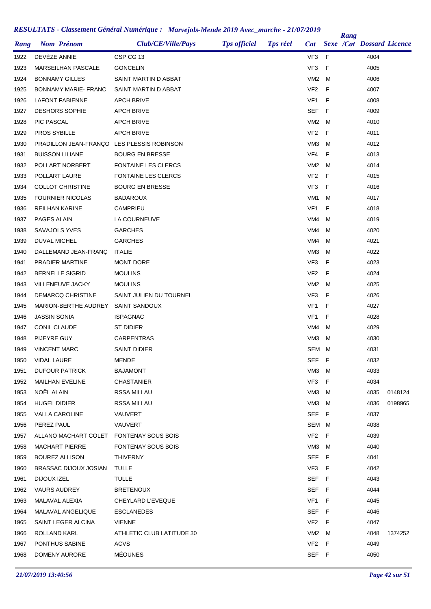|      |                                            | Club/CE/Ville/Pays         | <b>Tps officiel</b> | <b>Tps réel</b> |                 |     | Rang | <b>Sexe /Cat Dossard Licence</b> |         |
|------|--------------------------------------------|----------------------------|---------------------|-----------------|-----------------|-----|------|----------------------------------|---------|
| Rang | <b>Nom Prénom</b>                          |                            |                     |                 | <b>Cat</b>      |     |      |                                  |         |
| 1922 | DEVEZE ANNIE                               | CSP CG 13                  |                     |                 | VF3             | F   |      | 4004                             |         |
| 1923 | <b>MARSEILHAN PASCALE</b>                  | <b>GONCELIN</b>            |                     |                 | VF3             | F   |      | 4005                             |         |
| 1924 | <b>BONNAMY GILLES</b>                      | SAINT MARTIN D ABBAT       |                     |                 | VM <sub>2</sub> | м   |      | 4006                             |         |
| 1925 | BONNAMY MARIE-FRANC                        | SAINT MARTIN D ABBAT       |                     |                 | VF <sub>2</sub> | F   |      | 4007                             |         |
| 1926 | LAFONT FABIENNE                            | <b>APCH BRIVE</b>          |                     |                 | VF1             | F   |      | 4008                             |         |
| 1927 | <b>DESHORS SOPHIE</b>                      | <b>APCH BRIVE</b>          |                     |                 | SEF             | F   |      | 4009                             |         |
| 1928 | <b>PIC PASCAL</b>                          | <b>APCH BRIVE</b>          |                     |                 | VM <sub>2</sub> | м   |      | 4010                             |         |
| 1929 | <b>PROS SYBILLE</b>                        | <b>APCH BRIVE</b>          |                     |                 | VF <sub>2</sub> | F   |      | 4011                             |         |
| 1930 | PRADILLON JEAN-FRANÇO LES PLESSIS ROBINSON |                            |                     |                 | VM <sub>3</sub> | м   |      | 4012                             |         |
| 1931 | <b>BUISSON LILIANE</b>                     | <b>BOURG EN BRESSE</b>     |                     |                 | VF4             | F   |      | 4013                             |         |
| 1932 | POLLART NORBERT                            | <b>FONTAINE LES CLERCS</b> |                     |                 | VM <sub>2</sub> | м   |      | 4014                             |         |
| 1933 | POLLART LAURE                              | <b>FONTAINE LES CLERCS</b> |                     |                 | VF <sub>2</sub> | F   |      | 4015                             |         |
| 1934 | <b>COLLOT CHRISTINE</b>                    | <b>BOURG EN BRESSE</b>     |                     |                 | VF <sub>3</sub> | F   |      | 4016                             |         |
| 1935 | <b>FOURNIER NICOLAS</b>                    | BADAROUX                   |                     |                 | VM <sub>1</sub> | м   |      | 4017                             |         |
| 1936 | <b>REILHAN KARINE</b>                      | CAMPRIEU                   |                     |                 | VF <sub>1</sub> | F   |      | 4018                             |         |
| 1937 | PAGES ALAIN                                | LA COURNEUVE               |                     |                 | VM4             | M   |      | 4019                             |         |
| 1938 | SAVAJOLS YVES                              | <b>GARCHES</b>             |                     |                 | VM4             | м   |      | 4020                             |         |
| 1939 | DUVAL MICHEL                               | <b>GARCHES</b>             |                     |                 | VM4             | м   |      | 4021                             |         |
| 1940 | DALLEMAND JEAN-FRANÇ                       | <b>ITALIE</b>              |                     |                 | VM <sub>3</sub> | м   |      | 4022                             |         |
| 1941 | PRADIER MARTINE                            | <b>MONT DORE</b>           |                     |                 | VF3             | F   |      | 4023                             |         |
| 1942 | <b>BERNELLE SIGRID</b>                     | <b>MOULINS</b>             |                     |                 | VF <sub>2</sub> | F   |      | 4024                             |         |
| 1943 | VILLENEUVE JACKY                           | <b>MOULINS</b>             |                     |                 | VM <sub>2</sub> | м   |      | 4025                             |         |
| 1944 | DEMARCQ CHRISTINE                          | SAINT JULIEN DU TOURNEL    |                     |                 | VF3             | F   |      | 4026                             |         |
| 1945 | MARION-BERTHE AUDREY                       | <b>SAINT SANDOUX</b>       |                     |                 | VF1             | F   |      | 4027                             |         |
| 1946 | <b>JASSIN SONIA</b>                        | ISPAGNAC                   |                     |                 | VF <sub>1</sub> | F   |      | 4028                             |         |
| 1947 | CONIL CLAUDE                               | ST DIDIER                  |                     |                 | VM4             | м   |      | 4029                             |         |
| 1948 | PIJEYRE GUY                                | <b>CARPENTRAS</b>          |                     |                 | VM <sub>3</sub> | M   |      | 4030                             |         |
| 1949 | <b>VINCENT MARC</b>                        | <b>SAINT DIDIER</b>        |                     |                 | SEM M           |     |      | 4031                             |         |
| 1950 | <b>VIDAL LAURE</b>                         | <b>MENDE</b>               |                     |                 | SEF             | F   |      | 4032                             |         |
| 1951 | <b>DUFOUR PATRICK</b>                      | <b>BAJAMONT</b>            |                     |                 | VM3             | M   |      | 4033                             |         |
| 1952 | <b>MAILHAN EVELINE</b>                     | <b>CHASTANIER</b>          |                     |                 | VF3             | F   |      | 4034                             |         |
| 1953 | NOËL ALAIN                                 | RSSA MILLAU                |                     |                 | VM3             | м   |      | 4035                             | 0148124 |
| 1954 | <b>HUGEL DIDIER</b>                        | RSSA MILLAU                |                     |                 | VM3             | M   |      | 4036                             | 0198965 |
| 1955 | <b>VALLA CAROLINE</b>                      | VAUVERT                    |                     |                 | SEF             | - F |      | 4037                             |         |
| 1956 | PEREZ PAUL                                 | VAUVERT                    |                     |                 | SEM M           |     |      | 4038                             |         |
| 1957 | ALLANO MACHART COLET                       | <b>FONTENAY SOUS BOIS</b>  |                     |                 | VF2             | F   |      | 4039                             |         |
| 1958 | <b>MACHART PIERRE</b>                      | <b>FONTENAY SOUS BOIS</b>  |                     |                 | VM3             | M   |      | 4040                             |         |
| 1959 | <b>BOUREZ ALLISON</b>                      | THIVERNY                   |                     |                 | <b>SEF</b>      | - F |      | 4041                             |         |
| 1960 | BRASSAC DIJOUX JOSIAN                      | <b>TULLE</b>               |                     |                 | VF3 F           |     |      | 4042                             |         |
| 1961 | DIJOUX IZEL                                | <b>TULLE</b>               |                     |                 | <b>SEF</b>      | - F |      | 4043                             |         |
| 1962 | <b>VAURS AUDREY</b>                        | <b>BRETENOUX</b>           |                     |                 | SEF             | - F |      | 4044                             |         |
| 1963 | MALAVAL ALEXIA                             | CHEYLARD L'EVEQUE          |                     |                 | VF1             | F   |      | 4045                             |         |
| 1964 | MALAVAL ANGELIQUE                          | <b>ESCLANEDES</b>          |                     |                 | <b>SEF</b>      | - F |      | 4046                             |         |
| 1965 | SAINT LEGER ALCINA                         | <b>VIENNE</b>              |                     |                 | VF <sub>2</sub> | F   |      | 4047                             |         |
| 1966 | ROLLAND KARL                               | ATHLETIC CLUB LATITUDE 30  |                     |                 | VM <sub>2</sub> | M   |      | 4048                             | 1374252 |
| 1967 | PONTHUS SABINE                             | <b>ACVS</b>                |                     |                 | VF <sub>2</sub> | F   |      | 4049                             |         |
| 1968 | DOMENY AURORE                              | <b>MÉOUNES</b>             |                     |                 | SEF F           |     |      | 4050                             |         |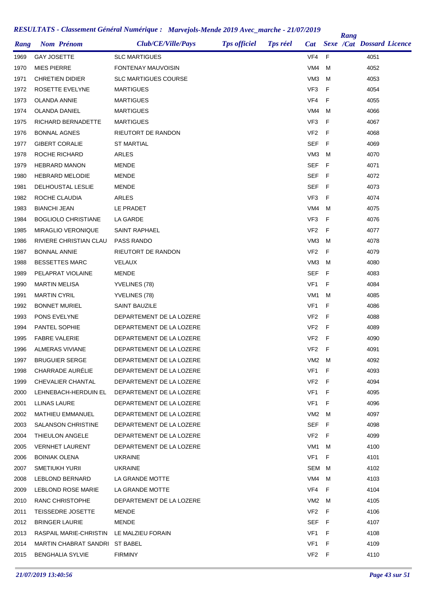| Rang | <b>Nom Prénom</b>              | Club/CE/Ville/Pays          | <b>Tps officiel</b> | <b>Tps réel</b> | <b>Cat</b>      |     | Rang | <b>Sexe /Cat Dossard Licence</b> |  |
|------|--------------------------------|-----------------------------|---------------------|-----------------|-----------------|-----|------|----------------------------------|--|
| 1969 | <b>GAY JOSETTE</b>             | <b>SLC MARTIGUES</b>        |                     |                 | VF4             | F   |      | 4051                             |  |
| 1970 | <b>MIES PIERRE</b>             | FONTENAY MAUVOISIN          |                     |                 | VM4             | M   |      | 4052                             |  |
| 1971 | <b>CHRETIEN DIDIER</b>         | <b>SLC MARTIGUES COURSE</b> |                     |                 | VM <sub>3</sub> | M   |      | 4053                             |  |
| 1972 | ROSETTE EVELYNE                | MARTIGUES                   |                     |                 | VF <sub>3</sub> | F   |      | 4054                             |  |
| 1973 | OLANDA ANNIE                   | <b>MARTIGUES</b>            |                     |                 | VF4             | F   |      | 4055                             |  |
| 1974 | OLANDA DANIEL                  | MARTIGUES                   |                     |                 | VM4             | M   |      | 4066                             |  |
| 1975 | RICHARD BERNADETTE             | <b>MARTIGUES</b>            |                     |                 | VF <sub>3</sub> | F   |      | 4067                             |  |
| 1976 | <b>BONNAL AGNES</b>            | <b>RIEUTORT DE RANDON</b>   |                     |                 | VF <sub>2</sub> | F   |      | 4068                             |  |
| 1977 | <b>GIBERT CORALIE</b>          | ST MARTIAL                  |                     |                 | <b>SEF</b>      | - F |      | 4069                             |  |
| 1978 | ROCHE RICHARD                  | <b>ARLES</b>                |                     |                 | VM <sub>3</sub> | M   |      | 4070                             |  |
| 1979 | <b>HEBRARD MANON</b>           | MENDE                       |                     |                 | SEF             | -F  |      | 4071                             |  |
| 1980 | <b>HEBRARD MELODIE</b>         | MENDE                       |                     |                 | SEF             | -F  |      | 4072                             |  |
| 1981 | <b>DELHOUSTAL LESLIE</b>       | MENDE                       |                     |                 | SEF             | - F |      | 4073                             |  |
| 1982 | ROCHE CLAUDIA                  | ARLES                       |                     |                 | VF <sub>3</sub> | F   |      | 4074                             |  |
| 1983 | <b>BIANCHI JEAN</b>            | LE PRADET                   |                     |                 | VM4             | M   |      | 4075                             |  |
| 1984 | <b>BOGLIOLO CHRISTIANE</b>     | LA GARDE                    |                     |                 | VF3             | F   |      | 4076                             |  |
| 1985 | <b>MIRAGLIO VERONIQUE</b>      | <b>SAINT RAPHAEL</b>        |                     |                 | VF <sub>2</sub> | -F  |      | 4077                             |  |
| 1986 | RIVIERE CHRISTIAN CLAU         | PASS RANDO                  |                     |                 | VM <sub>3</sub> | м   |      | 4078                             |  |
| 1987 | <b>BONNAL ANNIE</b>            | RIEUTORT DE RANDON          |                     |                 | VF <sub>2</sub> | F   |      | 4079                             |  |
| 1988 | <b>BESSETTES MARC</b>          | <b>VELAUX</b>               |                     |                 | VM3             | м   |      | 4080                             |  |
| 1989 | PELAPRAT VIOLAINE              | MENDE                       |                     |                 | SEF             | - F |      | 4083                             |  |
| 1990 | <b>MARTIN MELISA</b>           | YVELINES (78)               |                     |                 | VF <sub>1</sub> | F   |      | 4084                             |  |
| 1991 | <b>MARTIN CYRIL</b>            | YVELINES (78)               |                     |                 | VM <sub>1</sub> | M   |      | 4085                             |  |
| 1992 | <b>BONNET MURIEL</b>           | SAINT BAUZILE               |                     |                 | VF1             | F   |      | 4086                             |  |
| 1993 | PONS EVELYNE                   | DEPARTEMENT DE LA LOZERE    |                     |                 | VF <sub>2</sub> | - F |      | 4088                             |  |
| 1994 | PANTEL SOPHIE                  | DEPARTEMENT DE LA LOZERE    |                     |                 | VF <sub>2</sub> | -F  |      | 4089                             |  |
| 1995 | <b>FABRE VALERIE</b>           | DEPARTEMENT DE LA LOZERE    |                     |                 | VF <sub>2</sub> | -F  |      | 4090                             |  |
| 1996 | <b>ALMERAS VIVIANE</b>         | DEPARTEMENT DE LA LOZERE    |                     |                 | VF <sub>2</sub> | - F |      | 4091                             |  |
| 1997 | <b>BRUGUIER SERGE</b>          | DEPARTEMENT DE LA LOZERE    |                     |                 | VM <sub>2</sub> | M   |      | 4092                             |  |
| 1998 | CHARRADE AURÉLIE               | DEPARTEMENT DE LA LOZERE    |                     |                 | VF1             | F   |      | 4093                             |  |
| 1999 | CHEVALIER CHANTAL              | DEPARTEMENT DE LA LOZERE    |                     |                 | VF2 F           |     |      | 4094                             |  |
| 2000 | LEHNEBACH-HERDUIN EL           | DEPARTEMENT DE LA LOZERE    |                     |                 | VF1             | F   |      | 4095                             |  |
| 2001 | LLINAS LAURE                   | DEPARTEMENT DE LA LOZERE    |                     |                 | VF1             | F   |      | 4096                             |  |
| 2002 | <b>MATHIEU EMMANUEL</b>        | DEPARTEMENT DE LA LOZERE    |                     |                 | VM2             | M   |      | 4097                             |  |
| 2003 | <b>SALANSON CHRISTINE</b>      | DEPARTEMENT DE LA LOZERE    |                     |                 | SEF F           |     |      | 4098                             |  |
| 2004 | THIEULON ANGELE                | DEPARTEMENT DE LA LOZERE    |                     |                 | VF2             | - F |      | 4099                             |  |
| 2005 | <b>VERNHET LAURENT</b>         | DEPARTEMENT DE LA LOZERE    |                     |                 | VM1             | M   |      | 4100                             |  |
| 2006 | <b>BOINIAK OLENA</b>           | <b>UKRAINE</b>              |                     |                 | VF1             | F   |      | 4101                             |  |
| 2007 | <b>SMETIUKH YURII</b>          | <b>UKRAINE</b>              |                     |                 | SEM M           |     |      | 4102                             |  |
| 2008 | LEBLOND BERNARD                | LA GRANDE MOTTE             |                     |                 | VM4             | M   |      | 4103                             |  |
| 2009 | LEBLOND ROSE MARIE             | LA GRANDE MOTTE             |                     |                 | VF4             | F   |      | 4104                             |  |
| 2010 | RANC CHRISTOPHE                | DEPARTEMENT DE LA LOZERE    |                     |                 | VM <sub>2</sub> | M   |      | 4105                             |  |
| 2011 | TEISSEDRE JOSETTE              | MENDE                       |                     |                 | VF <sub>2</sub> | - F |      | 4106                             |  |
| 2012 | <b>BRINGER LAURIE</b>          | MENDE                       |                     |                 | SEF F           |     |      | 4107                             |  |
| 2013 | RASPAIL MARIE-CHRISTIN         | LE MALZIEU FORAIN           |                     |                 | VF1             | -F  |      | 4108                             |  |
| 2014 | MARTIN CHABRAT SANDRI ST BABEL |                             |                     |                 | VF1             | - F |      | 4109                             |  |
| 2015 | <b>BENGHALIA SYLVIE</b>        | <b>FIRMINY</b>              |                     |                 | VF2 F           |     |      | 4110                             |  |
|      |                                |                             |                     |                 |                 |     |      |                                  |  |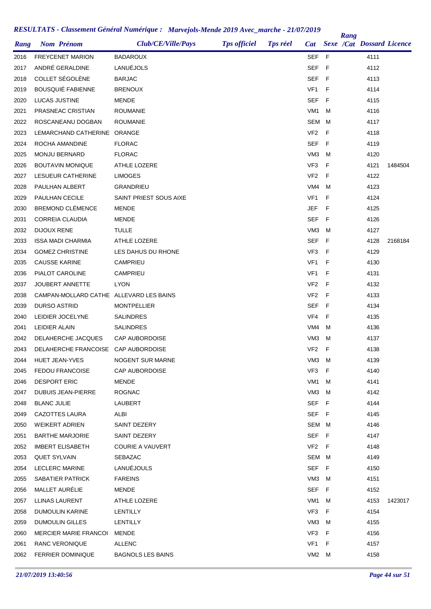|      |                                                   |                          |                     |                 |                 |     | Rang |                                  |         |
|------|---------------------------------------------------|--------------------------|---------------------|-----------------|-----------------|-----|------|----------------------------------|---------|
| Rang | <b>Nom Prénom</b>                                 | Club/CE/Ville/Pays       | <b>Tps officiel</b> | <b>Tps réel</b> | <b>Cat</b>      |     |      | <b>Sexe /Cat Dossard Licence</b> |         |
| 2016 | <b>FREYCENET MARION</b>                           | <b>BADAROUX</b>          |                     |                 | SEF             | - F |      | 4111                             |         |
| 2017 | ANDRÉ GERALDINE                                   | LANUÉJOLS                |                     |                 | SEF             | - F |      | 4112                             |         |
| 2018 | COLLET SÉGOLÈNE                                   | <b>BARJAC</b>            |                     |                 | <b>SEF</b>      | - F |      | 4113                             |         |
| 2019 | <b>BOUSQUIÉ FABIENNE</b>                          | <b>BRENOUX</b>           |                     |                 | VF1             | F   |      | 4114                             |         |
| 2020 | <b>LUCAS JUSTINE</b>                              | MENDE                    |                     |                 | <b>SEF</b>      | F   |      | 4115                             |         |
| 2021 | PRASNEAC CRISTIAN                                 | <b>ROUMANIE</b>          |                     |                 | VM <sub>1</sub> | м   |      | 4116                             |         |
| 2022 | ROSCANEANU DOGBAN                                 | <b>ROUMANIE</b>          |                     |                 | <b>SEM</b>      | м   |      | 4117                             |         |
| 2023 | LEMARCHAND CATHERINE ORANGE                       |                          |                     |                 | VF <sub>2</sub> | F   |      | 4118                             |         |
| 2024 | ROCHA AMANDINE                                    | <b>FLORAC</b>            |                     |                 | <b>SEF</b>      | -F  |      | 4119                             |         |
| 2025 | MONJU BERNARD                                     | <b>FLORAC</b>            |                     |                 | VM <sub>3</sub> | м   |      | 4120                             |         |
| 2026 | <b>BOUTAVIN MONIQUE</b>                           | ATHLE LOZERE             |                     |                 | VF3             | F   |      | 4121                             | 1484504 |
| 2027 | LESUEUR CATHERINE                                 | <b>LIMOGES</b>           |                     |                 | VF <sub>2</sub> | E   |      | 4122                             |         |
| 2028 | PAULHAN ALBERT                                    | GRANDRIEU                |                     |                 | VM4             | м   |      | 4123                             |         |
| 2029 | PAULHAN CECILE                                    | SAINT PRIEST SOUS AIXE   |                     |                 | VF <sub>1</sub> | F   |      | 4124                             |         |
| 2030 | <b>BREMOND CLÉMENCE</b>                           | <b>MENDE</b>             |                     |                 | JEF             | F   |      | 4125                             |         |
| 2031 | <b>CORREIA CLAUDIA</b>                            | <b>MENDE</b>             |                     |                 | SEF             | F   |      | 4126                             |         |
| 2032 | <b>DIJOUX RENE</b>                                | <b>TULLE</b>             |                     |                 | VM <sub>3</sub> | м   |      | 4127                             |         |
| 2033 | <b>ISSA MADI CHARMIA</b>                          | ATHLE LOZERE             |                     |                 | <b>SEF</b>      | F   |      | 4128                             | 2168184 |
| 2034 | <b>GOMEZ CHRISTINE</b>                            | LES DAHUS DU RHONE       |                     |                 | VF3             | F   |      | 4129                             |         |
| 2035 | <b>CAUSSE KARINE</b>                              | <b>CAMPRIEU</b>          |                     |                 | VF1             | F   |      | 4130                             |         |
| 2036 | PIALOT CAROLINE                                   | CAMPRIEU                 |                     |                 | VF1             | F   |      | 4131                             |         |
| 2037 | <b>JOUBERT ANNETTE</b>                            | <b>LYON</b>              |                     |                 | VF <sub>2</sub> | F   |      | 4132                             |         |
| 2038 | CAMPAN-MOLLARD CATHE ALLEVARD LES BAINS           |                          |                     |                 | VF <sub>2</sub> | F   |      | 4133                             |         |
| 2039 | <b>DURSO ASTRID</b>                               | <b>MONTPELLIER</b>       |                     |                 | <b>SEF</b>      | - F |      | 4134                             |         |
| 2040 | LEIDIER JOCELYNE                                  | <b>SALINDRES</b>         |                     |                 | VF4             | F   |      | 4135                             |         |
| 2041 | LEIDIER ALAIN                                     | <b>SALINDRES</b>         |                     |                 | VM4             | M   |      | 4136                             |         |
| 2042 | DELAHERCHE JACQUES                                | <b>CAP AUBORDOISE</b>    |                     |                 | VM <sub>3</sub> | м   |      | 4137                             |         |
| 2043 | DELAHERCHE FRANCOISE CAP AUBORDOISE               |                          |                     |                 | VF <sub>2</sub> | F   |      | 4138                             |         |
| 2044 | HUET JEAN-YVES                                    | NOGENT SUR MARNE         |                     |                 | VM3             | M   |      | 4139                             |         |
| 2045 | <b>FEDOU FRANCOISE</b>                            | <b>CAP AUBORDOISE</b>    |                     |                 | VF3             | F   |      | 4140                             |         |
| 2046 | <b>DESPORT ERIC</b>                               | MENDE                    |                     |                 | VM1             | M   |      | 4141                             |         |
| 2047 | <b>DUBUIS JEAN-PIERRE</b>                         | <b>ROGNAC</b>            |                     |                 | VM <sub>3</sub> | M   |      | 4142                             |         |
| 2048 | <b>BLANC JULIE</b>                                | LAUBERT                  |                     |                 | <b>SEF</b>      | - F |      | 4144                             |         |
|      | CAZOTTES LAURA                                    | ALBI                     |                     |                 | <b>SEF</b>      | - F |      | 4145                             |         |
| 2049 |                                                   |                          |                     |                 | SEM M           |     |      |                                  |         |
| 2050 | <b>WEIKERT ADRIEN</b>                             | SAINT DEZERY             |                     |                 |                 |     |      | 4146                             |         |
| 2051 | <b>BARTHE MARJORIE</b><br><b>IMBERT ELISABETH</b> | SAINT DEZERY             |                     |                 | <b>SEF</b>      | - F |      | 4147                             |         |
| 2052 |                                                   | COURIE A VAUVERT         |                     |                 | VF2 F           |     |      | 4148                             |         |
| 2053 | QUET SYLVAIN                                      | SEBAZAC                  |                     |                 | SEM             | M   |      | 4149                             |         |
| 2054 | LECLERC MARINE                                    | LANUEJOULS               |                     |                 | SEF F           |     |      | 4150                             |         |
| 2055 | SABATIER PATRICK                                  | <b>FAREINS</b>           |                     |                 | VM <sub>3</sub> | M   |      | 4151                             |         |
| 2056 | MALLET AURELIE                                    | MENDE                    |                     |                 | <b>SEF</b>      | - F |      | 4152                             |         |
| 2057 | LLINAS LAURENT                                    | ATHLE LOZERE             |                     |                 | VM1             | м   |      | 4153                             | 1423017 |
| 2058 | DUMOULIN KARINE                                   | LENTILLY                 |                     |                 | VF3             | F   |      | 4154                             |         |
| 2059 | DUMOULIN GILLES                                   | LENTILLY                 |                     |                 | VM3             | M   |      | 4155                             |         |
| 2060 | <b>MERCIER MARIE FRANCOI</b>                      | MENDE                    |                     |                 | VF3             | - F |      | 4156                             |         |
| 2061 | RANC VERONIQUE                                    | <b>ALLENC</b>            |                     |                 | VF1             | F   |      | 4157                             |         |
| 2062 | <b>FERRIER DOMINIQUE</b>                          | <b>BAGNOLS LES BAINS</b> |                     |                 | VM2             | М   |      | 4158                             |         |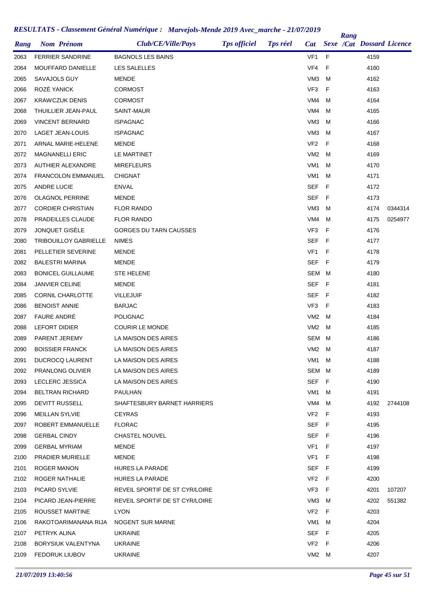| Rang | <b>Nom Prénom</b>            | Club/CE/Ville/Pays             | <b>Tps officiel</b> | <b>Tps réel</b> | Cat             |     | Rang | <b>Sexe /Cat Dossard Licence</b> |         |
|------|------------------------------|--------------------------------|---------------------|-----------------|-----------------|-----|------|----------------------------------|---------|
|      |                              |                                |                     |                 |                 |     |      |                                  |         |
| 2063 | <b>FERRIER SANDRINE</b>      | <b>BAGNOLS LES BAINS</b>       |                     |                 | VF <sub>1</sub> | F   |      | 4159                             |         |
| 2064 | MOUFFARD DANIELLE            | LES SALELLES                   |                     |                 | VF4             | F   |      | 4160                             |         |
| 2065 | SAVAJOLS GUY                 | MENDE                          |                     |                 | VM <sub>3</sub> | M   |      | 4162                             |         |
| 2066 | ROZÉ YANICK                  | CORMOST                        |                     |                 | VF3             | F   |      | 4163                             |         |
| 2067 | <b>KRAWCZUK DENIS</b>        | <b>CORMOST</b>                 |                     |                 | VM4             | м   |      | 4164                             |         |
| 2068 | THUILLIER JEAN-PAUL          | SAINT-MAUR                     |                     |                 | VM4             | M   |      | 4165                             |         |
| 2069 | <b>VINCENT BERNARD</b>       | ISPAGNAC                       |                     |                 | VM <sub>3</sub> | м   |      | 4166                             |         |
| 2070 | LAGET JEAN-LOUIS             | <b>ISPAGNAC</b>                |                     |                 | VM <sub>3</sub> | м   |      | 4167                             |         |
| 2071 | ARNAL MARIE-HELENE           | MENDE                          |                     |                 | VF <sub>2</sub> | F   |      | 4168                             |         |
| 2072 | <b>MAGNANELLI ERIC</b>       | LE MARTINET                    |                     |                 | VM <sub>2</sub> | M   |      | 4169                             |         |
| 2073 | <b>AUTHIER ALEXANDRE</b>     | <b>MIREFLEURS</b>              |                     |                 | VM1             | м   |      | 4170                             |         |
| 2074 | <b>FRANCOLON EMMANUEL</b>    | <b>CHIGNAT</b>                 |                     |                 | VM1             | M   |      | 4171                             |         |
| 2075 | <b>ANDRE LUCIE</b>           | <b>ENVAL</b>                   |                     |                 | <b>SEF</b>      | F   |      | 4172                             |         |
| 2076 | <b>OLAGNOL PERRINE</b>       | MENDE                          |                     |                 | SEF             | F   |      | 4173                             |         |
| 2077 | <b>CORDIER CHRISTIAN</b>     | <b>FLOR RANDO</b>              |                     |                 | VM <sub>3</sub> | м   |      | 4174                             | 0344314 |
| 2078 | PRADEILLES CLAUDE            | <b>FLOR RANDO</b>              |                     |                 | VM4             | м   |      | 4175                             | 0254977 |
| 2079 | JONQUET GISÈLE               | GORGES DU TARN CAUSSES         |                     |                 | VF3             | F   |      | 4176                             |         |
| 2080 | <b>TRIBOUILLOY GABRIELLE</b> | <b>NIMES</b>                   |                     |                 | SEF             | F   |      | 4177                             |         |
| 2081 | PELLETIER SEVERINE           | <b>MENDE</b>                   |                     |                 | VF <sub>1</sub> | F   |      | 4178                             |         |
| 2082 | <b>BALESTRI MARINA</b>       | <b>MENDE</b>                   |                     |                 | SEF             | F   |      | 4179                             |         |
| 2083 | <b>BONICEL GUILLAUME</b>     | <b>STE HELENE</b>              |                     |                 | SEM M           |     |      | 4180                             |         |
| 2084 | <b>JANVIER CELINE</b>        | MENDE                          |                     |                 | SEF             | F   |      | 4181                             |         |
| 2085 | <b>CORNIL CHARLOTTE</b>      | <b>VILLEJUIF</b>               |                     |                 | <b>SEF</b>      | - F |      | 4182                             |         |
| 2086 | <b>BENOIST ANNIE</b>         | <b>BARJAC</b>                  |                     |                 | VF3             | F   |      | 4183                             |         |
| 2087 | <b>FAURE ANDRÉ</b>           | <b>POLIGNAC</b>                |                     |                 | VM <sub>2</sub> | M   |      | 4184                             |         |
| 2088 | <b>LEFORT DIDIER</b>         | <b>COURIR LE MONDE</b>         |                     |                 | VM <sub>2</sub> | м   |      | 4185                             |         |
| 2089 | PARENT JEREMY                | LA MAISON DES AIRES            |                     |                 | SEM             | M   |      | 4186                             |         |
| 2090 | <b>BOISSIER FRANCK</b>       | LA MAISON DES AIRES            |                     |                 | VM2             | M   |      | 4187                             |         |
| 2091 | <b>DUCROCQ LAURENT</b>       | LA MAISON DES AIRES            |                     |                 | VM1             | M   |      | 4188                             |         |
| 2092 | PRANLONG OLIVIER             | LA MAISON DES AIRES            |                     |                 | SEM M           |     |      | 4189                             |         |
| 2093 | LECLERC JESSICA              | LA MAISON DES AIRES            |                     |                 | SEF F           |     |      | 4190                             |         |
| 2094 | <b>BELTRAN RICHARD</b>       | PAULHAN                        |                     |                 | VM1             | M   |      | 4191                             |         |
| 2095 | DEVITT RUSSELL               | SHAFTESBURY BARNET HARRIERS    |                     |                 | VM4             | M   |      | 4192                             | 2744108 |
| 2096 | <b>MEILLAN SYLVIE</b>        | <b>CEYRAS</b>                  |                     |                 | VF2             | - F |      | 4193                             |         |
| 2097 | ROBERT EMMANUELLE            | <b>FLORAC</b>                  |                     |                 | SEF F           |     |      | 4195                             |         |
| 2098 | <b>GERBAL CINDY</b>          | <b>CHASTEL NOUVEL</b>          |                     |                 | SEF F           |     |      | 4196                             |         |
| 2099 | <b>GERBAL MYRIAM</b>         | MENDE                          |                     |                 | VF1             | F   |      | 4197                             |         |
| 2100 | PRADIER MURIELLE             | MENDE                          |                     |                 | VF <sub>1</sub> | F   |      | 4198                             |         |
| 2101 | ROGER MANON                  | <b>HURES LA PARADE</b>         |                     |                 | SEF F           |     |      | 4199                             |         |
| 2102 | ROGER NATHALIE               | HURES LA PARADE                |                     |                 | VF <sub>2</sub> | F   |      | 4200                             |         |
| 2103 | PICARD SYLVIE                | REVEIL SPORTIF DE ST CYR/LOIRE |                     |                 | VF3             | F   |      | 4201                             | 107207  |
| 2104 | PICARD JEAN-PIERRE           | REVEIL SPORTIF DE ST CYR/LOIRE |                     |                 | VM3             | M   |      | 4202                             | 551382  |
| 2105 | ROUSSET MARTINE              | <b>LYON</b>                    |                     |                 | VF <sub>2</sub> | F   |      | 4203                             |         |
| 2106 | RAKOTOARIMANANA RIJA         | NOGENT SUR MARNE               |                     |                 | VM1             | M   |      | 4204                             |         |
| 2107 | PETRYK ALINA                 | <b>UKRAINE</b>                 |                     |                 | SEF             | - F |      | 4205                             |         |
|      |                              |                                |                     |                 | VF <sub>2</sub> | F   |      |                                  |         |
| 2108 | BORYSIUK VALENTYNA           | <b>UKRAINE</b>                 |                     |                 |                 |     |      | 4206                             |         |
| 2109 | <b>FEDORUK LIUBOV</b>        | <b>UKRAINE</b>                 |                     |                 | VM2 M           |     |      | 4207                             |         |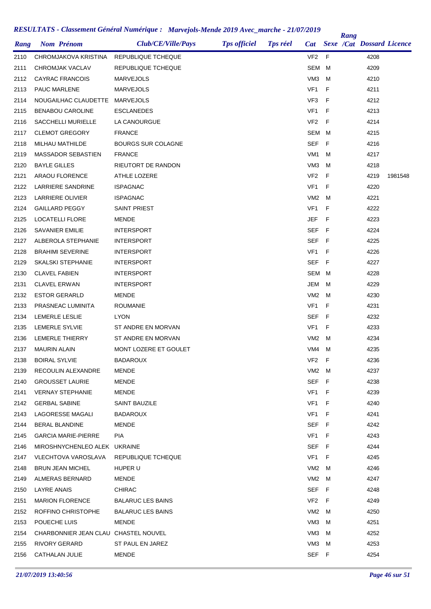|      |                                      | Club/CE/Ville/Pays        |                     | <b>Tps réel</b> |                 |     | Rang |                                  |         |
|------|--------------------------------------|---------------------------|---------------------|-----------------|-----------------|-----|------|----------------------------------|---------|
| Rang | <b>Nom Prénom</b>                    |                           | <b>Tps officiel</b> |                 | Cat             |     |      | <b>Sexe /Cat Dossard Licence</b> |         |
| 2110 | CHROMJAKOVA KRISTINA                 | REPUBLIQUE TCHEQUE        |                     |                 | VF <sub>2</sub> | F   |      | 4208                             |         |
| 2111 | CHROMJAK VACLAV                      | REPUBLIQUE TCHEQUE        |                     |                 | SEM             | M   |      | 4209                             |         |
| 2112 | <b>CAYRAC FRANCOIS</b>               | <b>MARVEJOLS</b>          |                     |                 | VM <sub>3</sub> | M   |      | 4210                             |         |
| 2113 | <b>PAUC MARLENE</b>                  | <b>MARVEJOLS</b>          |                     |                 | VF <sub>1</sub> | F   |      | 4211                             |         |
| 2114 | NOUGAILHAC CLAUDETTE                 | MARVEJOLS                 |                     |                 | VF3             | F   |      | 4212                             |         |
| 2115 | <b>BENABOU CAROLINE</b>              | <b>ESCLANEDES</b>         |                     |                 | VF <sub>1</sub> | F   |      | 4213                             |         |
| 2116 | SACCHELLI MURIELLE                   | LA CANOURGUE              |                     |                 | VF <sub>2</sub> | F   |      | 4214                             |         |
| 2117 | <b>CLEMOT GREGORY</b>                | <b>FRANCE</b>             |                     |                 | SEM             | M   |      | 4215                             |         |
| 2118 | MILHAU MATHILDE                      | <b>BOURGS SUR COLAGNE</b> |                     |                 | SEF             | F   |      | 4216                             |         |
| 2119 | MASSADOR SEBASTIEN                   | <b>FRANCE</b>             |                     |                 | VM <sub>1</sub> | M   |      | 4217                             |         |
| 2120 | <b>BAYLE GILLES</b>                  | RIEUTORT DE RANDON        |                     |                 | VM <sub>3</sub> | M   |      | 4218                             |         |
| 2121 | <b>ARAOU FLORENCE</b>                | ATHLE LOZERE              |                     |                 | VF <sub>2</sub> | E   |      | 4219                             | 1981548 |
| 2122 | LARRIERE SANDRINE                    | <b>ISPAGNAC</b>           |                     |                 | VF <sub>1</sub> | F   |      | 4220                             |         |
| 2123 | <b>LARRIERE OLIVIER</b>              | <b>ISPAGNAC</b>           |                     |                 | VM <sub>2</sub> | M   |      | 4221                             |         |
| 2124 | <b>GAILLARD PEGGY</b>                | SAINT PRIEST              |                     |                 | VF <sub>1</sub> | F   |      | 4222                             |         |
| 2125 | LOCATELLI FLORE                      | <b>MENDE</b>              |                     |                 | JEF             | F   |      | 4223                             |         |
| 2126 | <b>SAVANIER EMILIE</b>               | <b>INTERSPORT</b>         |                     |                 | SEF             | - F |      | 4224                             |         |
| 2127 | ALBEROLA STEPHANIE                   | <b>INTERSPORT</b>         |                     |                 | SEF             | -F  |      | 4225                             |         |
| 2128 | <b>BRAHIMI SEVERINE</b>              | <b>INTERSPORT</b>         |                     |                 | VF <sub>1</sub> | F   |      | 4226                             |         |
| 2129 | <b>SKALSKI STEPHANIE</b>             | <b>INTERSPORT</b>         |                     |                 | SEF             | - F |      | 4227                             |         |
| 2130 | <b>CLAVEL FABIEN</b>                 | <b>INTERSPORT</b>         |                     |                 | SEM             | M   |      | 4228                             |         |
| 2131 | <b>CLAVEL ERWAN</b>                  | <b>INTERSPORT</b>         |                     |                 | JEM             | M   |      | 4229                             |         |
| 2132 | <b>ESTOR GERARLD</b>                 | MENDE                     |                     |                 | VM <sub>2</sub> | M   |      | 4230                             |         |
| 2133 | PRASNEAC LUMINITA                    | <b>ROUMANIE</b>           |                     |                 | VF1             | F   |      | 4231                             |         |
| 2134 | LEMERLE LESLIE                       | <b>LYON</b>               |                     |                 | SEF             | - F |      | 4232                             |         |
| 2135 | LEMERLE SYLVIE                       | ST ANDRE EN MORVAN        |                     |                 | VF <sub>1</sub> | F   |      | 4233                             |         |
| 2136 | LEMERLE THIERRY                      | ST ANDRE EN MORVAN        |                     |                 | VM <sub>2</sub> | M   |      | 4234                             |         |
| 2137 | <b>MAURIN ALAIN</b>                  | MONT LOZERE ET GOULET     |                     |                 | VM4             | M   |      | 4235                             |         |
| 2138 | <b>BOIRAL SYLVIE</b>                 | <b>BADAROUX</b>           |                     |                 | VF <sub>2</sub> | - F |      | 4236                             |         |
| 2139 | RECOULIN ALEXANDRE                   | <b>MENDE</b>              |                     |                 | VM2 M           |     |      | 4237                             |         |
| 2140 | <b>GROUSSET LAURIE</b>               | MENDE                     |                     |                 | SEF F           |     |      | 4238                             |         |
| 2141 | <b>VERNAY STEPHANIE</b>              | MENDE                     |                     |                 | VF1             | - F |      | 4239                             |         |
| 2142 | <b>GERBAL SABINE</b>                 | SAINT BAUZILE             |                     |                 | VF1 F           |     |      | 4240                             |         |
| 2143 | <b>LAGORESSE MAGALI</b>              | <b>BADAROUX</b>           |                     |                 | VF1             | - F |      | 4241                             |         |
| 2144 | BERAL BLANDINE                       | MENDE                     |                     |                 | SEF F           |     |      | 4242                             |         |
| 2145 | <b>GARCIA MARIE-PIERRE</b>           | <b>PIA</b>                |                     |                 | VF1 F           |     |      | 4243                             |         |
| 2146 | MIROSHNYCHENLEO ALEK UKRAINE         |                           |                     |                 | SEF F           |     |      | 4244                             |         |
| 2147 | VLECHTOVA VAROSLAVA                  | REPUBLIQUE TCHEQUE        |                     |                 | VF1             | - F |      | 4245                             |         |
| 2148 | <b>BRUN JEAN MICHEL</b>              | HUPER U                   |                     |                 | VM2 M           |     |      | 4246                             |         |
| 2149 | ALMERAS BERNARD                      | MENDE                     |                     |                 | VM2 M           |     |      | 4247                             |         |
| 2150 | LAYRE ANAIS                          | CHIRAC                    |                     |                 | SEF F           |     |      | 4248                             |         |
| 2151 | <b>MARION FLORENCE</b>               | <b>BALARUC LES BAINS</b>  |                     |                 | VF2 F           |     |      | 4249                             |         |
| 2152 | ROFFINO CHRISTOPHE                   | <b>BALARUC LES BAINS</b>  |                     |                 | VM2 M           |     |      | 4250                             |         |
| 2153 | POUECHE LUIS                         | MENDE                     |                     |                 | VM3             | м   |      | 4251                             |         |
| 2154 | CHARBONNIER JEAN CLAU CHASTEL NOUVEL |                           |                     |                 | VM3             | м   |      | 4252                             |         |
| 2155 | RIVORY GERARD                        | ST PAUL EN JAREZ          |                     |                 | VM3             | M   |      | 4253                             |         |
|      |                                      |                           |                     |                 |                 |     |      |                                  |         |
| 2156 | CATHALAN JULIE                       | MENDE                     |                     |                 | SEF F           |     |      | 4254                             |         |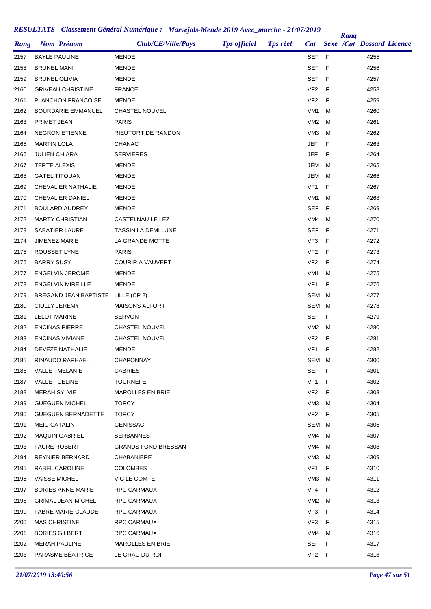| Rang | <b>Nom Prénom</b>                  | Club/CE/Ville/Pays         | <b>Tps officiel</b> | <b>Tps réel</b> | <b>Cat</b>      |     | Rang | <b>Sexe /Cat Dossard Licence</b> |  |
|------|------------------------------------|----------------------------|---------------------|-----------------|-----------------|-----|------|----------------------------------|--|
| 2157 | <b>BAYLE PAULINE</b>               | <b>MENDE</b>               |                     |                 | SEF F           |     |      | 4255                             |  |
| 2158 | <b>BRUNEL MANI</b>                 | <b>MENDE</b>               |                     |                 | SEF             | - F |      | 4256                             |  |
| 2159 | <b>BRUNEL OLIVIA</b>               | MENDE                      |                     |                 | <b>SEF</b>      | - F |      | 4257                             |  |
| 2160 | <b>GRIVEAU CHRISTINE</b>           | <b>FRANCE</b>              |                     |                 | VF <sub>2</sub> | F   |      | 4258                             |  |
| 2161 | PLANCHON FRANCOISE                 | MENDE                      |                     |                 | VF <sub>2</sub> | - F |      | 4259                             |  |
| 2162 | <b>BOURDARIE EMMANUEL</b>          | CHASTEL NOUVEL             |                     |                 | VM <sub>1</sub> | M   |      | 4260                             |  |
| 2163 | <b>PRIMET JEAN</b>                 | <b>PARIS</b>               |                     |                 | VM2             | M   |      | 4261                             |  |
| 2164 | <b>NEGRON ETIENNE</b>              | RIEUTORT DE RANDON         |                     |                 | VM3             | M   |      | 4262                             |  |
| 2165 | <b>MARTIN LOLA</b>                 | <b>CHANAC</b>              |                     |                 | <b>JEF</b>      | F   |      | 4263                             |  |
| 2166 | <b>JULIEN CHIARA</b>               | <b>SERVIERES</b>           |                     |                 | JEF             | F   |      | 4264                             |  |
| 2167 | <b>TERTE ALEXIS</b>                | MENDE                      |                     |                 | JEM             | M   |      | 4265                             |  |
| 2168 | <b>GATEL TITOUAN</b>               | <b>MENDE</b>               |                     |                 | JEM             | M   |      | 4266                             |  |
| 2169 | <b>CHEVALIER NATHALIE</b>          | <b>MENDE</b>               |                     |                 | VF <sub>1</sub> | F   |      | 4267                             |  |
| 2170 | CHEVALIER DANIEL                   | <b>MENDE</b>               |                     |                 | VM <sub>1</sub> | M   |      | 4268                             |  |
| 2171 | <b>BOULARD AUDREY</b>              | <b>MENDE</b>               |                     |                 | <b>SEF</b>      | -F  |      | 4269                             |  |
| 2172 | <b>MARTY CHRISTIAN</b>             | CASTELNAU LE LEZ           |                     |                 | VM4             | M   |      | 4270                             |  |
| 2173 | SABATIER LAURE                     | TASSIN LA DEMI LUNE        |                     |                 | <b>SEF</b>      | - F |      | 4271                             |  |
| 2174 | JIMENEZ MARIE                      | LA GRANDE MOTTE            |                     |                 | VF3             | -F  |      | 4272                             |  |
| 2175 | ROUSSET LYNE                       | <b>PARIS</b>               |                     |                 | VF <sub>2</sub> | - F |      | 4273                             |  |
| 2176 | <b>BARRY SUSY</b>                  | <b>COURIR A VAUVERT</b>    |                     |                 | VF <sub>2</sub> | -F  |      | 4274                             |  |
| 2177 | <b>ENGELVIN JEROME</b>             | <b>MENDE</b>               |                     |                 | VM1             | M   |      | 4275                             |  |
| 2178 | <b>ENGELVIN MIREILLE</b>           | MENDE                      |                     |                 | VF <sub>1</sub> | F   |      | 4276                             |  |
| 2179 | BREGAND JEAN BAPTISTE LILLE (CP 2) |                            |                     |                 | <b>SEM</b>      | M   |      | 4277                             |  |
| 2180 | <b>CIULLY JEREMY</b>               | <b>MAISONS ALFORT</b>      |                     |                 | SEM             | M   |      | 4278                             |  |
| 2181 | <b>LELOT MARINE</b>                | <b>SERVON</b>              |                     |                 | SEF F           |     |      | 4279                             |  |
| 2182 | <b>ENCINAS PIERRE</b>              | <b>CHASTEL NOUVEL</b>      |                     |                 | VM <sub>2</sub> | M   |      | 4280                             |  |
| 2183 | <b>ENCINAS VIVIANE</b>             | CHASTEL NOUVEL             |                     |                 | VF <sub>2</sub> | F   |      | 4281                             |  |
| 2184 | <b>DEVEZE NATHALIE</b>             | <b>MENDE</b>               |                     |                 | VF1             | F   |      | 4282                             |  |
| 2185 | RINAUDO RAPHAEL                    | <b>CHAPONNAY</b>           |                     |                 | SEM M           |     |      | 4300                             |  |
| 2186 | <b>VALLET MELANIE</b>              | <b>CABRIES</b>             |                     |                 | <b>SEF</b>      | F   |      | 4301                             |  |
| 2187 | <b>VALLET CELINE</b>               | <b>TOURNEFE</b>            |                     |                 | VF1             | - F |      | 4302                             |  |
| 2188 | <b>MERAH SYLVIE</b>                | <b>MAROLLES EN BRIE</b>    |                     |                 | VF <sub>2</sub> | F   |      | 4303                             |  |
| 2189 | <b>GUEGUEN MICHEL</b>              | <b>TORCY</b>               |                     |                 | VM3             | M   |      | 4304                             |  |
| 2190 | <b>GUEGUEN BERNADETTE</b>          | <b>TORCY</b>               |                     |                 | VF <sub>2</sub> | F   |      | 4305                             |  |
| 2191 | MEIU CATALIN                       | <b>GENISSAC</b>            |                     |                 | SEM             | M   |      | 4306                             |  |
| 2192 | <b>MAQUIN GABRIEL</b>              | <b>SERBANNES</b>           |                     |                 | VM4             | м   |      | 4307                             |  |
| 2193 | <b>FAURE ROBERT</b>                | <b>GRANDS FOND BRESSAN</b> |                     |                 | VM4             | M   |      | 4308                             |  |
| 2194 | <b>REYNIER BERNARD</b>             | <b>CHABANIERE</b>          |                     |                 | VM3             | M   |      | 4309                             |  |
| 2195 | RABEL CAROLINE                     | <b>COLOMBES</b>            |                     |                 | VF1             | F   |      | 4310                             |  |
| 2196 | <b>VAISSE MICHEL</b>               | VIC LE COMTE               |                     |                 | VM3             | M   |      | 4311                             |  |
| 2197 | <b>BORIES ANNE-MARIE</b>           | RPC CARMAUX                |                     |                 | VF4             | F   |      | 4312                             |  |
| 2198 | <b>GRIMAL JEAN-MICHEL</b>          | RPC CARMAUX                |                     |                 | VM2             | M   |      | 4313                             |  |
| 2199 | <b>FABRE MARIE-CLAUDE</b>          | RPC CARMAUX                |                     |                 | VF3             | F   |      | 4314                             |  |
| 2200 | <b>MAS CHRISTINE</b>               | RPC CARMAUX                |                     |                 | VF <sub>3</sub> | F   |      | 4315                             |  |
| 2201 | <b>BORIES GILBERT</b>              | RPC CARMAUX                |                     |                 | VM4             | M   |      | 4316                             |  |
| 2202 | <b>MERAH PAULINE</b>               | <b>MAROLLES EN BRIE</b>    |                     |                 | SEF             | F   |      | 4317                             |  |
| 2203 | PARASME BÉATRICE                   | LE GRAU DU ROI             |                     |                 | VF2 F           |     |      | 4318                             |  |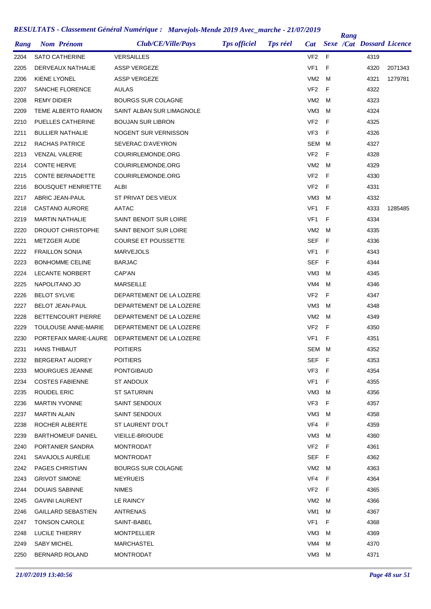| Rang | <b>Nom Prénom</b>         | Club/CE/Ville/Pays         | <b>Tps officiel</b> | <b>Tps réel</b> | <b>Cat</b>      |    | Rang | <b>Sexe /Cat Dossard Licence</b> |         |
|------|---------------------------|----------------------------|---------------------|-----------------|-----------------|----|------|----------------------------------|---------|
| 2204 | <b>SATO CATHERINE</b>     | <b>VERSAILLES</b>          |                     |                 | VF <sub>2</sub> | -F |      | 4319                             |         |
| 2205 | DERVEAUX NATHALIE         | ASSP VERGEZE               |                     |                 | VF <sub>1</sub> | F  |      | 4320                             | 2071343 |
| 2206 | <b>KIENE LYONEL</b>       | <b>ASSP VERGEZE</b>        |                     |                 | VM <sub>2</sub> | M  |      | 4321                             | 1279781 |
| 2207 | SANCHE FLORENCE           | AULAS                      |                     |                 | VF <sub>2</sub> | F  |      | 4322                             |         |
| 2208 | REMY DIDIER               | <b>BOURGS SUR COLAGNE</b>  |                     |                 | VM <sub>2</sub> | M  |      | 4323                             |         |
| 2209 | TEME ALBERTO RAMON        | SAINT ALBAN SUR LIMAGNOLE  |                     |                 | VM <sub>3</sub> | M  |      | 4324                             |         |
| 2210 | PUELLES CATHERINE         | <b>BOUJAN SUR LIBRON</b>   |                     |                 | VF <sub>2</sub> | F  |      | 4325                             |         |
| 2211 | <b>BULLIER NATHALIE</b>   | NOGENT SUR VERNISSON       |                     |                 | VF3             | F  |      | 4326                             |         |
| 2212 | RACHAS PATRICE            | SEVERAC D'AVEYRON          |                     |                 | SEM             | M  |      | 4327                             |         |
| 2213 | <b>VENZAL VALERIE</b>     | COURIRLEMONDE.ORG          |                     |                 | VF <sub>2</sub> | F  |      | 4328                             |         |
| 2214 | <b>CONTE HERVE</b>        | COURIRLEMONDE.ORG          |                     |                 | VM <sub>2</sub> | M  |      | 4329                             |         |
| 2215 | <b>CONTE BERNADETTE</b>   | COURIRLEMONDE.ORG          |                     |                 | VF <sub>2</sub> | -F |      | 4330                             |         |
| 2216 | <b>BOUSQUET HENRIETTE</b> | ALBI                       |                     |                 | VF <sub>2</sub> | -F |      | 4331                             |         |
| 2217 | ABRIC JEAN-PAUL           | ST PRIVAT DES VIEUX        |                     |                 | VM <sub>3</sub> | M  |      | 4332                             |         |
| 2218 | CASTANO AURORE            | AATAC                      |                     |                 | VF <sub>1</sub> | F  |      | 4333                             | 1285485 |
| 2219 | <b>MARTIN NATHALIE</b>    | SAINT BENOIT SUR LOIRE     |                     |                 | VF <sub>1</sub> | F  |      | 4334                             |         |
| 2220 | DROUOT CHRISTOPHE         | SAINT BENOIT SUR LOIRE     |                     |                 | VM <sub>2</sub> | M  |      | 4335                             |         |
| 2221 | METZGER AUDE              | <b>COURSE ET POUSSETTE</b> |                     |                 | SEF             | F  |      | 4336                             |         |
| 2222 | <b>FRAILLON SONIA</b>     | <b>MARVEJOLS</b>           |                     |                 | VF1             | F  |      | 4343                             |         |
| 2223 | <b>BONHOMME CELINE</b>    | <b>BARJAC</b>              |                     |                 | SEF             | -F |      | 4344                             |         |
| 2224 | <b>LECANTE NORBERT</b>    | CAP'AN                     |                     |                 | VM <sub>3</sub> | M  |      | 4345                             |         |
| 2225 | NAPOLITANO JO             | MARSEILLE                  |                     |                 | VM4             | M  |      | 4346                             |         |
| 2226 | <b>BELOT SYLVIE</b>       | DEPARTEMENT DE LA LOZERE   |                     |                 | VF <sub>2</sub> | F  |      | 4347                             |         |
| 2227 | <b>BELOT JEAN-PAUL</b>    | DEPARTEMENT DE LA LOZERE   |                     |                 | VM <sub>3</sub> | M  |      | 4348                             |         |
| 2228 | BETTENCOURT PIERRE        | DEPARTEMENT DE LA LOZERE   |                     |                 | VM <sub>2</sub> | M  |      | 4349                             |         |
| 2229 | TOULOUSE ANNE-MARIE       | DEPARTEMENT DE LA LOZERE   |                     |                 | VF <sub>2</sub> | F  |      | 4350                             |         |
| 2230 | PORTEFAIX MARIE-LAURE     | DEPARTEMENT DE LA LOZERE   |                     |                 | VF1             | F  |      | 4351                             |         |
| 2231 | <b>HANS THIBAUT</b>       | <b>POITIERS</b>            |                     |                 | SEM             | M  |      | 4352                             |         |
| 2232 | BERGERAT AUDREY           | <b>POITIERS</b>            |                     |                 | SEF             | F  |      | 4353                             |         |
| 2233 | <b>MOURGUES JEANNE</b>    | <b>PONTGIBAUD</b>          |                     |                 | VF3             | F  |      | 4354                             |         |
| 2234 | <b>COSTES FABIENNE</b>    | ST ANDOUX                  |                     |                 | VF1             | F  |      | 4355                             |         |
| 2235 | ROUDEL ERIC               | ST SATURNIN                |                     |                 | VM3             | м  |      | 4356                             |         |
| 2236 | <b>MARTIN YVONNE</b>      | SAINT SENDOUX              |                     |                 | VF3             | F  |      | 4357                             |         |
| 2237 | <b>MARTIN ALAIN</b>       | SAINT SENDOUX              |                     |                 | VM3             | M  |      | 4358                             |         |
| 2238 | ROCHER ALBERTE            | ST LAURENT D'OLT           |                     |                 | VF4             | F  |      | 4359                             |         |
| 2239 | <b>BARTHOMEUF DANIEL</b>  | VIEILLE-BRIOUDE            |                     |                 | VM3             | M  |      | 4360                             |         |
| 2240 | PORTANIER SANDRA          | MONTRODAT                  |                     |                 | VF <sub>2</sub> | F  |      | 4361                             |         |
| 2241 | SAVAJOLS AURELIE          | MONTRODAT                  |                     |                 | <b>SEF</b>      | F  |      | 4362                             |         |
| 2242 | PAGES CHRISTIAN           | <b>BOURGS SUR COLAGNE</b>  |                     |                 | VM2             | M  |      | 4363                             |         |
| 2243 | <b>GRIVOT SIMONE</b>      | <b>MEYRUEIS</b>            |                     |                 | VF4             | F  |      | 4364                             |         |
| 2244 | DOUAIS SABINNE            | <b>NIMES</b>               |                     |                 | VF <sub>2</sub> | F  |      | 4365                             |         |
| 2245 | <b>GAVINI LAURENT</b>     | LE RAINCY                  |                     |                 | VM <sub>2</sub> | м  |      | 4366                             |         |
| 2246 | <b>GAILLARD SEBASTIEN</b> | ANTRENAS                   |                     |                 | VM <sub>1</sub> | м  |      | 4367                             |         |
| 2247 | <b>TONSON CAROLE</b>      | SAINT-BABEL                |                     |                 | VF1             | F  |      | 4368                             |         |
| 2248 | LUCILE THIERRY            | MONTPELLIER                |                     |                 | VM <sub>3</sub> | M  |      | 4369                             |         |
| 2249 | <b>SABY MICHEL</b>        | MARCHASTEL                 |                     |                 | VM4             | M  |      | 4370                             |         |
| 2250 | <b>BERNARD ROLAND</b>     | MONTRODAT                  |                     |                 | VM3             | M  |      | 4371                             |         |
|      |                           |                            |                     |                 |                 |    |      |                                  |         |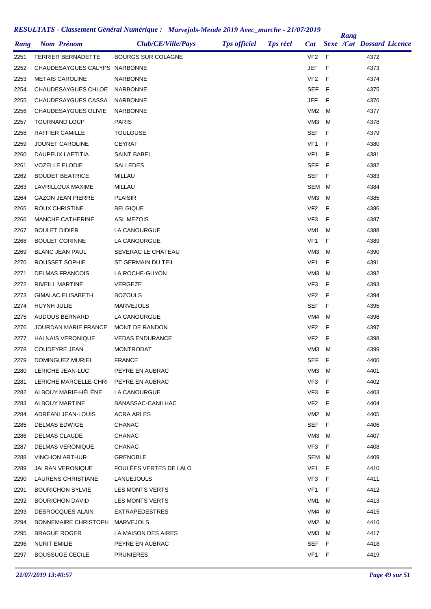|      |                               |                           |                     |                 |                 |     | Rang |                                  |  |
|------|-------------------------------|---------------------------|---------------------|-----------------|-----------------|-----|------|----------------------------------|--|
| Rang | <b>Nom Prénom</b>             | <b>Club/CE/Ville/Pays</b> | <b>Tps officiel</b> | <b>Tps réel</b> | <b>Cat</b>      |     |      | <b>Sexe /Cat Dossard Licence</b> |  |
| 2251 | <b>FERRIER BERNADETTE</b>     | <b>BOURGS SUR COLAGNE</b> |                     |                 | VF <sub>2</sub> | -F  |      | 4372                             |  |
| 2252 | CHAUDESAYGUES CALYPS NARBONNE |                           |                     |                 | JEF             | F   |      | 4373                             |  |
| 2253 | <b>METAIS CAROLINE</b>        | <b>NARBONNE</b>           |                     |                 | VF <sub>2</sub> | F   |      | 4374                             |  |
| 2254 | CHAUDESAYGUES CHLOE           | <b>NARBONNE</b>           |                     |                 | <b>SEF</b>      | F   |      | 4375                             |  |
| 2255 | CHAUDESAYGUES CASSA           | <b>NARBONNE</b>           |                     |                 | JEF             | F   |      | 4376                             |  |
| 2256 | CHAUDESAYGUES OLIVIE          | <b>NARBONNE</b>           |                     |                 | VM <sub>2</sub> | м   |      | 4377                             |  |
| 2257 | <b>TOURNAND LOUP</b>          | <b>PARIS</b>              |                     |                 | VM <sub>3</sub> | м   |      | 4378                             |  |
| 2258 | RAFFIER CAMILLE               | <b>TOULOUSE</b>           |                     |                 | <b>SEF</b>      | F   |      | 4379                             |  |
| 2259 | <b>JOUNET CAROLINE</b>        | <b>CEYRAT</b>             |                     |                 | VF <sub>1</sub> | F   |      | 4380                             |  |
| 2260 | DAUPEUX LAETITIA              | <b>SAINT BABEL</b>        |                     |                 | VF <sub>1</sub> | F   |      | 4381                             |  |
| 2261 | <b>VOZELLE ELODIE</b>         | <b>SALLEDES</b>           |                     |                 | <b>SEF</b>      | F   |      | 4382                             |  |
| 2262 | <b>BOUDET BEATRICE</b>        | MILLAU                    |                     |                 | SEF             | -F  |      | 4383                             |  |
| 2263 | LAVRILLOUX MAXIME             | MILLAU                    |                     |                 | SEM             | м   |      | 4384                             |  |
| 2264 | <b>GAZON JEAN PIERRE</b>      | <b>PLAISIR</b>            |                     |                 | VM <sub>3</sub> | м   |      | 4385                             |  |
| 2265 | <b>ROUX CHRISTINE</b>         | <b>BELGIQUE</b>           |                     |                 | VF <sub>2</sub> | F   |      | 4386                             |  |
| 2266 | <b>MANCHE CATHERINE</b>       | <b>ASL MEZOIS</b>         |                     |                 | VF3             | F   |      | 4387                             |  |
| 2267 | <b>BOULET DIDIER</b>          | LA CANOURGUE              |                     |                 | VM <sub>1</sub> | м   |      | 4388                             |  |
| 2268 | <b>BOULET CORINNE</b>         | LA CANOURGUE              |                     |                 | VF <sub>1</sub> | F   |      | 4389                             |  |
| 2269 | <b>BLANC JEAN PAUL</b>        | SEVERAC LE CHATEAU        |                     |                 | VM <sub>3</sub> | м   |      | 4390                             |  |
| 2270 | ROUSSET SOPHIE                | ST GERMAIN DU TEIL        |                     |                 | VF <sub>1</sub> | F   |      | 4391                             |  |
| 2271 | <b>DELMAS FRANCOIS</b>        | LA ROCHE-GUYON            |                     |                 | VM <sub>3</sub> | м   |      | 4392                             |  |
| 2272 | <b>RIVEILL MARTINE</b>        | <b>VERGEZE</b>            |                     |                 | VF3             | F   |      | 4393                             |  |
| 2273 | <b>GIMALAC ELISABETH</b>      | <b>BOZOULS</b>            |                     |                 | VF <sub>2</sub> | F   |      | 4394                             |  |
| 2274 | HUYNH JULIE                   | <b>MARVEJOLS</b>          |                     |                 | SEF             | F   |      | 4395                             |  |
| 2275 | AUDOUS BERNARD                | LA CANOURGUE              |                     |                 | VM4             | M   |      | 4396                             |  |
| 2276 | <b>JOURDAN MARIE FRANCE</b>   | MONT DE RANDON            |                     |                 | VF <sub>2</sub> | F   |      | 4397                             |  |
| 2277 | <b>HALNAIS VERONIQUE</b>      | <b>VEDAS ENDURANCE</b>    |                     |                 | VF <sub>2</sub> | F   |      | 4398                             |  |
| 2278 | <b>COUDEYRE JEAN</b>          | <b>MONTRODAT</b>          |                     |                 | VM <sub>3</sub> | м   |      | 4399                             |  |
| 2279 | DOMINGUEZ MURIEL              | <b>FRANCE</b>             |                     |                 | SEF             | - F |      | 4400                             |  |
| 2280 | LERICHE JEAN-LUC              | PEYRE EN AUBRAC           |                     |                 | VM3             | M   |      | 4401                             |  |
| 2281 | LERICHE MARCELLE-CHRI         | PEYRE EN AUBRAC           |                     |                 | VF3             | -F  |      | 4402                             |  |
| 2282 | ALBOUY MARIE-HELENE           | LA CANOURGUE              |                     |                 | VF3             | F   |      | 4403                             |  |
| 2283 | ALBOUY MARTINE                | BANASSAC-CANILHAC         |                     |                 | VF <sub>2</sub> | - F |      | 4404                             |  |
| 2284 | ADREANI JEAN-LOUIS            | ACRA ARLES                |                     |                 | VM2 M           |     |      | 4405                             |  |
| 2285 | DELMAS EDWIGE                 | <b>CHANAC</b>             |                     |                 | SEF F           |     |      | 4406                             |  |
| 2286 | DELMAS CLAUDE                 | <b>CHANAC</b>             |                     |                 | VM3             | M   |      | 4407                             |  |
| 2287 | <b>DELMAS VERONIQUE</b>       | <b>CHANAC</b>             |                     |                 | VF3             | F   |      | 4408                             |  |
| 2288 | <b>VINCHON ARTHUR</b>         | <b>GRENOBLE</b>           |                     |                 | SEM M           |     |      | 4409                             |  |
| 2289 | <b>JALRAN VERONIQUE</b>       | FOULEES VERTES DE LALO    |                     |                 | VF <sub>1</sub> | -F  |      | 4410                             |  |
| 2290 | LAURENS CHRISTIANE            | LANUEJOULS                |                     |                 | VF3             | F   |      | 4411                             |  |
| 2291 | <b>BOURICHON SYLVIE</b>       | LES MONTS VERTS           |                     |                 | VF <sub>1</sub> | F   |      | 4412                             |  |
| 2292 | <b>BOURICHON DAVID</b>        | LES MONTS VERTS           |                     |                 | VM1             | M   |      | 4413                             |  |
| 2293 | <b>DESROCQUES ALAIN</b>       | <b>EXTRAPEDESTRES</b>     |                     |                 | VM4             | м   |      | 4415                             |  |
| 2294 | <b>BONNEMAIRE CHRISTOPH</b>   | MARVEJOLS                 |                     |                 | VM2             | м   |      | 4416                             |  |
| 2295 | <b>BRAGUE ROGER</b>           | LA MAISON DES AIRES       |                     |                 | VM3             | м   |      | 4417                             |  |
| 2296 | <b>NURIT EMILIE</b>           | PEYRE EN AUBRAC           |                     |                 | <b>SEF</b>      | - F |      | 4418                             |  |
| 2297 | <b>BOUSSUGE CECILE</b>        | <b>PRUNIERES</b>          |                     |                 | VF1 F           |     |      | 4419                             |  |
|      |                               |                           |                     |                 |                 |     |      |                                  |  |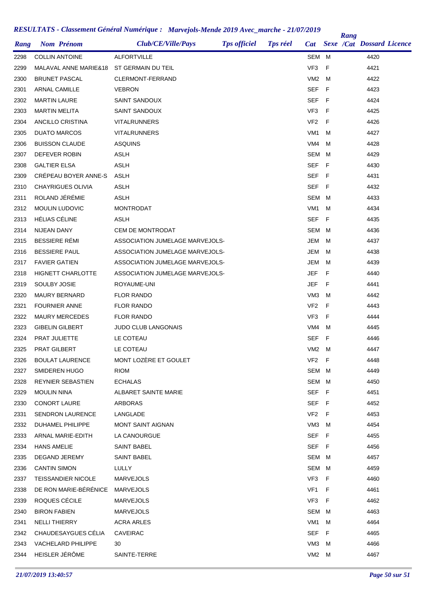| Rang | <b>Nom Prénom</b>         | Club/CE/Ville/Pays              | <b>Tps officiel</b> | <b>Tps réel</b> | <b>Cat</b>      |      | Rang | <b>Sexe /Cat Dossard Licence</b> |  |
|------|---------------------------|---------------------------------|---------------------|-----------------|-----------------|------|------|----------------------------------|--|
| 2298 | <b>COLLIN ANTOINE</b>     | <b>ALFORTVILLE</b>              |                     |                 | SEM M           |      |      | 4420                             |  |
| 2299 | MALAVAL ANNE MARIE&18     | ST GERMAIN DU TEIL              |                     |                 | VF <sub>3</sub> | F    |      | 4421                             |  |
| 2300 | <b>BRUNET PASCAL</b>      | CLERMONT-FERRAND                |                     |                 | VM <sub>2</sub> | м    |      | 4422                             |  |
| 2301 | ARNAL CAMILLE             | <b>VEBRON</b>                   |                     |                 | <b>SEF</b>      | F    |      | 4423                             |  |
| 2302 | <b>MARTIN LAURE</b>       | SAINT SANDOUX                   |                     |                 | SEF             | -F   |      | 4424                             |  |
| 2303 | <b>MARTIN MELITA</b>      | SAINT SANDOUX                   |                     |                 | VF3             | F    |      | 4425                             |  |
| 2304 | ANCILLO CRISTINA          | VITALRUNNERS                    |                     |                 | VF <sub>2</sub> | F    |      | 4426                             |  |
| 2305 | <b>DUATO MARCOS</b>       | <b>VITALRUNNERS</b>             |                     |                 | VM <sub>1</sub> | м    |      | 4427                             |  |
|      | <b>BUISSON CLAUDE</b>     |                                 |                     |                 | VM4             | M    |      | 4428                             |  |
| 2306 | DEFEVER ROBIN             | <b>ASQUINS</b><br><b>ASLH</b>   |                     |                 | SEM             | м    |      | 4429                             |  |
| 2307 | <b>GALTIER ELSA</b>       | <b>ASLH</b>                     |                     |                 | <b>SEF</b>      | -F   |      | 4430                             |  |
| 2308 | CREPEAU BOYER ANNE-S      | <b>ASLH</b>                     |                     |                 | SEF             |      |      | 4431                             |  |
| 2309 |                           |                                 |                     |                 |                 | F    |      |                                  |  |
| 2310 | <b>CHAYRIGUES OLIVIA</b>  | <b>ASLH</b>                     |                     |                 | <b>SEF</b>      | - F  |      | 4432                             |  |
| 2311 | ROLAND JÉRÉMIE            | <b>ASLH</b>                     |                     |                 | SEM             | M    |      | 4433                             |  |
| 2312 | MOULIN LUDOVIC            | <b>MONTRODAT</b>                |                     |                 | VM <sub>1</sub> | м    |      | 4434                             |  |
| 2313 | <b>HÉLIAS CÉLINE</b>      | ASLH                            |                     |                 | SEF             | F    |      | 4435                             |  |
| 2314 | NIJEAN DANY               | CEM DE MONTRODAT                |                     |                 | SEM             | M    |      | 4436                             |  |
| 2315 | <b>BESSIERE RÉMI</b>      | ASSOCIATION JUMELAGE MARVEJOLS- |                     |                 | JEM             | м    |      | 4437                             |  |
| 2316 | <b>BESSIERE PAUL</b>      | ASSOCIATION JUMELAGE MARVEJOLS- |                     |                 | JEM             | м    |      | 4438                             |  |
| 2317 | <b>FAVIER GATIEN</b>      | ASSOCIATION JUMELAGE MARVEJOLS- |                     |                 | JEM             | м    |      | 4439                             |  |
| 2318 | <b>HIGNETT CHARLOTTE</b>  | ASSOCIATION JUMELAGE MARVEJOLS- |                     |                 | <b>JEF</b>      | F    |      | 4440                             |  |
| 2319 | SOULBY JOSIE              | ROYAUME-UNI                     |                     |                 | JEF             | F    |      | 4441                             |  |
| 2320 | <b>MAURY BERNARD</b>      | <b>FLOR RANDO</b>               |                     |                 | VM <sub>3</sub> | M    |      | 4442                             |  |
| 2321 | <b>FOURNIER ANNE</b>      | <b>FLOR RANDO</b>               |                     |                 | VF <sub>2</sub> | F    |      | 4443                             |  |
| 2322 | <b>MAURY MERCEDES</b>     | <b>FLOR RANDO</b>               |                     |                 | VF3             | F    |      | 4444                             |  |
| 2323 | <b>GIBELIN GILBERT</b>    | JUDO CLUB LANGONAIS             |                     |                 | VM4             | M    |      | 4445                             |  |
| 2324 | PRAT JULIETTE             | LE COTEAU                       |                     |                 | SEF             | F    |      | 4446                             |  |
| 2325 | PRAT GILBERT              | LE COTEAU                       |                     |                 | VM2             | M    |      | 4447                             |  |
| 2326 | <b>BOULAT LAURENCE</b>    | MONT LOZERE ET GOULET           |                     |                 | VF <sub>2</sub> | $-F$ |      | 4448                             |  |
| 2327 | SMIDEREN HUGO             | <b>RIOM</b>                     |                     |                 | SEM M           |      |      | 4449                             |  |
| 2328 | REYNIER SEBASTIEN         | <b>ECHALAS</b>                  |                     |                 | SEM M           |      |      | 4450                             |  |
| 2329 | <b>MOULIN NINA</b>        | ALBARET SAINTE MARIE            |                     |                 | SEF F           |      |      | 4451                             |  |
| 2330 | <b>CONORT LAURE</b>       | ARBORAS                         |                     |                 | SEF F           |      |      | 4452                             |  |
| 2331 | <b>SENDRON LAURENCE</b>   | LANGLADE                        |                     |                 | $VF2$ F         |      |      | 4453                             |  |
| 2332 | DUHAMEL PHILIPPE          | MONT SAINT AIGNAN               |                     |                 | VM3             | M    |      | 4454                             |  |
| 2333 | ARNAL MARIE-EDITH         | LA CANOURGUE                    |                     |                 | SEF F           |      |      | 4455                             |  |
| 2334 | <b>HANS AMELIE</b>        | SAINT BABEL                     |                     |                 | SEF F           |      |      | 4456                             |  |
| 2335 | DEGAND JEREMY             | SAINT BABEL                     |                     |                 | SEM M           |      |      | 4457                             |  |
| 2336 | <b>CANTIN SIMON</b>       | LULLY                           |                     |                 | SEM M           |      |      | 4459                             |  |
| 2337 | TEISSANDIER NICOLE        | <b>MARVEJOLS</b>                |                     |                 | VF3             | - F  |      | 4460                             |  |
| 2338 | DE RON MARIE-BÉRÉNICE     | MARVEJOLS                       |                     |                 | VF1             | - F  |      | 4461                             |  |
| 2339 | ROQUES CÉCILE             | MARVEJOLS                       |                     |                 | VF3             | - F  |      | 4462                             |  |
| 2340 | <b>BIRON FABIEN</b>       | MARVEJOLS                       |                     |                 | SEM M           |      |      | 4463                             |  |
| 2341 | NELLI THIERRY             | ACRA ARLES                      |                     |                 | VM1             | M    |      | 4464                             |  |
| 2342 | CHAUDESAYGUES CELIA       | <b>CAVEIRAC</b>                 |                     |                 | SEF F           |      |      | 4465                             |  |
| 2343 | <b>VACHELARD PHILIPPE</b> | 30                              |                     |                 | VM3             | M    |      | 4466                             |  |
| 2344 | HEISLER JÉRÔME            | SAINTE-TERRE                    |                     |                 | VM2 M           |      |      | 4467                             |  |